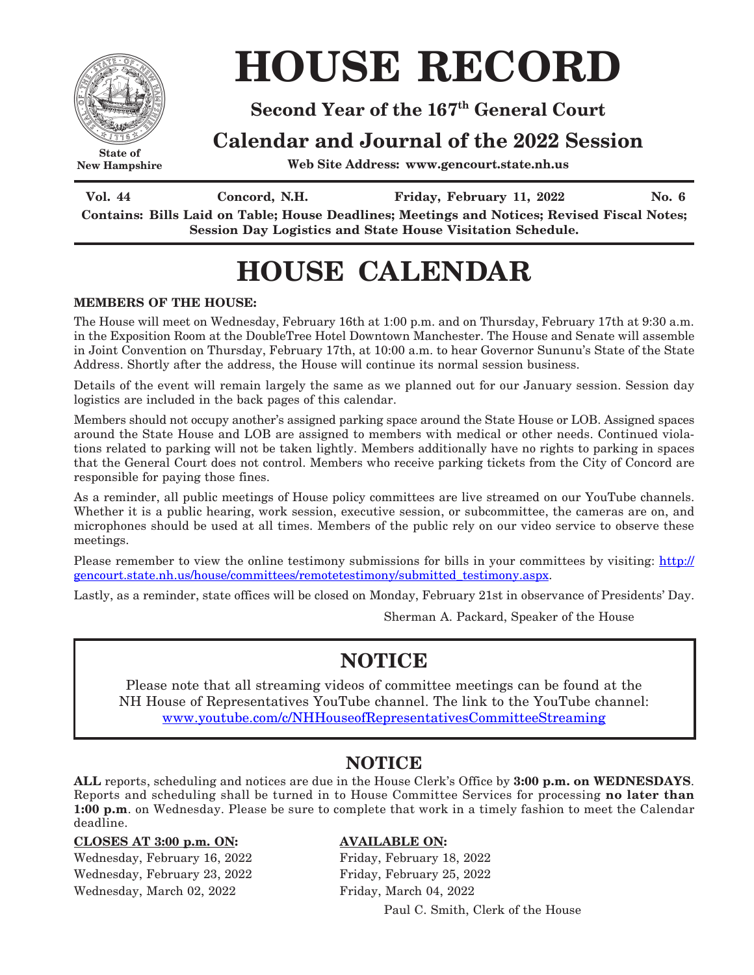

**New Hampshire**

# **HOUSE RECORD**

### **Second Year of the 167th General Court**

### **Calendar and Journal of the 2022 Session**

**Web Site Address: www.gencourt.state.nh.us**

Vol. 44 Concord, N.H. Friday, February 11, 2022 No. 6 **Contains: Bills Laid on Table; House Deadlines; Meetings and Notices; Revised Fiscal Notes; Session Day Logistics and State House Visitation Schedule.**

## **HOUSE CALENDAR**

### **MEMBERS OF THE HOUSE:**

The House will meet on Wednesday, February 16th at 1:00 p.m. and on Thursday, February 17th at 9:30 a.m. in the Exposition Room at the DoubleTree Hotel Downtown Manchester. The House and Senate will assemble in Joint Convention on Thursday, February 17th, at 10:00 a.m. to hear Governor Sununu's State of the State Address. Shortly after the address, the House will continue its normal session business.

Details of the event will remain largely the same as we planned out for our January session. Session day logistics are included in the back pages of this calendar.

Members should not occupy another's assigned parking space around the State House or LOB. Assigned spaces around the State House and LOB are assigned to members with medical or other needs. Continued violations related to parking will not be taken lightly. Members additionally have no rights to parking in spaces that the General Court does not control. Members who receive parking tickets from the City of Concord are responsible for paying those fines.

As a reminder, all public meetings of House policy committees are live streamed on our YouTube channels. Whether it is a public hearing, work session, executive session, or subcommittee, the cameras are on, and microphones should be used at all times. Members of the public rely on our video service to observe these meetings.

Please remember to view the online testimony submissions for bills in your committees by visiting: [http://](http://gencourt.state.nh.us/house/committees/remotetestimony/submitted_testimony.aspx) [gencourt.state.nh.us/house/committees/remotetestimony/submitted\\_testimony.aspx.](http://gencourt.state.nh.us/house/committees/remotetestimony/submitted_testimony.aspx)

Lastly, as a reminder, state offices will be closed on Monday, February 21st in observance of Presidents' Day.

Sherman A. Packard, Speaker of the House

### **NOTICE**

Please note that all streaming videos of committee meetings can be found at the NH House of Representatives YouTube channel. The link to the YouTube channel: www.youtube.com/c/NHHouseofRepresentativesCommitteeStreaming

### **NOTICE**

**ALL** reports, scheduling and notices are due in the House Clerk's Office by **3:00 p.m. on WEDNESDAYS**. Reports and scheduling shall be turned in to House Committee Services for processing **no later than 1:00 p.m**. on Wednesday. Please be sure to complete that work in a timely fashion to meet the Calendar deadline.

#### **CLOSES AT 3:00 p.m. ON: AVAILABLE ON:**

Wednesday, February 16, 2022 Friday, February 18, 2022 Wednesday, February 23, 2022 Friday, February 25, 2022 Wednesday, March 02, 2022 Friday, March 04, 2022

Paul C. Smith, Clerk of the House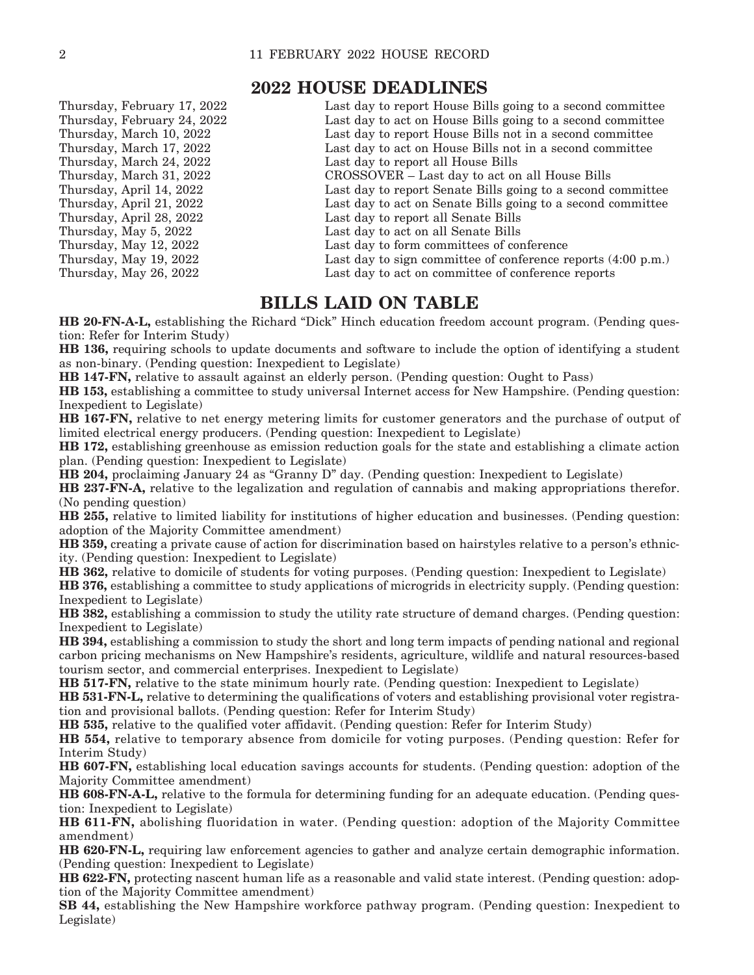### **2022 HOUSE DEADLINES**

| Thursday, February 17, 2022 | Last day to report House Bills going to a second committee   |
|-----------------------------|--------------------------------------------------------------|
| Thursday, February 24, 2022 | Last day to act on House Bills going to a second committee   |
| Thursday, March 10, 2022    | Last day to report House Bills not in a second committee     |
| Thursday, March 17, 2022    | Last day to act on House Bills not in a second committee     |
| Thursday, March 24, 2022    | Last day to report all House Bills                           |
| Thursday, March 31, 2022    | CROSSOVER – Last day to act on all House Bills               |
| Thursday, April 14, 2022    | Last day to report Senate Bills going to a second committee  |
| Thursday, April 21, 2022    | Last day to act on Senate Bills going to a second committee  |
| Thursday, April 28, 2022    | Last day to report all Senate Bills                          |
| Thursday, May 5, 2022       | Last day to act on all Senate Bills                          |
| Thursday, May 12, 2022      | Last day to form committees of conference                    |
| Thursday, May 19, 2022      | Last day to sign committee of conference reports (4:00 p.m.) |
| Thursday, May 26, 2022      | Last day to act on committee of conference reports           |
|                             |                                                              |

### **BILLS LAID ON TABLE**

**HB 20-FN-A-L,** establishing the Richard "Dick" Hinch education freedom account program. (Pending question: Refer for Interim Study)

**HB 136,** requiring schools to update documents and software to include the option of identifying a student as non-binary. (Pending question: Inexpedient to Legislate)

**HB 147-FN,** relative to assault against an elderly person. (Pending question: Ought to Pass)

**HB 153,** establishing a committee to study universal Internet access for New Hampshire. (Pending question: Inexpedient to Legislate)

**HB 167-FN,** relative to net energy metering limits for customer generators and the purchase of output of limited electrical energy producers. (Pending question: Inexpedient to Legislate)

**HB 172,** establishing greenhouse as emission reduction goals for the state and establishing a climate action plan. (Pending question: Inexpedient to Legislate)

**HB 204,** proclaiming January 24 as "Granny D" day. (Pending question: Inexpedient to Legislate)

**HB 237-FN-A,** relative to the legalization and regulation of cannabis and making appropriations therefor. (No pending question)

**HB 255,** relative to limited liability for institutions of higher education and businesses. (Pending question: adoption of the Majority Committee amendment)

**HB 359,** creating a private cause of action for discrimination based on hairstyles relative to a person's ethnicity. (Pending question: Inexpedient to Legislate)

**HB 362,** relative to domicile of students for voting purposes. (Pending question: Inexpedient to Legislate)

**HB 376,** establishing a committee to study applications of microgrids in electricity supply. (Pending question: Inexpedient to Legislate)

**HB 382,** establishing a commission to study the utility rate structure of demand charges. (Pending question: Inexpedient to Legislate)

**HB 394,** establishing a commission to study the short and long term impacts of pending national and regional carbon pricing mechanisms on New Hampshire's residents, agriculture, wildlife and natural resources-based tourism sector, and commercial enterprises. Inexpedient to Legislate)

**HB 517-FN,** relative to the state minimum hourly rate. (Pending question: Inexpedient to Legislate)

**HB 531-FN-L,** relative to determining the qualifications of voters and establishing provisional voter registration and provisional ballots. (Pending question: Refer for Interim Study)

**HB 535,** relative to the qualified voter affidavit. (Pending question: Refer for Interim Study)

**HB 554,** relative to temporary absence from domicile for voting purposes. (Pending question: Refer for Interim Study)

**HB 607-FN,** establishing local education savings accounts for students. (Pending question: adoption of the Majority Committee amendment)

**HB 608-FN-A-L,** relative to the formula for determining funding for an adequate education. (Pending question: Inexpedient to Legislate)

**HB 611-FN,** abolishing fluoridation in water. (Pending question: adoption of the Majority Committee amendment)

**HB 620-FN-L,** requiring law enforcement agencies to gather and analyze certain demographic information. (Pending question: Inexpedient to Legislate)

**HB 622-FN,** protecting nascent human life as a reasonable and valid state interest. (Pending question: adoption of the Majority Committee amendment)

**SB 44,** establishing the New Hampshire workforce pathway program. (Pending question: Inexpedient to Legislate)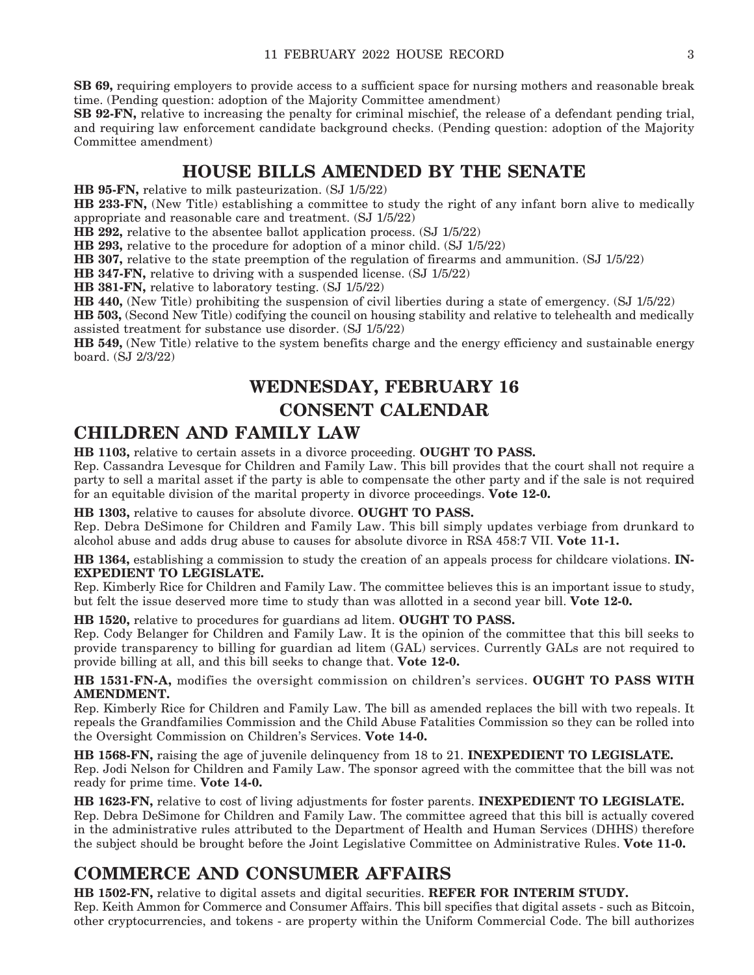**SB 69,** requiring employers to provide access to a sufficient space for nursing mothers and reasonable break time. (Pending question: adoption of the Majority Committee amendment)

**SB 92-FN,** relative to increasing the penalty for criminal mischief, the release of a defendant pending trial, and requiring law enforcement candidate background checks. (Pending question: adoption of the Majority Committee amendment)

### **HOUSE BILLS AMENDED BY THE SENATE**

**HB 95-FN,** relative to milk pasteurization. (SJ 1/5/22)

**HB 233-FN,** (New Title) establishing a committee to study the right of any infant born alive to medically appropriate and reasonable care and treatment. (SJ 1/5/22)

**HB 292,** relative to the absentee ballot application process. (SJ 1/5/22)

**HB 293,** relative to the procedure for adoption of a minor child. (SJ 1/5/22)

**HB 307,** relative to the state preemption of the regulation of firearms and ammunition. (SJ 1/5/22)

**HB 347-FN,** relative to driving with a suspended license. (SJ 1/5/22)

**HB 381-FN,** relative to laboratory testing. (SJ 1/5/22)

**HB 440,** (New Title) prohibiting the suspension of civil liberties during a state of emergency. (SJ 1/5/22)

**HB 503,** (Second New Title) codifying the council on housing stability and relative to telehealth and medically assisted treatment for substance use disorder. (SJ 1/5/22)

**HB 549,** (New Title) relative to the system benefits charge and the energy efficiency and sustainable energy board. (SJ 2/3/22)

### **WEDNESDAY, FEBRUARY 16 CONSENT CALENDAR**

### **CHILDREN AND FAMILY LAW**

**HB 1103,** relative to certain assets in a divorce proceeding. **OUGHT TO PASS.**

Rep. Cassandra Levesque for Children and Family Law. This bill provides that the court shall not require a party to sell a marital asset if the party is able to compensate the other party and if the sale is not required for an equitable division of the marital property in divorce proceedings. **Vote 12-0.**

**HB 1303,** relative to causes for absolute divorce. **OUGHT TO PASS.**

Rep. Debra DeSimone for Children and Family Law. This bill simply updates verbiage from drunkard to alcohol abuse and adds drug abuse to causes for absolute divorce in RSA 458:7 VII. **Vote 11-1.**

**HB 1364,** establishing a commission to study the creation of an appeals process for childcare violations. **IN-EXPEDIENT TO LEGISLATE.**

Rep. Kimberly Rice for Children and Family Law. The committee believes this is an important issue to study, but felt the issue deserved more time to study than was allotted in a second year bill. **Vote 12-0.**

**HB 1520,** relative to procedures for guardians ad litem. **OUGHT TO PASS.**

Rep. Cody Belanger for Children and Family Law. It is the opinion of the committee that this bill seeks to provide transparency to billing for guardian ad litem (GAL) services. Currently GALs are not required to provide billing at all, and this bill seeks to change that. **Vote 12-0.**

**HB 1531-FN-A,** modifies the oversight commission on children's services. **OUGHT TO PASS WITH AMENDMENT.**

Rep. Kimberly Rice for Children and Family Law. The bill as amended replaces the bill with two repeals. It repeals the Grandfamilies Commission and the Child Abuse Fatalities Commission so they can be rolled into the Oversight Commission on Children's Services. **Vote 14-0.**

**HB 1568-FN,** raising the age of juvenile delinquency from 18 to 21. **INEXPEDIENT TO LEGISLATE.** Rep. Jodi Nelson for Children and Family Law. The sponsor agreed with the committee that the bill was not ready for prime time. **Vote 14-0.**

**HB 1623-FN,** relative to cost of living adjustments for foster parents. **INEXPEDIENT TO LEGISLATE.** Rep. Debra DeSimone for Children and Family Law. The committee agreed that this bill is actually covered in the administrative rules attributed to the Department of Health and Human Services (DHHS) therefore the subject should be brought before the Joint Legislative Committee on Administrative Rules. **Vote 11-0.**

### **COMMERCE AND CONSUMER AFFAIRS**

**HB 1502-FN,** relative to digital assets and digital securities. **REFER FOR INTERIM STUDY.** Rep. Keith Ammon for Commerce and Consumer Affairs. This bill specifies that digital assets - such as Bitcoin, other cryptocurrencies, and tokens - are property within the Uniform Commercial Code. The bill authorizes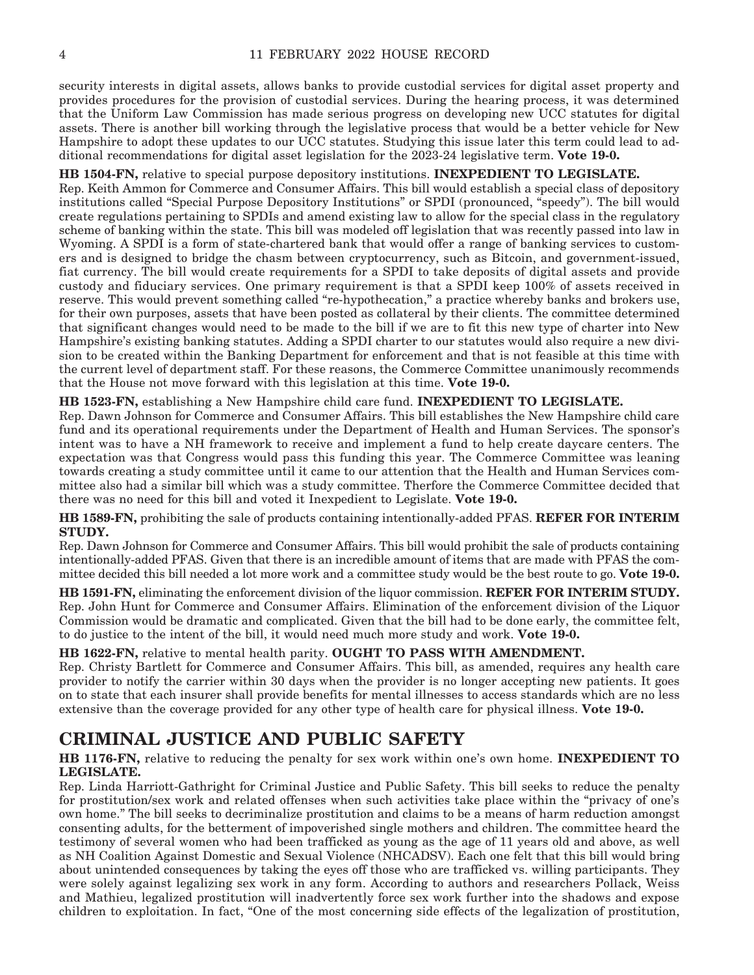security interests in digital assets, allows banks to provide custodial services for digital asset property and provides procedures for the provision of custodial services. During the hearing process, it was determined that the Uniform Law Commission has made serious progress on developing new UCC statutes for digital assets. There is another bill working through the legislative process that would be a better vehicle for New Hampshire to adopt these updates to our UCC statutes. Studying this issue later this term could lead to additional recommendations for digital asset legislation for the 2023-24 legislative term. **Vote 19-0.**

#### **HB 1504-FN,** relative to special purpose depository institutions. **INEXPEDIENT TO LEGISLATE.**

Rep. Keith Ammon for Commerce and Consumer Affairs. This bill would establish a special class of depository institutions called "Special Purpose Depository Institutions" or SPDI (pronounced, "speedy"). The bill would create regulations pertaining to SPDIs and amend existing law to allow for the special class in the regulatory scheme of banking within the state. This bill was modeled off legislation that was recently passed into law in Wyoming. A SPDI is a form of state-chartered bank that would offer a range of banking services to customers and is designed to bridge the chasm between cryptocurrency, such as Bitcoin, and government-issued, fiat currency. The bill would create requirements for a SPDI to take deposits of digital assets and provide custody and fiduciary services. One primary requirement is that a SPDI keep 100% of assets received in reserve. This would prevent something called "re-hypothecation," a practice whereby banks and brokers use, for their own purposes, assets that have been posted as collateral by their clients. The committee determined that significant changes would need to be made to the bill if we are to fit this new type of charter into New Hampshire's existing banking statutes. Adding a SPDI charter to our statutes would also require a new division to be created within the Banking Department for enforcement and that is not feasible at this time with the current level of department staff. For these reasons, the Commerce Committee unanimously recommends that the House not move forward with this legislation at this time. **Vote 19-0.**

#### **HB 1523-FN,** establishing a New Hampshire child care fund. **INEXPEDIENT TO LEGISLATE.**

Rep. Dawn Johnson for Commerce and Consumer Affairs. This bill establishes the New Hampshire child care fund and its operational requirements under the Department of Health and Human Services. The sponsor's intent was to have a NH framework to receive and implement a fund to help create daycare centers. The expectation was that Congress would pass this funding this year. The Commerce Committee was leaning towards creating a study committee until it came to our attention that the Health and Human Services committee also had a similar bill which was a study committee. Therfore the Commerce Committee decided that there was no need for this bill and voted it Inexpedient to Legislate. **Vote 19-0.**

**HB 1589-FN,** prohibiting the sale of products containing intentionally-added PFAS. **REFER FOR INTERIM STUDY.**

Rep. Dawn Johnson for Commerce and Consumer Affairs. This bill would prohibit the sale of products containing intentionally-added PFAS. Given that there is an incredible amount of items that are made with PFAS the committee decided this bill needed a lot more work and a committee study would be the best route to go. **Vote 19-0.**

**HB 1591-FN,** eliminating the enforcement division of the liquor commission. **REFER FOR INTERIM STUDY.** Rep. John Hunt for Commerce and Consumer Affairs. Elimination of the enforcement division of the Liquor Commission would be dramatic and complicated. Given that the bill had to be done early, the committee felt, to do justice to the intent of the bill, it would need much more study and work. **Vote 19-0.**

#### **HB 1622-FN,** relative to mental health parity. **OUGHT TO PASS WITH AMENDMENT.**

Rep. Christy Bartlett for Commerce and Consumer Affairs. This bill, as amended, requires any health care provider to notify the carrier within 30 days when the provider is no longer accepting new patients. It goes on to state that each insurer shall provide benefits for mental illnesses to access standards which are no less extensive than the coverage provided for any other type of health care for physical illness. **Vote 19-0.**

### **CRIMINAL JUSTICE AND PUBLIC SAFETY**

**HB 1176-FN,** relative to reducing the penalty for sex work within one's own home. **INEXPEDIENT TO LEGISLATE.**

Rep. Linda Harriott-Gathright for Criminal Justice and Public Safety. This bill seeks to reduce the penalty for prostitution/sex work and related offenses when such activities take place within the "privacy of one's own home." The bill seeks to decriminalize prostitution and claims to be a means of harm reduction amongst consenting adults, for the betterment of impoverished single mothers and children. The committee heard the testimony of several women who had been trafficked as young as the age of 11 years old and above, as well as NH Coalition Against Domestic and Sexual Violence (NHCADSV). Each one felt that this bill would bring about unintended consequences by taking the eyes off those who are trafficked vs. willing participants. They were solely against legalizing sex work in any form. According to authors and researchers Pollack, Weiss and Mathieu, legalized prostitution will inadvertently force sex work further into the shadows and expose children to exploitation. In fact, "One of the most concerning side effects of the legalization of prostitution,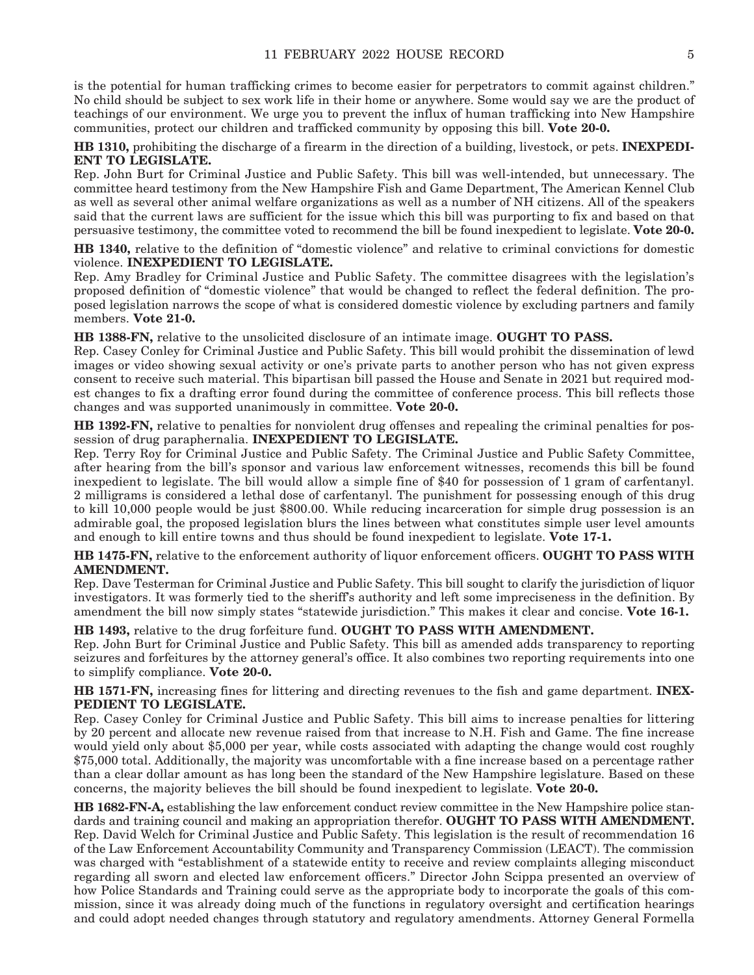is the potential for human trafficking crimes to become easier for perpetrators to commit against children." No child should be subject to sex work life in their home or anywhere. Some would say we are the product of teachings of our environment. We urge you to prevent the influx of human trafficking into New Hampshire communities, protect our children and trafficked community by opposing this bill. **Vote 20-0.**

**HB 1310,** prohibiting the discharge of a firearm in the direction of a building, livestock, or pets. **INEXPEDI-ENT TO LEGISLATE.**

Rep. John Burt for Criminal Justice and Public Safety. This bill was well-intended, but unnecessary. The committee heard testimony from the New Hampshire Fish and Game Department, The American Kennel Club as well as several other animal welfare organizations as well as a number of NH citizens. All of the speakers said that the current laws are sufficient for the issue which this bill was purporting to fix and based on that persuasive testimony, the committee voted to recommend the bill be found inexpedient to legislate. **Vote 20-0.**

**HB 1340,** relative to the definition of "domestic violence" and relative to criminal convictions for domestic violence. **INEXPEDIENT TO LEGISLATE.**

Rep. Amy Bradley for Criminal Justice and Public Safety. The committee disagrees with the legislation's proposed definition of "domestic violence" that would be changed to reflect the federal definition. The proposed legislation narrows the scope of what is considered domestic violence by excluding partners and family members. **Vote 21-0.**

**HB 1388-FN,** relative to the unsolicited disclosure of an intimate image. **OUGHT TO PASS.**

Rep. Casey Conley for Criminal Justice and Public Safety. This bill would prohibit the dissemination of lewd images or video showing sexual activity or one's private parts to another person who has not given express consent to receive such material. This bipartisan bill passed the House and Senate in 2021 but required modest changes to fix a drafting error found during the committee of conference process. This bill reflects those changes and was supported unanimously in committee. **Vote 20-0.**

**HB 1392-FN,** relative to penalties for nonviolent drug offenses and repealing the criminal penalties for possession of drug paraphernalia. **INEXPEDIENT TO LEGISLATE.**

Rep. Terry Roy for Criminal Justice and Public Safety. The Criminal Justice and Public Safety Committee, after hearing from the bill's sponsor and various law enforcement witnesses, recomends this bill be found inexpedient to legislate. The bill would allow a simple fine of \$40 for possession of 1 gram of carfentanyl. 2 milligrams is considered a lethal dose of carfentanyl. The punishment for possessing enough of this drug to kill 10,000 people would be just \$800.00. While reducing incarceration for simple drug possession is an admirable goal, the proposed legislation blurs the lines between what constitutes simple user level amounts and enough to kill entire towns and thus should be found inexpedient to legislate. **Vote 17-1.**

#### **HB 1475-FN,** relative to the enforcement authority of liquor enforcement officers. **OUGHT TO PASS WITH AMENDMENT.**

Rep. Dave Testerman for Criminal Justice and Public Safety. This bill sought to clarify the jurisdiction of liquor investigators. It was formerly tied to the sheriff's authority and left some impreciseness in the definition. By amendment the bill now simply states "statewide jurisdiction." This makes it clear and concise. **Vote 16-1.**

**HB 1493,** relative to the drug forfeiture fund. **OUGHT TO PASS WITH AMENDMENT.** Rep. John Burt for Criminal Justice and Public Safety. This bill as amended adds transparency to reporting seizures and forfeitures by the attorney general's office. It also combines two reporting requirements into one to simplify compliance. **Vote 20-0.**

**HB 1571-FN,** increasing fines for littering and directing revenues to the fish and game department. **INEX-PEDIENT TO LEGISLATE.**

Rep. Casey Conley for Criminal Justice and Public Safety. This bill aims to increase penalties for littering by 20 percent and allocate new revenue raised from that increase to N.H. Fish and Game. The fine increase would yield only about \$5,000 per year, while costs associated with adapting the change would cost roughly \$75,000 total. Additionally, the majority was uncomfortable with a fine increase based on a percentage rather than a clear dollar amount as has long been the standard of the New Hampshire legislature. Based on these concerns, the majority believes the bill should be found inexpedient to legislate. **Vote 20-0.**

**HB 1682-FN-A,** establishing the law enforcement conduct review committee in the New Hampshire police standards and training council and making an appropriation therefor. **OUGHT TO PASS WITH AMENDMENT.** Rep. David Welch for Criminal Justice and Public Safety. This legislation is the result of recommendation 16 of the Law Enforcement Accountability Community and Transparency Commission (LEACT). The commission was charged with "establishment of a statewide entity to receive and review complaints alleging misconduct regarding all sworn and elected law enforcement officers." Director John Scippa presented an overview of how Police Standards and Training could serve as the appropriate body to incorporate the goals of this commission, since it was already doing much of the functions in regulatory oversight and certification hearings and could adopt needed changes through statutory and regulatory amendments. Attorney General Formella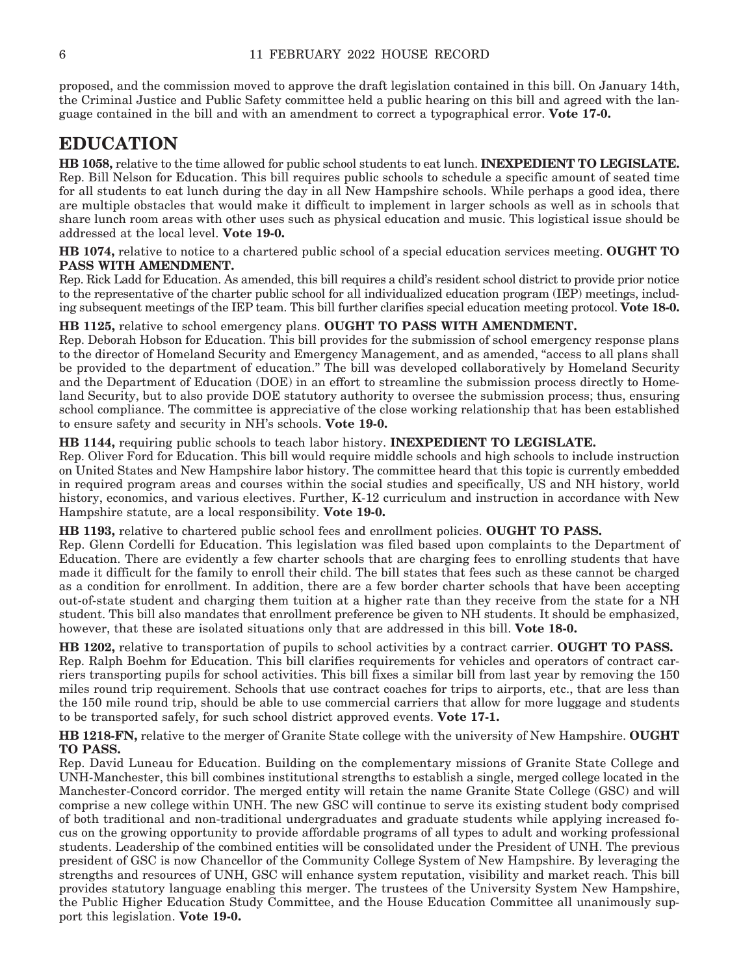proposed, and the commission moved to approve the draft legislation contained in this bill. On January 14th, the Criminal Justice and Public Safety committee held a public hearing on this bill and agreed with the language contained in the bill and with an amendment to correct a typographical error. **Vote 17-0.**

### **EDUCATION**

**HB 1058,** relative to the time allowed for public school students to eat lunch. **INEXPEDIENT TO LEGISLATE.** Rep. Bill Nelson for Education. This bill requires public schools to schedule a specific amount of seated time for all students to eat lunch during the day in all New Hampshire schools. While perhaps a good idea, there are multiple obstacles that would make it difficult to implement in larger schools as well as in schools that share lunch room areas with other uses such as physical education and music. This logistical issue should be addressed at the local level. **Vote 19-0.**

**HB 1074,** relative to notice to a chartered public school of a special education services meeting. **OUGHT TO PASS WITH AMENDMENT.**

Rep. Rick Ladd for Education. As amended, this bill requires a child's resident school district to provide prior notice to the representative of the charter public school for all individualized education program (IEP) meetings, including subsequent meetings of the IEP team. This bill further clarifies special education meeting protocol. **Vote 18-0.**

#### **HB 1125,** relative to school emergency plans. **OUGHT TO PASS WITH AMENDMENT.**

Rep. Deborah Hobson for Education. This bill provides for the submission of school emergency response plans to the director of Homeland Security and Emergency Management, and as amended, "access to all plans shall be provided to the department of education." The bill was developed collaboratively by Homeland Security and the Department of Education (DOE) in an effort to streamline the submission process directly to Homeland Security, but to also provide DOE statutory authority to oversee the submission process; thus, ensuring school compliance. The committee is appreciative of the close working relationship that has been established to ensure safety and security in NH's schools. **Vote 19-0.**

#### **HB 1144,** requiring public schools to teach labor history. **INEXPEDIENT TO LEGISLATE.**

Rep. Oliver Ford for Education. This bill would require middle schools and high schools to include instruction on United States and New Hampshire labor history. The committee heard that this topic is currently embedded in required program areas and courses within the social studies and specifically, US and NH history, world history, economics, and various electives. Further, K-12 curriculum and instruction in accordance with New Hampshire statute, are a local responsibility. **Vote 19-0.**

**HB 1193,** relative to chartered public school fees and enrollment policies. **OUGHT TO PASS.**

Rep. Glenn Cordelli for Education. This legislation was filed based upon complaints to the Department of Education. There are evidently a few charter schools that are charging fees to enrolling students that have made it difficult for the family to enroll their child. The bill states that fees such as these cannot be charged as a condition for enrollment. In addition, there are a few border charter schools that have been accepting out-of-state student and charging them tuition at a higher rate than they receive from the state for a NH student. This bill also mandates that enrollment preference be given to NH students. It should be emphasized, however, that these are isolated situations only that are addressed in this bill. **Vote 18-0.**

**HB 1202,** relative to transportation of pupils to school activities by a contract carrier. **OUGHT TO PASS.** Rep. Ralph Boehm for Education. This bill clarifies requirements for vehicles and operators of contract carriers transporting pupils for school activities. This bill fixes a similar bill from last year by removing the 150 miles round trip requirement. Schools that use contract coaches for trips to airports, etc., that are less than the 150 mile round trip, should be able to use commercial carriers that allow for more luggage and students to be transported safely, for such school district approved events. **Vote 17-1.**

**HB 1218-FN,** relative to the merger of Granite State college with the university of New Hampshire. **OUGHT TO PASS.**

Rep. David Luneau for Education. Building on the complementary missions of Granite State College and UNH-Manchester, this bill combines institutional strengths to establish a single, merged college located in the Manchester-Concord corridor. The merged entity will retain the name Granite State College (GSC) and will comprise a new college within UNH. The new GSC will continue to serve its existing student body comprised of both traditional and non-traditional undergraduates and graduate students while applying increased focus on the growing opportunity to provide affordable programs of all types to adult and working professional students. Leadership of the combined entities will be consolidated under the President of UNH. The previous president of GSC is now Chancellor of the Community College System of New Hampshire. By leveraging the strengths and resources of UNH, GSC will enhance system reputation, visibility and market reach. This bill provides statutory language enabling this merger. The trustees of the University System New Hampshire, the Public Higher Education Study Committee, and the House Education Committee all unanimously support this legislation. **Vote 19-0.**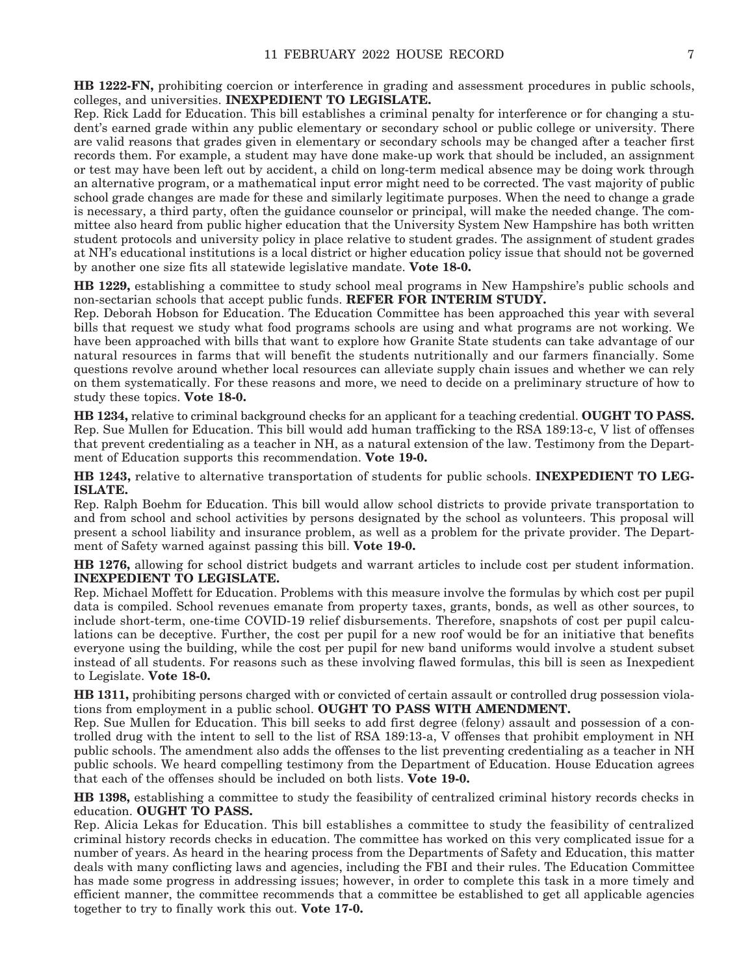**HB 1222-FN,** prohibiting coercion or interference in grading and assessment procedures in public schools, colleges, and universities. **INEXPEDIENT TO LEGISLATE.**

Rep. Rick Ladd for Education. This bill establishes a criminal penalty for interference or for changing a student's earned grade within any public elementary or secondary school or public college or university. There are valid reasons that grades given in elementary or secondary schools may be changed after a teacher first records them. For example, a student may have done make-up work that should be included, an assignment or test may have been left out by accident, a child on long-term medical absence may be doing work through an alternative program, or a mathematical input error might need to be corrected. The vast majority of public school grade changes are made for these and similarly legitimate purposes. When the need to change a grade is necessary, a third party, often the guidance counselor or principal, will make the needed change. The committee also heard from public higher education that the University System New Hampshire has both written student protocols and university policy in place relative to student grades. The assignment of student grades at NH's educational institutions is a local district or higher education policy issue that should not be governed by another one size fits all statewide legislative mandate. **Vote 18-0.**

**HB 1229,** establishing a committee to study school meal programs in New Hampshire's public schools and non-sectarian schools that accept public funds. **REFER FOR INTERIM STUDY.**

Rep. Deborah Hobson for Education. The Education Committee has been approached this year with several bills that request we study what food programs schools are using and what programs are not working. We have been approached with bills that want to explore how Granite State students can take advantage of our natural resources in farms that will benefit the students nutritionally and our farmers financially. Some questions revolve around whether local resources can alleviate supply chain issues and whether we can rely on them systematically. For these reasons and more, we need to decide on a preliminary structure of how to study these topics. **Vote 18-0.**

**HB 1234,** relative to criminal background checks for an applicant for a teaching credential. **OUGHT TO PASS.** Rep. Sue Mullen for Education. This bill would add human trafficking to the RSA 189:13-c, V list of offenses that prevent credentialing as a teacher in NH, as a natural extension of the law. Testimony from the Department of Education supports this recommendation. **Vote 19-0.**

**HB 1243,** relative to alternative transportation of students for public schools. **INEXPEDIENT TO LEG-ISLATE.**

Rep. Ralph Boehm for Education. This bill would allow school districts to provide private transportation to and from school and school activities by persons designated by the school as volunteers. This proposal will present a school liability and insurance problem, as well as a problem for the private provider. The Department of Safety warned against passing this bill. **Vote 19-0.**

**HB 1276,** allowing for school district budgets and warrant articles to include cost per student information. **INEXPEDIENT TO LEGISLATE.**

Rep. Michael Moffett for Education. Problems with this measure involve the formulas by which cost per pupil data is compiled. School revenues emanate from property taxes, grants, bonds, as well as other sources, to include short-term, one-time COVID-19 relief disbursements. Therefore, snapshots of cost per pupil calculations can be deceptive. Further, the cost per pupil for a new roof would be for an initiative that benefits everyone using the building, while the cost per pupil for new band uniforms would involve a student subset instead of all students. For reasons such as these involving flawed formulas, this bill is seen as Inexpedient to Legislate. **Vote 18-0.**

**HB 1311,** prohibiting persons charged with or convicted of certain assault or controlled drug possession violations from employment in a public school. **OUGHT TO PASS WITH AMENDMENT.**

Rep. Sue Mullen for Education. This bill seeks to add first degree (felony) assault and possession of a controlled drug with the intent to sell to the list of RSA 189:13-a, V offenses that prohibit employment in NH public schools. The amendment also adds the offenses to the list preventing credentialing as a teacher in NH public schools. We heard compelling testimony from the Department of Education. House Education agrees that each of the offenses should be included on both lists. **Vote 19-0.**

**HB 1398,** establishing a committee to study the feasibility of centralized criminal history records checks in education. **OUGHT TO PASS.**

Rep. Alicia Lekas for Education. This bill establishes a committee to study the feasibility of centralized criminal history records checks in education. The committee has worked on this very complicated issue for a number of years. As heard in the hearing process from the Departments of Safety and Education, this matter deals with many conflicting laws and agencies, including the FBI and their rules. The Education Committee has made some progress in addressing issues; however, in order to complete this task in a more timely and efficient manner, the committee recommends that a committee be established to get all applicable agencies together to try to finally work this out. **Vote 17-0.**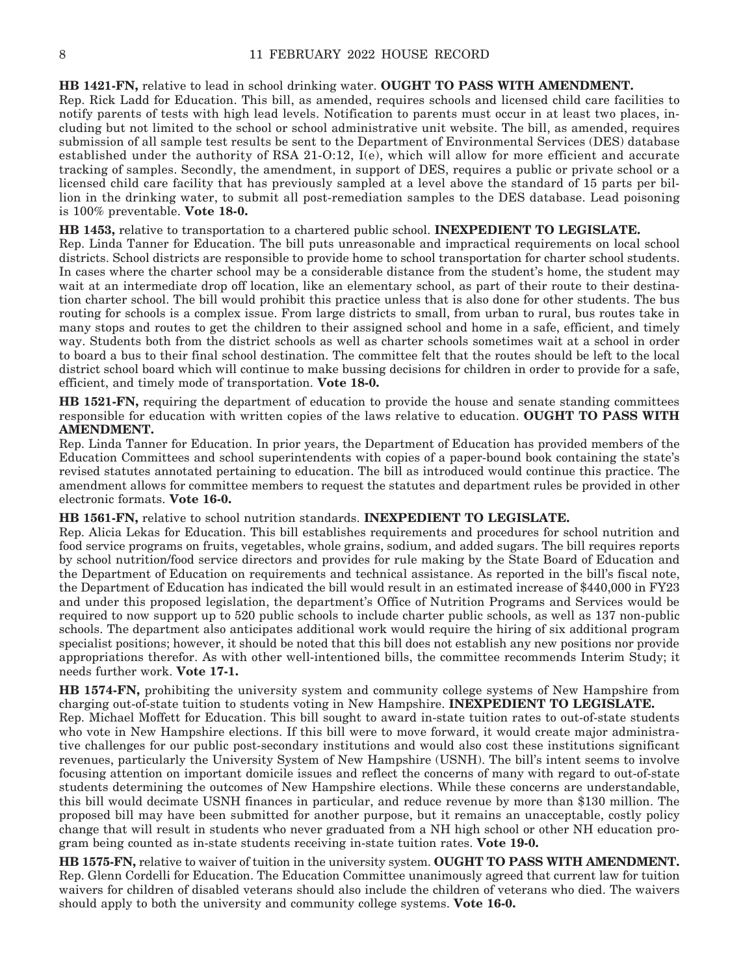#### **HB 1421-FN,** relative to lead in school drinking water. **OUGHT TO PASS WITH AMENDMENT.**

Rep. Rick Ladd for Education. This bill, as amended, requires schools and licensed child care facilities to notify parents of tests with high lead levels. Notification to parents must occur in at least two places, including but not limited to the school or school administrative unit website. The bill, as amended, requires submission of all sample test results be sent to the Department of Environmental Services (DES) database established under the authority of RSA 21-O:12, I(e), which will allow for more efficient and accurate tracking of samples. Secondly, the amendment, in support of DES, requires a public or private school or a licensed child care facility that has previously sampled at a level above the standard of 15 parts per billion in the drinking water, to submit all post-remediation samples to the DES database. Lead poisoning is 100% preventable. **Vote 18-0.**

**HB 1453,** relative to transportation to a chartered public school. **INEXPEDIENT TO LEGISLATE.** Rep. Linda Tanner for Education. The bill puts unreasonable and impractical requirements on local school districts. School districts are responsible to provide home to school transportation for charter school students. In cases where the charter school may be a considerable distance from the student's home, the student may wait at an intermediate drop off location, like an elementary school, as part of their route to their destination charter school. The bill would prohibit this practice unless that is also done for other students. The bus routing for schools is a complex issue. From large districts to small, from urban to rural, bus routes take in many stops and routes to get the children to their assigned school and home in a safe, efficient, and timely way. Students both from the district schools as well as charter schools sometimes wait at a school in order to board a bus to their final school destination. The committee felt that the routes should be left to the local district school board which will continue to make bussing decisions for children in order to provide for a safe, efficient, and timely mode of transportation. **Vote 18-0.**

**HB 1521-FN,** requiring the department of education to provide the house and senate standing committees responsible for education with written copies of the laws relative to education. **OUGHT TO PASS WITH AMENDMENT.**

Rep. Linda Tanner for Education. In prior years, the Department of Education has provided members of the Education Committees and school superintendents with copies of a paper-bound book containing the state's revised statutes annotated pertaining to education. The bill as introduced would continue this practice. The amendment allows for committee members to request the statutes and department rules be provided in other electronic formats. **Vote 16-0.**

**HB 1561-FN,** relative to school nutrition standards. **INEXPEDIENT TO LEGISLATE.**

Rep. Alicia Lekas for Education. This bill establishes requirements and procedures for school nutrition and food service programs on fruits, vegetables, whole grains, sodium, and added sugars. The bill requires reports by school nutrition/food service directors and provides for rule making by the State Board of Education and the Department of Education on requirements and technical assistance. As reported in the bill's fiscal note, the Department of Education has indicated the bill would result in an estimated increase of \$440,000 in FY23 and under this proposed legislation, the department's Office of Nutrition Programs and Services would be required to now support up to 520 public schools to include charter public schools, as well as 137 non-public schools. The department also anticipates additional work would require the hiring of six additional program specialist positions; however, it should be noted that this bill does not establish any new positions nor provide appropriations therefor. As with other well-intentioned bills, the committee recommends Interim Study; it needs further work. **Vote 17-1.**

**HB 1574-FN,** prohibiting the university system and community college systems of New Hampshire from charging out-of-state tuition to students voting in New Hampshire. **INEXPEDIENT TO LEGISLATE.** Rep. Michael Moffett for Education. This bill sought to award in-state tuition rates to out-of-state students who vote in New Hampshire elections. If this bill were to move forward, it would create major administrative challenges for our public post-secondary institutions and would also cost these institutions significant revenues, particularly the University System of New Hampshire (USNH). The bill's intent seems to involve focusing attention on important domicile issues and reflect the concerns of many with regard to out-of-state students determining the outcomes of New Hampshire elections. While these concerns are understandable, this bill would decimate USNH finances in particular, and reduce revenue by more than \$130 million. The proposed bill may have been submitted for another purpose, but it remains an unacceptable, costly policy change that will result in students who never graduated from a NH high school or other NH education program being counted as in-state students receiving in-state tuition rates. **Vote 19-0.**

**HB 1575-FN,** relative to waiver of tuition in the university system. **OUGHT TO PASS WITH AMENDMENT.** Rep. Glenn Cordelli for Education. The Education Committee unanimously agreed that current law for tuition waivers for children of disabled veterans should also include the children of veterans who died. The waivers should apply to both the university and community college systems. **Vote 16-0.**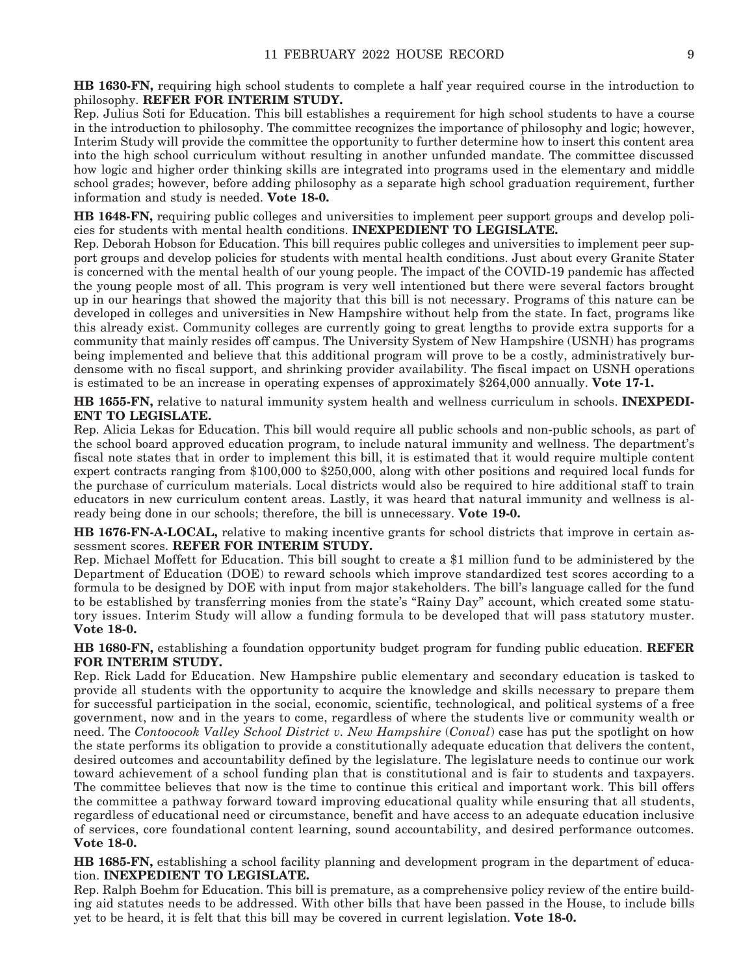Rep. Julius Soti for Education. This bill establishes a requirement for high school students to have a course in the introduction to philosophy. The committee recognizes the importance of philosophy and logic; however, Interim Study will provide the committee the opportunity to further determine how to insert this content area into the high school curriculum without resulting in another unfunded mandate. The committee discussed how logic and higher order thinking skills are integrated into programs used in the elementary and middle school grades; however, before adding philosophy as a separate high school graduation requirement, further information and study is needed. **Vote 18-0.**

**HB 1648-FN,** requiring public colleges and universities to implement peer support groups and develop policies for students with mental health conditions. **INEXPEDIENT TO LEGISLATE.**

Rep. Deborah Hobson for Education. This bill requires public colleges and universities to implement peer support groups and develop policies for students with mental health conditions. Just about every Granite Stater is concerned with the mental health of our young people. The impact of the COVID-19 pandemic has affected the young people most of all. This program is very well intentioned but there were several factors brought up in our hearings that showed the majority that this bill is not necessary. Programs of this nature can be developed in colleges and universities in New Hampshire without help from the state. In fact, programs like this already exist. Community colleges are currently going to great lengths to provide extra supports for a community that mainly resides off campus. The University System of New Hampshire (USNH) has programs being implemented and believe that this additional program will prove to be a costly, administratively burdensome with no fiscal support, and shrinking provider availability. The fiscal impact on USNH operations is estimated to be an increase in operating expenses of approximately \$264,000 annually. **Vote 17-1.**

**HB 1655-FN,** relative to natural immunity system health and wellness curriculum in schools. **INEXPEDI-ENT TO LEGISLATE.**

Rep. Alicia Lekas for Education. This bill would require all public schools and non-public schools, as part of the school board approved education program, to include natural immunity and wellness. The department's fiscal note states that in order to implement this bill, it is estimated that it would require multiple content expert contracts ranging from \$100,000 to \$250,000, along with other positions and required local funds for the purchase of curriculum materials. Local districts would also be required to hire additional staff to train educators in new curriculum content areas. Lastly, it was heard that natural immunity and wellness is already being done in our schools; therefore, the bill is unnecessary. **Vote 19-0.**

**HB 1676-FN-A-LOCAL,** relative to making incentive grants for school districts that improve in certain assessment scores. **REFER FOR INTERIM STUDY.**

Rep. Michael Moffett for Education. This bill sought to create a \$1 million fund to be administered by the Department of Education (DOE) to reward schools which improve standardized test scores according to a formula to be designed by DOE with input from major stakeholders. The bill's language called for the fund to be established by transferring monies from the state's "Rainy Day" account, which created some statutory issues. Interim Study will allow a funding formula to be developed that will pass statutory muster. **Vote 18-0.**

**HB 1680-FN,** establishing a foundation opportunity budget program for funding public education. **REFER FOR INTERIM STUDY.**

Rep. Rick Ladd for Education. New Hampshire public elementary and secondary education is tasked to provide all students with the opportunity to acquire the knowledge and skills necessary to prepare them for successful participation in the social, economic, scientific, technological, and political systems of a free government, now and in the years to come, regardless of where the students live or community wealth or need. The *Contoocook Valley School District v. New Hampshire* (*Conval*) case has put the spotlight on how the state performs its obligation to provide a constitutionally adequate education that delivers the content, desired outcomes and accountability defined by the legislature. The legislature needs to continue our work toward achievement of a school funding plan that is constitutional and is fair to students and taxpayers. The committee believes that now is the time to continue this critical and important work. This bill offers the committee a pathway forward toward improving educational quality while ensuring that all students, regardless of educational need or circumstance, benefit and have access to an adequate education inclusive of services, core foundational content learning, sound accountability, and desired performance outcomes. **Vote 18-0.**

**HB 1685-FN,** establishing a school facility planning and development program in the department of education. **INEXPEDIENT TO LEGISLATE.**

Rep. Ralph Boehm for Education. This bill is premature, as a comprehensive policy review of the entire building aid statutes needs to be addressed. With other bills that have been passed in the House, to include bills yet to be heard, it is felt that this bill may be covered in current legislation. **Vote 18-0.**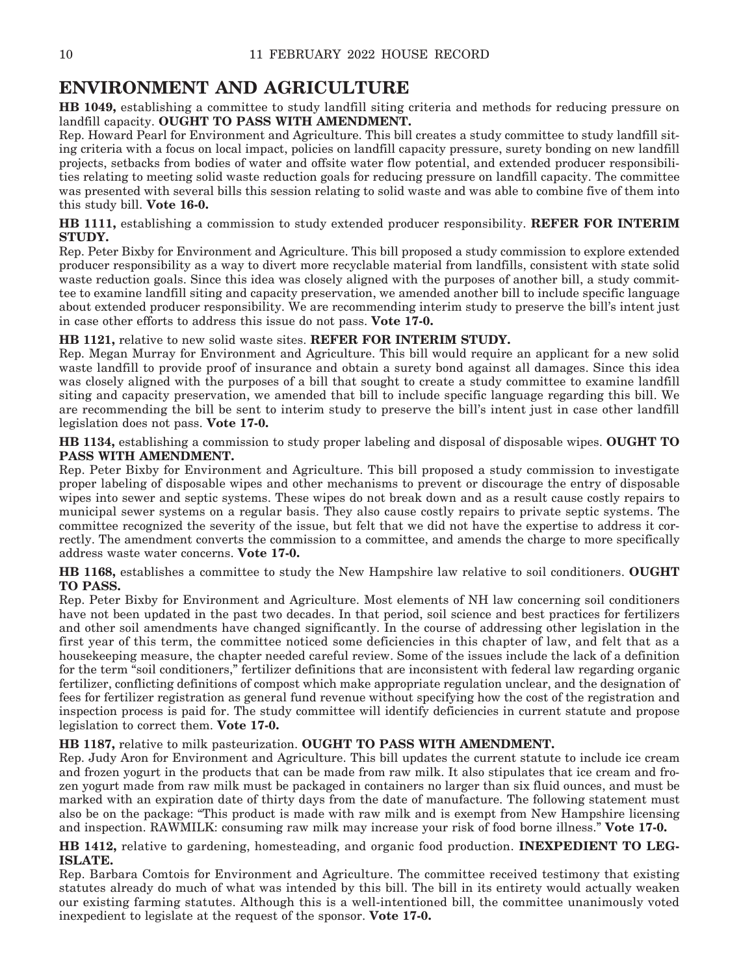### **ENVIRONMENT AND AGRICULTURE**

**HB 1049,** establishing a committee to study landfill siting criteria and methods for reducing pressure on landfill capacity. **OUGHT TO PASS WITH AMENDMENT.**

Rep. Howard Pearl for Environment and Agriculture. This bill creates a study committee to study landfill siting criteria with a focus on local impact, policies on landfill capacity pressure, surety bonding on new landfill projects, setbacks from bodies of water and offsite water flow potential, and extended producer responsibilities relating to meeting solid waste reduction goals for reducing pressure on landfill capacity. The committee was presented with several bills this session relating to solid waste and was able to combine five of them into this study bill. **Vote 16-0.**

#### **HB 1111,** establishing a commission to study extended producer responsibility. **REFER FOR INTERIM STUDY.**

Rep. Peter Bixby for Environment and Agriculture. This bill proposed a study commission to explore extended producer responsibility as a way to divert more recyclable material from landfills, consistent with state solid waste reduction goals. Since this idea was closely aligned with the purposes of another bill, a study committee to examine landfill siting and capacity preservation, we amended another bill to include specific language about extended producer responsibility. We are recommending interim study to preserve the bill's intent just in case other efforts to address this issue do not pass. **Vote 17-0.**

### **HB 1121,** relative to new solid waste sites. **REFER FOR INTERIM STUDY.**

Rep. Megan Murray for Environment and Agriculture. This bill would require an applicant for a new solid waste landfill to provide proof of insurance and obtain a surety bond against all damages. Since this idea was closely aligned with the purposes of a bill that sought to create a study committee to examine landfill siting and capacity preservation, we amended that bill to include specific language regarding this bill. We are recommending the bill be sent to interim study to preserve the bill's intent just in case other landfill legislation does not pass. **Vote 17-0.**

**HB 1134,** establishing a commission to study proper labeling and disposal of disposable wipes. **OUGHT TO PASS WITH AMENDMENT.**

Rep. Peter Bixby for Environment and Agriculture. This bill proposed a study commission to investigate proper labeling of disposable wipes and other mechanisms to prevent or discourage the entry of disposable wipes into sewer and septic systems. These wipes do not break down and as a result cause costly repairs to municipal sewer systems on a regular basis. They also cause costly repairs to private septic systems. The committee recognized the severity of the issue, but felt that we did not have the expertise to address it correctly. The amendment converts the commission to a committee, and amends the charge to more specifically address waste water concerns. **Vote 17-0.**

**HB 1168,** establishes a committee to study the New Hampshire law relative to soil conditioners. **OUGHT TO PASS.**

Rep. Peter Bixby for Environment and Agriculture. Most elements of NH law concerning soil conditioners have not been updated in the past two decades. In that period, soil science and best practices for fertilizers and other soil amendments have changed significantly. In the course of addressing other legislation in the first year of this term, the committee noticed some deficiencies in this chapter of law, and felt that as a housekeeping measure, the chapter needed careful review. Some of the issues include the lack of a definition for the term "soil conditioners," fertilizer definitions that are inconsistent with federal law regarding organic fertilizer, conflicting definitions of compost which make appropriate regulation unclear, and the designation of fees for fertilizer registration as general fund revenue without specifying how the cost of the registration and inspection process is paid for. The study committee will identify deficiencies in current statute and propose legislation to correct them. **Vote 17-0.**

### **HB 1187,** relative to milk pasteurization. **OUGHT TO PASS WITH AMENDMENT.**

Rep. Judy Aron for Environment and Agriculture. This bill updates the current statute to include ice cream and frozen yogurt in the products that can be made from raw milk. It also stipulates that ice cream and frozen yogurt made from raw milk must be packaged in containers no larger than six fluid ounces, and must be marked with an expiration date of thirty days from the date of manufacture. The following statement must also be on the package: "This product is made with raw milk and is exempt from New Hampshire licensing and inspection. RAWMILK: consuming raw milk may increase your risk of food borne illness." **Vote 17-0.**

#### **HB 1412,** relative to gardening, homesteading, and organic food production. **INEXPEDIENT TO LEG-ISLATE.**

Rep. Barbara Comtois for Environment and Agriculture. The committee received testimony that existing statutes already do much of what was intended by this bill. The bill in its entirety would actually weaken our existing farming statutes. Although this is a well-intentioned bill, the committee unanimously voted inexpedient to legislate at the request of the sponsor. **Vote 17-0.**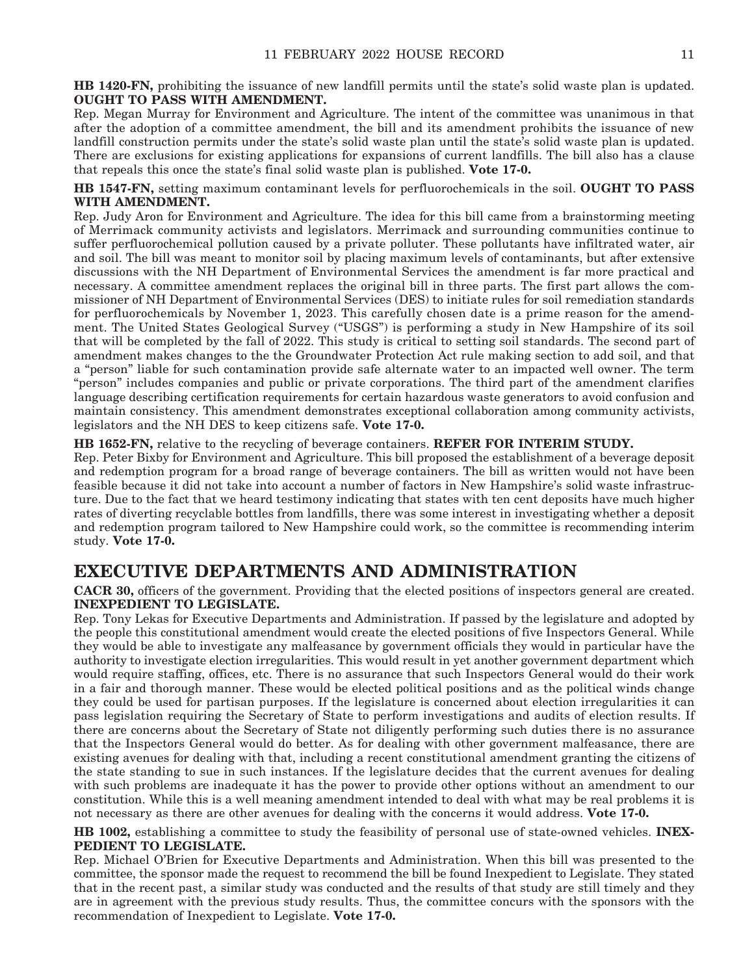**HB 1420-FN,** prohibiting the issuance of new landfill permits until the state's solid waste plan is updated. **OUGHT TO PASS WITH AMENDMENT.**

Rep. Megan Murray for Environment and Agriculture. The intent of the committee was unanimous in that after the adoption of a committee amendment, the bill and its amendment prohibits the issuance of new landfill construction permits under the state's solid waste plan until the state's solid waste plan is updated. There are exclusions for existing applications for expansions of current landfills. The bill also has a clause that repeals this once the state's final solid waste plan is published. **Vote 17-0.**

**HB 1547-FN,** setting maximum contaminant levels for perfluorochemicals in the soil. **OUGHT TO PASS WITH AMENDMENT.**

Rep. Judy Aron for Environment and Agriculture. The idea for this bill came from a brainstorming meeting of Merrimack community activists and legislators. Merrimack and surrounding communities continue to suffer perfluorochemical pollution caused by a private polluter. These pollutants have infiltrated water, air and soil. The bill was meant to monitor soil by placing maximum levels of contaminants, but after extensive discussions with the NH Department of Environmental Services the amendment is far more practical and necessary. A committee amendment replaces the original bill in three parts. The first part allows the commissioner of NH Department of Environmental Services (DES) to initiate rules for soil remediation standards for perfluorochemicals by November 1, 2023. This carefully chosen date is a prime reason for the amendment. The United States Geological Survey ("USGS") is performing a study in New Hampshire of its soil that will be completed by the fall of 2022. This study is critical to setting soil standards. The second part of amendment makes changes to the the Groundwater Protection Act rule making section to add soil, and that a "person" liable for such contamination provide safe alternate water to an impacted well owner. The term "person" includes companies and public or private corporations. The third part of the amendment clarifies language describing certification requirements for certain hazardous waste generators to avoid confusion and maintain consistency. This amendment demonstrates exceptional collaboration among community activists, legislators and the NH DES to keep citizens safe. **Vote 17-0.**

#### **HB 1652-FN,** relative to the recycling of beverage containers. **REFER FOR INTERIM STUDY.**

Rep. Peter Bixby for Environment and Agriculture. This bill proposed the establishment of a beverage deposit and redemption program for a broad range of beverage containers. The bill as written would not have been feasible because it did not take into account a number of factors in New Hampshire's solid waste infrastructure. Due to the fact that we heard testimony indicating that states with ten cent deposits have much higher rates of diverting recyclable bottles from landfills, there was some interest in investigating whether a deposit and redemption program tailored to New Hampshire could work, so the committee is recommending interim study. **Vote 17-0.**

### **EXECUTIVE DEPARTMENTS AND ADMINISTRATION**

**CACR 30,** officers of the government. Providing that the elected positions of inspectors general are created. **INEXPEDIENT TO LEGISLATE.**

Rep. Tony Lekas for Executive Departments and Administration. If passed by the legislature and adopted by the people this constitutional amendment would create the elected positions of five Inspectors General. While they would be able to investigate any malfeasance by government officials they would in particular have the authority to investigate election irregularities. This would result in yet another government department which would require staffing, offices, etc. There is no assurance that such Inspectors General would do their work in a fair and thorough manner. These would be elected political positions and as the political winds change they could be used for partisan purposes. If the legislature is concerned about election irregularities it can pass legislation requiring the Secretary of State to perform investigations and audits of election results. If there are concerns about the Secretary of State not diligently performing such duties there is no assurance that the Inspectors General would do better. As for dealing with other government malfeasance, there are existing avenues for dealing with that, including a recent constitutional amendment granting the citizens of the state standing to sue in such instances. If the legislature decides that the current avenues for dealing with such problems are inadequate it has the power to provide other options without an amendment to our constitution. While this is a well meaning amendment intended to deal with what may be real problems it is not necessary as there are other avenues for dealing with the concerns it would address. **Vote 17-0.**

**HB 1002,** establishing a committee to study the feasibility of personal use of state-owned vehicles. **INEX-PEDIENT TO LEGISLATE.**

Rep. Michael O'Brien for Executive Departments and Administration. When this bill was presented to the committee, the sponsor made the request to recommend the bill be found Inexpedient to Legislate. They stated that in the recent past, a similar study was conducted and the results of that study are still timely and they are in agreement with the previous study results. Thus, the committee concurs with the sponsors with the recommendation of Inexpedient to Legislate. **Vote 17-0.**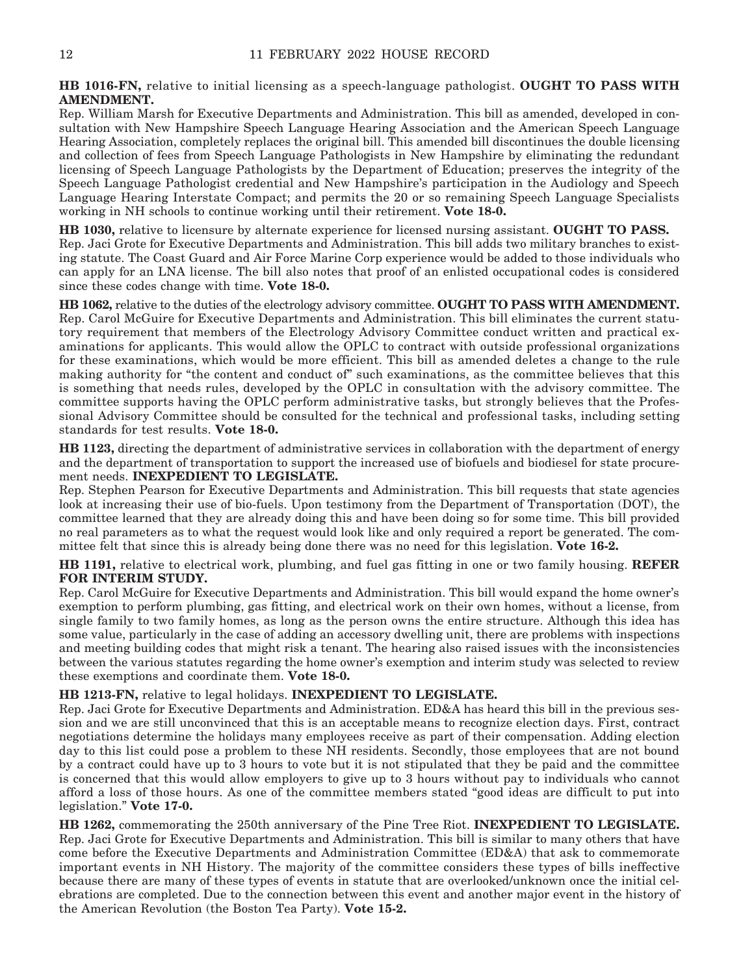**HB 1016-FN,** relative to initial licensing as a speech-language pathologist. **OUGHT TO PASS WITH AMENDMENT.**

Rep. William Marsh for Executive Departments and Administration. This bill as amended, developed in consultation with New Hampshire Speech Language Hearing Association and the American Speech Language Hearing Association, completely replaces the original bill. This amended bill discontinues the double licensing and collection of fees from Speech Language Pathologists in New Hampshire by eliminating the redundant licensing of Speech Language Pathologists by the Department of Education; preserves the integrity of the Speech Language Pathologist credential and New Hampshire's participation in the Audiology and Speech Language Hearing Interstate Compact; and permits the 20 or so remaining Speech Language Specialists working in NH schools to continue working until their retirement. **Vote 18-0.**

**HB 1030,** relative to licensure by alternate experience for licensed nursing assistant. **OUGHT TO PASS.** Rep. Jaci Grote for Executive Departments and Administration. This bill adds two military branches to existing statute. The Coast Guard and Air Force Marine Corp experience would be added to those individuals who can apply for an LNA license. The bill also notes that proof of an enlisted occupational codes is considered since these codes change with time. **Vote 18-0.**

**HB 1062,** relative to the duties of the electrology advisory committee. **OUGHT TO PASS WITH AMENDMENT.** Rep. Carol McGuire for Executive Departments and Administration. This bill eliminates the current statutory requirement that members of the Electrology Advisory Committee conduct written and practical examinations for applicants. This would allow the OPLC to contract with outside professional organizations for these examinations, which would be more efficient. This bill as amended deletes a change to the rule making authority for "the content and conduct of" such examinations, as the committee believes that this is something that needs rules, developed by the OPLC in consultation with the advisory committee. The committee supports having the OPLC perform administrative tasks, but strongly believes that the Professional Advisory Committee should be consulted for the technical and professional tasks, including setting standards for test results. **Vote 18-0.**

**HB 1123,** directing the department of administrative services in collaboration with the department of energy and the department of transportation to support the increased use of biofuels and biodiesel for state procurement needs. **INEXPEDIENT TO LEGISLATE.**

Rep. Stephen Pearson for Executive Departments and Administration. This bill requests that state agencies look at increasing their use of bio-fuels. Upon testimony from the Department of Transportation (DOT), the committee learned that they are already doing this and have been doing so for some time. This bill provided no real parameters as to what the request would look like and only required a report be generated. The committee felt that since this is already being done there was no need for this legislation. **Vote 16-2.**

**HB 1191,** relative to electrical work, plumbing, and fuel gas fitting in one or two family housing. **REFER FOR INTERIM STUDY.**

Rep. Carol McGuire for Executive Departments and Administration. This bill would expand the home owner's exemption to perform plumbing, gas fitting, and electrical work on their own homes, without a license, from single family to two family homes, as long as the person owns the entire structure. Although this idea has some value, particularly in the case of adding an accessory dwelling unit, there are problems with inspections and meeting building codes that might risk a tenant. The hearing also raised issues with the inconsistencies between the various statutes regarding the home owner's exemption and interim study was selected to review these exemptions and coordinate them. **Vote 18-0.**

#### **HB 1213-FN,** relative to legal holidays. **INEXPEDIENT TO LEGISLATE.**

Rep. Jaci Grote for Executive Departments and Administration. ED&A has heard this bill in the previous session and we are still unconvinced that this is an acceptable means to recognize election days. First, contract negotiations determine the holidays many employees receive as part of their compensation. Adding election day to this list could pose a problem to these NH residents. Secondly, those employees that are not bound by a contract could have up to 3 hours to vote but it is not stipulated that they be paid and the committee is concerned that this would allow employers to give up to 3 hours without pay to individuals who cannot afford a loss of those hours. As one of the committee members stated "good ideas are difficult to put into legislation." **Vote 17-0.**

**HB 1262,** commemorating the 250th anniversary of the Pine Tree Riot. **INEXPEDIENT TO LEGISLATE.** Rep. Jaci Grote for Executive Departments and Administration. This bill is similar to many others that have come before the Executive Departments and Administration Committee (ED&A) that ask to commemorate important events in NH History. The majority of the committee considers these types of bills ineffective because there are many of these types of events in statute that are overlooked/unknown once the initial celebrations are completed. Due to the connection between this event and another major event in the history of the American Revolution (the Boston Tea Party). **Vote 15-2.**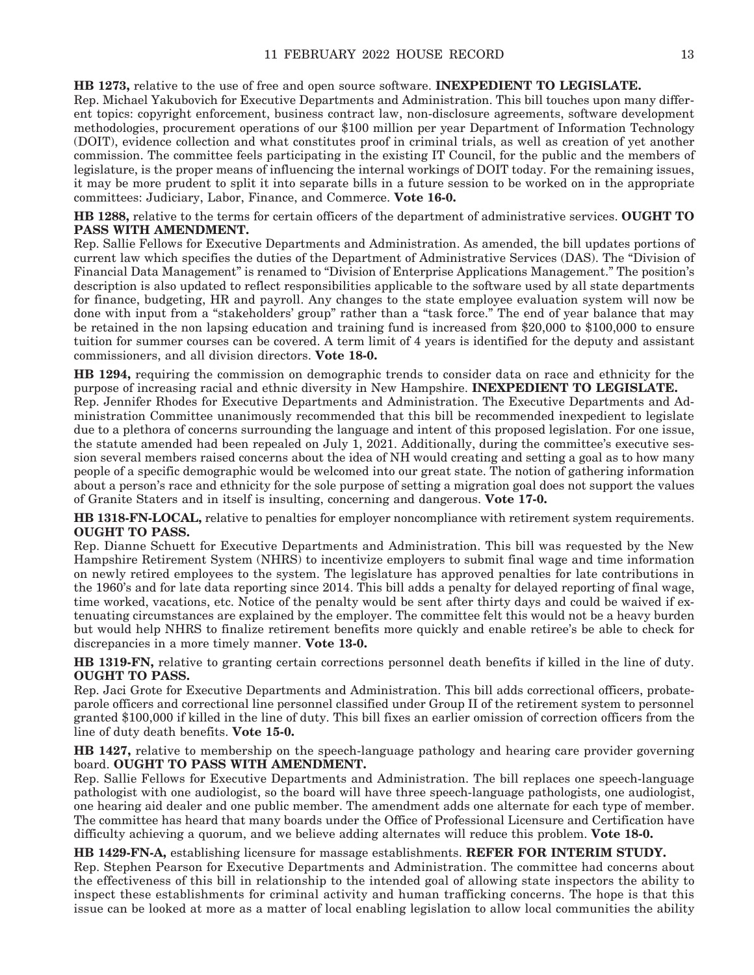**HB 1273,** relative to the use of free and open source software. **INEXPEDIENT TO LEGISLATE.** Rep. Michael Yakubovich for Executive Departments and Administration. This bill touches upon many different topics: copyright enforcement, business contract law, non-disclosure agreements, software development methodologies, procurement operations of our \$100 million per year Department of Information Technology (DOIT), evidence collection and what constitutes proof in criminal trials, as well as creation of yet another commission. The committee feels participating in the existing IT Council, for the public and the members of legislature, is the proper means of influencing the internal workings of DOIT today. For the remaining issues, it may be more prudent to split it into separate bills in a future session to be worked on in the appropriate committees: Judiciary, Labor, Finance, and Commerce. **Vote 16-0.**

**HB 1288,** relative to the terms for certain officers of the department of administrative services. **OUGHT TO PASS WITH AMENDMENT.**

Rep. Sallie Fellows for Executive Departments and Administration. As amended, the bill updates portions of current law which specifies the duties of the Department of Administrative Services (DAS). The "Division of Financial Data Management" is renamed to "Division of Enterprise Applications Management." The position's description is also updated to reflect responsibilities applicable to the software used by all state departments for finance, budgeting, HR and payroll. Any changes to the state employee evaluation system will now be done with input from a "stakeholders' group" rather than a "task force." The end of year balance that may be retained in the non lapsing education and training fund is increased from \$20,000 to \$100,000 to ensure tuition for summer courses can be covered. A term limit of 4 years is identified for the deputy and assistant commissioners, and all division directors. **Vote 18-0.**

**HB 1294,** requiring the commission on demographic trends to consider data on race and ethnicity for the purpose of increasing racial and ethnic diversity in New Hampshire. **INEXPEDIENT TO LEGISLATE.** Rep. Jennifer Rhodes for Executive Departments and Administration. The Executive Departments and Administration Committee unanimously recommended that this bill be recommended inexpedient to legislate due to a plethora of concerns surrounding the language and intent of this proposed legislation. For one issue, the statute amended had been repealed on July 1, 2021. Additionally, during the committee's executive session several members raised concerns about the idea of NH would creating and setting a goal as to how many people of a specific demographic would be welcomed into our great state. The notion of gathering information about a person's race and ethnicity for the sole purpose of setting a migration goal does not support the values of Granite Staters and in itself is insulting, concerning and dangerous. **Vote 17-0.**

**HB 1318-FN-LOCAL,** relative to penalties for employer noncompliance with retirement system requirements. **OUGHT TO PASS.**

Rep. Dianne Schuett for Executive Departments and Administration. This bill was requested by the New Hampshire Retirement System (NHRS) to incentivize employers to submit final wage and time information on newly retired employees to the system. The legislature has approved penalties for late contributions in the 1960's and for late data reporting since 2014. This bill adds a penalty for delayed reporting of final wage, time worked, vacations, etc. Notice of the penalty would be sent after thirty days and could be waived if extenuating circumstances are explained by the employer. The committee felt this would not be a heavy burden but would help NHRS to finalize retirement benefits more quickly and enable retiree's be able to check for discrepancies in a more timely manner. **Vote 13-0.**

**HB 1319-FN,** relative to granting certain corrections personnel death benefits if killed in the line of duty. **OUGHT TO PASS.**

Rep. Jaci Grote for Executive Departments and Administration. This bill adds correctional officers, probateparole officers and correctional line personnel classified under Group II of the retirement system to personnel granted \$100,000 if killed in the line of duty. This bill fixes an earlier omission of correction officers from the line of duty death benefits. **Vote 15-0.**

**HB 1427,** relative to membership on the speech-language pathology and hearing care provider governing board. **OUGHT TO PASS WITH AMENDMENT.**

Rep. Sallie Fellows for Executive Departments and Administration. The bill replaces one speech-language pathologist with one audiologist, so the board will have three speech-language pathologists, one audiologist, one hearing aid dealer and one public member. The amendment adds one alternate for each type of member. The committee has heard that many boards under the Office of Professional Licensure and Certification have difficulty achieving a quorum, and we believe adding alternates will reduce this problem. **Vote 18-0.**

#### **HB 1429-FN-A,** establishing licensure for massage establishments. **REFER FOR INTERIM STUDY.**

Rep. Stephen Pearson for Executive Departments and Administration. The committee had concerns about the effectiveness of this bill in relationship to the intended goal of allowing state inspectors the ability to inspect these establishments for criminal activity and human trafficking concerns. The hope is that this issue can be looked at more as a matter of local enabling legislation to allow local communities the ability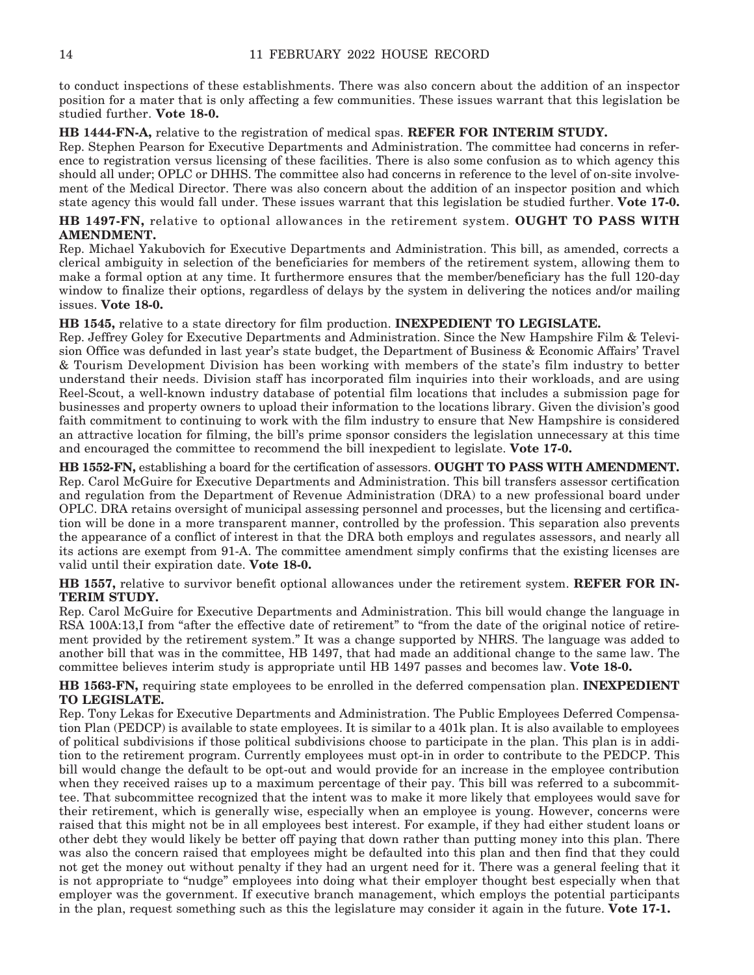to conduct inspections of these establishments. There was also concern about the addition of an inspector position for a mater that is only affecting a few communities. These issues warrant that this legislation be studied further. **Vote 18-0.**

**HB 1444-FN-A,** relative to the registration of medical spas. **REFER FOR INTERIM STUDY.**

Rep. Stephen Pearson for Executive Departments and Administration. The committee had concerns in reference to registration versus licensing of these facilities. There is also some confusion as to which agency this should all under; OPLC or DHHS. The committee also had concerns in reference to the level of on-site involvement of the Medical Director. There was also concern about the addition of an inspector position and which state agency this would fall under. These issues warrant that this legislation be studied further. **Vote 17-0.**

**HB 1497-FN,** relative to optional allowances in the retirement system. **OUGHT TO PASS WITH AMENDMENT.**

Rep. Michael Yakubovich for Executive Departments and Administration. This bill, as amended, corrects a clerical ambiguity in selection of the beneficiaries for members of the retirement system, allowing them to make a formal option at any time. It furthermore ensures that the member/beneficiary has the full 120-day window to finalize their options, regardless of delays by the system in delivering the notices and/or mailing issues. **Vote 18-0.**

**HB 1545,** relative to a state directory for film production. **INEXPEDIENT TO LEGISLATE.**

Rep. Jeffrey Goley for Executive Departments and Administration. Since the New Hampshire Film & Television Office was defunded in last year's state budget, the Department of Business & Economic Affairs' Travel & Tourism Development Division has been working with members of the state's film industry to better understand their needs. Division staff has incorporated film inquiries into their workloads, and are using Reel-Scout, a well-known industry database of potential film locations that includes a submission page for businesses and property owners to upload their information to the locations library. Given the division's good faith commitment to continuing to work with the film industry to ensure that New Hampshire is considered an attractive location for filming, the bill's prime sponsor considers the legislation unnecessary at this time and encouraged the committee to recommend the bill inexpedient to legislate. **Vote 17-0.**

**HB 1552-FN,** establishing a board for the certification of assessors. **OUGHT TO PASS WITH AMENDMENT.** Rep. Carol McGuire for Executive Departments and Administration. This bill transfers assessor certification and regulation from the Department of Revenue Administration (DRA) to a new professional board under OPLC. DRA retains oversight of municipal assessing personnel and processes, but the licensing and certification will be done in a more transparent manner, controlled by the profession. This separation also prevents the appearance of a conflict of interest in that the DRA both employs and regulates assessors, and nearly all its actions are exempt from 91-A. The committee amendment simply confirms that the existing licenses are valid until their expiration date. **Vote 18-0.**

**HB 1557,** relative to survivor benefit optional allowances under the retirement system. **REFER FOR IN-TERIM STUDY.**

Rep. Carol McGuire for Executive Departments and Administration. This bill would change the language in RSA 100A:13,I from "after the effective date of retirement" to "from the date of the original notice of retirement provided by the retirement system." It was a change supported by NHRS. The language was added to another bill that was in the committee, HB 1497, that had made an additional change to the same law. The committee believes interim study is appropriate until HB 1497 passes and becomes law. **Vote 18-0.**

**HB 1563-FN,** requiring state employees to be enrolled in the deferred compensation plan. **INEXPEDIENT TO LEGISLATE.**

Rep. Tony Lekas for Executive Departments and Administration. The Public Employees Deferred Compensation Plan (PEDCP) is available to state employees. It is similar to a 401k plan. It is also available to employees of political subdivisions if those political subdivisions choose to participate in the plan. This plan is in addition to the retirement program. Currently employees must opt-in in order to contribute to the PEDCP. This bill would change the default to be opt-out and would provide for an increase in the employee contribution when they received raises up to a maximum percentage of their pay. This bill was referred to a subcommittee. That subcommittee recognized that the intent was to make it more likely that employees would save for their retirement, which is generally wise, especially when an employee is young. However, concerns were raised that this might not be in all employees best interest. For example, if they had either student loans or other debt they would likely be better off paying that down rather than putting money into this plan. There was also the concern raised that employees might be defaulted into this plan and then find that they could not get the money out without penalty if they had an urgent need for it. There was a general feeling that it is not appropriate to "nudge" employees into doing what their employer thought best especially when that employer was the government. If executive branch management, which employs the potential participants in the plan, request something such as this the legislature may consider it again in the future. **Vote 17-1.**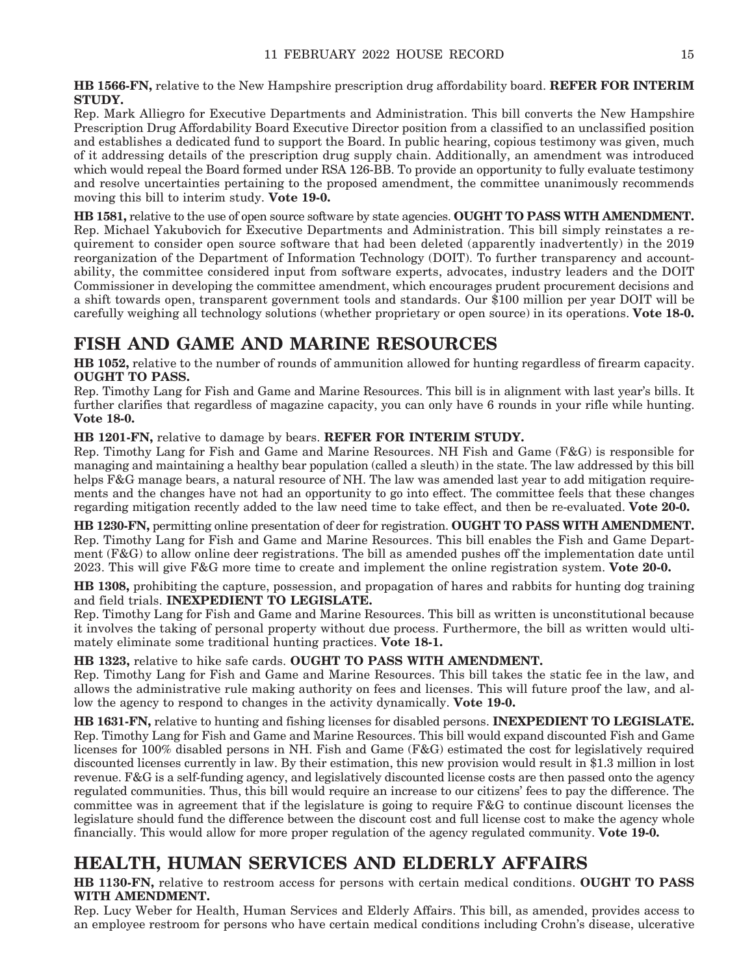**HB 1566-FN,** relative to the New Hampshire prescription drug affordability board. **REFER FOR INTERIM STUDY.**

Rep. Mark Alliegro for Executive Departments and Administration. This bill converts the New Hampshire Prescription Drug Affordability Board Executive Director position from a classified to an unclassified position and establishes a dedicated fund to support the Board. In public hearing, copious testimony was given, much of it addressing details of the prescription drug supply chain. Additionally, an amendment was introduced which would repeal the Board formed under RSA 126-BB. To provide an opportunity to fully evaluate testimony and resolve uncertainties pertaining to the proposed amendment, the committee unanimously recommends moving this bill to interim study. **Vote 19-0.**

**HB 1581,** relative to the use of open source software by state agencies. **OUGHT TO PASS WITH AMENDMENT.** Rep. Michael Yakubovich for Executive Departments and Administration. This bill simply reinstates a requirement to consider open source software that had been deleted (apparently inadvertently) in the 2019 reorganization of the Department of Information Technology (DOIT). To further transparency and accountability, the committee considered input from software experts, advocates, industry leaders and the DOIT Commissioner in developing the committee amendment, which encourages prudent procurement decisions and a shift towards open, transparent government tools and standards. Our \$100 million per year DOIT will be carefully weighing all technology solutions (whether proprietary or open source) in its operations. **Vote 18-0.**

### **FISH AND GAME AND MARINE RESOURCES**

**HB 1052,** relative to the number of rounds of ammunition allowed for hunting regardless of firearm capacity. **OUGHT TO PASS.**

Rep. Timothy Lang for Fish and Game and Marine Resources. This bill is in alignment with last year's bills. It further clarifies that regardless of magazine capacity, you can only have 6 rounds in your rifle while hunting. **Vote 18-0.**

### **HB 1201-FN,** relative to damage by bears. **REFER FOR INTERIM STUDY.**

Rep. Timothy Lang for Fish and Game and Marine Resources. NH Fish and Game (F&G) is responsible for managing and maintaining a healthy bear population (called a sleuth) in the state. The law addressed by this bill helps F&G manage bears, a natural resource of NH. The law was amended last year to add mitigation requirements and the changes have not had an opportunity to go into effect. The committee feels that these changes regarding mitigation recently added to the law need time to take effect, and then be re-evaluated. **Vote 20-0.**

**HB 1230-FN,** permitting online presentation of deer for registration. **OUGHT TO PASS WITH AMENDMENT.** Rep. Timothy Lang for Fish and Game and Marine Resources. This bill enables the Fish and Game Department  $(F & G)$  to allow online deer registrations. The bill as amended pushes off the implementation date until 2023. This will give F&G more time to create and implement the online registration system. **Vote 20-0.**

**HB 1308,** prohibiting the capture, possession, and propagation of hares and rabbits for hunting dog training and field trials. **INEXPEDIENT TO LEGISLATE.**

Rep. Timothy Lang for Fish and Game and Marine Resources. This bill as written is unconstitutional because it involves the taking of personal property without due process. Furthermore, the bill as written would ultimately eliminate some traditional hunting practices. **Vote 18-1.**

**HB 1323,** relative to hike safe cards. **OUGHT TO PASS WITH AMENDMENT.**

Rep. Timothy Lang for Fish and Game and Marine Resources. This bill takes the static fee in the law, and allows the administrative rule making authority on fees and licenses. This will future proof the law, and allow the agency to respond to changes in the activity dynamically. **Vote 19-0.**

**HB 1631-FN,** relative to hunting and fishing licenses for disabled persons. **INEXPEDIENT TO LEGISLATE.** Rep. Timothy Lang for Fish and Game and Marine Resources. This bill would expand discounted Fish and Game licenses for 100% disabled persons in NH. Fish and Game (F&G) estimated the cost for legislatively required discounted licenses currently in law. By their estimation, this new provision would result in \$1.3 million in lost revenue. F&G is a self-funding agency, and legislatively discounted license costs are then passed onto the agency regulated communities. Thus, this bill would require an increase to our citizens' fees to pay the difference. The committee was in agreement that if the legislature is going to require F&G to continue discount licenses the legislature should fund the difference between the discount cost and full license cost to make the agency whole financially. This would allow for more proper regulation of the agency regulated community. **Vote 19-0.**

### **HEALTH, HUMAN SERVICES AND ELDERLY AFFAIRS**

**HB 1130-FN,** relative to restroom access for persons with certain medical conditions. **OUGHT TO PASS WITH AMENDMENT.**

Rep. Lucy Weber for Health, Human Services and Elderly Affairs. This bill, as amended, provides access to an employee restroom for persons who have certain medical conditions including Crohn's disease, ulcerative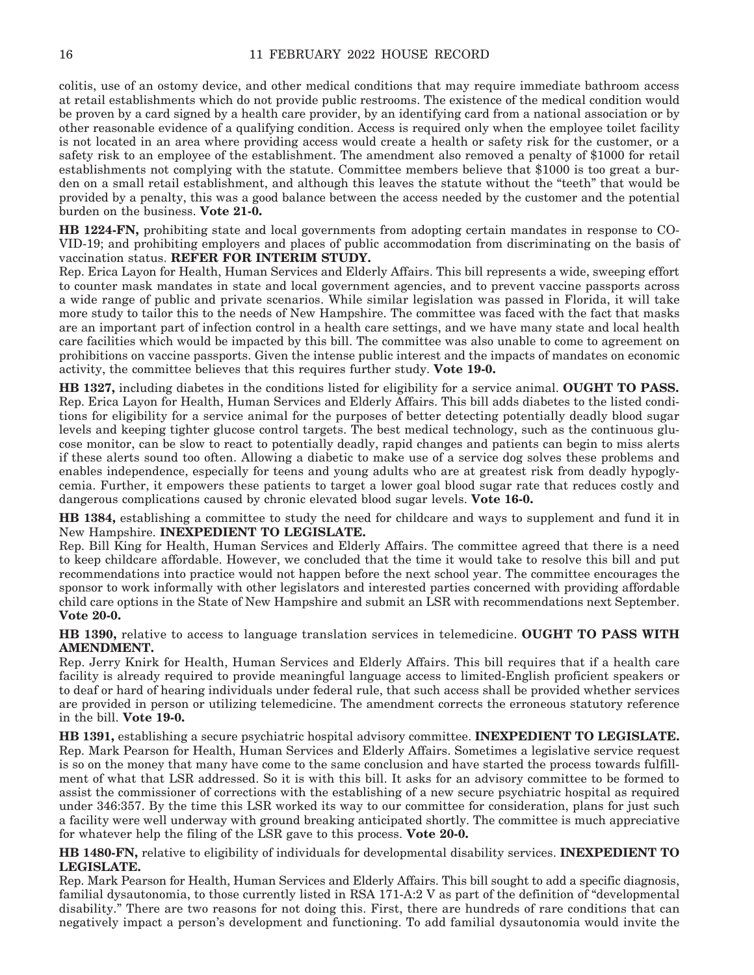colitis, use of an ostomy device, and other medical conditions that may require immediate bathroom access at retail establishments which do not provide public restrooms. The existence of the medical condition would be proven by a card signed by a health care provider, by an identifying card from a national association or by other reasonable evidence of a qualifying condition. Access is required only when the employee toilet facility is not located in an area where providing access would create a health or safety risk for the customer, or a safety risk to an employee of the establishment. The amendment also removed a penalty of \$1000 for retail establishments not complying with the statute. Committee members believe that \$1000 is too great a burden on a small retail establishment, and although this leaves the statute without the "teeth" that would be provided by a penalty, this was a good balance between the access needed by the customer and the potential burden on the business. **Vote 21-0.**

**HB 1224-FN,** prohibiting state and local governments from adopting certain mandates in response to CO-VID-19; and prohibiting employers and places of public accommodation from discriminating on the basis of vaccination status. **REFER FOR INTERIM STUDY.**

Rep. Erica Layon for Health, Human Services and Elderly Affairs. This bill represents a wide, sweeping effort to counter mask mandates in state and local government agencies, and to prevent vaccine passports across a wide range of public and private scenarios. While similar legislation was passed in Florida, it will take more study to tailor this to the needs of New Hampshire. The committee was faced with the fact that masks are an important part of infection control in a health care settings, and we have many state and local health care facilities which would be impacted by this bill. The committee was also unable to come to agreement on prohibitions on vaccine passports. Given the intense public interest and the impacts of mandates on economic activity, the committee believes that this requires further study. **Vote 19-0.**

**HB 1327,** including diabetes in the conditions listed for eligibility for a service animal. **OUGHT TO PASS.** Rep. Erica Layon for Health, Human Services and Elderly Affairs. This bill adds diabetes to the listed conditions for eligibility for a service animal for the purposes of better detecting potentially deadly blood sugar levels and keeping tighter glucose control targets. The best medical technology, such as the continuous glucose monitor, can be slow to react to potentially deadly, rapid changes and patients can begin to miss alerts if these alerts sound too often. Allowing a diabetic to make use of a service dog solves these problems and enables independence, especially for teens and young adults who are at greatest risk from deadly hypoglycemia. Further, it empowers these patients to target a lower goal blood sugar rate that reduces costly and dangerous complications caused by chronic elevated blood sugar levels. **Vote 16-0.**

**HB 1384,** establishing a committee to study the need for childcare and ways to supplement and fund it in New Hampshire. **INEXPEDIENT TO LEGISLATE.**

Rep. Bill King for Health, Human Services and Elderly Affairs. The committee agreed that there is a need to keep childcare affordable. However, we concluded that the time it would take to resolve this bill and put recommendations into practice would not happen before the next school year. The committee encourages the sponsor to work informally with other legislators and interested parties concerned with providing affordable child care options in the State of New Hampshire and submit an LSR with recommendations next September. **Vote 20-0.**

**HB 1390,** relative to access to language translation services in telemedicine. **OUGHT TO PASS WITH AMENDMENT.**

Rep. Jerry Knirk for Health, Human Services and Elderly Affairs. This bill requires that if a health care facility is already required to provide meaningful language access to limited-English proficient speakers or to deaf or hard of hearing individuals under federal rule, that such access shall be provided whether services are provided in person or utilizing telemedicine. The amendment corrects the erroneous statutory reference in the bill. **Vote 19-0.**

**HB 1391,** establishing a secure psychiatric hospital advisory committee. **INEXPEDIENT TO LEGISLATE.** Rep. Mark Pearson for Health, Human Services and Elderly Affairs. Sometimes a legislative service request is so on the money that many have come to the same conclusion and have started the process towards fulfillment of what that LSR addressed. So it is with this bill. It asks for an advisory committee to be formed to assist the commissioner of corrections with the establishing of a new secure psychiatric hospital as required under 346:357. By the time this LSR worked its way to our committee for consideration, plans for just such a facility were well underway with ground breaking anticipated shortly. The committee is much appreciative for whatever help the filing of the LSR gave to this process. **Vote 20-0.**

**HB 1480-FN,** relative to eligibility of individuals for developmental disability services. **INEXPEDIENT TO LEGISLATE.**

Rep. Mark Pearson for Health, Human Services and Elderly Affairs. This bill sought to add a specific diagnosis, familial dysautonomia, to those currently listed in RSA 171-A:2 V as part of the definition of "developmental disability." There are two reasons for not doing this. First, there are hundreds of rare conditions that can negatively impact a person's development and functioning. To add familial dysautonomia would invite the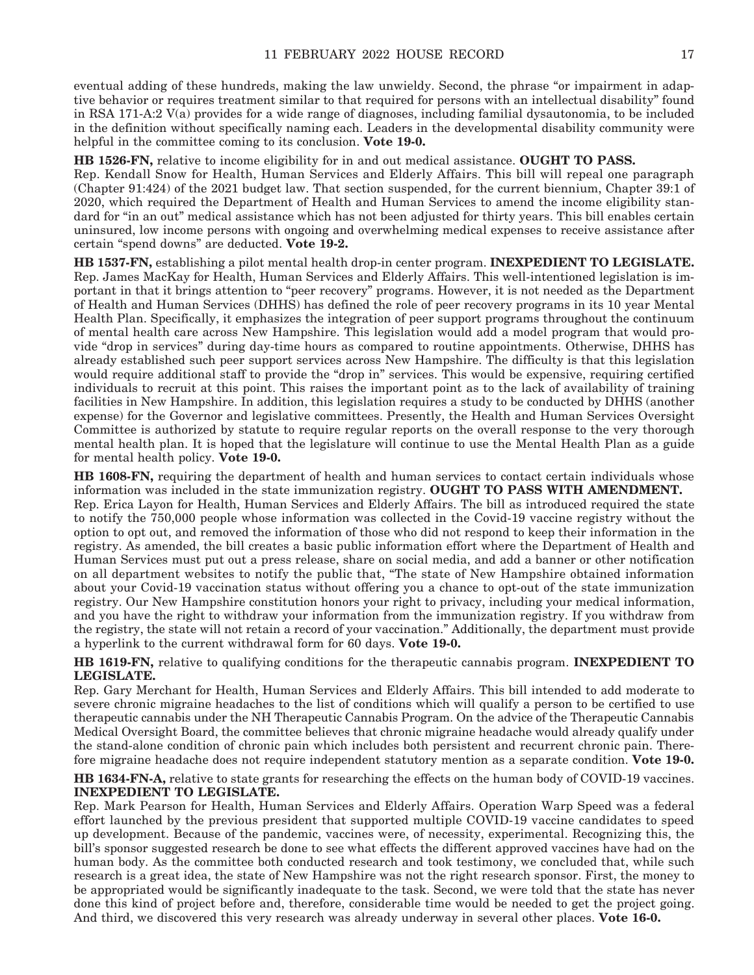eventual adding of these hundreds, making the law unwieldy. Second, the phrase "or impairment in adaptive behavior or requires treatment similar to that required for persons with an intellectual disability" found in RSA 171-A:2 V(a) provides for a wide range of diagnoses, including familial dysautonomia, to be included in the definition without specifically naming each. Leaders in the developmental disability community were helpful in the committee coming to its conclusion. **Vote 19-0.**

**HB 1526-FN,** relative to income eligibility for in and out medical assistance. **OUGHT TO PASS.**

Rep. Kendall Snow for Health, Human Services and Elderly Affairs. This bill will repeal one paragraph (Chapter 91:424) of the 2021 budget law. That section suspended, for the current biennium, Chapter 39:1 of 2020, which required the Department of Health and Human Services to amend the income eligibility standard for "in an out" medical assistance which has not been adjusted for thirty years. This bill enables certain uninsured, low income persons with ongoing and overwhelming medical expenses to receive assistance after certain "spend downs" are deducted. **Vote 19-2.**

**HB 1537-FN,** establishing a pilot mental health drop-in center program. **INEXPEDIENT TO LEGISLATE.** Rep. James MacKay for Health, Human Services and Elderly Affairs. This well-intentioned legislation is important in that it brings attention to "peer recovery" programs. However, it is not needed as the Department of Health and Human Services (DHHS) has defined the role of peer recovery programs in its 10 year Mental Health Plan. Specifically, it emphasizes the integration of peer support programs throughout the continuum of mental health care across New Hampshire. This legislation would add a model program that would provide "drop in services" during day-time hours as compared to routine appointments. Otherwise, DHHS has already established such peer support services across New Hampshire. The difficulty is that this legislation would require additional staff to provide the "drop in" services. This would be expensive, requiring certified individuals to recruit at this point. This raises the important point as to the lack of availability of training facilities in New Hampshire. In addition, this legislation requires a study to be conducted by DHHS (another expense) for the Governor and legislative committees. Presently, the Health and Human Services Oversight Committee is authorized by statute to require regular reports on the overall response to the very thorough mental health plan. It is hoped that the legislature will continue to use the Mental Health Plan as a guide for mental health policy. **Vote 19-0.**

**HB 1608-FN,** requiring the department of health and human services to contact certain individuals whose information was included in the state immunization registry. **OUGHT TO PASS WITH AMENDMENT.** Rep. Erica Layon for Health, Human Services and Elderly Affairs. The bill as introduced required the state to notify the 750,000 people whose information was collected in the Covid-19 vaccine registry without the option to opt out, and removed the information of those who did not respond to keep their information in the registry. As amended, the bill creates a basic public information effort where the Department of Health and Human Services must put out a press release, share on social media, and add a banner or other notification on all department websites to notify the public that, "The state of New Hampshire obtained information about your Covid-19 vaccination status without offering you a chance to opt-out of the state immunization registry. Our New Hampshire constitution honors your right to privacy, including your medical information, and you have the right to withdraw your information from the immunization registry. If you withdraw from the registry, the state will not retain a record of your vaccination." Additionally, the department must provide a hyperlink to the current withdrawal form for 60 days. **Vote 19-0.**

**HB 1619-FN,** relative to qualifying conditions for the therapeutic cannabis program. **INEXPEDIENT TO LEGISLATE.**

Rep. Gary Merchant for Health, Human Services and Elderly Affairs. This bill intended to add moderate to severe chronic migraine headaches to the list of conditions which will qualify a person to be certified to use therapeutic cannabis under the NH Therapeutic Cannabis Program. On the advice of the Therapeutic Cannabis Medical Oversight Board, the committee believes that chronic migraine headache would already qualify under the stand-alone condition of chronic pain which includes both persistent and recurrent chronic pain. Therefore migraine headache does not require independent statutory mention as a separate condition. **Vote 19-0.**

**HB 1634-FN-A,** relative to state grants for researching the effects on the human body of COVID-19 vaccines. **INEXPEDIENT TO LEGISLATE.**

Rep. Mark Pearson for Health, Human Services and Elderly Affairs. Operation Warp Speed was a federal effort launched by the previous president that supported multiple COVID-19 vaccine candidates to speed up development. Because of the pandemic, vaccines were, of necessity, experimental. Recognizing this, the bill's sponsor suggested research be done to see what effects the different approved vaccines have had on the human body. As the committee both conducted research and took testimony, we concluded that, while such research is a great idea, the state of New Hampshire was not the right research sponsor. First, the money to be appropriated would be significantly inadequate to the task. Second, we were told that the state has never done this kind of project before and, therefore, considerable time would be needed to get the project going. And third, we discovered this very research was already underway in several other places. **Vote 16-0.**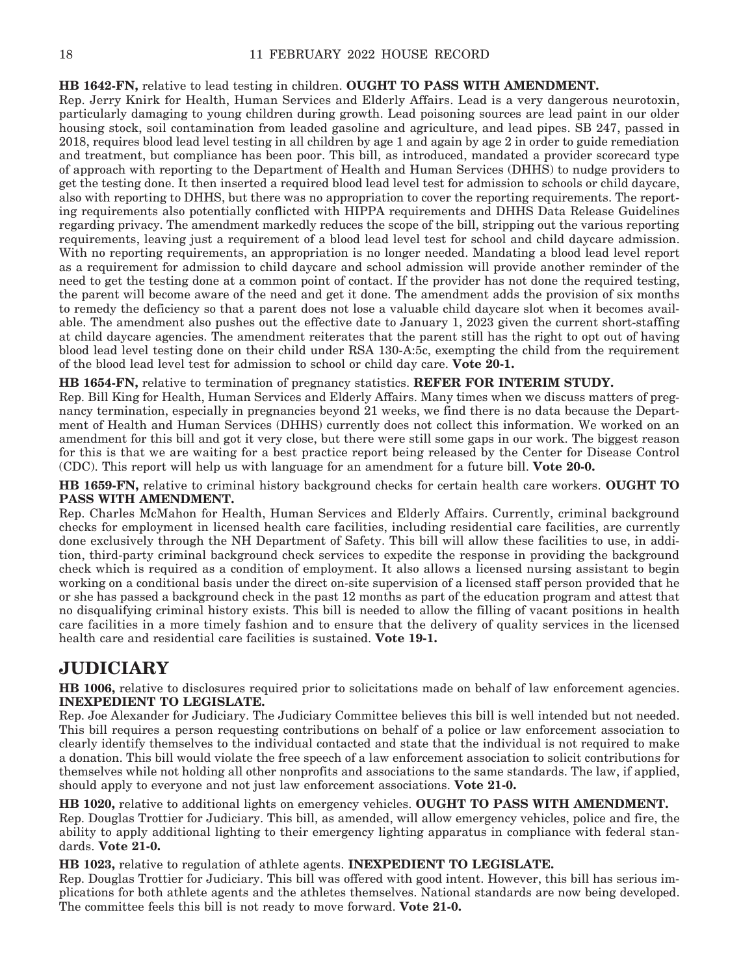#### **HB 1642-FN,** relative to lead testing in children. **OUGHT TO PASS WITH AMENDMENT.**

Rep. Jerry Knirk for Health, Human Services and Elderly Affairs. Lead is a very dangerous neurotoxin, particularly damaging to young children during growth. Lead poisoning sources are lead paint in our older housing stock, soil contamination from leaded gasoline and agriculture, and lead pipes. SB 247, passed in 2018, requires blood lead level testing in all children by age 1 and again by age 2 in order to guide remediation and treatment, but compliance has been poor. This bill, as introduced, mandated a provider scorecard type of approach with reporting to the Department of Health and Human Services (DHHS) to nudge providers to get the testing done. It then inserted a required blood lead level test for admission to schools or child daycare, also with reporting to DHHS, but there was no appropriation to cover the reporting requirements. The reporting requirements also potentially conflicted with HIPPA requirements and DHHS Data Release Guidelines regarding privacy. The amendment markedly reduces the scope of the bill, stripping out the various reporting requirements, leaving just a requirement of a blood lead level test for school and child daycare admission. With no reporting requirements, an appropriation is no longer needed. Mandating a blood lead level report as a requirement for admission to child daycare and school admission will provide another reminder of the need to get the testing done at a common point of contact. If the provider has not done the required testing, the parent will become aware of the need and get it done. The amendment adds the provision of six months to remedy the deficiency so that a parent does not lose a valuable child daycare slot when it becomes available. The amendment also pushes out the effective date to January 1, 2023 given the current short-staffing at child daycare agencies. The amendment reiterates that the parent still has the right to opt out of having blood lead level testing done on their child under RSA 130-A:5c, exempting the child from the requirement of the blood lead level test for admission to school or child day care. **Vote 20-1.**

#### **HB 1654-FN,** relative to termination of pregnancy statistics. **REFER FOR INTERIM STUDY.**

Rep. Bill King for Health, Human Services and Elderly Affairs. Many times when we discuss matters of pregnancy termination, especially in pregnancies beyond 21 weeks, we find there is no data because the Department of Health and Human Services (DHHS) currently does not collect this information. We worked on an amendment for this bill and got it very close, but there were still some gaps in our work. The biggest reason for this is that we are waiting for a best practice report being released by the Center for Disease Control (CDC). This report will help us with language for an amendment for a future bill. **Vote 20-0.**

**HB 1659-FN,** relative to criminal history background checks for certain health care workers. **OUGHT TO PASS WITH AMENDMENT.**

Rep. Charles McMahon for Health, Human Services and Elderly Affairs. Currently, criminal background checks for employment in licensed health care facilities, including residential care facilities, are currently done exclusively through the NH Department of Safety. This bill will allow these facilities to use, in addition, third-party criminal background check services to expedite the response in providing the background check which is required as a condition of employment. It also allows a licensed nursing assistant to begin working on a conditional basis under the direct on-site supervision of a licensed staff person provided that he or she has passed a background check in the past 12 months as part of the education program and attest that no disqualifying criminal history exists. This bill is needed to allow the filling of vacant positions in health care facilities in a more timely fashion and to ensure that the delivery of quality services in the licensed health care and residential care facilities is sustained. **Vote 19-1.**

### **JUDICIARY**

**HB 1006,** relative to disclosures required prior to solicitations made on behalf of law enforcement agencies. **INEXPEDIENT TO LEGISLATE.**

Rep. Joe Alexander for Judiciary. The Judiciary Committee believes this bill is well intended but not needed. This bill requires a person requesting contributions on behalf of a police or law enforcement association to clearly identify themselves to the individual contacted and state that the individual is not required to make a donation. This bill would violate the free speech of a law enforcement association to solicit contributions for themselves while not holding all other nonprofits and associations to the same standards. The law, if applied, should apply to everyone and not just law enforcement associations. **Vote 21-0.**

**HB 1020,** relative to additional lights on emergency vehicles. **OUGHT TO PASS WITH AMENDMENT.** Rep. Douglas Trottier for Judiciary. This bill, as amended, will allow emergency vehicles, police and fire, the ability to apply additional lighting to their emergency lighting apparatus in compliance with federal standards. **Vote 21-0.**

**HB 1023,** relative to regulation of athlete agents. **INEXPEDIENT TO LEGISLATE.**

Rep. Douglas Trottier for Judiciary. This bill was offered with good intent. However, this bill has serious implications for both athlete agents and the athletes themselves. National standards are now being developed. The committee feels this bill is not ready to move forward. **Vote 21-0.**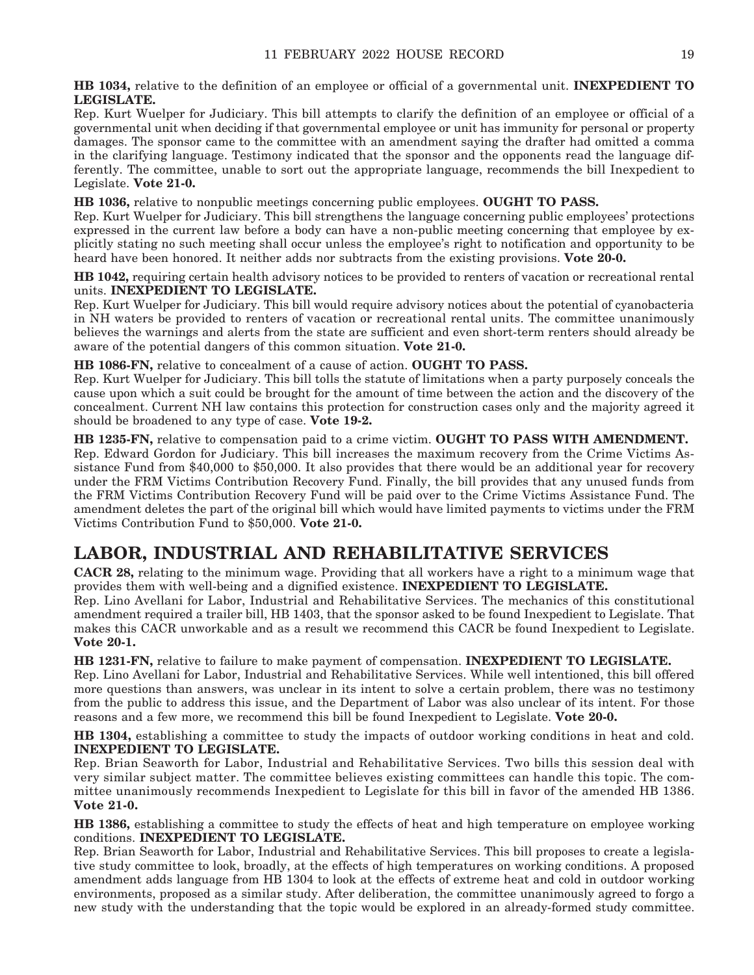**HB 1034,** relative to the definition of an employee or official of a governmental unit. **INEXPEDIENT TO LEGISLATE.**

Rep. Kurt Wuelper for Judiciary. This bill attempts to clarify the definition of an employee or official of a governmental unit when deciding if that governmental employee or unit has immunity for personal or property damages. The sponsor came to the committee with an amendment saying the drafter had omitted a comma in the clarifying language. Testimony indicated that the sponsor and the opponents read the language differently. The committee, unable to sort out the appropriate language, recommends the bill Inexpedient to Legislate. **Vote 21-0.**

**HB 1036,** relative to nonpublic meetings concerning public employees. **OUGHT TO PASS.**

Rep. Kurt Wuelper for Judiciary. This bill strengthens the language concerning public employees' protections expressed in the current law before a body can have a non-public meeting concerning that employee by explicitly stating no such meeting shall occur unless the employee's right to notification and opportunity to be heard have been honored. It neither adds nor subtracts from the existing provisions. **Vote 20-0.**

**HB 1042,** requiring certain health advisory notices to be provided to renters of vacation or recreational rental units. **INEXPEDIENT TO LEGISLATE.**

Rep. Kurt Wuelper for Judiciary. This bill would require advisory notices about the potential of cyanobacteria in NH waters be provided to renters of vacation or recreational rental units. The committee unanimously believes the warnings and alerts from the state are sufficient and even short-term renters should already be aware of the potential dangers of this common situation. **Vote 21-0.**

**HB 1086-FN,** relative to concealment of a cause of action. **OUGHT TO PASS.**

Rep. Kurt Wuelper for Judiciary. This bill tolls the statute of limitations when a party purposely conceals the cause upon which a suit could be brought for the amount of time between the action and the discovery of the concealment. Current NH law contains this protection for construction cases only and the majority agreed it should be broadened to any type of case. **Vote 19-2.**

**HB 1235-FN,** relative to compensation paid to a crime victim. **OUGHT TO PASS WITH AMENDMENT.** Rep. Edward Gordon for Judiciary. This bill increases the maximum recovery from the Crime Victims Assistance Fund from \$40,000 to \$50,000. It also provides that there would be an additional year for recovery under the FRM Victims Contribution Recovery Fund. Finally, the bill provides that any unused funds from the FRM Victims Contribution Recovery Fund will be paid over to the Crime Victims Assistance Fund. The amendment deletes the part of the original bill which would have limited payments to victims under the FRM Victims Contribution Fund to \$50,000. **Vote 21-0.**

### **LABOR, INDUSTRIAL AND REHABILITATIVE SERVICES**

**CACR 28,** relating to the minimum wage. Providing that all workers have a right to a minimum wage that provides them with well-being and a dignified existence. **INEXPEDIENT TO LEGISLATE.**

Rep. Lino Avellani for Labor, Industrial and Rehabilitative Services. The mechanics of this constitutional amendment required a trailer bill, HB 1403, that the sponsor asked to be found Inexpedient to Legislate. That makes this CACR unworkable and as a result we recommend this CACR be found Inexpedient to Legislate. **Vote 20-1.**

**HB 1231-FN,** relative to failure to make payment of compensation. **INEXPEDIENT TO LEGISLATE.** Rep. Lino Avellani for Labor, Industrial and Rehabilitative Services. While well intentioned, this bill offered more questions than answers, was unclear in its intent to solve a certain problem, there was no testimony from the public to address this issue, and the Department of Labor was also unclear of its intent. For those reasons and a few more, we recommend this bill be found Inexpedient to Legislate. **Vote 20-0.**

**HB 1304,** establishing a committee to study the impacts of outdoor working conditions in heat and cold. **INEXPEDIENT TO LEGISLATE.**

Rep. Brian Seaworth for Labor, Industrial and Rehabilitative Services. Two bills this session deal with very similar subject matter. The committee believes existing committees can handle this topic. The committee unanimously recommends Inexpedient to Legislate for this bill in favor of the amended HB 1386. **Vote 21-0.**

**HB 1386,** establishing a committee to study the effects of heat and high temperature on employee working conditions. **INEXPEDIENT TO LEGISLATE.**

Rep. Brian Seaworth for Labor, Industrial and Rehabilitative Services. This bill proposes to create a legislative study committee to look, broadly, at the effects of high temperatures on working conditions. A proposed amendment adds language from HB 1304 to look at the effects of extreme heat and cold in outdoor working environments, proposed as a similar study. After deliberation, the committee unanimously agreed to forgo a new study with the understanding that the topic would be explored in an already-formed study committee.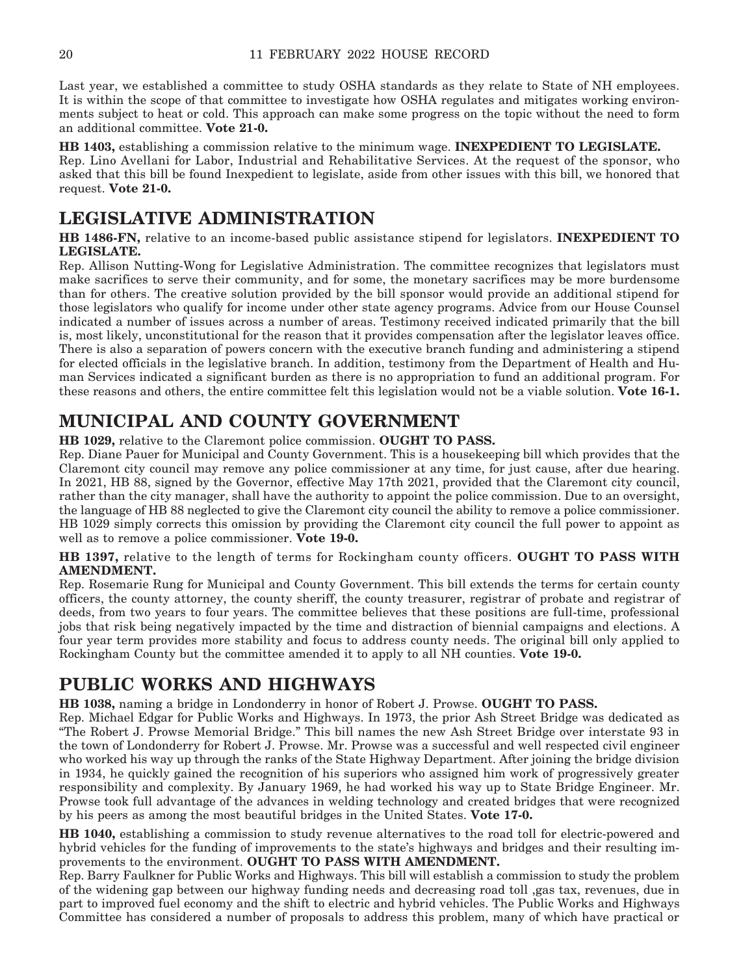Last year, we established a committee to study OSHA standards as they relate to State of NH employees. It is within the scope of that committee to investigate how OSHA regulates and mitigates working environments subject to heat or cold. This approach can make some progress on the topic without the need to form an additional committee. **Vote 21-0.**

**HB 1403,** establishing a commission relative to the minimum wage. **INEXPEDIENT TO LEGISLATE.** Rep. Lino Avellani for Labor, Industrial and Rehabilitative Services. At the request of the sponsor, who asked that this bill be found Inexpedient to legislate, aside from other issues with this bill, we honored that request. **Vote 21-0.**

### **LEGISLATIVE ADMINISTRATION**

**HB 1486-FN,** relative to an income-based public assistance stipend for legislators. **INEXPEDIENT TO LEGISLATE.**

Rep. Allison Nutting-Wong for Legislative Administration. The committee recognizes that legislators must make sacrifices to serve their community, and for some, the monetary sacrifices may be more burdensome than for others. The creative solution provided by the bill sponsor would provide an additional stipend for those legislators who qualify for income under other state agency programs. Advice from our House Counsel indicated a number of issues across a number of areas. Testimony received indicated primarily that the bill is, most likely, unconstitutional for the reason that it provides compensation after the legislator leaves office. There is also a separation of powers concern with the executive branch funding and administering a stipend for elected officials in the legislative branch. In addition, testimony from the Department of Health and Human Services indicated a significant burden as there is no appropriation to fund an additional program. For these reasons and others, the entire committee felt this legislation would not be a viable solution. **Vote 16-1.**

### **MUNICIPAL AND COUNTY GOVERNMENT**

**HB 1029,** relative to the Claremont police commission. **OUGHT TO PASS.**

Rep. Diane Pauer for Municipal and County Government. This is a housekeeping bill which provides that the Claremont city council may remove any police commissioner at any time, for just cause, after due hearing. In 2021, HB 88, signed by the Governor, effective May 17th 2021, provided that the Claremont city council, rather than the city manager, shall have the authority to appoint the police commission. Due to an oversight, the language of HB 88 neglected to give the Claremont city council the ability to remove a police commissioner. HB 1029 simply corrects this omission by providing the Claremont city council the full power to appoint as well as to remove a police commissioner. **Vote 19-0.**

#### **HB 1397,** relative to the length of terms for Rockingham county officers. **OUGHT TO PASS WITH AMENDMENT.**

Rep. Rosemarie Rung for Municipal and County Government. This bill extends the terms for certain county officers, the county attorney, the county sheriff, the county treasurer, registrar of probate and registrar of deeds, from two years to four years. The committee believes that these positions are full-time, professional jobs that risk being negatively impacted by the time and distraction of biennial campaigns and elections. A four year term provides more stability and focus to address county needs. The original bill only applied to Rockingham County but the committee amended it to apply to all NH counties. **Vote 19-0.**

### **PUBLIC WORKS AND HIGHWAYS**

**HB 1038,** naming a bridge in Londonderry in honor of Robert J. Prowse. **OUGHT TO PASS.**

Rep. Michael Edgar for Public Works and Highways. In 1973, the prior Ash Street Bridge was dedicated as "The Robert J. Prowse Memorial Bridge." This bill names the new Ash Street Bridge over interstate 93 in the town of Londonderry for Robert J. Prowse. Mr. Prowse was a successful and well respected civil engineer who worked his way up through the ranks of the State Highway Department. After joining the bridge division in 1934, he quickly gained the recognition of his superiors who assigned him work of progressively greater responsibility and complexity. By January 1969, he had worked his way up to State Bridge Engineer. Mr. Prowse took full advantage of the advances in welding technology and created bridges that were recognized by his peers as among the most beautiful bridges in the United States. **Vote 17-0.**

**HB 1040,** establishing a commission to study revenue alternatives to the road toll for electric-powered and hybrid vehicles for the funding of improvements to the state's highways and bridges and their resulting improvements to the environment. **OUGHT TO PASS WITH AMENDMENT.**

Rep. Barry Faulkner for Public Works and Highways. This bill will establish a commission to study the problem of the widening gap between our highway funding needs and decreasing road toll ,gas tax, revenues, due in part to improved fuel economy and the shift to electric and hybrid vehicles. The Public Works and Highways Committee has considered a number of proposals to address this problem, many of which have practical or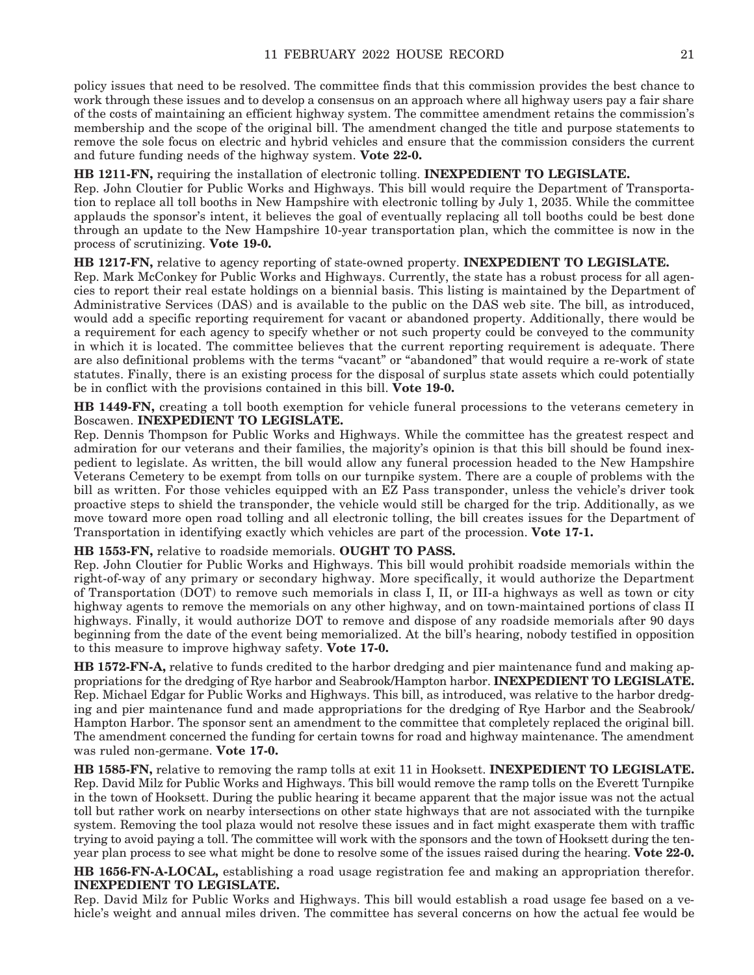policy issues that need to be resolved. The committee finds that this commission provides the best chance to work through these issues and to develop a consensus on an approach where all highway users pay a fair share of the costs of maintaining an efficient highway system. The committee amendment retains the commission's membership and the scope of the original bill. The amendment changed the title and purpose statements to remove the sole focus on electric and hybrid vehicles and ensure that the commission considers the current and future funding needs of the highway system. **Vote 22-0.**

#### **HB 1211-FN,** requiring the installation of electronic tolling. **INEXPEDIENT TO LEGISLATE.**

Rep. John Cloutier for Public Works and Highways. This bill would require the Department of Transportation to replace all toll booths in New Hampshire with electronic tolling by July 1, 2035. While the committee applauds the sponsor's intent, it believes the goal of eventually replacing all toll booths could be best done through an update to the New Hampshire 10-year transportation plan, which the committee is now in the process of scrutinizing. **Vote 19-0.**

#### **HB 1217-FN,** relative to agency reporting of state-owned property. **INEXPEDIENT TO LEGISLATE.**

Rep. Mark McConkey for Public Works and Highways. Currently, the state has a robust process for all agencies to report their real estate holdings on a biennial basis. This listing is maintained by the Department of Administrative Services (DAS) and is available to the public on the DAS web site. The bill, as introduced, would add a specific reporting requirement for vacant or abandoned property. Additionally, there would be a requirement for each agency to specify whether or not such property could be conveyed to the community in which it is located. The committee believes that the current reporting requirement is adequate. There are also definitional problems with the terms "vacant" or "abandoned" that would require a re-work of state statutes. Finally, there is an existing process for the disposal of surplus state assets which could potentially be in conflict with the provisions contained in this bill. **Vote 19-0.**

**HB 1449-FN,** creating a toll booth exemption for vehicle funeral processions to the veterans cemetery in Boscawen. **INEXPEDIENT TO LEGISLATE.**

Rep. Dennis Thompson for Public Works and Highways. While the committee has the greatest respect and admiration for our veterans and their families, the majority's opinion is that this bill should be found inexpedient to legislate. As written, the bill would allow any funeral procession headed to the New Hampshire Veterans Cemetery to be exempt from tolls on our turnpike system. There are a couple of problems with the bill as written. For those vehicles equipped with an EZ Pass transponder, unless the vehicle's driver took proactive steps to shield the transponder, the vehicle would still be charged for the trip. Additionally, as we move toward more open road tolling and all electronic tolling, the bill creates issues for the Department of Transportation in identifying exactly which vehicles are part of the procession. **Vote 17-1.**

#### **HB 1553-FN,** relative to roadside memorials. **OUGHT TO PASS.**

Rep. John Cloutier for Public Works and Highways. This bill would prohibit roadside memorials within the right-of-way of any primary or secondary highway. More specifically, it would authorize the Department of Transportation (DOT) to remove such memorials in class I, II, or III-a highways as well as town or city highway agents to remove the memorials on any other highway, and on town-maintained portions of class II highways. Finally, it would authorize DOT to remove and dispose of any roadside memorials after 90 days beginning from the date of the event being memorialized. At the bill's hearing, nobody testified in opposition to this measure to improve highway safety. **Vote 17-0.**

**HB 1572-FN-A,** relative to funds credited to the harbor dredging and pier maintenance fund and making appropriations for the dredging of Rye harbor and Seabrook/Hampton harbor. **INEXPEDIENT TO LEGISLATE.** Rep. Michael Edgar for Public Works and Highways. This bill, as introduced, was relative to the harbor dredging and pier maintenance fund and made appropriations for the dredging of Rye Harbor and the Seabrook/ Hampton Harbor. The sponsor sent an amendment to the committee that completely replaced the original bill. The amendment concerned the funding for certain towns for road and highway maintenance. The amendment was ruled non-germane. **Vote 17-0.**

**HB 1585-FN,** relative to removing the ramp tolls at exit 11 in Hooksett. **INEXPEDIENT TO LEGISLATE.** Rep. David Milz for Public Works and Highways. This bill would remove the ramp tolls on the Everett Turnpike in the town of Hooksett. During the public hearing it became apparent that the major issue was not the actual toll but rather work on nearby intersections on other state highways that are not associated with the turnpike system. Removing the tool plaza would not resolve these issues and in fact might exasperate them with traffic trying to avoid paying a toll. The committee will work with the sponsors and the town of Hooksett during the tenyear plan process to see what might be done to resolve some of the issues raised during the hearing. **Vote 22-0.**

**HB 1656-FN-A-LOCAL,** establishing a road usage registration fee and making an appropriation therefor. **INEXPEDIENT TO LEGISLATE.**

Rep. David Milz for Public Works and Highways. This bill would establish a road usage fee based on a vehicle's weight and annual miles driven. The committee has several concerns on how the actual fee would be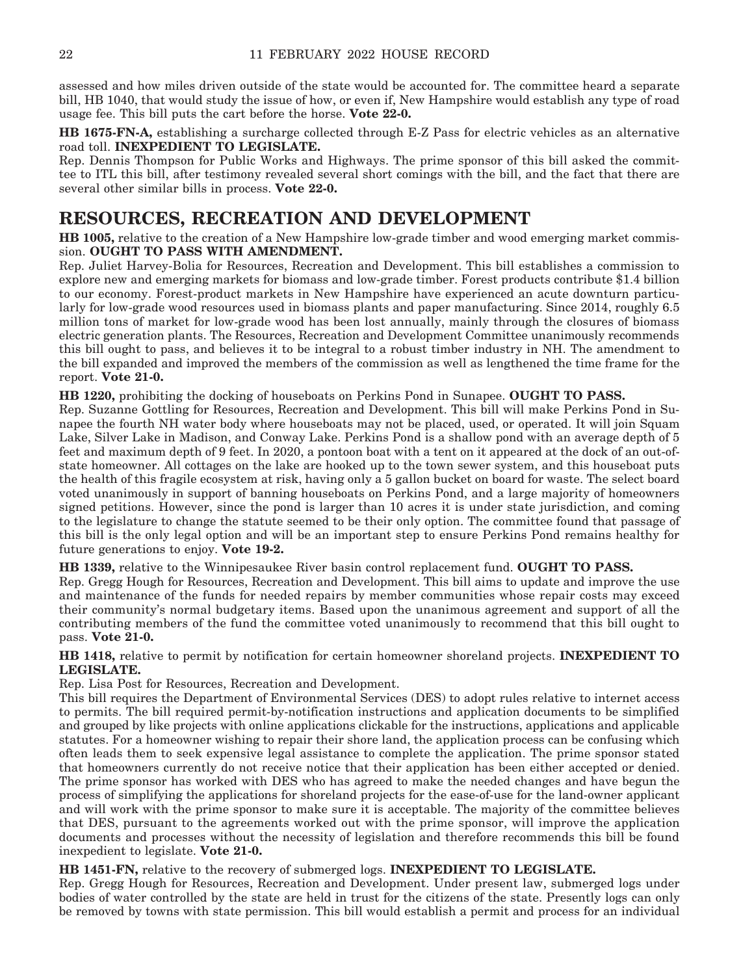assessed and how miles driven outside of the state would be accounted for. The committee heard a separate bill, HB 1040, that would study the issue of how, or even if, New Hampshire would establish any type of road usage fee. This bill puts the cart before the horse. **Vote 22-0.**

**HB 1675-FN-A,** establishing a surcharge collected through E-Z Pass for electric vehicles as an alternative road toll. **INEXPEDIENT TO LEGISLATE.**

Rep. Dennis Thompson for Public Works and Highways. The prime sponsor of this bill asked the committee to ITL this bill, after testimony revealed several short comings with the bill, and the fact that there are several other similar bills in process. **Vote 22-0.**

### **RESOURCES, RECREATION AND DEVELOPMENT**

**HB 1005,** relative to the creation of a New Hampshire low-grade timber and wood emerging market commission. **OUGHT TO PASS WITH AMENDMENT.**

Rep. Juliet Harvey-Bolia for Resources, Recreation and Development. This bill establishes a commission to explore new and emerging markets for biomass and low-grade timber. Forest products contribute \$1.4 billion to our economy. Forest-product markets in New Hampshire have experienced an acute downturn particularly for low-grade wood resources used in biomass plants and paper manufacturing. Since 2014, roughly 6.5 million tons of market for low-grade wood has been lost annually, mainly through the closures of biomass electric generation plants. The Resources, Recreation and Development Committee unanimously recommends this bill ought to pass, and believes it to be integral to a robust timber industry in NH. The amendment to the bill expanded and improved the members of the commission as well as lengthened the time frame for the report. **Vote 21-0.**

**HB 1220,** prohibiting the docking of houseboats on Perkins Pond in Sunapee. **OUGHT TO PASS.**

Rep. Suzanne Gottling for Resources, Recreation and Development. This bill will make Perkins Pond in Sunapee the fourth NH water body where houseboats may not be placed, used, or operated. It will join Squam Lake, Silver Lake in Madison, and Conway Lake. Perkins Pond is a shallow pond with an average depth of 5 feet and maximum depth of 9 feet. In 2020, a pontoon boat with a tent on it appeared at the dock of an out-ofstate homeowner. All cottages on the lake are hooked up to the town sewer system, and this houseboat puts the health of this fragile ecosystem at risk, having only a 5 gallon bucket on board for waste. The select board voted unanimously in support of banning houseboats on Perkins Pond, and a large majority of homeowners signed petitions. However, since the pond is larger than 10 acres it is under state jurisdiction, and coming to the legislature to change the statute seemed to be their only option. The committee found that passage of this bill is the only legal option and will be an important step to ensure Perkins Pond remains healthy for future generations to enjoy. **Vote 19-2.**

**HB 1339,** relative to the Winnipesaukee River basin control replacement fund. **OUGHT TO PASS.** Rep. Gregg Hough for Resources, Recreation and Development. This bill aims to update and improve the use and maintenance of the funds for needed repairs by member communities whose repair costs may exceed their community's normal budgetary items. Based upon the unanimous agreement and support of all the contributing members of the fund the committee voted unanimously to recommend that this bill ought to pass. **Vote 21-0.**

**HB 1418,** relative to permit by notification for certain homeowner shoreland projects. **INEXPEDIENT TO LEGISLATE.**

Rep. Lisa Post for Resources, Recreation and Development.

This bill requires the Department of Environmental Services (DES) to adopt rules relative to internet access to permits. The bill required permit-by-notification instructions and application documents to be simplified and grouped by like projects with online applications clickable for the instructions, applications and applicable statutes. For a homeowner wishing to repair their shore land, the application process can be confusing which often leads them to seek expensive legal assistance to complete the application. The prime sponsor stated that homeowners currently do not receive notice that their application has been either accepted or denied. The prime sponsor has worked with DES who has agreed to make the needed changes and have begun the process of simplifying the applications for shoreland projects for the ease-of-use for the land-owner applicant and will work with the prime sponsor to make sure it is acceptable. The majority of the committee believes that DES, pursuant to the agreements worked out with the prime sponsor, will improve the application documents and processes without the necessity of legislation and therefore recommends this bill be found inexpedient to legislate. **Vote 21-0.**

**HB 1451-FN,** relative to the recovery of submerged logs. **INEXPEDIENT TO LEGISLATE.**

Rep. Gregg Hough for Resources, Recreation and Development. Under present law, submerged logs under bodies of water controlled by the state are held in trust for the citizens of the state. Presently logs can only be removed by towns with state permission. This bill would establish a permit and process for an individual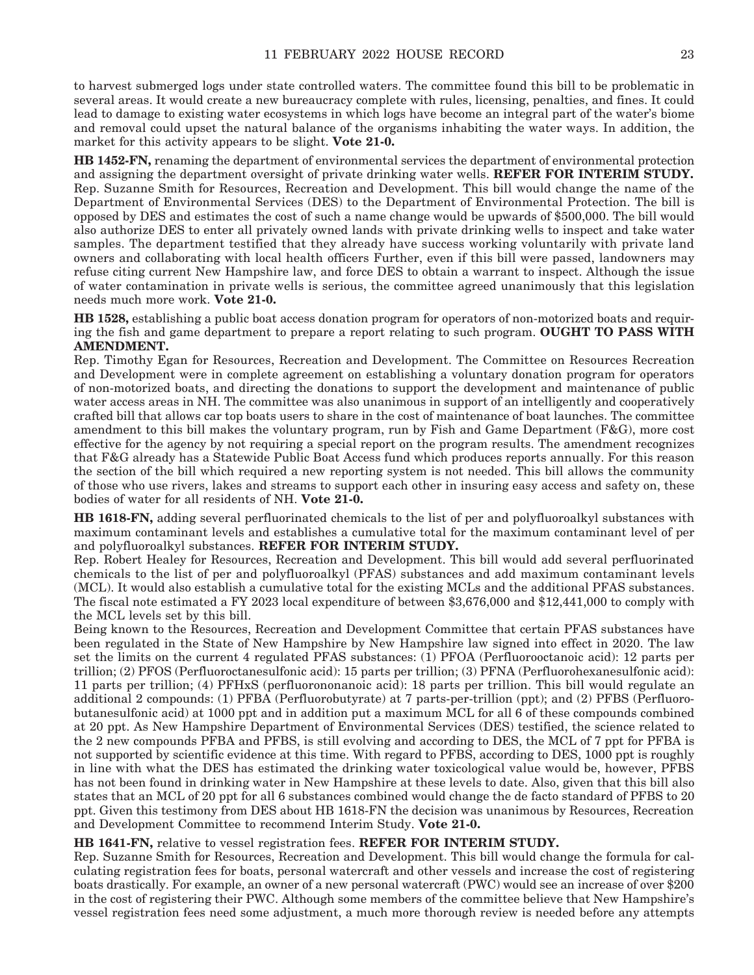to harvest submerged logs under state controlled waters. The committee found this bill to be problematic in several areas. It would create a new bureaucracy complete with rules, licensing, penalties, and fines. It could lead to damage to existing water ecosystems in which logs have become an integral part of the water's biome and removal could upset the natural balance of the organisms inhabiting the water ways. In addition, the market for this activity appears to be slight. **Vote 21-0.**

**HB 1452-FN,** renaming the department of environmental services the department of environmental protection and assigning the department oversight of private drinking water wells. **REFER FOR INTERIM STUDY.** Rep. Suzanne Smith for Resources, Recreation and Development. This bill would change the name of the Department of Environmental Services (DES) to the Department of Environmental Protection. The bill is opposed by DES and estimates the cost of such a name change would be upwards of \$500,000. The bill would also authorize DES to enter all privately owned lands with private drinking wells to inspect and take water samples. The department testified that they already have success working voluntarily with private land owners and collaborating with local health officers Further, even if this bill were passed, landowners may refuse citing current New Hampshire law, and force DES to obtain a warrant to inspect. Although the issue of water contamination in private wells is serious, the committee agreed unanimously that this legislation needs much more work. **Vote 21-0.**

**HB 1528,** establishing a public boat access donation program for operators of non-motorized boats and requiring the fish and game department to prepare a report relating to such program. **OUGHT TO PASS WITH AMENDMENT.**

Rep. Timothy Egan for Resources, Recreation and Development. The Committee on Resources Recreation and Development were in complete agreement on establishing a voluntary donation program for operators of non-motorized boats, and directing the donations to support the development and maintenance of public water access areas in NH. The committee was also unanimous in support of an intelligently and cooperatively crafted bill that allows car top boats users to share in the cost of maintenance of boat launches. The committee amendment to this bill makes the voluntary program, run by Fish and Game Department (F&G), more cost effective for the agency by not requiring a special report on the program results. The amendment recognizes that F&G already has a Statewide Public Boat Access fund which produces reports annually. For this reason the section of the bill which required a new reporting system is not needed. This bill allows the community of those who use rivers, lakes and streams to support each other in insuring easy access and safety on, these bodies of water for all residents of NH. **Vote 21-0.**

**HB 1618-FN,** adding several perfluorinated chemicals to the list of per and polyfluoroalkyl substances with maximum contaminant levels and establishes a cumulative total for the maximum contaminant level of per and polyfluoroalkyl substances. **REFER FOR INTERIM STUDY.**

Rep. Robert Healey for Resources, Recreation and Development. This bill would add several perfluorinated chemicals to the list of per and polyfluoroalkyl (PFAS) substances and add maximum contaminant levels (MCL). It would also establish a cumulative total for the existing MCLs and the additional PFAS substances. The fiscal note estimated a FY 2023 local expenditure of between \$3,676,000 and \$12,441,000 to comply with the MCL levels set by this bill.

Being known to the Resources, Recreation and Development Committee that certain PFAS substances have been regulated in the State of New Hampshire by New Hampshire law signed into effect in 2020. The law set the limits on the current 4 regulated PFAS substances: (1) PFOA (Perfluorooctanoic acid): 12 parts per trillion; (2) PFOS (Perfluoroctanesulfonic acid): 15 parts per trillion; (3) PFNA (Perfluorohexanesulfonic acid): 11 parts per trillion; (4) PFHxS (perfluorononanoic acid): 18 parts per trillion. This bill would regulate an additional 2 compounds: (1) PFBA (Perfluorobutyrate) at 7 parts-per-trillion (ppt); and (2) PFBS (Perfluorobutanesulfonic acid) at 1000 ppt and in addition put a maximum MCL for all 6 of these compounds combined at 20 ppt. As New Hampshire Department of Environmental Services (DES) testified, the science related to the 2 new compounds PFBA and PFBS, is still evolving and according to DES, the MCL of 7 ppt for PFBA is not supported by scientific evidence at this time. With regard to PFBS, according to DES, 1000 ppt is roughly in line with what the DES has estimated the drinking water toxicological value would be, however, PFBS has not been found in drinking water in New Hampshire at these levels to date. Also, given that this bill also states that an MCL of 20 ppt for all 6 substances combined would change the de facto standard of PFBS to 20 ppt. Given this testimony from DES about HB 1618-FN the decision was unanimous by Resources, Recreation and Development Committee to recommend Interim Study. **Vote 21-0.**

**HB 1641-FN,** relative to vessel registration fees. **REFER FOR INTERIM STUDY.**

Rep. Suzanne Smith for Resources, Recreation and Development. This bill would change the formula for calculating registration fees for boats, personal watercraft and other vessels and increase the cost of registering boats drastically. For example, an owner of a new personal watercraft (PWC) would see an increase of over \$200 in the cost of registering their PWC. Although some members of the committee believe that New Hampshire's vessel registration fees need some adjustment, a much more thorough review is needed before any attempts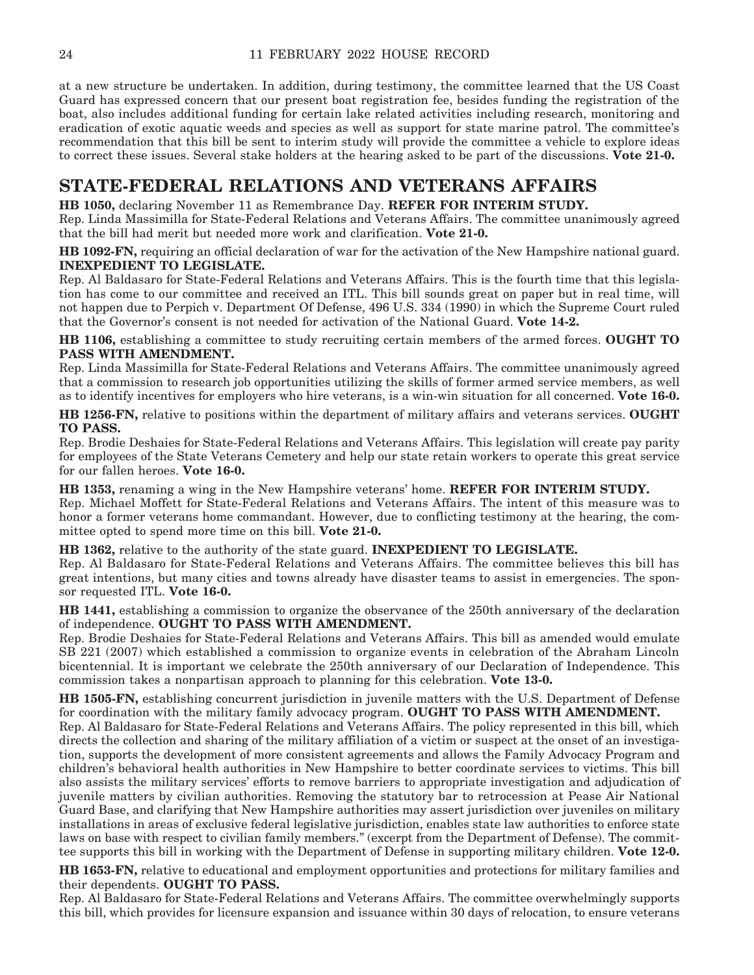at a new structure be undertaken. In addition, during testimony, the committee learned that the US Coast Guard has expressed concern that our present boat registration fee, besides funding the registration of the boat, also includes additional funding for certain lake related activities including research, monitoring and eradication of exotic aquatic weeds and species as well as support for state marine patrol. The committee's recommendation that this bill be sent to interim study will provide the committee a vehicle to explore ideas to correct these issues. Several stake holders at the hearing asked to be part of the discussions. **Vote 21-0.**

### **STATE-FEDERAL RELATIONS AND VETERANS AFFAIRS**

**HB 1050,** declaring November 11 as Remembrance Day. **REFER FOR INTERIM STUDY.**

Rep. Linda Massimilla for State-Federal Relations and Veterans Affairs. The committee unanimously agreed that the bill had merit but needed more work and clarification. **Vote 21-0.**

**HB 1092-FN,** requiring an official declaration of war for the activation of the New Hampshire national guard. **INEXPEDIENT TO LEGISLATE.**

Rep. Al Baldasaro for State-Federal Relations and Veterans Affairs. This is the fourth time that this legislation has come to our committee and received an ITL. This bill sounds great on paper but in real time, will not happen due to Perpich v. Department Of Defense, 496 U.S. 334 (1990) in which the Supreme Court ruled that the Governor's consent is not needed for activation of the National Guard. **Vote 14-2.**

**HB 1106,** establishing a committee to study recruiting certain members of the armed forces. **OUGHT TO PASS WITH AMENDMENT.**

Rep. Linda Massimilla for State-Federal Relations and Veterans Affairs. The committee unanimously agreed that a commission to research job opportunities utilizing the skills of former armed service members, as well as to identify incentives for employers who hire veterans, is a win-win situation for all concerned. **Vote 16-0.**

**HB 1256-FN,** relative to positions within the department of military affairs and veterans services. **OUGHT TO PASS.**

Rep. Brodie Deshaies for State-Federal Relations and Veterans Affairs. This legislation will create pay parity for employees of the State Veterans Cemetery and help our state retain workers to operate this great service for our fallen heroes. **Vote 16-0.**

**HB 1353,** renaming a wing in the New Hampshire veterans' home. **REFER FOR INTERIM STUDY.** Rep. Michael Moffett for State-Federal Relations and Veterans Affairs. The intent of this measure was to honor a former veterans home commandant. However, due to conflicting testimony at the hearing, the committee opted to spend more time on this bill. **Vote 21-0.**

**HB 1362,** relative to the authority of the state guard. **INEXPEDIENT TO LEGISLATE.** Rep. Al Baldasaro for State-Federal Relations and Veterans Affairs. The committee believes this bill has great intentions, but many cities and towns already have disaster teams to assist in emergencies. The sponsor requested ITL. **Vote 16-0.**

**HB 1441,** establishing a commission to organize the observance of the 250th anniversary of the declaration of independence. **OUGHT TO PASS WITH AMENDMENT.**

Rep. Brodie Deshaies for State-Federal Relations and Veterans Affairs. This bill as amended would emulate SB 221 (2007) which established a commission to organize events in celebration of the Abraham Lincoln bicentennial. It is important we celebrate the 250th anniversary of our Declaration of Independence. This commission takes a nonpartisan approach to planning for this celebration. **Vote 13-0.**

**HB 1505-FN,** establishing concurrent jurisdiction in juvenile matters with the U.S. Department of Defense for coordination with the military family advocacy program. **OUGHT TO PASS WITH AMENDMENT.**

Rep. Al Baldasaro for State-Federal Relations and Veterans Affairs. The policy represented in this bill, which directs the collection and sharing of the military affiliation of a victim or suspect at the onset of an investigation, supports the development of more consistent agreements and allows the Family Advocacy Program and children's behavioral health authorities in New Hampshire to better coordinate services to victims. This bill also assists the military services' efforts to remove barriers to appropriate investigation and adjudication of juvenile matters by civilian authorities. Removing the statutory bar to retrocession at Pease Air National Guard Base, and clarifying that New Hampshire authorities may assert jurisdiction over juveniles on military installations in areas of exclusive federal legislative jurisdiction, enables state law authorities to enforce state laws on base with respect to civilian family members." (excerpt from the Department of Defense). The committee supports this bill in working with the Department of Defense in supporting military children. **Vote 12-0.**

**HB 1653-FN,** relative to educational and employment opportunities and protections for military families and their dependents. **OUGHT TO PASS.**

Rep. Al Baldasaro for State-Federal Relations and Veterans Affairs. The committee overwhelmingly supports this bill, which provides for licensure expansion and issuance within 30 days of relocation, to ensure veterans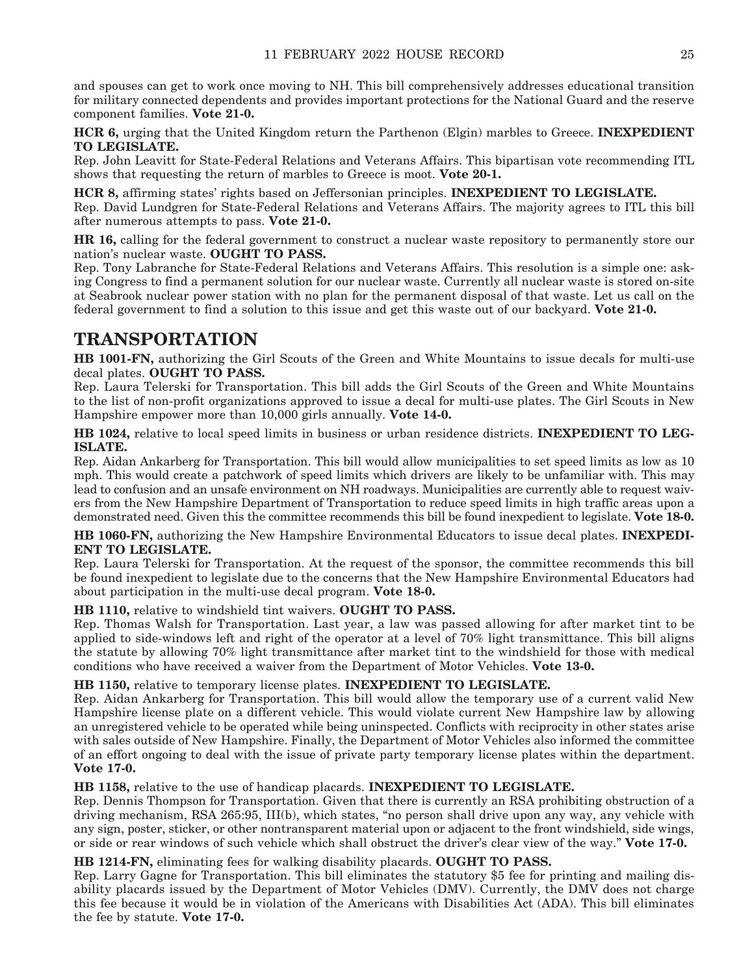and spouses can get to work once moving to NH. This bill comprehensively addresses educational transition for military connected dependents and provides important protections for the National Guard and the reserve component families. **Vote 21-0.**

**HCR 6,** urging that the United Kingdom return the Parthenon (Elgin) marbles to Greece. **INEXPEDIENT TO LEGISLATE.**

Rep. John Leavitt for State-Federal Relations and Veterans Affairs. This bipartisan vote recommending ITL shows that requesting the return of marbles to Greece is moot. **Vote 20-1.**

**HCR 8,** affirming states' rights based on Jeffersonian principles. **INEXPEDIENT TO LEGISLATE.** Rep. David Lundgren for State-Federal Relations and Veterans Affairs. The majority agrees to ITL this bill after numerous attempts to pass. **Vote 21-0.**

**HR 16,** calling for the federal government to construct a nuclear waste repository to permanently store our nation's nuclear waste. **OUGHT TO PASS.**

Rep. Tony Labranche for State-Federal Relations and Veterans Affairs. This resolution is a simple one: asking Congress to find a permanent solution for our nuclear waste. Currently all nuclear waste is stored on-site at Seabrook nuclear power station with no plan for the permanent disposal of that waste. Let us call on the federal government to find a solution to this issue and get this waste out of our backyard. **Vote 21-0.**

### **TRANSPORTATION**

**HB 1001-FN,** authorizing the Girl Scouts of the Green and White Mountains to issue decals for multi-use decal plates. **OUGHT TO PASS.**

Rep. Laura Telerski for Transportation. This bill adds the Girl Scouts of the Green and White Mountains to the list of non-profit organizations approved to issue a decal for multi-use plates. The Girl Scouts in New Hampshire empower more than 10,000 girls annually. **Vote 14-0.**

**HB 1024,** relative to local speed limits in business or urban residence districts. **INEXPEDIENT TO LEG-ISLATE.**

Rep. Aidan Ankarberg for Transportation. This bill would allow municipalities to set speed limits as low as 10 mph. This would create a patchwork of speed limits which drivers are likely to be unfamiliar with. This may lead to confusion and an unsafe environment on NH roadways. Municipalities are currently able to request waivers from the New Hampshire Department of Transportation to reduce speed limits in high traffic areas upon a demonstrated need. Given this the committee recommends this bill be found inexpedient to legislate. **Vote 18-0.**

**HB 1060-FN,** authorizing the New Hampshire Environmental Educators to issue decal plates. **INEXPEDI-ENT TO LEGISLATE.**

Rep. Laura Telerski for Transportation. At the request of the sponsor, the committee recommends this bill be found inexpedient to legislate due to the concerns that the New Hampshire Environmental Educators had about participation in the multi-use decal program. **Vote 18-0.**

### **HB 1110,** relative to windshield tint waivers. **OUGHT TO PASS.**

Rep. Thomas Walsh for Transportation. Last year, a law was passed allowing for after market tint to be applied to side-windows left and right of the operator at a level of 70% light transmittance. This bill aligns the statute by allowing 70% light transmittance after market tint to the windshield for those with medical conditions who have received a waiver from the Department of Motor Vehicles. **Vote 13-0.**

### **HB 1150,** relative to temporary license plates. **INEXPEDIENT TO LEGISLATE.**

Rep. Aidan Ankarberg for Transportation. This bill would allow the temporary use of a current valid New Hampshire license plate on a different vehicle. This would violate current New Hampshire law by allowing an unregistered vehicle to be operated while being uninspected. Conflicts with reciprocity in other states arise with sales outside of New Hampshire. Finally, the Department of Motor Vehicles also informed the committee of an effort ongoing to deal with the issue of private party temporary license plates within the department. **Vote 17-0.**

**HB 1158,** relative to the use of handicap placards. **INEXPEDIENT TO LEGISLATE.**

Rep. Dennis Thompson for Transportation. Given that there is currently an RSA prohibiting obstruction of a driving mechanism, RSA 265:95, III(b), which states, "no person shall drive upon any way, any vehicle with any sign, poster, sticker, or other nontransparent material upon or adjacent to the front windshield, side wings, or side or rear windows of such vehicle which shall obstruct the driver's clear view of the way." **Vote 17-0.**

### **HB 1214-FN,** eliminating fees for walking disability placards. **OUGHT TO PASS.**

Rep. Larry Gagne for Transportation. This bill eliminates the statutory \$5 fee for printing and mailing disability placards issued by the Department of Motor Vehicles (DMV). Currently, the DMV does not charge this fee because it would be in violation of the Americans with Disabilities Act (ADA). This bill eliminates the fee by statute. **Vote 17-0.**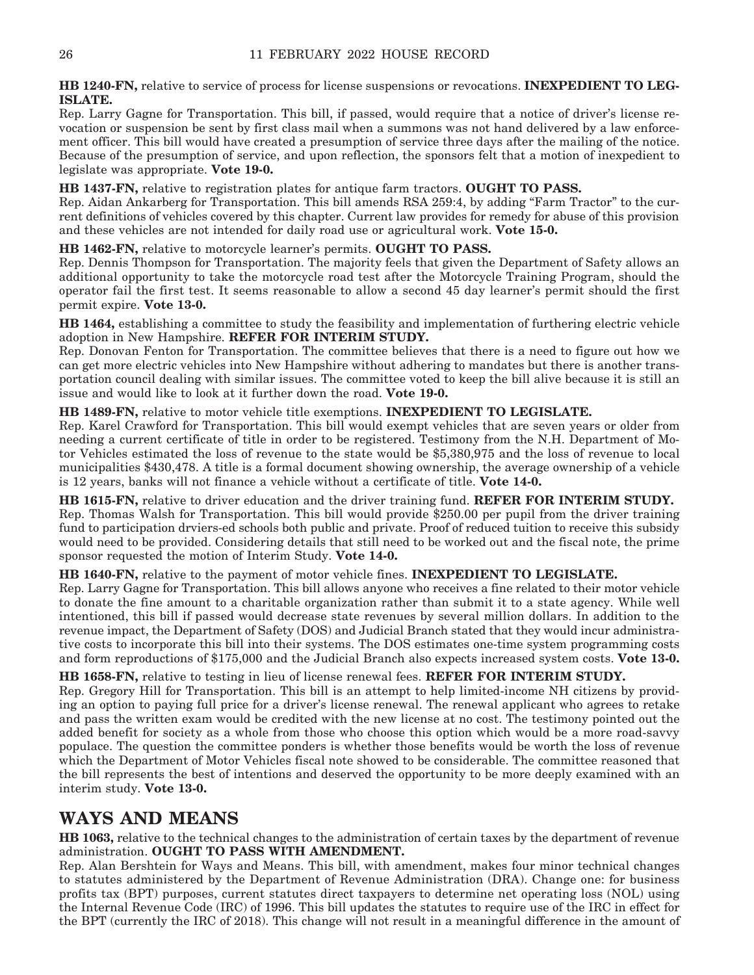**HB 1240-FN,** relative to service of process for license suspensions or revocations. **INEXPEDIENT TO LEG-ISLATE.**

Rep. Larry Gagne for Transportation. This bill, if passed, would require that a notice of driver's license revocation or suspension be sent by first class mail when a summons was not hand delivered by a law enforcement officer. This bill would have created a presumption of service three days after the mailing of the notice. Because of the presumption of service, and upon reflection, the sponsors felt that a motion of inexpedient to legislate was appropriate. **Vote 19-0.**

**HB 1437-FN,** relative to registration plates for antique farm tractors. **OUGHT TO PASS.**

Rep. Aidan Ankarberg for Transportation. This bill amends RSA 259:4, by adding "Farm Tractor" to the current definitions of vehicles covered by this chapter. Current law provides for remedy for abuse of this provision and these vehicles are not intended for daily road use or agricultural work. **Vote 15-0.**

**HB 1462-FN,** relative to motorcycle learner's permits. **OUGHT TO PASS.**

Rep. Dennis Thompson for Transportation. The majority feels that given the Department of Safety allows an additional opportunity to take the motorcycle road test after the Motorcycle Training Program, should the operator fail the first test. It seems reasonable to allow a second 45 day learner's permit should the first permit expire. **Vote 13-0.**

**HB 1464,** establishing a committee to study the feasibility and implementation of furthering electric vehicle adoption in New Hampshire. **REFER FOR INTERIM STUDY.**

Rep. Donovan Fenton for Transportation. The committee believes that there is a need to figure out how we can get more electric vehicles into New Hampshire without adhering to mandates but there is another transportation council dealing with similar issues. The committee voted to keep the bill alive because it is still an issue and would like to look at it further down the road. **Vote 19-0.**

**HB 1489-FN,** relative to motor vehicle title exemptions. **INEXPEDIENT TO LEGISLATE.**

Rep. Karel Crawford for Transportation. This bill would exempt vehicles that are seven years or older from needing a current certificate of title in order to be registered. Testimony from the N.H. Department of Motor Vehicles estimated the loss of revenue to the state would be \$5,380,975 and the loss of revenue to local municipalities \$430,478. A title is a formal document showing ownership, the average ownership of a vehicle is 12 years, banks will not finance a vehicle without a certificate of title. **Vote 14-0.**

**HB 1615-FN,** relative to driver education and the driver training fund. **REFER FOR INTERIM STUDY.** Rep. Thomas Walsh for Transportation. This bill would provide \$250.00 per pupil from the driver training fund to participation drviers-ed schools both public and private. Proof of reduced tuition to receive this subsidy would need to be provided. Considering details that still need to be worked out and the fiscal note, the prime sponsor requested the motion of Interim Study. **Vote 14-0.**

**HB 1640-FN,** relative to the payment of motor vehicle fines. **INEXPEDIENT TO LEGISLATE.**

Rep. Larry Gagne for Transportation. This bill allows anyone who receives a fine related to their motor vehicle to donate the fine amount to a charitable organization rather than submit it to a state agency. While well intentioned, this bill if passed would decrease state revenues by several million dollars. In addition to the revenue impact, the Department of Safety (DOS) and Judicial Branch stated that they would incur administrative costs to incorporate this bill into their systems. The DOS estimates one-time system programming costs and form reproductions of \$175,000 and the Judicial Branch also expects increased system costs. **Vote 13-0.**

**HB 1658-FN,** relative to testing in lieu of license renewal fees. **REFER FOR INTERIM STUDY.**

Rep. Gregory Hill for Transportation. This bill is an attempt to help limited-income NH citizens by providing an option to paying full price for a driver's license renewal. The renewal applicant who agrees to retake and pass the written exam would be credited with the new license at no cost. The testimony pointed out the added benefit for society as a whole from those who choose this option which would be a more road-savvy populace. The question the committee ponders is whether those benefits would be worth the loss of revenue which the Department of Motor Vehicles fiscal note showed to be considerable. The committee reasoned that the bill represents the best of intentions and deserved the opportunity to be more deeply examined with an interim study. **Vote 13-0.**

### **WAYS AND MEANS**

**HB 1063,** relative to the technical changes to the administration of certain taxes by the department of revenue administration. **OUGHT TO PASS WITH AMENDMENT.**

Rep. Alan Bershtein for Ways and Means. This bill, with amendment, makes four minor technical changes to statutes administered by the Department of Revenue Administration (DRA). Change one: for business profits tax (BPT) purposes, current statutes direct taxpayers to determine net operating loss (NOL) using the Internal Revenue Code (IRC) of 1996. This bill updates the statutes to require use of the IRC in effect for the BPT (currently the IRC of 2018). This change will not result in a meaningful difference in the amount of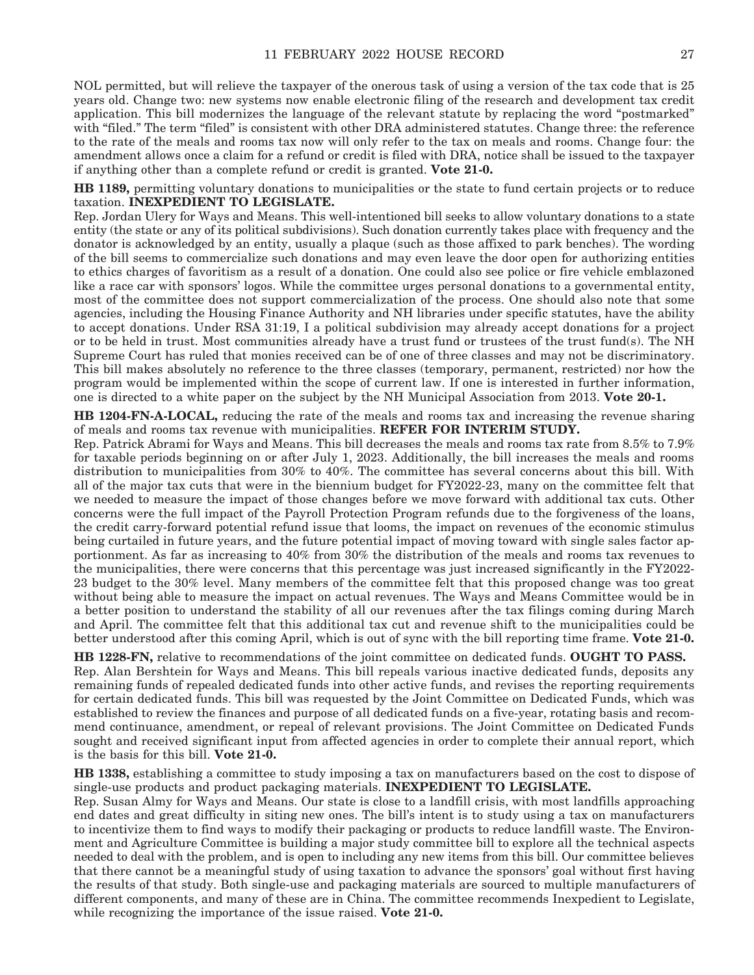NOL permitted, but will relieve the taxpayer of the onerous task of using a version of the tax code that is 25 years old. Change two: new systems now enable electronic filing of the research and development tax credit application. This bill modernizes the language of the relevant statute by replacing the word "postmarked" with "filed." The term "filed" is consistent with other DRA administered statutes. Change three: the reference to the rate of the meals and rooms tax now will only refer to the tax on meals and rooms. Change four: the amendment allows once a claim for a refund or credit is filed with DRA, notice shall be issued to the taxpayer if anything other than a complete refund or credit is granted. **Vote 21-0.**

**HB 1189,** permitting voluntary donations to municipalities or the state to fund certain projects or to reduce taxation. **INEXPEDIENT TO LEGISLATE.**

Rep. Jordan Ulery for Ways and Means. This well-intentioned bill seeks to allow voluntary donations to a state entity (the state or any of its political subdivisions). Such donation currently takes place with frequency and the donator is acknowledged by an entity, usually a plaque (such as those affixed to park benches). The wording of the bill seems to commercialize such donations and may even leave the door open for authorizing entities to ethics charges of favoritism as a result of a donation. One could also see police or fire vehicle emblazoned like a race car with sponsors' logos. While the committee urges personal donations to a governmental entity, most of the committee does not support commercialization of the process. One should also note that some agencies, including the Housing Finance Authority and NH libraries under specific statutes, have the ability to accept donations. Under RSA 31:19, I a political subdivision may already accept donations for a project or to be held in trust. Most communities already have a trust fund or trustees of the trust fund(s). The NH Supreme Court has ruled that monies received can be of one of three classes and may not be discriminatory. This bill makes absolutely no reference to the three classes (temporary, permanent, restricted) nor how the program would be implemented within the scope of current law. If one is interested in further information, one is directed to a white paper on the subject by the NH Municipal Association from 2013. **Vote 20-1.**

**HB 1204-FN-A-LOCAL,** reducing the rate of the meals and rooms tax and increasing the revenue sharing of meals and rooms tax revenue with municipalities. **REFER FOR INTERIM STUDY.**

Rep. Patrick Abrami for Ways and Means. This bill decreases the meals and rooms tax rate from 8.5% to 7.9% for taxable periods beginning on or after July 1, 2023. Additionally, the bill increases the meals and rooms distribution to municipalities from 30% to 40%. The committee has several concerns about this bill. With all of the major tax cuts that were in the biennium budget for FY2022-23, many on the committee felt that we needed to measure the impact of those changes before we move forward with additional tax cuts. Other concerns were the full impact of the Payroll Protection Program refunds due to the forgiveness of the loans, the credit carry-forward potential refund issue that looms, the impact on revenues of the economic stimulus being curtailed in future years, and the future potential impact of moving toward with single sales factor apportionment. As far as increasing to 40% from 30% the distribution of the meals and rooms tax revenues to the municipalities, there were concerns that this percentage was just increased significantly in the FY2022- 23 budget to the 30% level. Many members of the committee felt that this proposed change was too great without being able to measure the impact on actual revenues. The Ways and Means Committee would be in a better position to understand the stability of all our revenues after the tax filings coming during March and April. The committee felt that this additional tax cut and revenue shift to the municipalities could be better understood after this coming April, which is out of sync with the bill reporting time frame. **Vote 21-0.**

**HB 1228-FN,** relative to recommendations of the joint committee on dedicated funds. **OUGHT TO PASS.** Rep. Alan Bershtein for Ways and Means. This bill repeals various inactive dedicated funds, deposits any remaining funds of repealed dedicated funds into other active funds, and revises the reporting requirements for certain dedicated funds. This bill was requested by the Joint Committee on Dedicated Funds, which was established to review the finances and purpose of all dedicated funds on a five-year, rotating basis and recommend continuance, amendment, or repeal of relevant provisions. The Joint Committee on Dedicated Funds sought and received significant input from affected agencies in order to complete their annual report, which is the basis for this bill. **Vote 21-0.**

**HB 1338,** establishing a committee to study imposing a tax on manufacturers based on the cost to dispose of single-use products and product packaging materials. **INEXPEDIENT TO LEGISLATE.**

Rep. Susan Almy for Ways and Means. Our state is close to a landfill crisis, with most landfills approaching end dates and great difficulty in siting new ones. The bill's intent is to study using a tax on manufacturers to incentivize them to find ways to modify their packaging or products to reduce landfill waste. The Environment and Agriculture Committee is building a major study committee bill to explore all the technical aspects needed to deal with the problem, and is open to including any new items from this bill. Our committee believes that there cannot be a meaningful study of using taxation to advance the sponsors' goal without first having the results of that study. Both single-use and packaging materials are sourced to multiple manufacturers of different components, and many of these are in China. The committee recommends Inexpedient to Legislate, while recognizing the importance of the issue raised. **Vote 21-0.**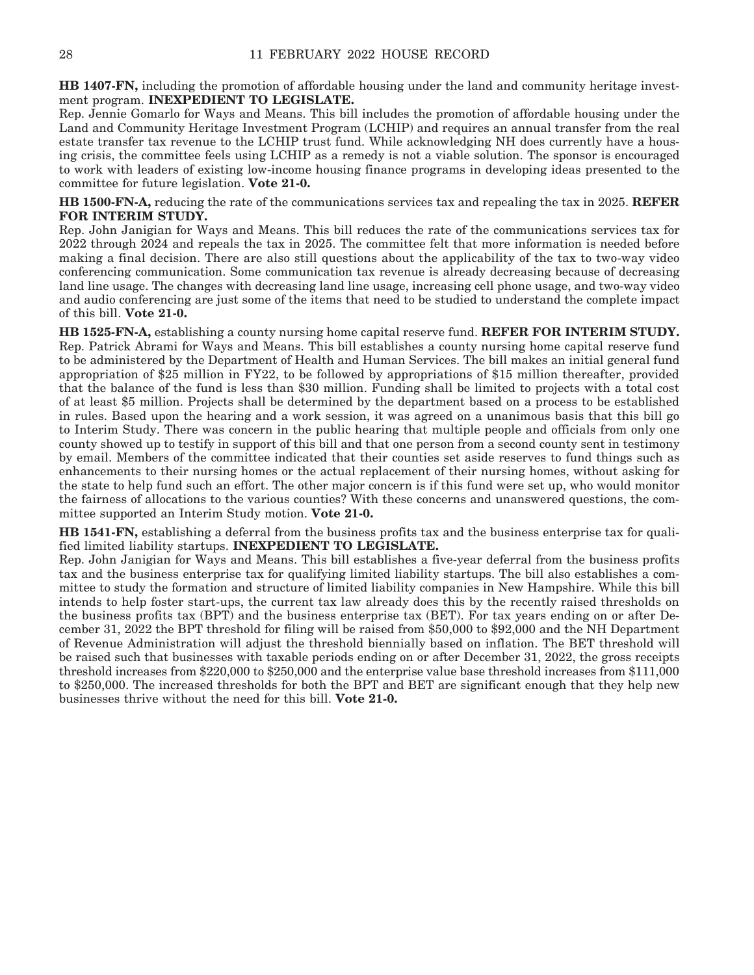**HB 1407-FN,** including the promotion of affordable housing under the land and community heritage investment program. **INEXPEDIENT TO LEGISLATE.**

Rep. Jennie Gomarlo for Ways and Means. This bill includes the promotion of affordable housing under the Land and Community Heritage Investment Program (LCHIP) and requires an annual transfer from the real estate transfer tax revenue to the LCHIP trust fund. While acknowledging NH does currently have a housing crisis, the committee feels using LCHIP as a remedy is not a viable solution. The sponsor is encouraged to work with leaders of existing low-income housing finance programs in developing ideas presented to the committee for future legislation. **Vote 21-0.**

**HB 1500-FN-A,** reducing the rate of the communications services tax and repealing the tax in 2025. **REFER FOR INTERIM STUDY.**

Rep. John Janigian for Ways and Means. This bill reduces the rate of the communications services tax for 2022 through 2024 and repeals the tax in 2025. The committee felt that more information is needed before making a final decision. There are also still questions about the applicability of the tax to two-way video conferencing communication. Some communication tax revenue is already decreasing because of decreasing land line usage. The changes with decreasing land line usage, increasing cell phone usage, and two-way video and audio conferencing are just some of the items that need to be studied to understand the complete impact of this bill. **Vote 21-0.**

**HB 1525-FN-A,** establishing a county nursing home capital reserve fund. **REFER FOR INTERIM STUDY.** Rep. Patrick Abrami for Ways and Means. This bill establishes a county nursing home capital reserve fund to be administered by the Department of Health and Human Services. The bill makes an initial general fund appropriation of \$25 million in FY22, to be followed by appropriations of \$15 million thereafter, provided that the balance of the fund is less than \$30 million. Funding shall be limited to projects with a total cost of at least \$5 million. Projects shall be determined by the department based on a process to be established in rules. Based upon the hearing and a work session, it was agreed on a unanimous basis that this bill go to Interim Study. There was concern in the public hearing that multiple people and officials from only one county showed up to testify in support of this bill and that one person from a second county sent in testimony by email. Members of the committee indicated that their counties set aside reserves to fund things such as enhancements to their nursing homes or the actual replacement of their nursing homes, without asking for the state to help fund such an effort. The other major concern is if this fund were set up, who would monitor the fairness of allocations to the various counties? With these concerns and unanswered questions, the committee supported an Interim Study motion. **Vote 21-0.**

**HB 1541-FN,** establishing a deferral from the business profits tax and the business enterprise tax for qualified limited liability startups. **INEXPEDIENT TO LEGISLATE.**

Rep. John Janigian for Ways and Means. This bill establishes a five-year deferral from the business profits tax and the business enterprise tax for qualifying limited liability startups. The bill also establishes a committee to study the formation and structure of limited liability companies in New Hampshire. While this bill intends to help foster start-ups, the current tax law already does this by the recently raised thresholds on the business profits tax (BPT) and the business enterprise tax (BET). For tax years ending on or after December 31, 2022 the BPT threshold for filing will be raised from \$50,000 to \$92,000 and the NH Department of Revenue Administration will adjust the threshold biennially based on inflation. The BET threshold will be raised such that businesses with taxable periods ending on or after December 31, 2022, the gross receipts threshold increases from \$220,000 to \$250,000 and the enterprise value base threshold increases from \$111,000 to \$250,000. The increased thresholds for both the BPT and BET are significant enough that they help new businesses thrive without the need for this bill. **Vote 21-0.**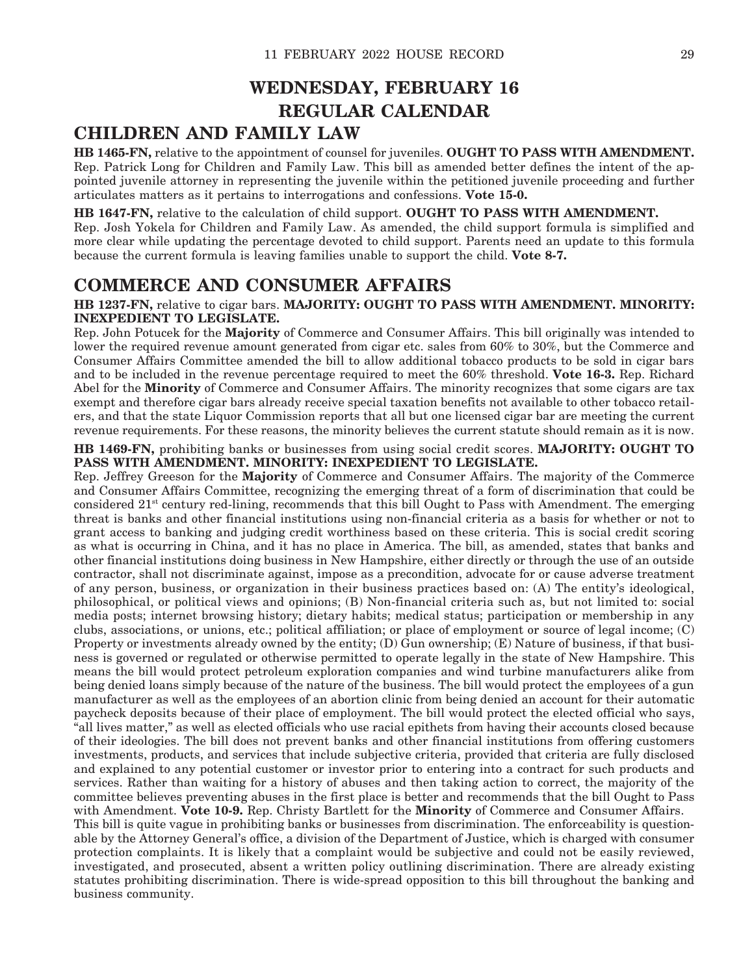### **WEDNESDAY, FEBRUARY 16 REGULAR CALENDAR**

### **CHILDREN AND FAMILY LAW**

**HB 1465-FN,** relative to the appointment of counsel for juveniles. **OUGHT TO PASS WITH AMENDMENT.** Rep. Patrick Long for Children and Family Law. This bill as amended better defines the intent of the appointed juvenile attorney in representing the juvenile within the petitioned juvenile proceeding and further articulates matters as it pertains to interrogations and confessions. **Vote 15-0.**

**HB 1647-FN,** relative to the calculation of child support. **OUGHT TO PASS WITH AMENDMENT.** Rep. Josh Yokela for Children and Family Law. As amended, the child support formula is simplified and more clear while updating the percentage devoted to child support. Parents need an update to this formula because the current formula is leaving families unable to support the child. **Vote 8-7.**

### **COMMERCE AND CONSUMER AFFAIRS**

#### **HB 1237-FN,** relative to cigar bars. **MAJORITY: OUGHT TO PASS WITH AMENDMENT. MINORITY: INEXPEDIENT TO LEGISLATE.**

Rep. John Potucek for the **Majority** of Commerce and Consumer Affairs. This bill originally was intended to lower the required revenue amount generated from cigar etc. sales from 60% to 30%, but the Commerce and Consumer Affairs Committee amended the bill to allow additional tobacco products to be sold in cigar bars and to be included in the revenue percentage required to meet the 60% threshold. **Vote 16-3.** Rep. Richard Abel for the **Minority** of Commerce and Consumer Affairs. The minority recognizes that some cigars are tax exempt and therefore cigar bars already receive special taxation benefits not available to other tobacco retailers, and that the state Liquor Commission reports that all but one licensed cigar bar are meeting the current revenue requirements. For these reasons, the minority believes the current statute should remain as it is now.

#### **HB 1469-FN,** prohibiting banks or businesses from using social credit scores. **MAJORITY: OUGHT TO PASS WITH AMENDMENT. MINORITY: INEXPEDIENT TO LEGISLATE.**

Rep. Jeffrey Greeson for the **Majority** of Commerce and Consumer Affairs. The majority of the Commerce and Consumer Affairs Committee, recognizing the emerging threat of a form of discrimination that could be considered 21st century red-lining, recommends that this bill Ought to Pass with Amendment. The emerging threat is banks and other financial institutions using non-financial criteria as a basis for whether or not to grant access to banking and judging credit worthiness based on these criteria. This is social credit scoring as what is occurring in China, and it has no place in America. The bill, as amended, states that banks and other financial institutions doing business in New Hampshire, either directly or through the use of an outside contractor, shall not discriminate against, impose as a precondition, advocate for or cause adverse treatment of any person, business, or organization in their business practices based on: (A) The entity's ideological, philosophical, or political views and opinions; (B) Non-financial criteria such as, but not limited to: social media posts; internet browsing history; dietary habits; medical status; participation or membership in any clubs, associations, or unions, etc.; political affiliation; or place of employment or source of legal income; (C) Property or investments already owned by the entity; (D) Gun ownership; (E) Nature of business, if that business is governed or regulated or otherwise permitted to operate legally in the state of New Hampshire. This means the bill would protect petroleum exploration companies and wind turbine manufacturers alike from being denied loans simply because of the nature of the business. The bill would protect the employees of a gun manufacturer as well as the employees of an abortion clinic from being denied an account for their automatic paycheck deposits because of their place of employment. The bill would protect the elected official who says, "all lives matter," as well as elected officials who use racial epithets from having their accounts closed because of their ideologies. The bill does not prevent banks and other financial institutions from offering customers investments, products, and services that include subjective criteria, provided that criteria are fully disclosed and explained to any potential customer or investor prior to entering into a contract for such products and services. Rather than waiting for a history of abuses and then taking action to correct, the majority of the committee believes preventing abuses in the first place is better and recommends that the bill Ought to Pass with Amendment. **Vote 10-9.** Rep. Christy Bartlett for the **Minority** of Commerce and Consumer Affairs. This bill is quite vague in prohibiting banks or businesses from discrimination. The enforceability is questionable by the Attorney General's office, a division of the Department of Justice, which is charged with consumer protection complaints. It is likely that a complaint would be subjective and could not be easily reviewed, investigated, and prosecuted, absent a written policy outlining discrimination. There are already existing statutes prohibiting discrimination. There is wide-spread opposition to this bill throughout the banking and business community.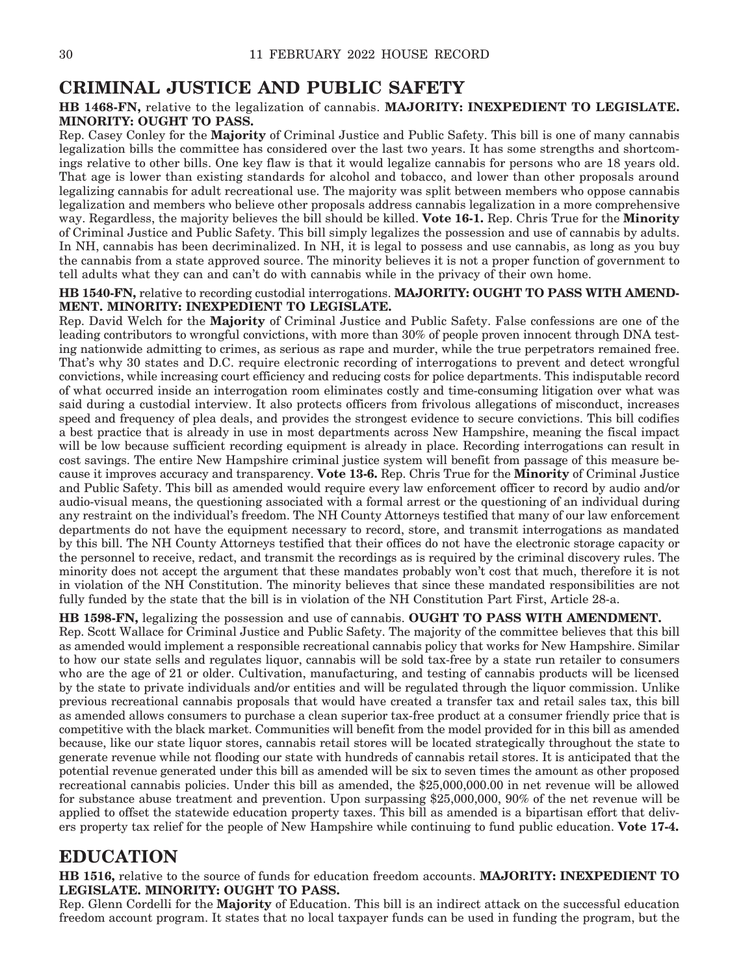### **CRIMINAL JUSTICE AND PUBLIC SAFETY**

#### **HB 1468-FN,** relative to the legalization of cannabis. **MAJORITY: INEXPEDIENT TO LEGISLATE. MINORITY: OUGHT TO PASS.**

Rep. Casey Conley for the **Majority** of Criminal Justice and Public Safety. This bill is one of many cannabis legalization bills the committee has considered over the last two years. It has some strengths and shortcomings relative to other bills. One key flaw is that it would legalize cannabis for persons who are 18 years old. That age is lower than existing standards for alcohol and tobacco, and lower than other proposals around legalizing cannabis for adult recreational use. The majority was split between members who oppose cannabis legalization and members who believe other proposals address cannabis legalization in a more comprehensive way. Regardless, the majority believes the bill should be killed. **Vote 16-1.** Rep. Chris True for the **Minority** of Criminal Justice and Public Safety. This bill simply legalizes the possession and use of cannabis by adults. In NH, cannabis has been decriminalized. In NH, it is legal to possess and use cannabis, as long as you buy the cannabis from a state approved source. The minority believes it is not a proper function of government to tell adults what they can and can't do with cannabis while in the privacy of their own home.

#### **HB 1540-FN,** relative to recording custodial interrogations. **MAJORITY: OUGHT TO PASS WITH AMEND-MENT. MINORITY: INEXPEDIENT TO LEGISLATE.**

Rep. David Welch for the **Majority** of Criminal Justice and Public Safety. False confessions are one of the leading contributors to wrongful convictions, with more than 30% of people proven innocent through DNA testing nationwide admitting to crimes, as serious as rape and murder, while the true perpetrators remained free. That's why 30 states and D.C. require electronic recording of interrogations to prevent and detect wrongful convictions, while increasing court efficiency and reducing costs for police departments. This indisputable record of what occurred inside an interrogation room eliminates costly and time-consuming litigation over what was said during a custodial interview. It also protects officers from frivolous allegations of misconduct, increases speed and frequency of plea deals, and provides the strongest evidence to secure convictions. This bill codifies a best practice that is already in use in most departments across New Hampshire, meaning the fiscal impact will be low because sufficient recording equipment is already in place. Recording interrogations can result in cost savings. The entire New Hampshire criminal justice system will benefit from passage of this measure because it improves accuracy and transparency. **Vote 13-6.** Rep. Chris True for the **Minority** of Criminal Justice and Public Safety. This bill as amended would require every law enforcement officer to record by audio and/or audio-visual means, the questioning associated with a formal arrest or the questioning of an individual during any restraint on the individual's freedom. The NH County Attorneys testified that many of our law enforcement departments do not have the equipment necessary to record, store, and transmit interrogations as mandated by this bill. The NH County Attorneys testified that their offices do not have the electronic storage capacity or the personnel to receive, redact, and transmit the recordings as is required by the criminal discovery rules. The minority does not accept the argument that these mandates probably won't cost that much, therefore it is not in violation of the NH Constitution. The minority believes that since these mandated responsibilities are not fully funded by the state that the bill is in violation of the NH Constitution Part First, Article 28-a.

**HB 1598-FN,** legalizing the possession and use of cannabis. **OUGHT TO PASS WITH AMENDMENT.** Rep. Scott Wallace for Criminal Justice and Public Safety. The majority of the committee believes that this bill as amended would implement a responsible recreational cannabis policy that works for New Hampshire. Similar to how our state sells and regulates liquor, cannabis will be sold tax-free by a state run retailer to consumers who are the age of 21 or older. Cultivation, manufacturing, and testing of cannabis products will be licensed by the state to private individuals and/or entities and will be regulated through the liquor commission. Unlike previous recreational cannabis proposals that would have created a transfer tax and retail sales tax, this bill as amended allows consumers to purchase a clean superior tax-free product at a consumer friendly price that is competitive with the black market. Communities will benefit from the model provided for in this bill as amended because, like our state liquor stores, cannabis retail stores will be located strategically throughout the state to generate revenue while not flooding our state with hundreds of cannabis retail stores. It is anticipated that the potential revenue generated under this bill as amended will be six to seven times the amount as other proposed recreational cannabis policies. Under this bill as amended, the \$25,000,000.00 in net revenue will be allowed for substance abuse treatment and prevention. Upon surpassing \$25,000,000, 90% of the net revenue will be applied to offset the statewide education property taxes. This bill as amended is a bipartisan effort that delivers property tax relief for the people of New Hampshire while continuing to fund public education. **Vote 17-4.**

### **EDUCATION**

**HB 1516,** relative to the source of funds for education freedom accounts. **MAJORITY: INEXPEDIENT TO LEGISLATE. MINORITY: OUGHT TO PASS.**

Rep. Glenn Cordelli for the **Majority** of Education. This bill is an indirect attack on the successful education freedom account program. It states that no local taxpayer funds can be used in funding the program, but the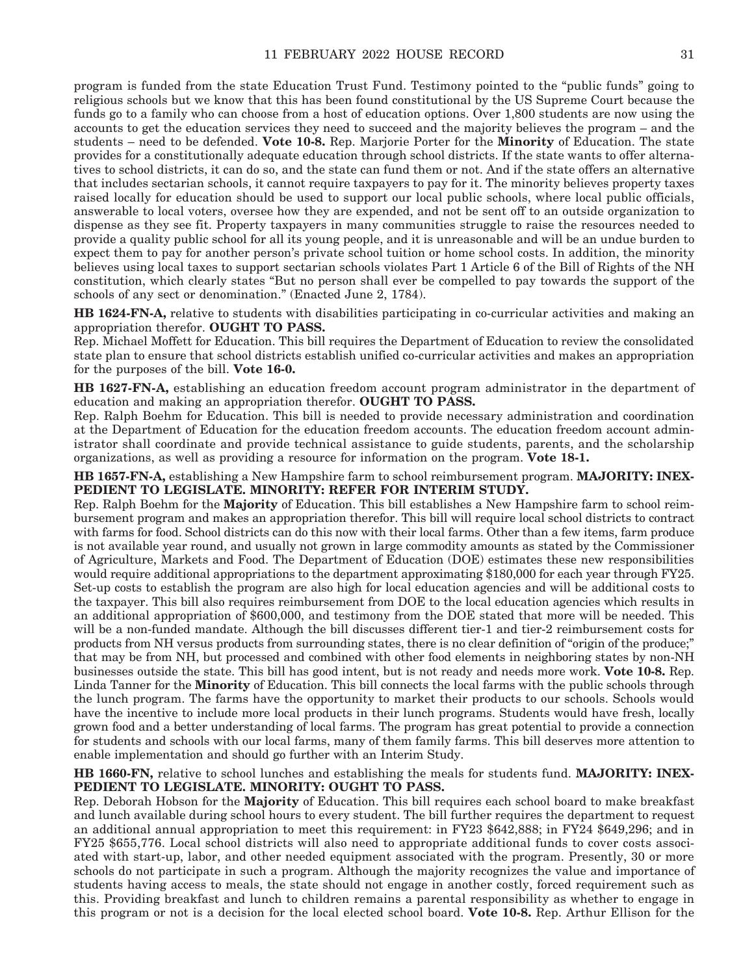program is funded from the state Education Trust Fund. Testimony pointed to the "public funds" going to religious schools but we know that this has been found constitutional by the US Supreme Court because the funds go to a family who can choose from a host of education options. Over 1,800 students are now using the accounts to get the education services they need to succeed and the majority believes the program – and the students – need to be defended. **Vote 10-8.** Rep. Marjorie Porter for the **Minority** of Education. The state provides for a constitutionally adequate education through school districts. If the state wants to offer alternatives to school districts, it can do so, and the state can fund them or not. And if the state offers an alternative that includes sectarian schools, it cannot require taxpayers to pay for it. The minority believes property taxes raised locally for education should be used to support our local public schools, where local public officials, answerable to local voters, oversee how they are expended, and not be sent off to an outside organization to dispense as they see fit. Property taxpayers in many communities struggle to raise the resources needed to provide a quality public school for all its young people, and it is unreasonable and will be an undue burden to expect them to pay for another person's private school tuition or home school costs. In addition, the minority believes using local taxes to support sectarian schools violates Part 1 Article 6 of the Bill of Rights of the NH constitution, which clearly states "But no person shall ever be compelled to pay towards the support of the schools of any sect or denomination." (Enacted June 2, 1784).

**HB 1624-FN-A,** relative to students with disabilities participating in co-curricular activities and making an appropriation therefor. **OUGHT TO PASS.**

Rep. Michael Moffett for Education. This bill requires the Department of Education to review the consolidated state plan to ensure that school districts establish unified co-curricular activities and makes an appropriation for the purposes of the bill. **Vote 16-0.**

**HB 1627-FN-A,** establishing an education freedom account program administrator in the department of education and making an appropriation therefor. **OUGHT TO PASS.**

Rep. Ralph Boehm for Education. This bill is needed to provide necessary administration and coordination at the Department of Education for the education freedom accounts. The education freedom account administrator shall coordinate and provide technical assistance to guide students, parents, and the scholarship organizations, as well as providing a resource for information on the program. **Vote 18-1.**

#### **HB 1657-FN-A,** establishing a New Hampshire farm to school reimbursement program. **MAJORITY: INEX-PEDIENT TO LEGISLATE. MINORITY: REFER FOR INTERIM STUDY.**

Rep. Ralph Boehm for the **Majority** of Education. This bill establishes a New Hampshire farm to school reimbursement program and makes an appropriation therefor. This bill will require local school districts to contract with farms for food. School districts can do this now with their local farms. Other than a few items, farm produce is not available year round, and usually not grown in large commodity amounts as stated by the Commissioner of Agriculture, Markets and Food. The Department of Education (DOE) estimates these new responsibilities would require additional appropriations to the department approximating \$180,000 for each year through FY25. Set-up costs to establish the program are also high for local education agencies and will be additional costs to the taxpayer. This bill also requires reimbursement from DOE to the local education agencies which results in an additional appropriation of \$600,000, and testimony from the DOE stated that more will be needed. This will be a non-funded mandate. Although the bill discusses different tier-1 and tier-2 reimbursement costs for products from NH versus products from surrounding states, there is no clear definition of "origin of the produce;" that may be from NH, but processed and combined with other food elements in neighboring states by non-NH businesses outside the state. This bill has good intent, but is not ready and needs more work. **Vote 10-8.** Rep. Linda Tanner for the **Minority** of Education. This bill connects the local farms with the public schools through the lunch program. The farms have the opportunity to market their products to our schools. Schools would have the incentive to include more local products in their lunch programs. Students would have fresh, locally grown food and a better understanding of local farms. The program has great potential to provide a connection for students and schools with our local farms, many of them family farms. This bill deserves more attention to enable implementation and should go further with an Interim Study.

**HB 1660-FN,** relative to school lunches and establishing the meals for students fund. **MAJORITY: INEX-PEDIENT TO LEGISLATE. MINORITY: OUGHT TO PASS.**

Rep. Deborah Hobson for the **Majority** of Education. This bill requires each school board to make breakfast and lunch available during school hours to every student. The bill further requires the department to request an additional annual appropriation to meet this requirement: in FY23 \$642,888; in FY24 \$649,296; and in FY25 \$655,776. Local school districts will also need to appropriate additional funds to cover costs associated with start-up, labor, and other needed equipment associated with the program. Presently, 30 or more schools do not participate in such a program. Although the majority recognizes the value and importance of students having access to meals, the state should not engage in another costly, forced requirement such as this. Providing breakfast and lunch to children remains a parental responsibility as whether to engage in this program or not is a decision for the local elected school board. **Vote 10-8.** Rep. Arthur Ellison for the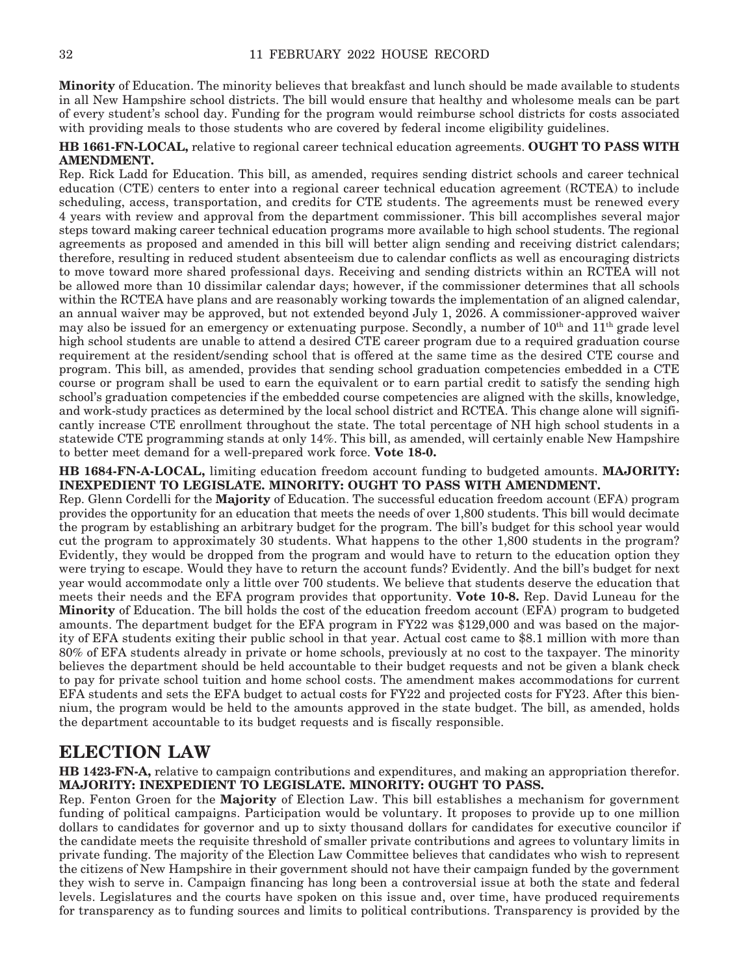**Minority** of Education. The minority believes that breakfast and lunch should be made available to students in all New Hampshire school districts. The bill would ensure that healthy and wholesome meals can be part of every student's school day. Funding for the program would reimburse school districts for costs associated with providing meals to those students who are covered by federal income eligibility guidelines.

#### **HB 1661-FN-LOCAL,** relative to regional career technical education agreements. **OUGHT TO PASS WITH AMENDMENT.**

Rep. Rick Ladd for Education. This bill, as amended, requires sending district schools and career technical education (CTE) centers to enter into a regional career technical education agreement (RCTEA) to include scheduling, access, transportation, and credits for CTE students. The agreements must be renewed every 4 years with review and approval from the department commissioner. This bill accomplishes several major steps toward making career technical education programs more available to high school students. The regional agreements as proposed and amended in this bill will better align sending and receiving district calendars; therefore, resulting in reduced student absenteeism due to calendar conflicts as well as encouraging districts to move toward more shared professional days. Receiving and sending districts within an RCTEA will not be allowed more than 10 dissimilar calendar days; however, if the commissioner determines that all schools within the RCTEA have plans and are reasonably working towards the implementation of an aligned calendar, an annual waiver may be approved, but not extended beyond July 1, 2026. A commissioner-approved waiver may also be issued for an emergency or extenuating purpose. Secondly, a number of  $10<sup>th</sup>$  and  $11<sup>th</sup>$  grade level high school students are unable to attend a desired CTE career program due to a required graduation course requirement at the resident/sending school that is offered at the same time as the desired CTE course and program. This bill, as amended, provides that sending school graduation competencies embedded in a CTE course or program shall be used to earn the equivalent or to earn partial credit to satisfy the sending high school's graduation competencies if the embedded course competencies are aligned with the skills, knowledge, and work-study practices as determined by the local school district and RCTEA. This change alone will significantly increase CTE enrollment throughout the state. The total percentage of NH high school students in a statewide CTE programming stands at only 14%. This bill, as amended, will certainly enable New Hampshire to better meet demand for a well-prepared work force. **Vote 18-0.**

#### **HB 1684-FN-A-LOCAL,** limiting education freedom account funding to budgeted amounts. **MAJORITY: INEXPEDIENT TO LEGISLATE. MINORITY: OUGHT TO PASS WITH AMENDMENT.**

Rep. Glenn Cordelli for the **Majority** of Education. The successful education freedom account (EFA) program provides the opportunity for an education that meets the needs of over 1,800 students. This bill would decimate the program by establishing an arbitrary budget for the program. The bill's budget for this school year would cut the program to approximately 30 students. What happens to the other 1,800 students in the program? Evidently, they would be dropped from the program and would have to return to the education option they were trying to escape. Would they have to return the account funds? Evidently. And the bill's budget for next year would accommodate only a little over 700 students. We believe that students deserve the education that meets their needs and the EFA program provides that opportunity. **Vote 10-8.** Rep. David Luneau for the **Minority** of Education. The bill holds the cost of the education freedom account (EFA) program to budgeted amounts. The department budget for the EFA program in FY22 was \$129,000 and was based on the majority of EFA students exiting their public school in that year. Actual cost came to \$8.1 million with more than 80% of EFA students already in private or home schools, previously at no cost to the taxpayer. The minority believes the department should be held accountable to their budget requests and not be given a blank check to pay for private school tuition and home school costs. The amendment makes accommodations for current EFA students and sets the EFA budget to actual costs for FY22 and projected costs for FY23. After this biennium, the program would be held to the amounts approved in the state budget. The bill, as amended, holds the department accountable to its budget requests and is fiscally responsible.

### **ELECTION LAW**

**HB 1423-FN-A,** relative to campaign contributions and expenditures, and making an appropriation therefor. **MAJORITY: INEXPEDIENT TO LEGISLATE. MINORITY: OUGHT TO PASS.**

Rep. Fenton Groen for the **Majority** of Election Law. This bill establishes a mechanism for government funding of political campaigns. Participation would be voluntary. It proposes to provide up to one million dollars to candidates for governor and up to sixty thousand dollars for candidates for executive councilor if the candidate meets the requisite threshold of smaller private contributions and agrees to voluntary limits in private funding. The majority of the Election Law Committee believes that candidates who wish to represent the citizens of New Hampshire in their government should not have their campaign funded by the government they wish to serve in. Campaign financing has long been a controversial issue at both the state and federal levels. Legislatures and the courts have spoken on this issue and, over time, have produced requirements for transparency as to funding sources and limits to political contributions. Transparency is provided by the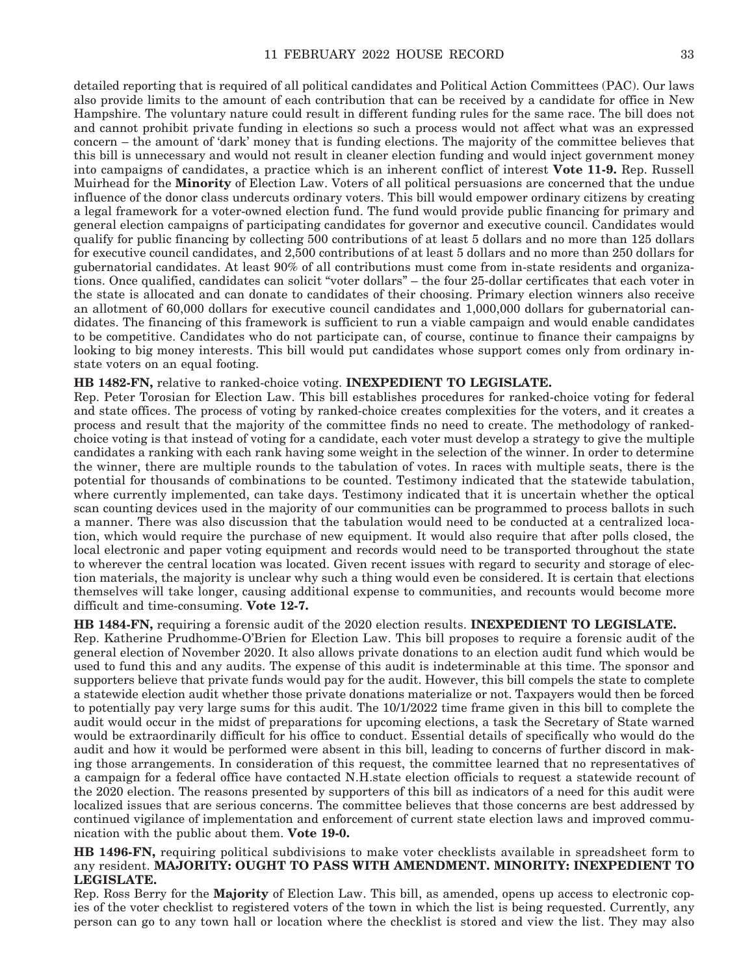detailed reporting that is required of all political candidates and Political Action Committees (PAC). Our laws also provide limits to the amount of each contribution that can be received by a candidate for office in New Hampshire. The voluntary nature could result in different funding rules for the same race. The bill does not and cannot prohibit private funding in elections so such a process would not affect what was an expressed concern – the amount of 'dark' money that is funding elections. The majority of the committee believes that this bill is unnecessary and would not result in cleaner election funding and would inject government money into campaigns of candidates, a practice which is an inherent conflict of interest **Vote 11-9.** Rep. Russell Muirhead for the **Minority** of Election Law. Voters of all political persuasions are concerned that the undue influence of the donor class undercuts ordinary voters. This bill would empower ordinary citizens by creating a legal framework for a voter-owned election fund. The fund would provide public financing for primary and general election campaigns of participating candidates for governor and executive council. Candidates would qualify for public financing by collecting 500 contributions of at least 5 dollars and no more than 125 dollars for executive council candidates, and 2,500 contributions of at least 5 dollars and no more than 250 dollars for gubernatorial candidates. At least 90% of all contributions must come from in-state residents and organizations. Once qualified, candidates can solicit "voter dollars" – the four 25-dollar certificates that each voter in the state is allocated and can donate to candidates of their choosing. Primary election winners also receive an allotment of 60,000 dollars for executive council candidates and 1,000,000 dollars for gubernatorial candidates. The financing of this framework is sufficient to run a viable campaign and would enable candidates to be competitive. Candidates who do not participate can, of course, continue to finance their campaigns by looking to big money interests. This bill would put candidates whose support comes only from ordinary instate voters on an equal footing.

#### **HB 1482-FN,** relative to ranked-choice voting. **INEXPEDIENT TO LEGISLATE.**

Rep. Peter Torosian for Election Law. This bill establishes procedures for ranked-choice voting for federal and state offices. The process of voting by ranked-choice creates complexities for the voters, and it creates a process and result that the majority of the committee finds no need to create. The methodology of rankedchoice voting is that instead of voting for a candidate, each voter must develop a strategy to give the multiple candidates a ranking with each rank having some weight in the selection of the winner. In order to determine the winner, there are multiple rounds to the tabulation of votes. In races with multiple seats, there is the potential for thousands of combinations to be counted. Testimony indicated that the statewide tabulation, where currently implemented, can take days. Testimony indicated that it is uncertain whether the optical scan counting devices used in the majority of our communities can be programmed to process ballots in such a manner. There was also discussion that the tabulation would need to be conducted at a centralized location, which would require the purchase of new equipment. It would also require that after polls closed, the local electronic and paper voting equipment and records would need to be transported throughout the state to wherever the central location was located. Given recent issues with regard to security and storage of election materials, the majority is unclear why such a thing would even be considered. It is certain that elections themselves will take longer, causing additional expense to communities, and recounts would become more difficult and time-consuming. **Vote 12-7.**

**HB 1484-FN,** requiring a forensic audit of the 2020 election results. **INEXPEDIENT TO LEGISLATE.** Rep. Katherine Prudhomme-O'Brien for Election Law. This bill proposes to require a forensic audit of the general election of November 2020. It also allows private donations to an election audit fund which would be used to fund this and any audits. The expense of this audit is indeterminable at this time. The sponsor and supporters believe that private funds would pay for the audit. However, this bill compels the state to complete a statewide election audit whether those private donations materialize or not. Taxpayers would then be forced to potentially pay very large sums for this audit. The 10/1/2022 time frame given in this bill to complete the audit would occur in the midst of preparations for upcoming elections, a task the Secretary of State warned would be extraordinarily difficult for his office to conduct. Essential details of specifically who would do the audit and how it would be performed were absent in this bill, leading to concerns of further discord in making those arrangements. In consideration of this request, the committee learned that no representatives of a campaign for a federal office have contacted N.H.state election officials to request a statewide recount of the 2020 election. The reasons presented by supporters of this bill as indicators of a need for this audit were localized issues that are serious concerns. The committee believes that those concerns are best addressed by continued vigilance of implementation and enforcement of current state election laws and improved communication with the public about them. **Vote 19-0.**

#### **HB 1496-FN,** requiring political subdivisions to make voter checklists available in spreadsheet form to any resident. **MAJORITY: OUGHT TO PASS WITH AMENDMENT. MINORITY: INEXPEDIENT TO LEGISLATE.**

Rep. Ross Berry for the **Majority** of Election Law. This bill, as amended, opens up access to electronic copies of the voter checklist to registered voters of the town in which the list is being requested. Currently, any person can go to any town hall or location where the checklist is stored and view the list. They may also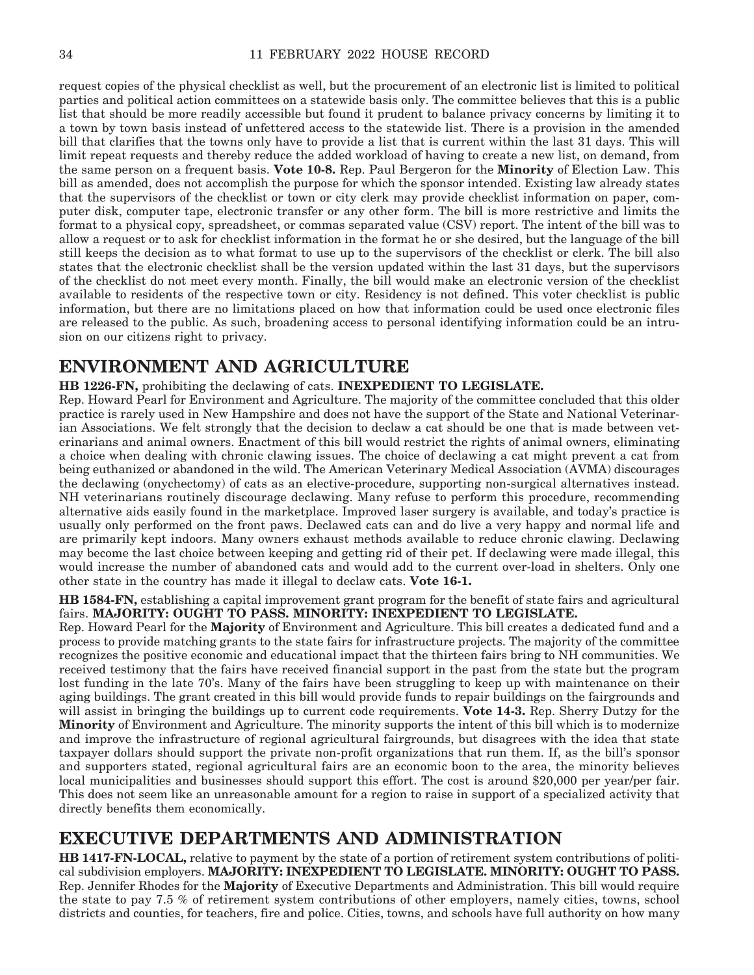request copies of the physical checklist as well, but the procurement of an electronic list is limited to political parties and political action committees on a statewide basis only. The committee believes that this is a public list that should be more readily accessible but found it prudent to balance privacy concerns by limiting it to a town by town basis instead of unfettered access to the statewide list. There is a provision in the amended bill that clarifies that the towns only have to provide a list that is current within the last 31 days. This will limit repeat requests and thereby reduce the added workload of having to create a new list, on demand, from the same person on a frequent basis. **Vote 10-8.** Rep. Paul Bergeron for the **Minority** of Election Law. This bill as amended, does not accomplish the purpose for which the sponsor intended. Existing law already states that the supervisors of the checklist or town or city clerk may provide checklist information on paper, computer disk, computer tape, electronic transfer or any other form. The bill is more restrictive and limits the format to a physical copy, spreadsheet, or commas separated value (CSV) report. The intent of the bill was to allow a request or to ask for checklist information in the format he or she desired, but the language of the bill still keeps the decision as to what format to use up to the supervisors of the checklist or clerk. The bill also states that the electronic checklist shall be the version updated within the last 31 days, but the supervisors of the checklist do not meet every month. Finally, the bill would make an electronic version of the checklist available to residents of the respective town or city. Residency is not defined. This voter checklist is public information, but there are no limitations placed on how that information could be used once electronic files are released to the public. As such, broadening access to personal identifying information could be an intrusion on our citizens right to privacy.

### **ENVIRONMENT AND AGRICULTURE**

**HB 1226-FN,** prohibiting the declawing of cats. **INEXPEDIENT TO LEGISLATE.**

Rep. Howard Pearl for Environment and Agriculture. The majority of the committee concluded that this older practice is rarely used in New Hampshire and does not have the support of the State and National Veterinarian Associations. We felt strongly that the decision to declaw a cat should be one that is made between veterinarians and animal owners. Enactment of this bill would restrict the rights of animal owners, eliminating a choice when dealing with chronic clawing issues. The choice of declawing a cat might prevent a cat from being euthanized or abandoned in the wild. The American Veterinary Medical Association (AVMA) discourages the declawing (onychectomy) of cats as an elective-procedure, supporting non-surgical alternatives instead. NH veterinarians routinely discourage declawing. Many refuse to perform this procedure, recommending alternative aids easily found in the marketplace. Improved laser surgery is available, and today's practice is usually only performed on the front paws. Declawed cats can and do live a very happy and normal life and are primarily kept indoors. Many owners exhaust methods available to reduce chronic clawing. Declawing may become the last choice between keeping and getting rid of their pet. If declawing were made illegal, this would increase the number of abandoned cats and would add to the current over-load in shelters. Only one other state in the country has made it illegal to declaw cats. **Vote 16-1.**

**HB 1584-FN,** establishing a capital improvement grant program for the benefit of state fairs and agricultural fairs. **MAJORITY: OUGHT TO PASS. MINORITY: INEXPEDIENT TO LEGISLATE.**

Rep. Howard Pearl for the **Majority** of Environment and Agriculture. This bill creates a dedicated fund and a process to provide matching grants to the state fairs for infrastructure projects. The majority of the committee recognizes the positive economic and educational impact that the thirteen fairs bring to NH communities. We received testimony that the fairs have received financial support in the past from the state but the program lost funding in the late 70's. Many of the fairs have been struggling to keep up with maintenance on their aging buildings. The grant created in this bill would provide funds to repair buildings on the fairgrounds and will assist in bringing the buildings up to current code requirements. **Vote 14-3.** Rep. Sherry Dutzy for the **Minority** of Environment and Agriculture. The minority supports the intent of this bill which is to modernize and improve the infrastructure of regional agricultural fairgrounds, but disagrees with the idea that state taxpayer dollars should support the private non-profit organizations that run them. If, as the bill's sponsor and supporters stated, regional agricultural fairs are an economic boon to the area, the minority believes local municipalities and businesses should support this effort. The cost is around \$20,000 per year/per fair. This does not seem like an unreasonable amount for a region to raise in support of a specialized activity that directly benefits them economically.

### **EXECUTIVE DEPARTMENTS AND ADMINISTRATION**

**HB 1417-FN-LOCAL,** relative to payment by the state of a portion of retirement system contributions of political subdivision employers. **MAJORITY: INEXPEDIENT TO LEGISLATE. MINORITY: OUGHT TO PASS.** Rep. Jennifer Rhodes for the **Majority** of Executive Departments and Administration. This bill would require the state to pay 7.5 % of retirement system contributions of other employers, namely cities, towns, school districts and counties, for teachers, fire and police. Cities, towns, and schools have full authority on how many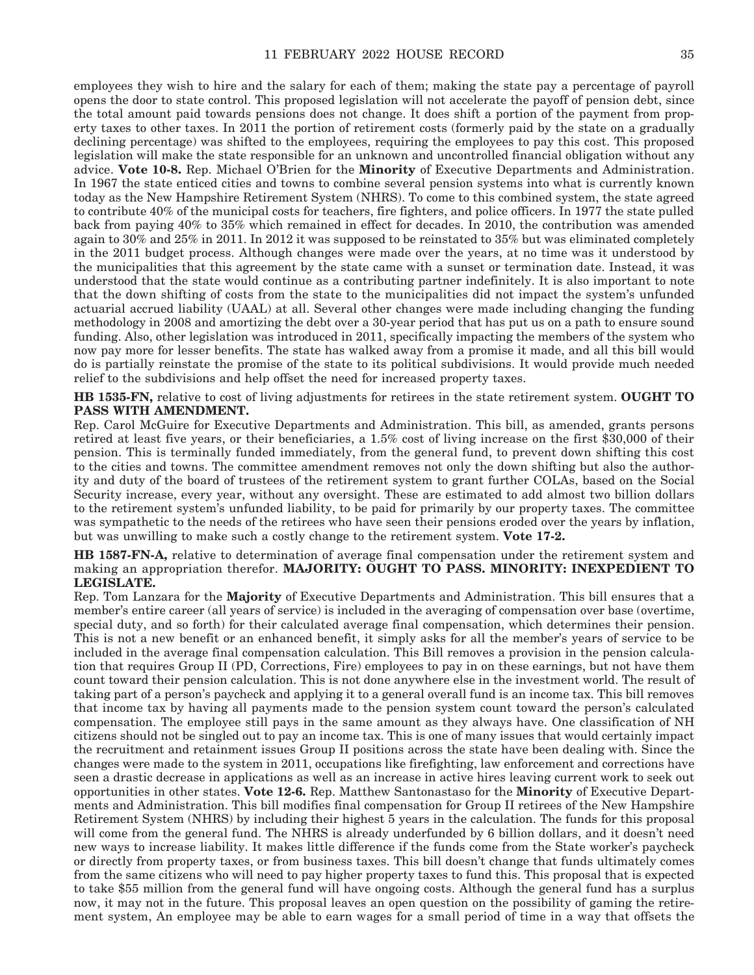employees they wish to hire and the salary for each of them; making the state pay a percentage of payroll opens the door to state control. This proposed legislation will not accelerate the payoff of pension debt, since the total amount paid towards pensions does not change. It does shift a portion of the payment from property taxes to other taxes. In 2011 the portion of retirement costs (formerly paid by the state on a gradually declining percentage) was shifted to the employees, requiring the employees to pay this cost. This proposed legislation will make the state responsible for an unknown and uncontrolled financial obligation without any advice. **Vote 10-8.** Rep. Michael O'Brien for the **Minority** of Executive Departments and Administration. In 1967 the state enticed cities and towns to combine several pension systems into what is currently known today as the New Hampshire Retirement System (NHRS). To come to this combined system, the state agreed to contribute 40% of the municipal costs for teachers, fire fighters, and police officers. In 1977 the state pulled back from paying 40% to 35% which remained in effect for decades. In 2010, the contribution was amended again to 30% and 25% in 2011. In 2012 it was supposed to be reinstated to 35% but was eliminated completely in the 2011 budget process. Although changes were made over the years, at no time was it understood by the municipalities that this agreement by the state came with a sunset or termination date. Instead, it was understood that the state would continue as a contributing partner indefinitely. It is also important to note that the down shifting of costs from the state to the municipalities did not impact the system's unfunded actuarial accrued liability (UAAL) at all. Several other changes were made including changing the funding methodology in 2008 and amortizing the debt over a 30-year period that has put us on a path to ensure sound funding. Also, other legislation was introduced in 2011, specifically impacting the members of the system who now pay more for lesser benefits. The state has walked away from a promise it made, and all this bill would do is partially reinstate the promise of the state to its political subdivisions. It would provide much needed relief to the subdivisions and help offset the need for increased property taxes.

**HB 1535-FN,** relative to cost of living adjustments for retirees in the state retirement system. **OUGHT TO PASS WITH AMENDMENT.**

Rep. Carol McGuire for Executive Departments and Administration. This bill, as amended, grants persons retired at least five years, or their beneficiaries, a 1.5% cost of living increase on the first \$30,000 of their pension. This is terminally funded immediately, from the general fund, to prevent down shifting this cost to the cities and towns. The committee amendment removes not only the down shifting but also the authority and duty of the board of trustees of the retirement system to grant further COLAs, based on the Social Security increase, every year, without any oversight. These are estimated to add almost two billion dollars to the retirement system's unfunded liability, to be paid for primarily by our property taxes. The committee was sympathetic to the needs of the retirees who have seen their pensions eroded over the years by inflation, but was unwilling to make such a costly change to the retirement system. **Vote 17-2.**

#### **HB 1587-FN-A,** relative to determination of average final compensation under the retirement system and making an appropriation therefor. **MAJORITY: OUGHT TO PASS. MINORITY: INEXPEDIENT TO LEGISLATE.**

Rep. Tom Lanzara for the **Majority** of Executive Departments and Administration. This bill ensures that a member's entire career (all years of service) is included in the averaging of compensation over base (overtime, special duty, and so forth) for their calculated average final compensation, which determines their pension. This is not a new benefit or an enhanced benefit, it simply asks for all the member's years of service to be included in the average final compensation calculation. This Bill removes a provision in the pension calculation that requires Group II (PD, Corrections, Fire) employees to pay in on these earnings, but not have them count toward their pension calculation. This is not done anywhere else in the investment world. The result of taking part of a person's paycheck and applying it to a general overall fund is an income tax. This bill removes that income tax by having all payments made to the pension system count toward the person's calculated compensation. The employee still pays in the same amount as they always have. One classification of NH citizens should not be singled out to pay an income tax. This is one of many issues that would certainly impact the recruitment and retainment issues Group II positions across the state have been dealing with. Since the changes were made to the system in 2011, occupations like firefighting, law enforcement and corrections have seen a drastic decrease in applications as well as an increase in active hires leaving current work to seek out opportunities in other states. **Vote 12-6.** Rep. Matthew Santonastaso for the **Minority** of Executive Departments and Administration. This bill modifies final compensation for Group II retirees of the New Hampshire Retirement System (NHRS) by including their highest 5 years in the calculation. The funds for this proposal will come from the general fund. The NHRS is already underfunded by 6 billion dollars, and it doesn't need new ways to increase liability. It makes little difference if the funds come from the State worker's paycheck or directly from property taxes, or from business taxes. This bill doesn't change that funds ultimately comes from the same citizens who will need to pay higher property taxes to fund this. This proposal that is expected to take \$55 million from the general fund will have ongoing costs. Although the general fund has a surplus now, it may not in the future. This proposal leaves an open question on the possibility of gaming the retirement system, An employee may be able to earn wages for a small period of time in a way that offsets the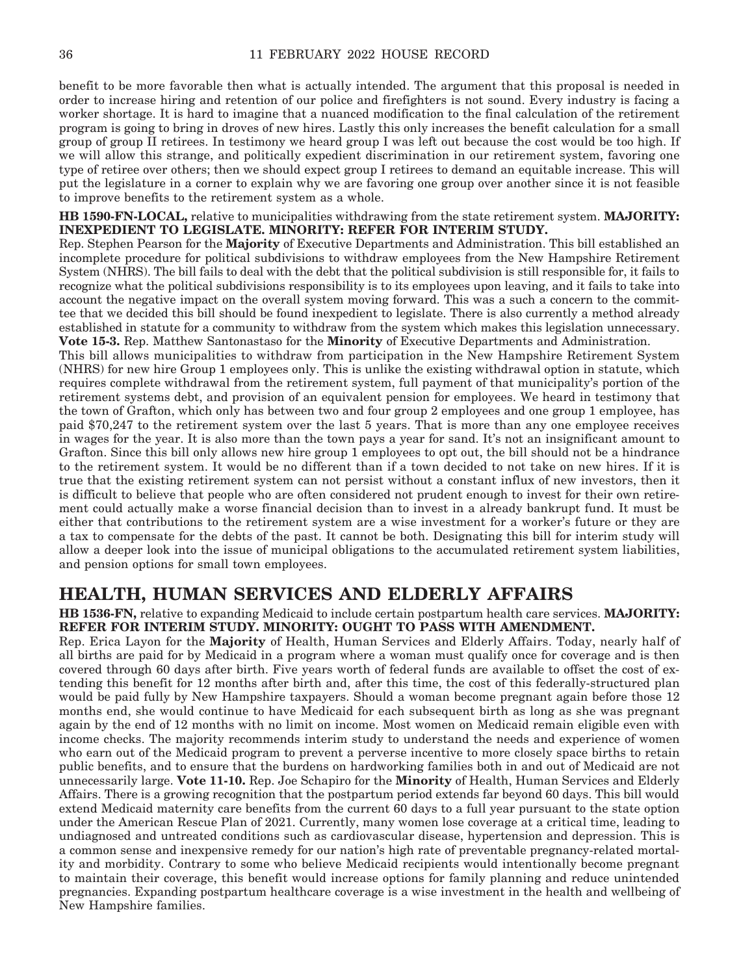benefit to be more favorable then what is actually intended. The argument that this proposal is needed in order to increase hiring and retention of our police and firefighters is not sound. Every industry is facing a worker shortage. It is hard to imagine that a nuanced modification to the final calculation of the retirement program is going to bring in droves of new hires. Lastly this only increases the benefit calculation for a small group of group II retirees. In testimony we heard group I was left out because the cost would be too high. If we will allow this strange, and politically expedient discrimination in our retirement system, favoring one type of retiree over others; then we should expect group I retirees to demand an equitable increase. This will put the legislature in a corner to explain why we are favoring one group over another since it is not feasible to improve benefits to the retirement system as a whole.

**HB 1590-FN-LOCAL,** relative to municipalities withdrawing from the state retirement system. **MAJORITY: INEXPEDIENT TO LEGISLATE. MINORITY: REFER FOR INTERIM STUDY.**

Rep. Stephen Pearson for the **Majority** of Executive Departments and Administration. This bill established an incomplete procedure for political subdivisions to withdraw employees from the New Hampshire Retirement System (NHRS). The bill fails to deal with the debt that the political subdivision is still responsible for, it fails to recognize what the political subdivisions responsibility is to its employees upon leaving, and it fails to take into account the negative impact on the overall system moving forward. This was a such a concern to the committee that we decided this bill should be found inexpedient to legislate. There is also currently a method already established in statute for a community to withdraw from the system which makes this legislation unnecessary. **Vote 15-3.** Rep. Matthew Santonastaso for the **Minority** of Executive Departments and Administration.

This bill allows municipalities to withdraw from participation in the New Hampshire Retirement System (NHRS) for new hire Group 1 employees only. This is unlike the existing withdrawal option in statute, which requires complete withdrawal from the retirement system, full payment of that municipality's portion of the retirement systems debt, and provision of an equivalent pension for employees. We heard in testimony that the town of Grafton, which only has between two and four group 2 employees and one group 1 employee, has paid \$70,247 to the retirement system over the last 5 years. That is more than any one employee receives in wages for the year. It is also more than the town pays a year for sand. It's not an insignificant amount to Grafton. Since this bill only allows new hire group 1 employees to opt out, the bill should not be a hindrance to the retirement system. It would be no different than if a town decided to not take on new hires. If it is true that the existing retirement system can not persist without a constant influx of new investors, then it is difficult to believe that people who are often considered not prudent enough to invest for their own retirement could actually make a worse financial decision than to invest in a already bankrupt fund. It must be either that contributions to the retirement system are a wise investment for a worker's future or they are a tax to compensate for the debts of the past. It cannot be both. Designating this bill for interim study will allow a deeper look into the issue of municipal obligations to the accumulated retirement system liabilities, and pension options for small town employees.

### **HEALTH, HUMAN SERVICES AND ELDERLY AFFAIRS**

**HB 1536-FN,** relative to expanding Medicaid to include certain postpartum health care services. **MAJORITY: REFER FOR INTERIM STUDY. MINORITY: OUGHT TO PASS WITH AMENDMENT.**

Rep. Erica Layon for the **Majority** of Health, Human Services and Elderly Affairs. Today, nearly half of all births are paid for by Medicaid in a program where a woman must qualify once for coverage and is then covered through 60 days after birth. Five years worth of federal funds are available to offset the cost of extending this benefit for 12 months after birth and, after this time, the cost of this federally-structured plan would be paid fully by New Hampshire taxpayers. Should a woman become pregnant again before those 12 months end, she would continue to have Medicaid for each subsequent birth as long as she was pregnant again by the end of 12 months with no limit on income. Most women on Medicaid remain eligible even with income checks. The majority recommends interim study to understand the needs and experience of women who earn out of the Medicaid program to prevent a perverse incentive to more closely space births to retain public benefits, and to ensure that the burdens on hardworking families both in and out of Medicaid are not unnecessarily large. **Vote 11-10.** Rep. Joe Schapiro for the **Minority** of Health, Human Services and Elderly Affairs. There is a growing recognition that the postpartum period extends far beyond 60 days. This bill would extend Medicaid maternity care benefits from the current 60 days to a full year pursuant to the state option under the American Rescue Plan of 2021. Currently, many women lose coverage at a critical time, leading to undiagnosed and untreated conditions such as cardiovascular disease, hypertension and depression. This is a common sense and inexpensive remedy for our nation's high rate of preventable pregnancy-related mortality and morbidity. Contrary to some who believe Medicaid recipients would intentionally become pregnant to maintain their coverage, this benefit would increase options for family planning and reduce unintended pregnancies. Expanding postpartum healthcare coverage is a wise investment in the health and wellbeing of New Hampshire families.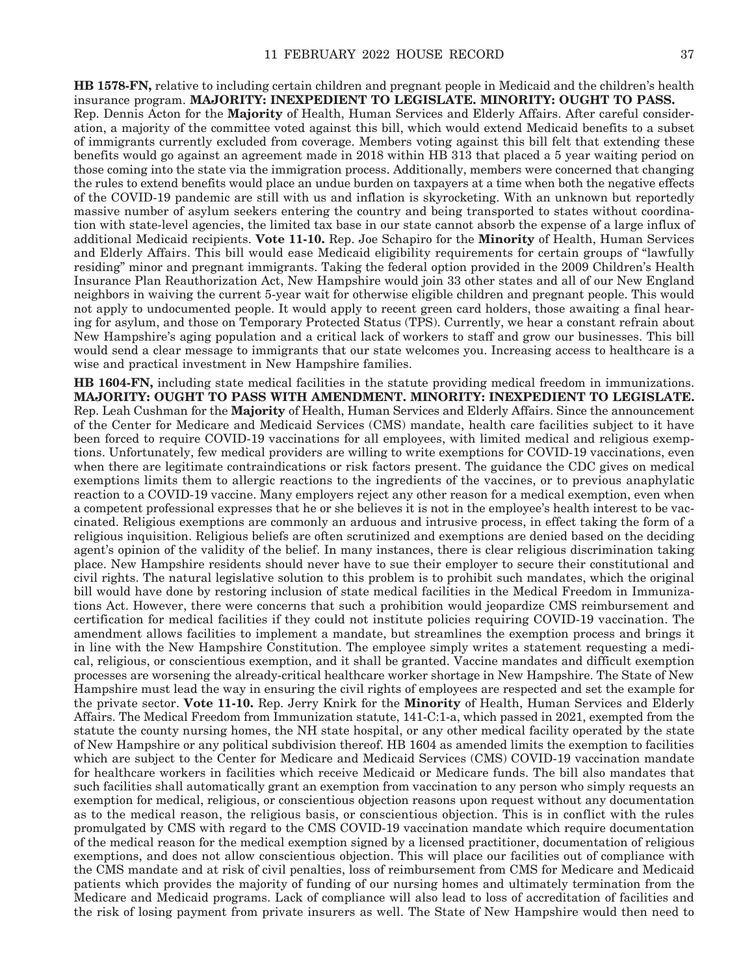**HB 1578-FN,** relative to including certain children and pregnant people in Medicaid and the children's health insurance program. **MAJORITY: INEXPEDIENT TO LEGISLATE. MINORITY: OUGHT TO PASS.** Rep. Dennis Acton for the **Majority** of Health, Human Services and Elderly Affairs. After careful consideration, a majority of the committee voted against this bill, which would extend Medicaid benefits to a subset of immigrants currently excluded from coverage. Members voting against this bill felt that extending these benefits would go against an agreement made in 2018 within HB 313 that placed a 5 year waiting period on those coming into the state via the immigration process. Additionally, members were concerned that changing the rules to extend benefits would place an undue burden on taxpayers at a time when both the negative effects of the COVID-19 pandemic are still with us and inflation is skyrocketing. With an unknown but reportedly massive number of asylum seekers entering the country and being transported to states without coordination with state-level agencies, the limited tax base in our state cannot absorb the expense of a large influx of additional Medicaid recipients. **Vote 11-10.** Rep. Joe Schapiro for the **Minority** of Health, Human Services and Elderly Affairs. This bill would ease Medicaid eligibility requirements for certain groups of "lawfully residing" minor and pregnant immigrants. Taking the federal option provided in the 2009 Children's Health Insurance Plan Reauthorization Act, New Hampshire would join 33 other states and all of our New England neighbors in waiving the current 5-year wait for otherwise eligible children and pregnant people. This would not apply to undocumented people. It would apply to recent green card holders, those awaiting a final hearing for asylum, and those on Temporary Protected Status (TPS). Currently, we hear a constant refrain about New Hampshire's aging population and a critical lack of workers to staff and grow our businesses. This bill would send a clear message to immigrants that our state welcomes you. Increasing access to healthcare is a wise and practical investment in New Hampshire families.

**HB 1604-FN,** including state medical facilities in the statute providing medical freedom in immunizations. **MAJORITY: OUGHT TO PASS WITH AMENDMENT. MINORITY: INEXPEDIENT TO LEGISLATE.** Rep. Leah Cushman for the **Majority** of Health, Human Services and Elderly Affairs. Since the announcement of the Center for Medicare and Medicaid Services (CMS) mandate, health care facilities subject to it have been forced to require COVID-19 vaccinations for all employees, with limited medical and religious exemptions. Unfortunately, few medical providers are willing to write exemptions for COVID-19 vaccinations, even when there are legitimate contraindications or risk factors present. The guidance the CDC gives on medical exemptions limits them to allergic reactions to the ingredients of the vaccines, or to previous anaphylatic reaction to a COVID-19 vaccine. Many employers reject any other reason for a medical exemption, even when a competent professional expresses that he or she believes it is not in the employee's health interest to be vaccinated. Religious exemptions are commonly an arduous and intrusive process, in effect taking the form of a religious inquisition. Religious beliefs are often scrutinized and exemptions are denied based on the deciding agent's opinion of the validity of the belief. In many instances, there is clear religious discrimination taking place. New Hampshire residents should never have to sue their employer to secure their constitutional and civil rights. The natural legislative solution to this problem is to prohibit such mandates, which the original bill would have done by restoring inclusion of state medical facilities in the Medical Freedom in Immunizations Act. However, there were concerns that such a prohibition would jeopardize CMS reimbursement and certification for medical facilities if they could not institute policies requiring COVID-19 vaccination. The amendment allows facilities to implement a mandate, but streamlines the exemption process and brings it in line with the New Hampshire Constitution. The employee simply writes a statement requesting a medical, religious, or conscientious exemption, and it shall be granted. Vaccine mandates and difficult exemption processes are worsening the already-critical healthcare worker shortage in New Hampshire. The State of New Hampshire must lead the way in ensuring the civil rights of employees are respected and set the example for the private sector. **Vote 11-10.** Rep. Jerry Knirk for the **Minority** of Health, Human Services and Elderly Affairs. The Medical Freedom from Immunization statute, 141-C:1-a, which passed in 2021, exempted from the statute the county nursing homes, the NH state hospital, or any other medical facility operated by the state of New Hampshire or any political subdivision thereof. HB 1604 as amended limits the exemption to facilities which are subject to the Center for Medicare and Medicaid Services (CMS) COVID-19 vaccination mandate for healthcare workers in facilities which receive Medicaid or Medicare funds. The bill also mandates that such facilities shall automatically grant an exemption from vaccination to any person who simply requests an exemption for medical, religious, or conscientious objection reasons upon request without any documentation as to the medical reason, the religious basis, or conscientious objection. This is in conflict with the rules promulgated by CMS with regard to the CMS COVID-19 vaccination mandate which require documentation of the medical reason for the medical exemption signed by a licensed practitioner, documentation of religious exemptions, and does not allow conscientious objection. This will place our facilities out of compliance with the CMS mandate and at risk of civil penalties, loss of reimbursement from CMS for Medicare and Medicaid patients which provides the majority of funding of our nursing homes and ultimately termination from the Medicare and Medicaid programs. Lack of compliance will also lead to loss of accreditation of facilities and the risk of losing payment from private insurers as well. The State of New Hampshire would then need to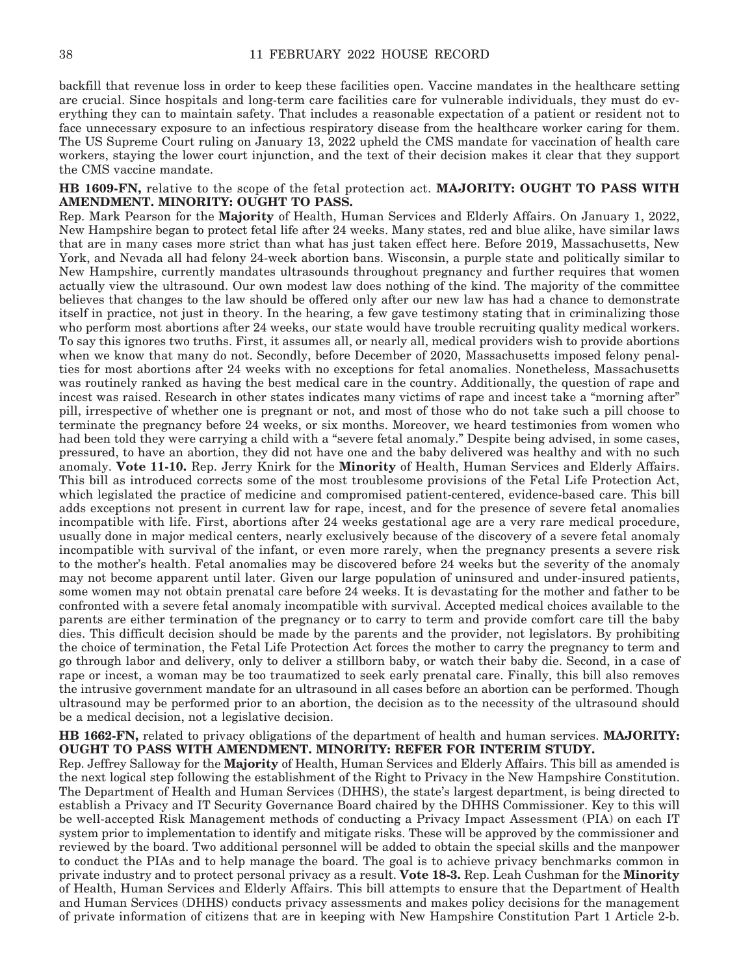backfill that revenue loss in order to keep these facilities open. Vaccine mandates in the healthcare setting are crucial. Since hospitals and long-term care facilities care for vulnerable individuals, they must do everything they can to maintain safety. That includes a reasonable expectation of a patient or resident not to face unnecessary exposure to an infectious respiratory disease from the healthcare worker caring for them. The US Supreme Court ruling on January 13, 2022 upheld the CMS mandate for vaccination of health care workers, staying the lower court injunction, and the text of their decision makes it clear that they support the CMS vaccine mandate.

## **HB 1609-FN,** relative to the scope of the fetal protection act. **MAJORITY: OUGHT TO PASS WITH AMENDMENT. MINORITY: OUGHT TO PASS.**

Rep. Mark Pearson for the **Majority** of Health, Human Services and Elderly Affairs. On January 1, 2022, New Hampshire began to protect fetal life after 24 weeks. Many states, red and blue alike, have similar laws that are in many cases more strict than what has just taken effect here. Before 2019, Massachusetts, New York, and Nevada all had felony 24-week abortion bans. Wisconsin, a purple state and politically similar to New Hampshire, currently mandates ultrasounds throughout pregnancy and further requires that women actually view the ultrasound. Our own modest law does nothing of the kind. The majority of the committee believes that changes to the law should be offered only after our new law has had a chance to demonstrate itself in practice, not just in theory. In the hearing, a few gave testimony stating that in criminalizing those who perform most abortions after 24 weeks, our state would have trouble recruiting quality medical workers. To say this ignores two truths. First, it assumes all, or nearly all, medical providers wish to provide abortions when we know that many do not. Secondly, before December of 2020, Massachusetts imposed felony penalties for most abortions after 24 weeks with no exceptions for fetal anomalies. Nonetheless, Massachusetts was routinely ranked as having the best medical care in the country. Additionally, the question of rape and incest was raised. Research in other states indicates many victims of rape and incest take a "morning after" pill, irrespective of whether one is pregnant or not, and most of those who do not take such a pill choose to terminate the pregnancy before 24 weeks, or six months. Moreover, we heard testimonies from women who had been told they were carrying a child with a "severe fetal anomaly." Despite being advised, in some cases, pressured, to have an abortion, they did not have one and the baby delivered was healthy and with no such anomaly. **Vote 11-10.** Rep. Jerry Knirk for the **Minority** of Health, Human Services and Elderly Affairs. This bill as introduced corrects some of the most troublesome provisions of the Fetal Life Protection Act, which legislated the practice of medicine and compromised patient-centered, evidence-based care. This bill adds exceptions not present in current law for rape, incest, and for the presence of severe fetal anomalies incompatible with life. First, abortions after 24 weeks gestational age are a very rare medical procedure, usually done in major medical centers, nearly exclusively because of the discovery of a severe fetal anomaly incompatible with survival of the infant, or even more rarely, when the pregnancy presents a severe risk to the mother's health. Fetal anomalies may be discovered before 24 weeks but the severity of the anomaly may not become apparent until later. Given our large population of uninsured and under-insured patients, some women may not obtain prenatal care before 24 weeks. It is devastating for the mother and father to be confronted with a severe fetal anomaly incompatible with survival. Accepted medical choices available to the parents are either termination of the pregnancy or to carry to term and provide comfort care till the baby dies. This difficult decision should be made by the parents and the provider, not legislators. By prohibiting the choice of termination, the Fetal Life Protection Act forces the mother to carry the pregnancy to term and go through labor and delivery, only to deliver a stillborn baby, or watch their baby die. Second, in a case of rape or incest, a woman may be too traumatized to seek early prenatal care. Finally, this bill also removes the intrusive government mandate for an ultrasound in all cases before an abortion can be performed. Though ultrasound may be performed prior to an abortion, the decision as to the necessity of the ultrasound should be a medical decision, not a legislative decision.

## **HB 1662-FN,** related to privacy obligations of the department of health and human services. **MAJORITY: OUGHT TO PASS WITH AMENDMENT. MINORITY: REFER FOR INTERIM STUDY.**

Rep. Jeffrey Salloway for the **Majority** of Health, Human Services and Elderly Affairs. This bill as amended is the next logical step following the establishment of the Right to Privacy in the New Hampshire Constitution. The Department of Health and Human Services (DHHS), the state's largest department, is being directed to establish a Privacy and IT Security Governance Board chaired by the DHHS Commissioner. Key to this will be well-accepted Risk Management methods of conducting a Privacy Impact Assessment (PIA) on each IT system prior to implementation to identify and mitigate risks. These will be approved by the commissioner and reviewed by the board. Two additional personnel will be added to obtain the special skills and the manpower to conduct the PIAs and to help manage the board. The goal is to achieve privacy benchmarks common in private industry and to protect personal privacy as a result. **Vote 18-3.** Rep. Leah Cushman for the **Minority** of Health, Human Services and Elderly Affairs. This bill attempts to ensure that the Department of Health and Human Services (DHHS) conducts privacy assessments and makes policy decisions for the management of private information of citizens that are in keeping with New Hampshire Constitution Part 1 Article 2-b.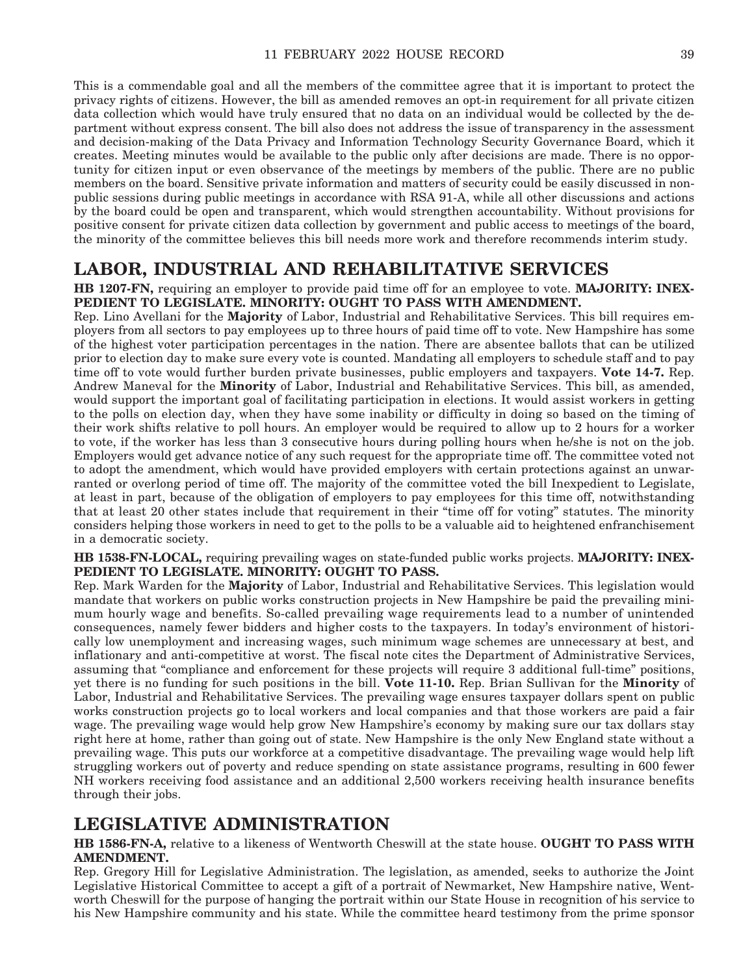This is a commendable goal and all the members of the committee agree that it is important to protect the privacy rights of citizens. However, the bill as amended removes an opt-in requirement for all private citizen data collection which would have truly ensured that no data on an individual would be collected by the department without express consent. The bill also does not address the issue of transparency in the assessment and decision-making of the Data Privacy and Information Technology Security Governance Board, which it creates. Meeting minutes would be available to the public only after decisions are made. There is no opportunity for citizen input or even observance of the meetings by members of the public. There are no public members on the board. Sensitive private information and matters of security could be easily discussed in nonpublic sessions during public meetings in accordance with RSA 91-A, while all other discussions and actions by the board could be open and transparent, which would strengthen accountability. Without provisions for positive consent for private citizen data collection by government and public access to meetings of the board, the minority of the committee believes this bill needs more work and therefore recommends interim study.

# **LABOR, INDUSTRIAL AND REHABILITATIVE SERVICES**

**HB 1207-FN,** requiring an employer to provide paid time off for an employee to vote. **MAJORITY: INEX-PEDIENT TO LEGISLATE. MINORITY: OUGHT TO PASS WITH AMENDMENT.**

Rep. Lino Avellani for the **Majority** of Labor, Industrial and Rehabilitative Services. This bill requires employers from all sectors to pay employees up to three hours of paid time off to vote. New Hampshire has some of the highest voter participation percentages in the nation. There are absentee ballots that can be utilized prior to election day to make sure every vote is counted. Mandating all employers to schedule staff and to pay time off to vote would further burden private businesses, public employers and taxpayers. **Vote 14-7.** Rep. Andrew Maneval for the **Minority** of Labor, Industrial and Rehabilitative Services. This bill, as amended, would support the important goal of facilitating participation in elections. It would assist workers in getting to the polls on election day, when they have some inability or difficulty in doing so based on the timing of their work shifts relative to poll hours. An employer would be required to allow up to 2 hours for a worker to vote, if the worker has less than 3 consecutive hours during polling hours when he/she is not on the job. Employers would get advance notice of any such request for the appropriate time off. The committee voted not to adopt the amendment, which would have provided employers with certain protections against an unwarranted or overlong period of time off. The majority of the committee voted the bill Inexpedient to Legislate, at least in part, because of the obligation of employers to pay employees for this time off, notwithstanding that at least 20 other states include that requirement in their "time off for voting" statutes. The minority considers helping those workers in need to get to the polls to be a valuable aid to heightened enfranchisement in a democratic society.

**HB 1538-FN-LOCAL,** requiring prevailing wages on state-funded public works projects. **MAJORITY: INEX-PEDIENT TO LEGISLATE. MINORITY: OUGHT TO PASS.**

Rep. Mark Warden for the **Majority** of Labor, Industrial and Rehabilitative Services. This legislation would mandate that workers on public works construction projects in New Hampshire be paid the prevailing minimum hourly wage and benefits. So-called prevailing wage requirements lead to a number of unintended consequences, namely fewer bidders and higher costs to the taxpayers. In today's environment of historically low unemployment and increasing wages, such minimum wage schemes are unnecessary at best, and inflationary and anti-competitive at worst. The fiscal note cites the Department of Administrative Services, assuming that "compliance and enforcement for these projects will require 3 additional full-time" positions, yet there is no funding for such positions in the bill. **Vote 11-10.** Rep. Brian Sullivan for the **Minority** of Labor, Industrial and Rehabilitative Services. The prevailing wage ensures taxpayer dollars spent on public works construction projects go to local workers and local companies and that those workers are paid a fair wage. The prevailing wage would help grow New Hampshire's economy by making sure our tax dollars stay right here at home, rather than going out of state. New Hampshire is the only New England state without a prevailing wage. This puts our workforce at a competitive disadvantage. The prevailing wage would help lift struggling workers out of poverty and reduce spending on state assistance programs, resulting in 600 fewer NH workers receiving food assistance and an additional 2,500 workers receiving health insurance benefits through their jobs.

# **LEGISLATIVE ADMINISTRATION**

# **HB 1586-FN-A,** relative to a likeness of Wentworth Cheswill at the state house. **OUGHT TO PASS WITH AMENDMENT.**

Rep. Gregory Hill for Legislative Administration. The legislation, as amended, seeks to authorize the Joint Legislative Historical Committee to accept a gift of a portrait of Newmarket, New Hampshire native, Wentworth Cheswill for the purpose of hanging the portrait within our State House in recognition of his service to his New Hampshire community and his state. While the committee heard testimony from the prime sponsor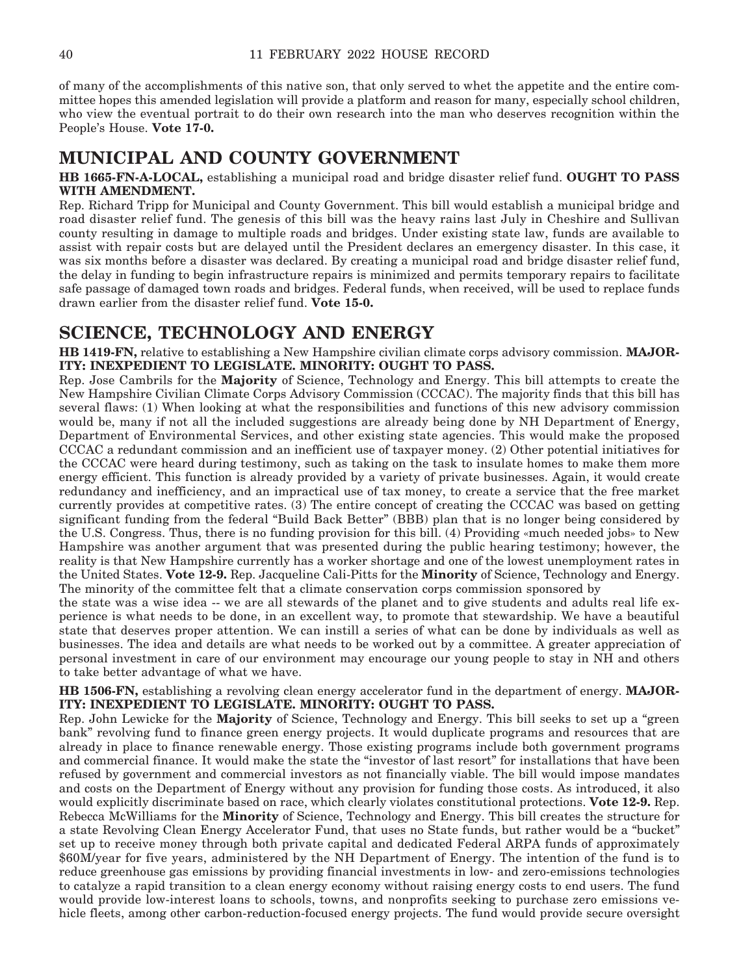of many of the accomplishments of this native son, that only served to whet the appetite and the entire committee hopes this amended legislation will provide a platform and reason for many, especially school children, who view the eventual portrait to do their own research into the man who deserves recognition within the People's House. **Vote 17-0.**

# **MUNICIPAL AND COUNTY GOVERNMENT**

**HB 1665-FN-A-LOCAL,** establishing a municipal road and bridge disaster relief fund. **OUGHT TO PASS WITH AMENDMENT.**

Rep. Richard Tripp for Municipal and County Government. This bill would establish a municipal bridge and road disaster relief fund. The genesis of this bill was the heavy rains last July in Cheshire and Sullivan county resulting in damage to multiple roads and bridges. Under existing state law, funds are available to assist with repair costs but are delayed until the President declares an emergency disaster. In this case, it was six months before a disaster was declared. By creating a municipal road and bridge disaster relief fund, the delay in funding to begin infrastructure repairs is minimized and permits temporary repairs to facilitate safe passage of damaged town roads and bridges. Federal funds, when received, will be used to replace funds drawn earlier from the disaster relief fund. **Vote 15-0.**

# **SCIENCE, TECHNOLOGY AND ENERGY**

**HB 1419-FN,** relative to establishing a New Hampshire civilian climate corps advisory commission. **MAJOR-ITY: INEXPEDIENT TO LEGISLATE. MINORITY: OUGHT TO PASS.**

Rep. Jose Cambrils for the **Majority** of Science, Technology and Energy. This bill attempts to create the New Hampshire Civilian Climate Corps Advisory Commission (CCCAC). The majority finds that this bill has several flaws: (1) When looking at what the responsibilities and functions of this new advisory commission would be, many if not all the included suggestions are already being done by NH Department of Energy, Department of Environmental Services, and other existing state agencies. This would make the proposed CCCAC a redundant commission and an inefficient use of taxpayer money. (2) Other potential initiatives for the CCCAC were heard during testimony, such as taking on the task to insulate homes to make them more energy efficient. This function is already provided by a variety of private businesses. Again, it would create redundancy and inefficiency, and an impractical use of tax money, to create a service that the free market currently provides at competitive rates. (3) The entire concept of creating the CCCAC was based on getting significant funding from the federal "Build Back Better" (BBB) plan that is no longer being considered by the U.S. Congress. Thus, there is no funding provision for this bill. (4) Providing «much needed jobs» to New Hampshire was another argument that was presented during the public hearing testimony; however, the reality is that New Hampshire currently has a worker shortage and one of the lowest unemployment rates in the United States. **Vote 12-9.** Rep. Jacqueline Cali-Pitts for the **Minority** of Science, Technology and Energy. The minority of the committee felt that a climate conservation corps commission sponsored by

the state was a wise idea -- we are all stewards of the planet and to give students and adults real life experience is what needs to be done, in an excellent way, to promote that stewardship. We have a beautiful state that deserves proper attention. We can instill a series of what can be done by individuals as well as businesses. The idea and details are what needs to be worked out by a committee. A greater appreciation of personal investment in care of our environment may encourage our young people to stay in NH and others to take better advantage of what we have.

**HB 1506-FN,** establishing a revolving clean energy accelerator fund in the department of energy. **MAJOR-ITY: INEXPEDIENT TO LEGISLATE. MINORITY: OUGHT TO PASS.**

Rep. John Lewicke for the **Majority** of Science, Technology and Energy. This bill seeks to set up a "green bank" revolving fund to finance green energy projects. It would duplicate programs and resources that are already in place to finance renewable energy. Those existing programs include both government programs and commercial finance. It would make the state the "investor of last resort" for installations that have been refused by government and commercial investors as not financially viable. The bill would impose mandates and costs on the Department of Energy without any provision for funding those costs. As introduced, it also would explicitly discriminate based on race, which clearly violates constitutional protections. **Vote 12-9.** Rep. Rebecca McWilliams for the **Minority** of Science, Technology and Energy. This bill creates the structure for a state Revolving Clean Energy Accelerator Fund, that uses no State funds, but rather would be a "bucket" set up to receive money through both private capital and dedicated Federal ARPA funds of approximately \$60M/year for five years, administered by the NH Department of Energy. The intention of the fund is to reduce greenhouse gas emissions by providing financial investments in low- and zero-emissions technologies to catalyze a rapid transition to a clean energy economy without raising energy costs to end users. The fund would provide low-interest loans to schools, towns, and nonprofits seeking to purchase zero emissions vehicle fleets, among other carbon-reduction-focused energy projects. The fund would provide secure oversight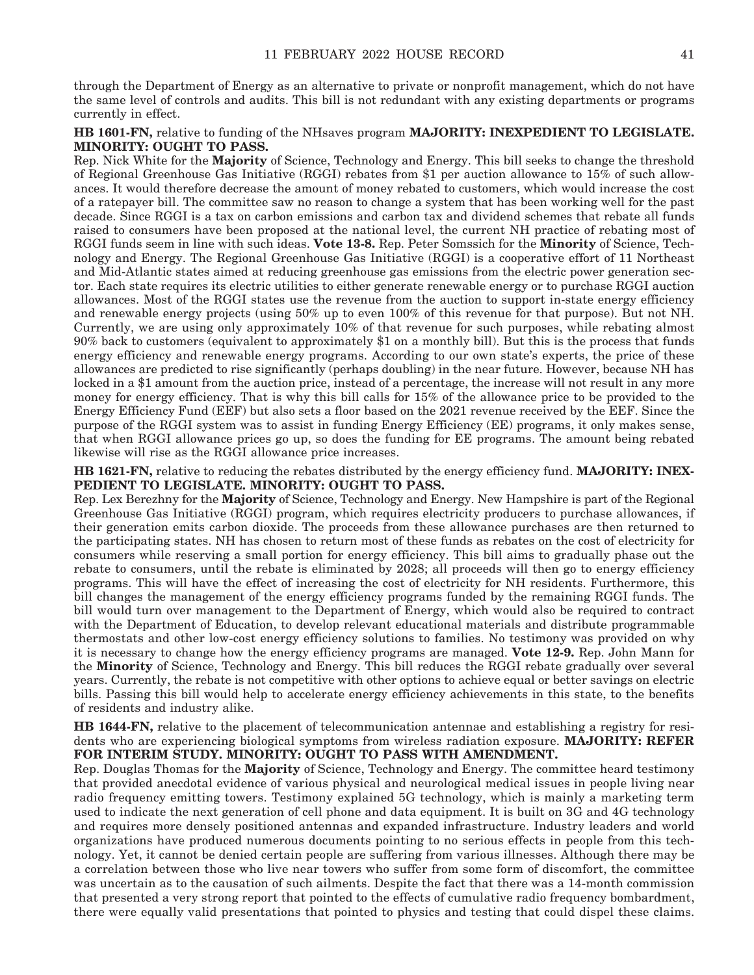through the Department of Energy as an alternative to private or nonprofit management, which do not have the same level of controls and audits. This bill is not redundant with any existing departments or programs currently in effect.

## **HB 1601-FN,** relative to funding of the NHsaves program **MAJORITY: INEXPEDIENT TO LEGISLATE. MINORITY: OUGHT TO PASS.**

Rep. Nick White for the **Majority** of Science, Technology and Energy. This bill seeks to change the threshold of Regional Greenhouse Gas Initiative (RGGI) rebates from \$1 per auction allowance to 15% of such allowances. It would therefore decrease the amount of money rebated to customers, which would increase the cost of a ratepayer bill. The committee saw no reason to change a system that has been working well for the past decade. Since RGGI is a tax on carbon emissions and carbon tax and dividend schemes that rebate all funds raised to consumers have been proposed at the national level, the current NH practice of rebating most of RGGI funds seem in line with such ideas. **Vote 13-8.** Rep. Peter Somssich for the **Minority** of Science, Technology and Energy. The Regional Greenhouse Gas Initiative (RGGI) is a cooperative effort of 11 Northeast and Mid-Atlantic states aimed at reducing greenhouse gas emissions from the electric power generation sector. Each state requires its electric utilities to either generate renewable energy or to purchase RGGI auction allowances. Most of the RGGI states use the revenue from the auction to support in-state energy efficiency and renewable energy projects (using 50% up to even 100% of this revenue for that purpose). But not NH. Currently, we are using only approximately 10% of that revenue for such purposes, while rebating almost 90% back to customers (equivalent to approximately \$1 on a monthly bill). But this is the process that funds energy efficiency and renewable energy programs. According to our own state's experts, the price of these allowances are predicted to rise significantly (perhaps doubling) in the near future. However, because NH has locked in a \$1 amount from the auction price, instead of a percentage, the increase will not result in any more money for energy efficiency. That is why this bill calls for 15% of the allowance price to be provided to the Energy Efficiency Fund (EEF) but also sets a floor based on the 2021 revenue received by the EEF. Since the purpose of the RGGI system was to assist in funding Energy Efficiency (EE) programs, it only makes sense, that when RGGI allowance prices go up, so does the funding for EE programs. The amount being rebated likewise will rise as the RGGI allowance price increases.

**HB 1621-FN,** relative to reducing the rebates distributed by the energy efficiency fund. **MAJORITY: INEX-PEDIENT TO LEGISLATE. MINORITY: OUGHT TO PASS.**

Rep. Lex Berezhny for the **Majority** of Science, Technology and Energy. New Hampshire is part of the Regional Greenhouse Gas Initiative (RGGI) program, which requires electricity producers to purchase allowances, if their generation emits carbon dioxide. The proceeds from these allowance purchases are then returned to the participating states. NH has chosen to return most of these funds as rebates on the cost of electricity for consumers while reserving a small portion for energy efficiency. This bill aims to gradually phase out the rebate to consumers, until the rebate is eliminated by 2028; all proceeds will then go to energy efficiency programs. This will have the effect of increasing the cost of electricity for NH residents. Furthermore, this bill changes the management of the energy efficiency programs funded by the remaining RGGI funds. The bill would turn over management to the Department of Energy, which would also be required to contract with the Department of Education, to develop relevant educational materials and distribute programmable thermostats and other low-cost energy efficiency solutions to families. No testimony was provided on why it is necessary to change how the energy efficiency programs are managed. **Vote 12-9.** Rep. John Mann for the **Minority** of Science, Technology and Energy. This bill reduces the RGGI rebate gradually over several years. Currently, the rebate is not competitive with other options to achieve equal or better savings on electric bills. Passing this bill would help to accelerate energy efficiency achievements in this state, to the benefits of residents and industry alike.

**HB 1644-FN,** relative to the placement of telecommunication antennae and establishing a registry for residents who are experiencing biological symptoms from wireless radiation exposure. **MAJORITY: REFER FOR INTERIM STUDY. MINORITY: OUGHT TO PASS WITH AMENDMENT.**

Rep. Douglas Thomas for the **Majority** of Science, Technology and Energy. The committee heard testimony that provided anecdotal evidence of various physical and neurological medical issues in people living near radio frequency emitting towers. Testimony explained 5G technology, which is mainly a marketing term used to indicate the next generation of cell phone and data equipment. It is built on 3G and 4G technology and requires more densely positioned antennas and expanded infrastructure. Industry leaders and world organizations have produced numerous documents pointing to no serious effects in people from this technology. Yet, it cannot be denied certain people are suffering from various illnesses. Although there may be a correlation between those who live near towers who suffer from some form of discomfort, the committee was uncertain as to the causation of such ailments. Despite the fact that there was a 14-month commission that presented a very strong report that pointed to the effects of cumulative radio frequency bombardment, there were equally valid presentations that pointed to physics and testing that could dispel these claims.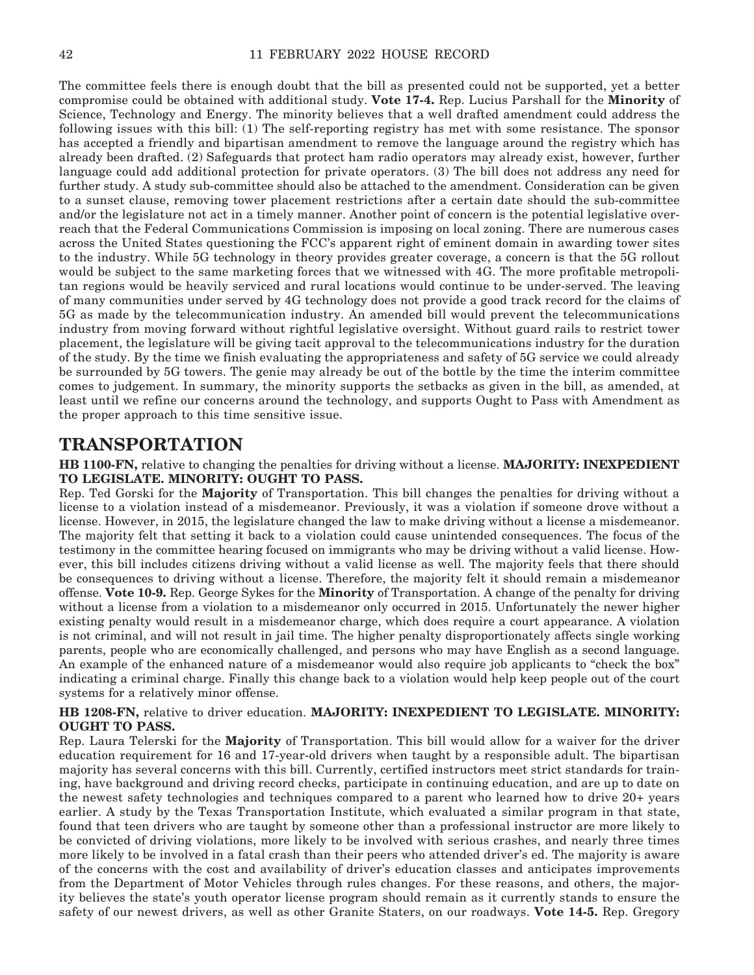The committee feels there is enough doubt that the bill as presented could not be supported, yet a better compromise could be obtained with additional study. **Vote 17-4.** Rep. Lucius Parshall for the **Minority** of Science, Technology and Energy. The minority believes that a well drafted amendment could address the following issues with this bill: (1) The self-reporting registry has met with some resistance. The sponsor has accepted a friendly and bipartisan amendment to remove the language around the registry which has already been drafted. (2) Safeguards that protect ham radio operators may already exist, however, further language could add additional protection for private operators. (3) The bill does not address any need for further study. A study sub-committee should also be attached to the amendment. Consideration can be given to a sunset clause, removing tower placement restrictions after a certain date should the sub-committee and/or the legislature not act in a timely manner. Another point of concern is the potential legislative overreach that the Federal Communications Commission is imposing on local zoning. There are numerous cases across the United States questioning the FCC's apparent right of eminent domain in awarding tower sites to the industry. While 5G technology in theory provides greater coverage, a concern is that the 5G rollout would be subject to the same marketing forces that we witnessed with 4G. The more profitable metropolitan regions would be heavily serviced and rural locations would continue to be under-served. The leaving of many communities under served by 4G technology does not provide a good track record for the claims of 5G as made by the telecommunication industry. An amended bill would prevent the telecommunications industry from moving forward without rightful legislative oversight. Without guard rails to restrict tower placement, the legislature will be giving tacit approval to the telecommunications industry for the duration of the study. By the time we finish evaluating the appropriateness and safety of 5G service we could already be surrounded by 5G towers. The genie may already be out of the bottle by the time the interim committee comes to judgement. In summary, the minority supports the setbacks as given in the bill, as amended, at least until we refine our concerns around the technology, and supports Ought to Pass with Amendment as the proper approach to this time sensitive issue.

# **TRANSPORTATION**

**HB 1100-FN,** relative to changing the penalties for driving without a license. **MAJORITY: INEXPEDIENT TO LEGISLATE. MINORITY: OUGHT TO PASS.**

Rep. Ted Gorski for the **Majority** of Transportation. This bill changes the penalties for driving without a license to a violation instead of a misdemeanor. Previously, it was a violation if someone drove without a license. However, in 2015, the legislature changed the law to make driving without a license a misdemeanor. The majority felt that setting it back to a violation could cause unintended consequences. The focus of the testimony in the committee hearing focused on immigrants who may be driving without a valid license. However, this bill includes citizens driving without a valid license as well. The majority feels that there should be consequences to driving without a license. Therefore, the majority felt it should remain a misdemeanor offense. **Vote 10-9.** Rep. George Sykes for the **Minority** of Transportation. A change of the penalty for driving without a license from a violation to a misdemeanor only occurred in 2015. Unfortunately the newer higher existing penalty would result in a misdemeanor charge, which does require a court appearance. A violation is not criminal, and will not result in jail time. The higher penalty disproportionately affects single working parents, people who are economically challenged, and persons who may have English as a second language. An example of the enhanced nature of a misdemeanor would also require job applicants to "check the box" indicating a criminal charge. Finally this change back to a violation would help keep people out of the court systems for a relatively minor offense.

# **HB 1208-FN,** relative to driver education. **MAJORITY: INEXPEDIENT TO LEGISLATE. MINORITY: OUGHT TO PASS.**

Rep. Laura Telerski for the **Majority** of Transportation. This bill would allow for a waiver for the driver education requirement for 16 and 17-year-old drivers when taught by a responsible adult. The bipartisan majority has several concerns with this bill. Currently, certified instructors meet strict standards for training, have background and driving record checks, participate in continuing education, and are up to date on the newest safety technologies and techniques compared to a parent who learned how to drive 20+ years earlier. A study by the Texas Transportation Institute, which evaluated a similar program in that state, found that teen drivers who are taught by someone other than a professional instructor are more likely to be convicted of driving violations, more likely to be involved with serious crashes, and nearly three times more likely to be involved in a fatal crash than their peers who attended driver's ed. The majority is aware of the concerns with the cost and availability of driver's education classes and anticipates improvements from the Department of Motor Vehicles through rules changes. For these reasons, and others, the majority believes the state's youth operator license program should remain as it currently stands to ensure the safety of our newest drivers, as well as other Granite Staters, on our roadways. **Vote 14-5.** Rep. Gregory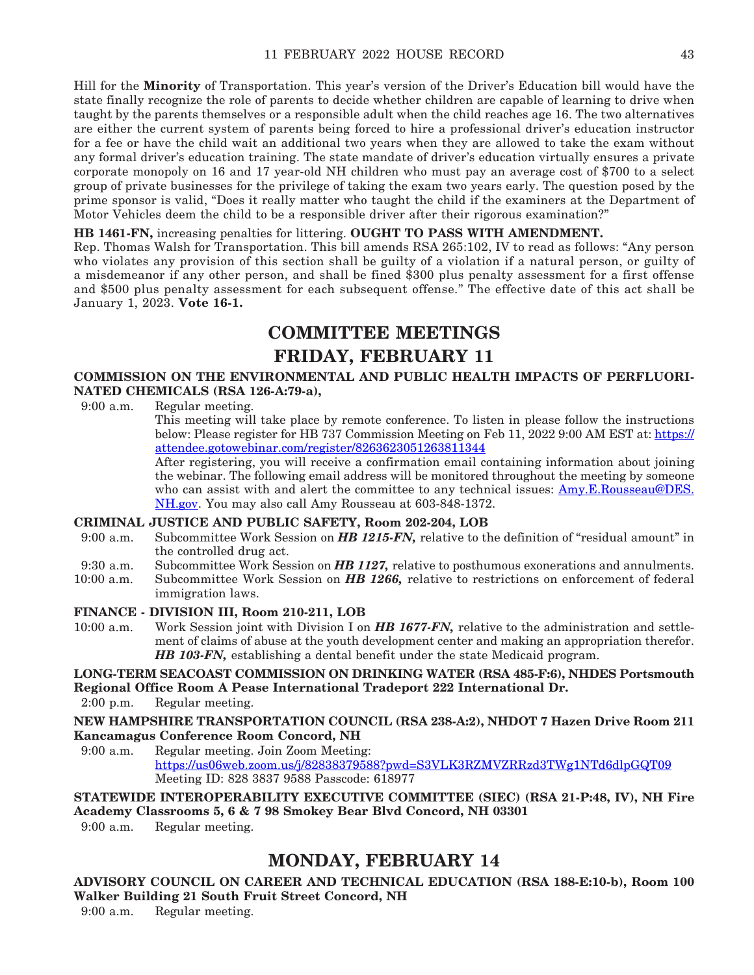Hill for the **Minority** of Transportation. This year's version of the Driver's Education bill would have the state finally recognize the role of parents to decide whether children are capable of learning to drive when taught by the parents themselves or a responsible adult when the child reaches age 16. The two alternatives are either the current system of parents being forced to hire a professional driver's education instructor for a fee or have the child wait an additional two years when they are allowed to take the exam without any formal driver's education training. The state mandate of driver's education virtually ensures a private corporate monopoly on 16 and 17 year-old NH children who must pay an average cost of \$700 to a select group of private businesses for the privilege of taking the exam two years early. The question posed by the prime sponsor is valid, "Does it really matter who taught the child if the examiners at the Department of Motor Vehicles deem the child to be a responsible driver after their rigorous examination?"

# **HB 1461-FN,** increasing penalties for littering. **OUGHT TO PASS WITH AMENDMENT.**

Rep. Thomas Walsh for Transportation. This bill amends RSA 265:102, IV to read as follows: "Any person who violates any provision of this section shall be guilty of a violation if a natural person, or guilty of a misdemeanor if any other person, and shall be fined \$300 plus penalty assessment for a first offense and \$500 plus penalty assessment for each subsequent offense." The effective date of this act shall be January 1, 2023. **Vote 16-1.**

# **COMMITTEE MEETINGS**

# **FRIDAY, FEBRUARY 11**

# **COMMISSION ON THE ENVIRONMENTAL AND PUBLIC HEALTH IMPACTS OF PERFLUORI-NATED CHEMICALS (RSA 126-A:79-a),**

9:00 a.m. Regular meeting.

This meeting will take place by remote conference. To listen in please follow the instructions below: Please register for HB 737 Commission Meeting on Feb 11, 2022 9:00 AM EST at: [https://](https://attendee.gotowebinar.com/register/8263623051263811344) [attendee.gotowebinar.com/register/8263623051263811344](https://attendee.gotowebinar.com/register/8263623051263811344)

After registering, you will receive a confirmation email containing information about joining the webinar. The following email address will be monitored throughout the meeting by someone who can assist with and alert the committee to any technical issues: [Amy.E.Rousseau@DES.](mailto:Amy.E.Rousseau@DES.NH.gov) [NH.gov.](mailto:Amy.E.Rousseau@DES.NH.gov) You may also call Amy Rousseau at 603-848-1372.

# **CRIMINAL JUSTICE AND PUBLIC SAFETY, Room 202-204, LOB**

- 9:00 a.m. Subcommittee Work Session on *HB 1215-FN,* relative to the definition of "residual amount" in the controlled drug act.
- 9:30 a.m. Subcommittee Work Session on *HB 1127,* relative to posthumous exonerations and annulments.
- 10:00 a.m. Subcommittee Work Session on *HB 1266,* relative to restrictions on enforcement of federal immigration laws.

# **FINANCE - DIVISION III, Room 210-211, LOB**

10:00 a.m. Work Session joint with Division I on *HB 1677-FN,* relative to the administration and settlement of claims of abuse at the youth development center and making an appropriation therefor. *HB 103-FN,* establishing a dental benefit under the state Medicaid program.

# **LONG-TERM SEACOAST COMMISSION ON DRINKING WATER (RSA 485-F:6), NHDES Portsmouth Regional Office Room A Pease International Tradeport 222 International Dr.**

2:00 p.m. Regular meeting.

# **NEW HAMPSHIRE TRANSPORTATION COUNCIL (RSA 238-A:2), NHDOT 7 Hazen Drive Room 211 Kancamagus Conference Room Concord, NH**

9:00 a.m. Regular meeting. Join Zoom Meeting: <https://us06web.zoom.us/j/82838379588?pwd=S3VLK3RZMVZRRzd3TWg1NTd6dlpGQT09> Meeting ID: 828 3837 9588 Passcode: 618977

# **STATEWIDE INTEROPERABILITY EXECUTIVE COMMITTEE (SIEC) (RSA 21-P:48, IV), NH Fire Academy Classrooms 5, 6 & 7 98 Smokey Bear Blvd Concord, NH 03301**

9:00 a.m. Regular meeting.

# **MONDAY, FEBRUARY 14**

**ADVISORY COUNCIL ON CAREER AND TECHNICAL EDUCATION (RSA 188-E:10-b), Room 100 Walker Building 21 South Fruit Street Concord, NH**

9:00 a.m. Regular meeting.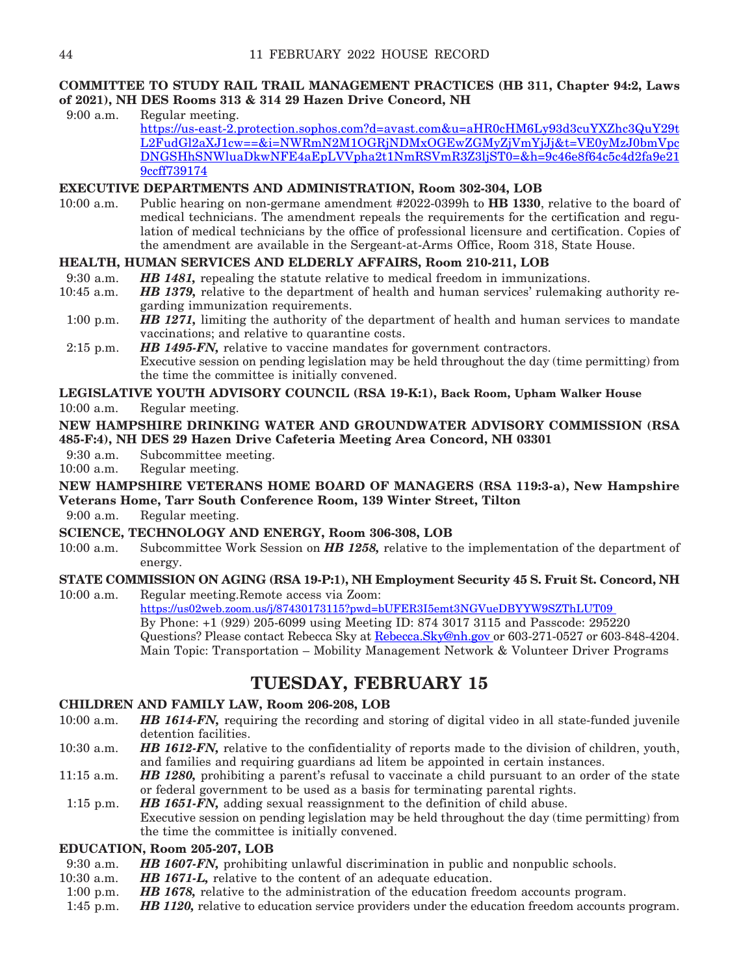# **COMMITTEE TO STUDY RAIL TRAIL MANAGEMENT PRACTICES (HB 311, Chapter 94:2, Laws of 2021), NH DES Rooms 313 & 314 29 Hazen Drive Concord, NH**

9:00 a.m. Regular meeting.

[https://us-east-2.protection.sophos.com?d=avast.com&u=aHR0cHM6Ly93d3cuYXZhc3QuY29t](https://us-east-2.protection.sophos.com?d=avast.com&u=aHR0cHM6Ly93d3cuYXZhc3QuY29tL2FudGl2aXJ1cw==&i=NWRmN2M1OGRjNDMxOGEwZGMyZjVmYjJj&t=VE0yMzJ0bmVpcDNGSHhSNWluaDkwNFE4aEpLVVpha2t1NmRSVmR3Z3ljST0=&h=9c46e8f64c5c4d2fa9e219ccff739174) [L2FudGl2aXJ1cw==&i=NWRmN2M1OGRjNDMxOGEwZGMyZjVmYjJj&t=VE0yMzJ0bmVpc](https://us-east-2.protection.sophos.com?d=avast.com&u=aHR0cHM6Ly93d3cuYXZhc3QuY29tL2FudGl2aXJ1cw==&i=NWRmN2M1OGRjNDMxOGEwZGMyZjVmYjJj&t=VE0yMzJ0bmVpcDNGSHhSNWluaDkwNFE4aEpLVVpha2t1NmRSVmR3Z3ljST0=&h=9c46e8f64c5c4d2fa9e219ccff739174) [DNGSHhSNWluaDkwNFE4aEpLVVpha2t1NmRSVmR3Z3ljST0=&h=9c46e8f64c5c4d2fa9e21](https://us-east-2.protection.sophos.com?d=avast.com&u=aHR0cHM6Ly93d3cuYXZhc3QuY29tL2FudGl2aXJ1cw==&i=NWRmN2M1OGRjNDMxOGEwZGMyZjVmYjJj&t=VE0yMzJ0bmVpcDNGSHhSNWluaDkwNFE4aEpLVVpha2t1NmRSVmR3Z3ljST0=&h=9c46e8f64c5c4d2fa9e219ccff739174) [9ccff739174](https://us-east-2.protection.sophos.com?d=avast.com&u=aHR0cHM6Ly93d3cuYXZhc3QuY29tL2FudGl2aXJ1cw==&i=NWRmN2M1OGRjNDMxOGEwZGMyZjVmYjJj&t=VE0yMzJ0bmVpcDNGSHhSNWluaDkwNFE4aEpLVVpha2t1NmRSVmR3Z3ljST0=&h=9c46e8f64c5c4d2fa9e219ccff739174)

# **EXECUTIVE DEPARTMENTS AND ADMINISTRATION, Room 302-304, LOB**

10:00 a.m. Public hearing on non-germane amendment #2022-0399h to **HB 1330**, relative to the board of medical technicians. The amendment repeals the requirements for the certification and regulation of medical technicians by the office of professional licensure and certification. Copies of the amendment are available in the Sergeant-at-Arms Office, Room 318, State House.

# **HEALTH, HUMAN SERVICES AND ELDERLY AFFAIRS, Room 210-211, LOB**

- 9:30 a.m. *HB 1481,* repealing the statute relative to medical freedom in immunizations.
- 10:45 a.m. *HB 1379,* relative to the department of health and human services' rulemaking authority regarding immunization requirements.
- 1:00 p.m. *HB 1271,* limiting the authority of the department of health and human services to mandate vaccinations; and relative to quarantine costs.
- 2:15 p.m. *HB 1495-FN,* relative to vaccine mandates for government contractors. Executive session on pending legislation may be held throughout the day (time permitting) from the time the committee is initially convened.

# **LEGISLATIVE YOUTH ADVISORY COUNCIL (RSA 19-K:1), Back Room, Upham Walker House**

10:00 a.m. Regular meeting.

## **NEW HAMPSHIRE DRINKING WATER AND GROUNDWATER ADVISORY COMMISSION (RSA 485-F:4), NH DES 29 Hazen Drive Cafeteria Meeting Area Concord, NH 03301**

- 9:30 a.m. Subcommittee meeting.<br>10:00 a.m. Regular meeting.
- Regular meeting.

# **NEW HAMPSHIRE VETERANS HOME BOARD OF MANAGERS (RSA 119:3-a), New Hampshire Veterans Home, Tarr South Conference Room, 139 Winter Street, Tilton**

9:00 a.m. Regular meeting.

# **SCIENCE, TECHNOLOGY AND ENERGY, Room 306-308, LOB**

10:00 a.m. Subcommittee Work Session on *HB 1258,* relative to the implementation of the department of energy.

# **STATE COMMISSION ON AGING (RSA 19-P:1), NH Employment Security 45 S. Fruit St. Concord, NH**

10:00 a.m. Regular meeting.Remote access via Zoom: [https://us02web.zoom.us/j/87430173115?pwd=bUFER3I5emt3NGVueDBYYW9SZThLUT09](https://urldefense.com/v3/__https:/us02web.zoom.us/j/87430173115?pwd=bUFER3I5emt3NGVueDBYYW9SZThLUT09__;!!Oai6dtTQULp8Sw!HGvcGc6U-N52ymPltOOOqq8DjnzweecGJjFeWeQdKUeLqx33Fa5zW-gC0T3aM4t8kQOqNg$)  By Phone: +1 (929) 205-6099 using Meeting ID: 874 3017 3115 and Passcode: 295220 Questions? Please contact Rebecca Sky at Rebecca. Sky@nh.gov or 603-271-0527 or 603-848-4204. Main Topic: Transportation – Mobility Management Network & Volunteer Driver Programs

# **TUESDAY, FEBRUARY 15**

# **CHILDREN AND FAMILY LAW, Room 206-208, LOB**

- 10:00 a.m. *HB 1614-FN,* requiring the recording and storing of digital video in all state-funded juvenile detention facilities.
- 10:30 a.m. *HB 1612-FN,* relative to the confidentiality of reports made to the division of children, youth, and families and requiring guardians ad litem be appointed in certain instances.
- 11:15 a.m. *HB 1280,* prohibiting a parent's refusal to vaccinate a child pursuant to an order of the state or federal government to be used as a basis for terminating parental rights.
- 1:15 p.m. *HB 1651-FN,* adding sexual reassignment to the definition of child abuse. Executive session on pending legislation may be held throughout the day (time permitting) from the time the committee is initially convened.

# **EDUCATION, Room 205-207, LOB**

- 9:30 a.m. *HB 1607-FN,* prohibiting unlawful discrimination in public and nonpublic schools.
- 10:30 a.m. *HB 1671-L,* relative to the content of an adequate education.
- 1:00 p.m. *HB 1678,* relative to the administration of the education freedom accounts program.
- 1:45 p.m. *HB 1120,* relative to education service providers under the education freedom accounts program.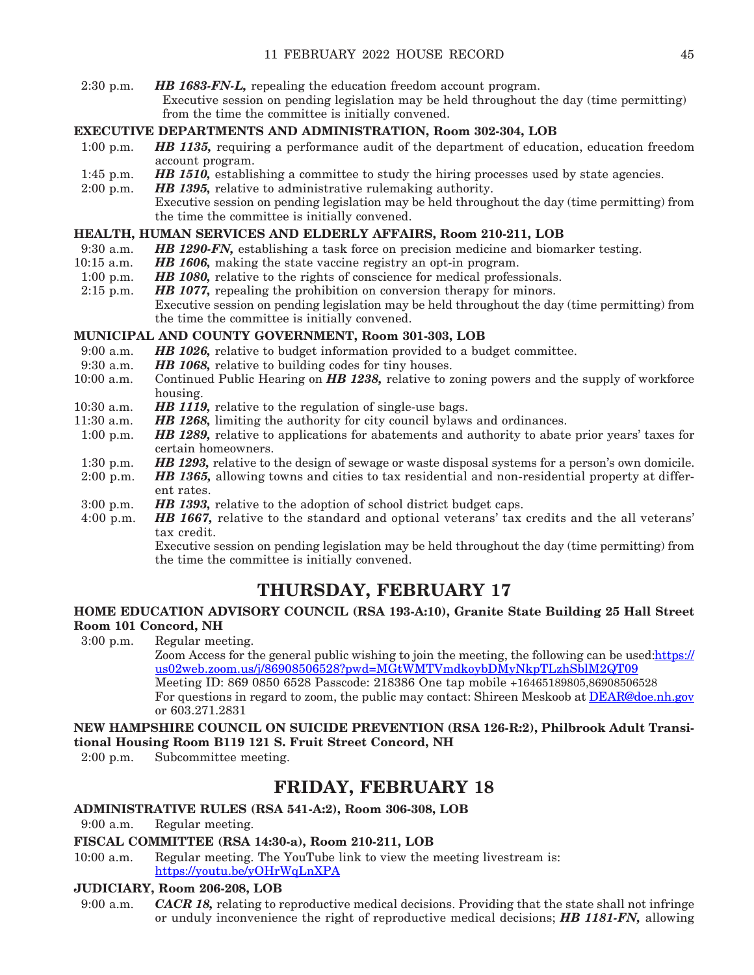2:30 p.m. *HB 1683-FN-L,* repealing the education freedom account program. Executive session on pending legislation may be held throughout the day (time permitting) from the time the committee is initially convened.

# **EXECUTIVE DEPARTMENTS AND ADMINISTRATION, Room 302-304, LOB**

- 1:00 p.m. *HB 1135,* requiring a performance audit of the department of education, education freedom account program.
- 1:45 p.m. *HB 1510*, establishing a committee to study the hiring processes used by state agencies.
- 2:00 p.m. *HB 1395,* relative to administrative rulemaking authority.
	- Executive session on pending legislation may be held throughout the day (time permitting) from the time the committee is initially convened.

# **HEALTH, HUMAN SERVICES AND ELDERLY AFFAIRS, Room 210-211, LOB**

- 9:30 a.m. *HB 1290-FN,* establishing a task force on precision medicine and biomarker testing.
- 10:15 a.m. *HB 1606,* making the state vaccine registry an opt-in program.
- 1:00 p.m. *HB 1080,* relative to the rights of conscience for medical professionals.
- 2:15 p.m. *HB 1077,* repealing the prohibition on conversion therapy for minors. Executive session on pending legislation may be held throughout the day (time permitting) from the time the committee is initially convened.

# **MUNICIPAL AND COUNTY GOVERNMENT, Room 301-303, LOB**

- 9:00 a.m. *HB 1026,* relative to budget information provided to a budget committee.<br>9:30 a.m. *HB 1068,* relative to building codes for tiny houses.
- 9:30 a.m. *HB 1068,* relative to building codes for tiny houses.<br>10:00 a.m. Continued Public Hearing on **HB 1238**, relative to z
- Continued Public Hearing on **HB 1238**, relative to zoning powers and the supply of workforce housing.
- 10:30 a.m. *HB 1119*, relative to the regulation of single-use bags.<br>11:30 a.m. *HB 1268*, limiting the authority for city council bylaws
- HB 1268, limiting the authority for city council bylaws and ordinances.
- 1:00 p.m. *HB 1289,* relative to applications for abatements and authority to abate prior years' taxes for certain homeowners.
- 1:30 p.m. *HB 1293,* relative to the design of sewage or waste disposal systems for a person's own domicile.
- 2:00 p.m. *HB 1365,* allowing towns and cities to tax residential and non-residential property at different rates.
- 3:00 p.m. *HB 1393,* relative to the adoption of school district budget caps.
- 4:00 p.m. *HB 1667,* relative to the standard and optional veterans' tax credits and the all veterans' tax credit.

 Executive session on pending legislation may be held throughout the day (time permitting) from the time the committee is initially convened.

# **THURSDAY, FEBRUARY 17**

# **HOME EDUCATION ADVISORY COUNCIL (RSA 193-A:10), Granite State Building 25 Hall Street Room 101 Concord, NH**

3:00 p.m. Regular meeting. Zoom Access for the general public wishing to join the meeting, the following can be used: https:// [us02web.zoom.us/j/86908506528?pwd=MGtWMTVmdkoybDMyNkpTLzhSblM2QT09](https://urldefense.com/v3/__https:/us02web.zoom.us/j/86908506528?pwd=MGtWMTVmdkoybDMyNkpTLzhSblM2QT09__;!!Oai6dtTQULp8Sw!Au89VIkRKwPgn9HMe5LiP-cfhVgczlEU2WeLCh2whq2iCzSpS1_GanpXa0J9ifBgAv2-54c$) Meeting ID: 869 0850 6528 Passcode: 218386 One tap mobile +16465189805,86908506528 For questions in regard to zoom, the public may contact: Shireen Meskoob at [DEAR@doe.nh.gov](mailto:DEAR@doe.nh.gov) or 603.271.2831

**NEW HAMPSHIRE COUNCIL ON SUICIDE PREVENTION (RSA 126-R:2), Philbrook Adult Transitional Housing Room B119 121 S. Fruit Street Concord, NH**

2:00 p.m. Subcommittee meeting.

# **FRIDAY, FEBRUARY 18**

# **ADMINISTRATIVE RULES (RSA 541-A:2), Room 306-308, LOB**

9:00 a.m. Regular meeting.

# **FISCAL COMMITTEE (RSA 14:30-a), Room 210-211, LOB**

10:00 a.m. Regular meeting. The YouTube link to view the meeting livestream is: <https://youtu.be/yOHrWqLnXPA>

# **JUDICIARY, Room 206-208, LOB**

9:00 a.m. *CACR 18,* relating to reproductive medical decisions. Providing that the state shall not infringe or unduly inconvenience the right of reproductive medical decisions; *HB 1181-FN,* allowing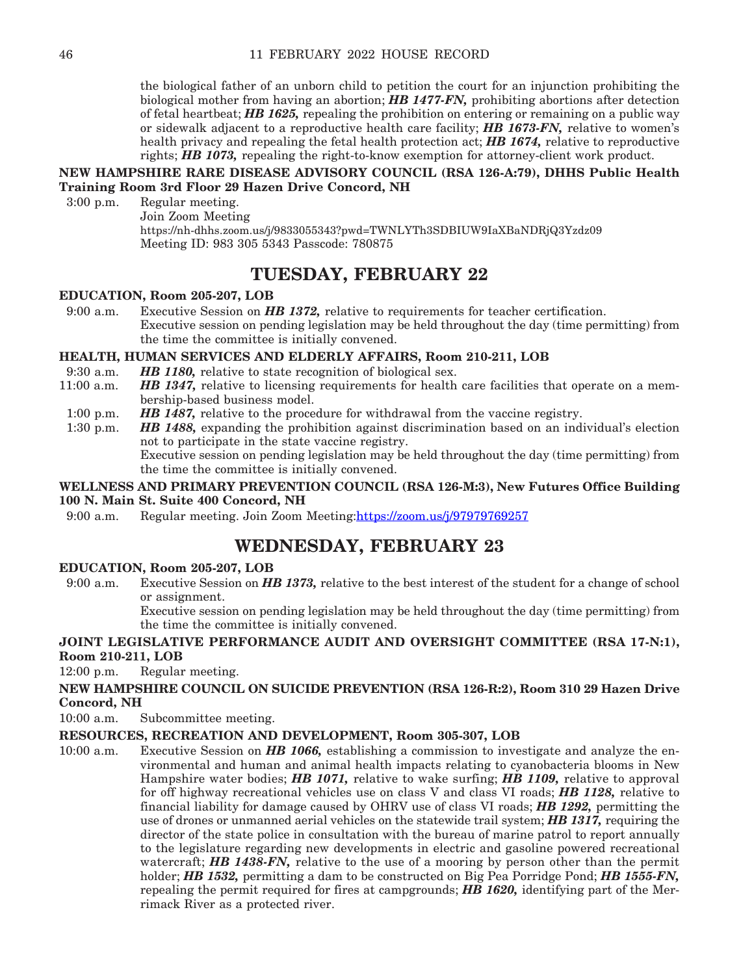the biological father of an unborn child to petition the court for an injunction prohibiting the biological mother from having an abortion; *HB 1477-FN,* prohibiting abortions after detection of fetal heartbeat; *HB 1625,* repealing the prohibition on entering or remaining on a public way or sidewalk adjacent to a reproductive health care facility; *HB 1673-FN,* relative to women's health privacy and repealing the fetal health protection act; *HB 1674,* relative to reproductive rights; *HB 1073,* repealing the right-to-know exemption for attorney-client work product.

# **NEW HAMPSHIRE RARE DISEASE ADVISORY COUNCIL (RSA 126-A:79), DHHS Public Health Training Room 3rd Floor 29 Hazen Drive Concord, NH**

3:00 p.m. Regular meeting. Join Zoom Meeting

https://nh-dhhs.zoom.us/j/9833055343?pwd=TWNLYTh3SDBIUW9IaXBaNDRjQ3Yzdz09 Meeting ID: 983 305 5343 Passcode: 780875

# **TUESDAY, FEBRUARY 22**

# **EDUCATION, Room 205-207, LOB**

9:00 a.m. Executive Session on *HB 1372,* relative to requirements for teacher certification. Executive session on pending legislation may be held throughout the day (time permitting) from the time the committee is initially convened.

# **HEALTH, HUMAN SERVICES AND ELDERLY AFFAIRS, Room 210-211, LOB**

- 9:30 a.m. *HB 1180,* relative to state recognition of biological sex.<br>11:00 a.m. *HB 1347,* relative to licensing requirements for health
- **HB 1347,** relative to licensing requirements for health care facilities that operate on a membership-based business model.
- 1:00 p.m. *HB 1487*, relative to the procedure for withdrawal from the vaccine registry.
- 1:30 p.m. *HB 1488,* expanding the prohibition against discrimination based on an individual's election not to participate in the state vaccine registry. Executive session on pending legislation may be held throughout the day (time permitting) from

the time the committee is initially convened.

# **WELLNESS AND PRIMARY PREVENTION COUNCIL (RSA 126-M:3), New Futures Office Building 100 N. Main St. Suite 400 Concord, NH**

9:00 a.m. Regular meeting. Join Zoom Meeting:[https://zoom.us/j/97979769257](https://urldefense.com/v3/__https:/zoom.us/j/97979769257__;!!Oai6dtTQULp8Sw!BVC9t65oW5Fs2BqQHCrzQFZCuwCmECGq8-Q-Cl1I-_XOieCwIa3_tejxp-hnU6nRdcNgmA$)

# **WEDNESDAY, FEBRUARY 23**

# **EDUCATION, Room 205-207, LOB**

9:00 a.m. Executive Session on *HB 1373,* relative to the best interest of the student for a change of school or assignment.

 Executive session on pending legislation may be held throughout the day (time permitting) from the time the committee is initially convened.

# **JOINT LEGISLATIVE PERFORMANCE AUDIT AND OVERSIGHT COMMITTEE (RSA 17-N:1), Room 210-211, LOB**

12:00 p.m. Regular meeting.

# **NEW HAMPSHIRE COUNCIL ON SUICIDE PREVENTION (RSA 126-R:2), Room 310 29 Hazen Drive Concord, NH**

10:00 a.m. Subcommittee meeting.

# **RESOURCES, RECREATION AND DEVELOPMENT, Room 305-307, LOB**

10:00 a.m. Executive Session on *HB 1066,* establishing a commission to investigate and analyze the environmental and human and animal health impacts relating to cyanobacteria blooms in New Hampshire water bodies; *HB 1071,* relative to wake surfing; *HB 1109,* relative to approval for off highway recreational vehicles use on class V and class VI roads; *HB 1128,* relative to financial liability for damage caused by OHRV use of class VI roads; *HB 1292,* permitting the use of drones or unmanned aerial vehicles on the statewide trail system; *HB 1317,* requiring the director of the state police in consultation with the bureau of marine patrol to report annually to the legislature regarding new developments in electric and gasoline powered recreational watercraft; *HB 1438-FN*, relative to the use of a mooring by person other than the permit holder; *HB 1532,* permitting a dam to be constructed on Big Pea Porridge Pond; *HB 1555-FN,*  repealing the permit required for fires at campgrounds; *HB 1620,* identifying part of the Merrimack River as a protected river.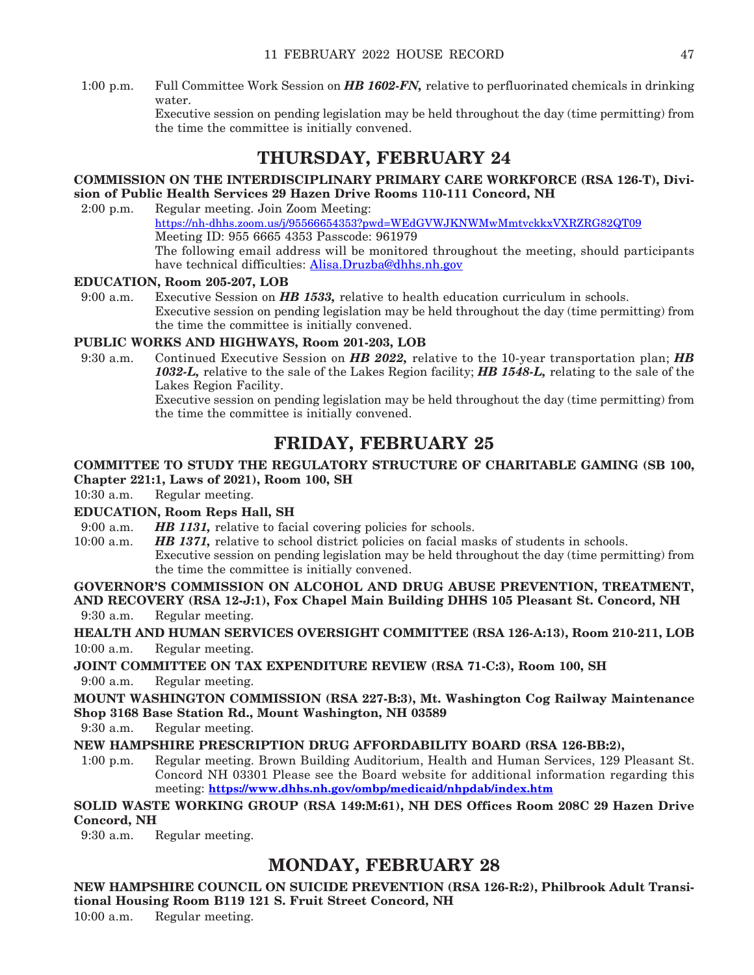1:00 p.m. Full Committee Work Session on *HB 1602-FN,* relative to perfluorinated chemicals in drinking water.

 Executive session on pending legislation may be held throughout the day (time permitting) from the time the committee is initially convened.

# **THURSDAY, FEBRUARY 24**

# **COMMISSION ON THE INTERDISCIPLINARY PRIMARY CARE WORKFORCE (RSA 126-T), Division of Public Health Services 29 Hazen Drive Rooms 110-111 Concord, NH**

2:00 p.m. Regular meeting. Join Zoom Meeting: <https://nh-dhhs.zoom.us/j/95566654353?pwd=WEdGVWJKNWMwMmtvckkxVXRZRG82QT09> Meeting ID: 955 6665 4353 Passcode: 961979 The following email address will be monitored throughout the meeting, should participants have technical difficulties: [Alisa.Druzba@dhhs.nh.gov](mailto:Alisa.Druzba@dhhs.nh.gov)

# **EDUCATION, Room 205-207, LOB**

9:00 a.m. Executive Session on *HB 1533,* relative to health education curriculum in schools. Executive session on pending legislation may be held throughout the day (time permitting) from the time the committee is initially convened.

# **PUBLIC WORKS AND HIGHWAYS, Room 201-203, LOB**

9:30 a.m. Continued Executive Session on *HB 2022,* relative to the 10-year transportation plan; *HB 1032-L,* relative to the sale of the Lakes Region facility; *HB 1548-L,* relating to the sale of the Lakes Region Facility.

 Executive session on pending legislation may be held throughout the day (time permitting) from the time the committee is initially convened.

# **FRIDAY, FEBRUARY 25**

# **COMMITTEE TO STUDY THE REGULATORY STRUCTURE OF CHARITABLE GAMING (SB 100, Chapter 221:1, Laws of 2021), Room 100, SH**

10:30 a.m. Regular meeting.

# **EDUCATION, Room Reps Hall, SH**

9:00 a.m. **HB 1131,** relative to facial covering policies for schools.

10:00 a.m. *HB 1371,* relative to school district policies on facial masks of students in schools. Executive session on pending legislation may be held throughout the day (time permitting) from the time the committee is initially convened.

# **GOVERNOR'S COMMISSION ON ALCOHOL AND DRUG ABUSE PREVENTION, TREATMENT,**

**AND RECOVERY (RSA 12-J:1), Fox Chapel Main Building DHHS 105 Pleasant St. Concord, NH** 9:30 a.m. Regular meeting.

**HEALTH AND HUMAN SERVICES OVERSIGHT COMMITTEE (RSA 126-A:13), Room 210-211, LOB** 10:00 a.m. Regular meeting.

**JOINT COMMITTEE ON TAX EXPENDITURE REVIEW (RSA 71-C:3), Room 100, SH** 9:00 a.m. Regular meeting.

**MOUNT WASHINGTON COMMISSION (RSA 227-B:3), Mt. Washington Cog Railway Maintenance Shop 3168 Base Station Rd., Mount Washington, NH 03589**

9:30 a.m. Regular meeting.

**NEW HAMPSHIRE PRESCRIPTION DRUG AFFORDABILITY BOARD (RSA 126-BB:2),** 

1:00 p.m. Regular meeting. Brown Building Auditorium, Health and Human Services, 129 Pleasant St. Concord NH 03301 Please see the Board website for additional information regarding this meeting: **<https://www.dhhs.nh.gov/ombp/medicaid/nhpdab/index.htm>**

# **SOLID WASTE WORKING GROUP (RSA 149:M:61), NH DES Offices Room 208C 29 Hazen Drive Concord, NH**

9:30 a.m. Regular meeting.

# **MONDAY, FEBRUARY 28**

**NEW HAMPSHIRE COUNCIL ON SUICIDE PREVENTION (RSA 126-R:2), Philbrook Adult Transitional Housing Room B119 121 S. Fruit Street Concord, NH** 10:00 a.m. Regular meeting.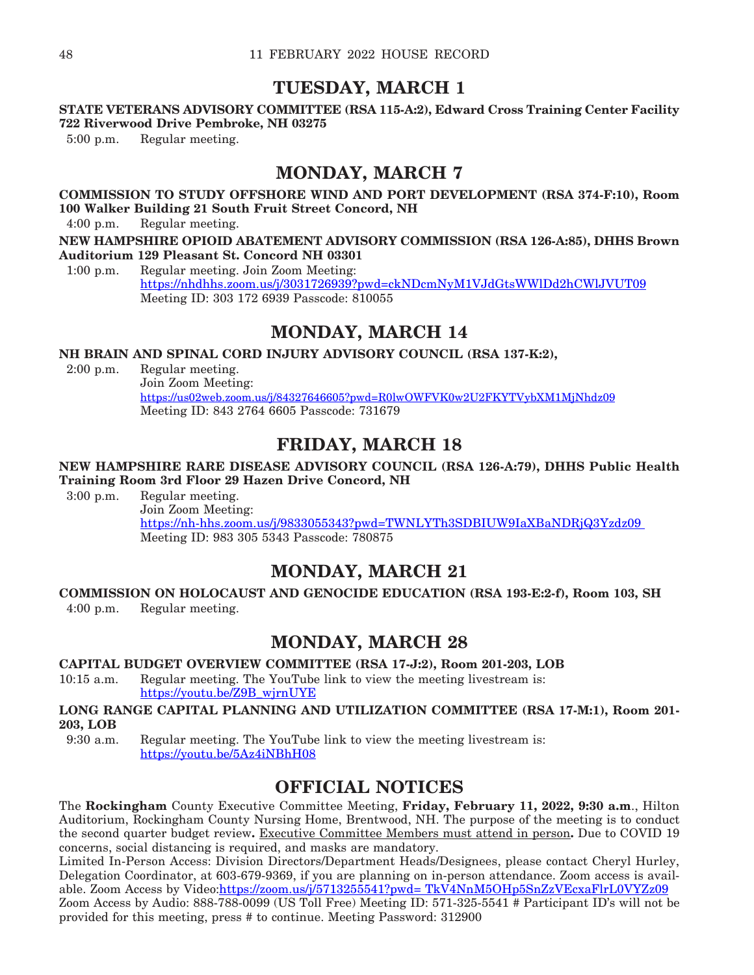# **TUESDAY, MARCH 1**

# **STATE VETERANS ADVISORY COMMITTEE (RSA 115-A:2), Edward Cross Training Center Facility 722 Riverwood Drive Pembroke, NH 03275**

5:00 p.m. Regular meeting.

# **MONDAY, MARCH 7**

# **COMMISSION TO STUDY OFFSHORE WIND AND PORT DEVELOPMENT (RSA 374-F:10), Room 100 Walker Building 21 South Fruit Street Concord, NH**

4:00 p.m. Regular meeting.

**NEW HAMPSHIRE OPIOID ABATEMENT ADVISORY COMMISSION (RSA 126-A:85), DHHS Brown Auditorium 129 Pleasant St. Concord NH 03301**

1:00 p.m. Regular meeting. Join Zoom Meeting: https://nhdhhs.zoom.us/j/3031726939?pwd=ckNDcmNyM1VJdGtsWWlDd2hCWlJVUT09 Meeting ID: 303 172 6939 Passcode: 810055

# **MONDAY, MARCH 14**

**NH BRAIN AND SPINAL CORD INJURY ADVISORY COUNCIL (RSA 137-K:2),** 

2:00 p.m. Regular meeting. Join Zoom Meeting: <https://us02web.zoom.us/j/84327646605?pwd=R0lwOWFVK0w2U2FKYTVybXM1MjNhdz09> Meeting ID: 843 2764 6605 Passcode: 731679

# **FRIDAY, MARCH 18**

# **NEW HAMPSHIRE RARE DISEASE ADVISORY COUNCIL (RSA 126-A:79), DHHS Public Health Training Room 3rd Floor 29 Hazen Drive Concord, NH**

3:00 p.m. Regular meeting. Join Zoom Meeting: [https://nh-hhs.zoom.us/j/9833055343?pwd=TWNLYTh3SDBIUW9IaXBaNDRjQ3Yzdz09](https://nh-dhhs.zoom.us/j/9833055343?pwd=TWNLYTh3SDBIUW9IaXBaNDRjQ3Yzdz09%20)  Meeting ID: 983 305 5343 Passcode: 780875

# **MONDAY, MARCH 21**

# **COMMISSION ON HOLOCAUST AND GENOCIDE EDUCATION (RSA 193-E:2-f), Room 103, SH**

4:00 p.m. Regular meeting.

# **MONDAY, MARCH 28**

# **CAPITAL BUDGET OVERVIEW COMMITTEE (RSA 17-J:2), Room 201-203, LOB**

10:15 a.m. Regular meeting. The YouTube link to view the meeting livestream is: [https://youtu.be/Z9B\\_wjrnUYE](https://youtu.be/Z9B_wjrnUYE)

# **LONG RANGE CAPITAL PLANNING AND UTILIZATION COMMITTEE (RSA 17-M:1), Room 201- 203, LOB**

9:30 a.m. Regular meeting. The YouTube link to view the meeting livestream is: <https://youtu.be/5Az4iNBhH08>

# **OFFICIAL NOTICES**

The **Rockingham** County Executive Committee Meeting, **Friday, February 11, 2022, 9:30 a.m**., Hilton Auditorium, Rockingham County Nursing Home, Brentwood, NH. The purpose of the meeting is to conduct the second quarter budget review**.** Executive Committee Members must attend in person**.** Due to COVID 19 concerns, social distancing is required, and masks are mandatory.

Limited In-Person Access: Division Directors/Department Heads/Designees, please contact Cheryl Hurley, Delegation Coordinator, at 603-679-9369, if you are planning on in-person attendance. Zoom access is avail-able. Zoom Access by Video[:https://zoom.us/j/5713255541?pwd= TkV4NnM5OHp5SnZzVEcxaFlrL0VYZz09](https://zoom.us/j/5713255541?pwd=TkV4NnM5OHp5SnZzVEcxaFlrL0VYZz09)

Zoom Access by Audio: 888-788-0099 (US Toll Free) Meeting ID: 571-325-5541 # Participant ID's will not be provided for this meeting, press # to continue. Meeting Password: 312900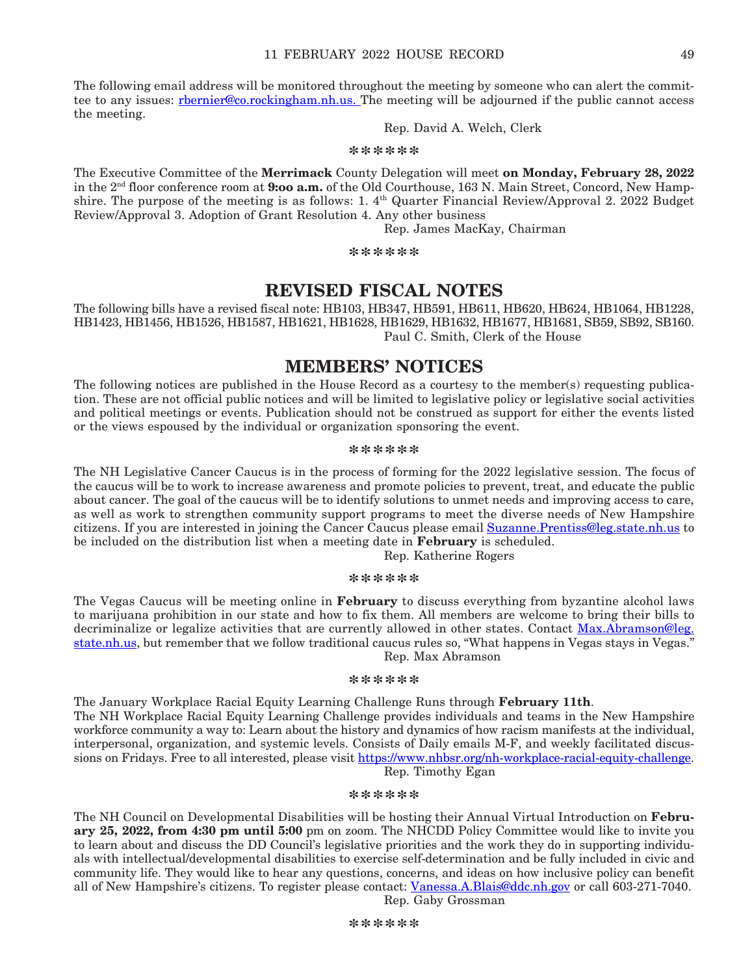The following email address will be monitored throughout the meeting by someone who can alert the committee to any issues: rhernier@co.rockingham.nh.us. The meeting will be adjourned if the public cannot access the meeting.

# Rep. David A. Welch, Clerk

**\*\*\*\*\*\***

The Executive Committee of the **Merrimack** County Delegation will meet **on Monday, February 28, 2022** in the 2nd floor conference room at **9:oo a.m.** of the Old Courthouse, 163 N. Main Street, Concord, New Hampshire. The purpose of the meeting is as follows: 1.  $4<sup>th</sup>$  Quarter Financial Review/Approval 2. 2022 Budget Review/Approval 3. Adoption of Grant Resolution 4. Any other business

Rep. James MacKay, Chairman

**\*\*\*\*\*\***

# **REVISED FISCAL NOTES**

The following bills have a revised fiscal note: HB103, HB347, HB591, HB611, HB620, HB624, HB1064, HB1228, HB1423, HB1456, HB1526, HB1587, HB1621, HB1628, HB1629, HB1632, HB1677, HB1681, SB59, SB92, SB160. Paul C. Smith, Clerk of the House

# **MEMBERS' NOTICES**

The following notices are published in the House Record as a courtesy to the member(s) requesting publication. These are not official public notices and will be limited to legislative policy or legislative social activities and political meetings or events. Publication should not be construed as support for either the events listed or the views espoused by the individual or organization sponsoring the event.

#### **\*\*\*\*\*\***

The NH Legislative Cancer Caucus is in the process of forming for the 2022 legislative session. The focus of the caucus will be to work to increase awareness and promote policies to prevent, treat, and educate the public about cancer. The goal of the caucus will be to identify solutions to unmet needs and improving access to care, as well as work to strengthen community support programs to meet the diverse needs of New Hampshire citizens. If you are interested in joining the Cancer Caucus please email [Suzanne.Prentiss@leg.state.nh.us](mailto:Suzanne.Prentiss@leg.state.nh.us) to be included on the distribution list when a meeting date in **February** is scheduled.

Rep. Katherine Rogers

#### **\*\*\*\*\*\***

The Vegas Caucus will be meeting online in **February** to discuss everything from byzantine alcohol laws to marijuana prohibition in our state and how to fix them. All members are welcome to bring their bills to decriminalize or legalize activities that are currently allowed in other states. Contact [Max.Abramson@leg.](mailto:Max.Abramson@leg.state.nh.us) [state.nh.us](mailto:Max.Abramson@leg.state.nh.us), but remember that we follow traditional caucus rules so, "What happens in Vegas stays in Vegas." Rep. Max Abramson

#### **\*\*\*\*\*\***

The January Workplace Racial Equity Learning Challenge Runs through **February 11th**. The NH Workplace Racial Equity Learning Challenge provides individuals and teams in the New Hampshire workforce community a way to: Learn about the history and dynamics of how racism manifests at the individual, interpersonal, organization, and systemic levels. Consists of Daily emails M-F, and weekly facilitated discussions on Fridays. Free to all interested, please visit <https://www.nhbsr.org/nh-workplace-racial-equity-challenge>. Rep. Timothy Egan

## **\*\*\*\*\*\***

The NH Council on Developmental Disabilities will be hosting their Annual Virtual Introduction on **February 25, 2022, from 4:30 pm until 5:00** pm on zoom. The NHCDD Policy Committee would like to invite you to learn about and discuss the DD Council's legislative priorities and the work they do in supporting individuals with intellectual/developmental disabilities to exercise self-determination and be fully included in civic and community life. They would like to hear any questions, concerns, and ideas on how inclusive policy can benefit all of New Hampshire's citizens. To register please contact: [Vanessa.A.Blais@ddc.nh.gov](mailto:Vanessa.A.Blais@ddc.nh.gov) or call 603-271-7040. Rep. Gaby Grossman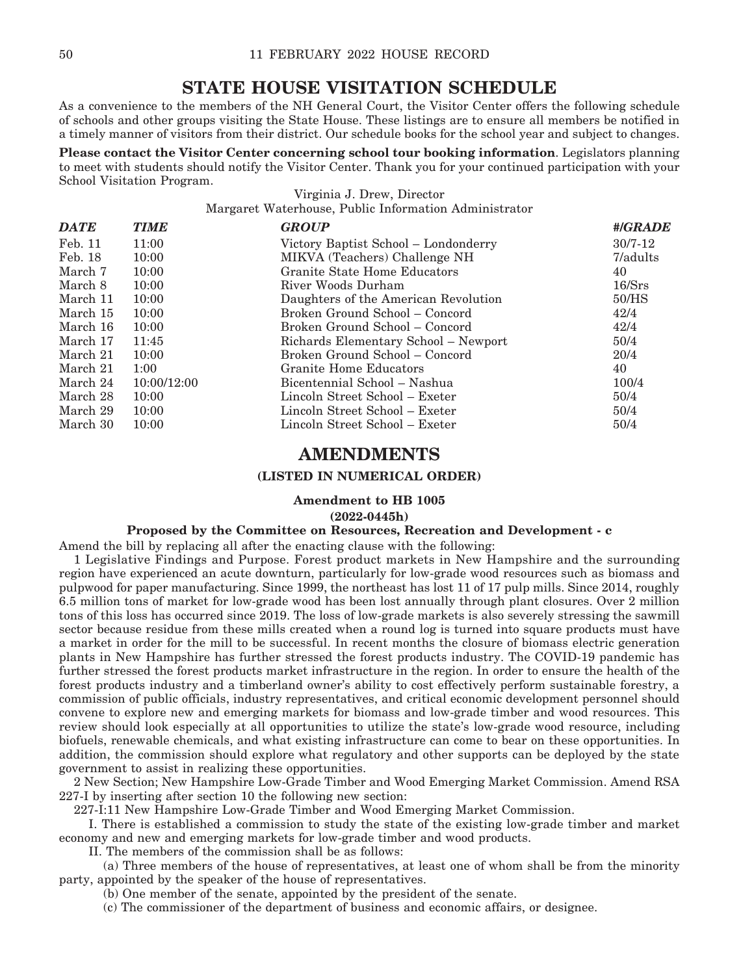# **STATE HOUSE VISITATION SCHEDULE**

As a convenience to the members of the NH General Court, the Visitor Center offers the following schedule of schools and other groups visiting the State House. These listings are to ensure all members be notified in a timely manner of visitors from their district. Our schedule books for the school year and subject to changes.

**Please contact the Visitor Center concerning school tour booking information**. Legislators planning to meet with students should notify the Visitor Center. Thank you for your continued participation with your School Visitation Program.

> Virginia J. Drew, Director Margaret Waterhouse, Public Information Administrator

| <b>TIME</b> | <b>GROUP</b>                         | #/GRADE     |
|-------------|--------------------------------------|-------------|
| 11:00       | Victory Baptist School – Londonderry | $30/7 - 12$ |
| 10:00       | MIKVA (Teachers) Challenge NH        | 7/adults    |
| 10:00       | Granite State Home Educators         | 40          |
| 10:00       | River Woods Durham                   | 16/Srs      |
| 10:00       | Daughters of the American Revolution | 50/HS       |
| 10:00       | Broken Ground School – Concord       | 42/4        |
| 10:00       | Broken Ground School – Concord       | 42/4        |
| 11:45       | Richards Elementary School - Newport | 50/4        |
| 10:00       | Broken Ground School – Concord       | 20/4        |
| 1:00        | Granite Home Educators               | 40          |
| 10:00/12:00 | Bicentennial School – Nashua         | 100/4       |
| 10:00       | Lincoln Street School – Exeter       | 50/4        |
| 10:00       | Lincoln Street School – Exeter       | 50/4        |
| 10:00       | Lincoln Street School – Exeter       | 50/4        |
|             |                                      |             |

# **AMENDMENTS**

## **(LISTED IN NUMERICAL ORDER)**

# **Amendment to HB 1005**

## **(2022-0445h)**

# **Proposed by the Committee on Resources, Recreation and Development - c**

Amend the bill by replacing all after the enacting clause with the following:

1 Legislative Findings and Purpose. Forest product markets in New Hampshire and the surrounding region have experienced an acute downturn, particularly for low-grade wood resources such as biomass and pulpwood for paper manufacturing. Since 1999, the northeast has lost 11 of 17 pulp mills. Since 2014, roughly 6.5 million tons of market for low-grade wood has been lost annually through plant closures. Over 2 million tons of this loss has occurred since 2019. The loss of low-grade markets is also severely stressing the sawmill sector because residue from these mills created when a round log is turned into square products must have a market in order for the mill to be successful. In recent months the closure of biomass electric generation plants in New Hampshire has further stressed the forest products industry. The COVID-19 pandemic has further stressed the forest products market infrastructure in the region. In order to ensure the health of the forest products industry and a timberland owner's ability to cost effectively perform sustainable forestry, a commission of public officials, industry representatives, and critical economic development personnel should convene to explore new and emerging markets for biomass and low-grade timber and wood resources. This review should look especially at all opportunities to utilize the state's low-grade wood resource, including biofuels, renewable chemicals, and what existing infrastructure can come to bear on these opportunities. In addition, the commission should explore what regulatory and other supports can be deployed by the state government to assist in realizing these opportunities.

2 New Section; New Hampshire Low-Grade Timber and Wood Emerging Market Commission. Amend RSA 227-I by inserting after section 10 the following new section:

227-I:11 New Hampshire Low-Grade Timber and Wood Emerging Market Commission.

 I. There is established a commission to study the state of the existing low-grade timber and market economy and new and emerging markets for low-grade timber and wood products.

II. The members of the commission shall be as follows:

 (a) Three members of the house of representatives, at least one of whom shall be from the minority party, appointed by the speaker of the house of representatives.

(b) One member of the senate, appointed by the president of the senate.

(c) The commissioner of the department of business and economic affairs, or designee.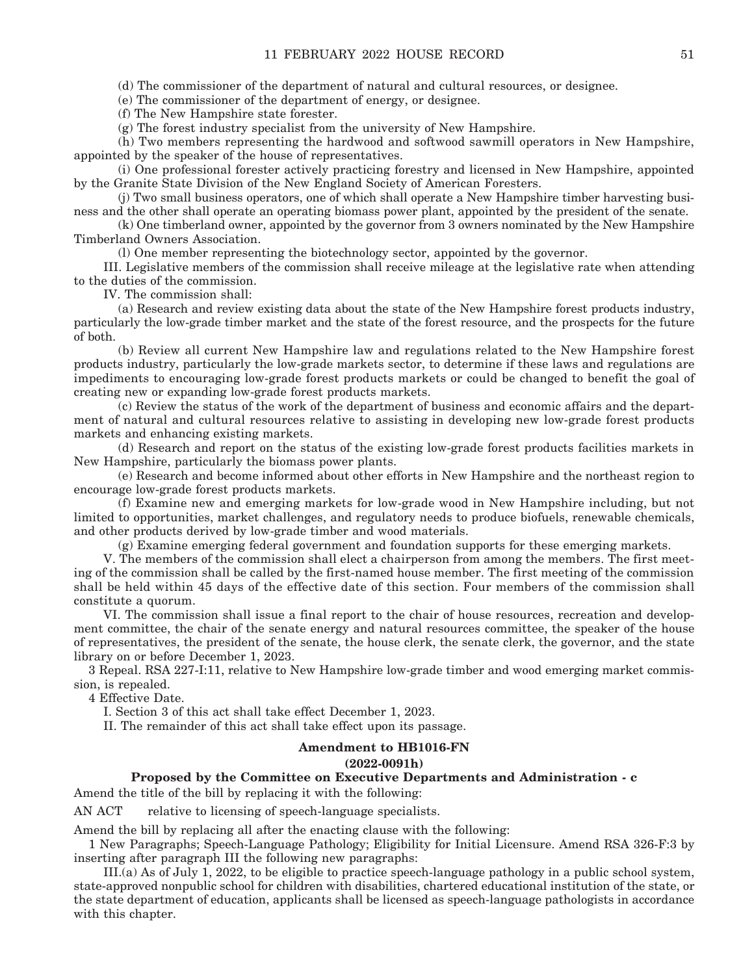(d) The commissioner of the department of natural and cultural resources, or designee.

(e) The commissioner of the department of energy, or designee.

(f) The New Hampshire state forester.

(g) The forest industry specialist from the university of New Hampshire.

 (h) Two members representing the hardwood and softwood sawmill operators in New Hampshire, appointed by the speaker of the house of representatives.

 (i) One professional forester actively practicing forestry and licensed in New Hampshire, appointed by the Granite State Division of the New England Society of American Foresters.

 (j) Two small business operators, one of which shall operate a New Hampshire timber harvesting business and the other shall operate an operating biomass power plant, appointed by the president of the senate.

 (k) One timberland owner, appointed by the governor from 3 owners nominated by the New Hampshire Timberland Owners Association.

(l) One member representing the biotechnology sector, appointed by the governor.

 III. Legislative members of the commission shall receive mileage at the legislative rate when attending to the duties of the commission.

IV. The commission shall:

 (a) Research and review existing data about the state of the New Hampshire forest products industry, particularly the low-grade timber market and the state of the forest resource, and the prospects for the future of both.

 (b) Review all current New Hampshire law and regulations related to the New Hampshire forest products industry, particularly the low-grade markets sector, to determine if these laws and regulations are impediments to encouraging low-grade forest products markets or could be changed to benefit the goal of creating new or expanding low-grade forest products markets.

 (c) Review the status of the work of the department of business and economic affairs and the department of natural and cultural resources relative to assisting in developing new low-grade forest products markets and enhancing existing markets.

 (d) Research and report on the status of the existing low-grade forest products facilities markets in New Hampshire, particularly the biomass power plants.

 (e) Research and become informed about other efforts in New Hampshire and the northeast region to encourage low-grade forest products markets.

 (f) Examine new and emerging markets for low-grade wood in New Hampshire including, but not limited to opportunities, market challenges, and regulatory needs to produce biofuels, renewable chemicals, and other products derived by low-grade timber and wood materials.

(g) Examine emerging federal government and foundation supports for these emerging markets.

 V. The members of the commission shall elect a chairperson from among the members. The first meeting of the commission shall be called by the first-named house member. The first meeting of the commission shall be held within 45 days of the effective date of this section. Four members of the commission shall constitute a quorum.

 VI. The commission shall issue a final report to the chair of house resources, recreation and development committee, the chair of the senate energy and natural resources committee, the speaker of the house of representatives, the president of the senate, the house clerk, the senate clerk, the governor, and the state library on or before December 1, 2023.

3 Repeal. RSA 227-I:11, relative to New Hampshire low-grade timber and wood emerging market commission, is repealed.

4 Effective Date.

I. Section 3 of this act shall take effect December 1, 2023.

II. The remainder of this act shall take effect upon its passage.

#### **Amendment to HB1016-FN**

#### **(2022-0091h)**

### **Proposed by the Committee on Executive Departments and Administration - c**

Amend the title of the bill by replacing it with the following:

AN ACT relative to licensing of speech-language specialists.

Amend the bill by replacing all after the enacting clause with the following:

1 New Paragraphs; Speech-Language Pathology; Eligibility for Initial Licensure. Amend RSA 326-F:3 by inserting after paragraph III the following new paragraphs:

 III.(a) As of July 1, 2022, to be eligible to practice speech-language pathology in a public school system, state-approved nonpublic school for children with disabilities, chartered educational institution of the state, or the state department of education, applicants shall be licensed as speech-language pathologists in accordance with this chapter.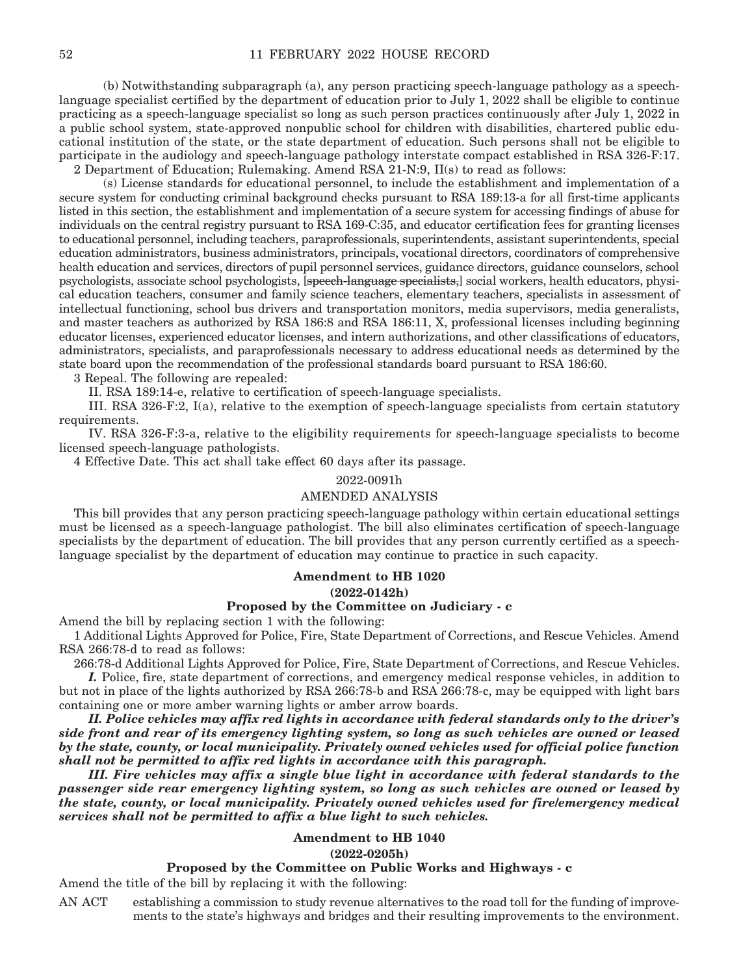(b) Notwithstanding subparagraph (a), any person practicing speech-language pathology as a speechlanguage specialist certified by the department of education prior to July 1, 2022 shall be eligible to continue practicing as a speech-language specialist so long as such person practices continuously after July 1, 2022 in a public school system, state-approved nonpublic school for children with disabilities, chartered public educational institution of the state, or the state department of education. Such persons shall not be eligible to participate in the audiology and speech-language pathology interstate compact established in RSA 326-F:17. 2 Department of Education; Rulemaking. Amend RSA 21-N:9, II(s) to read as follows:

 (s) License standards for educational personnel, to include the establishment and implementation of a secure system for conducting criminal background checks pursuant to RSA 189:13-a for all first-time applicants listed in this section, the establishment and implementation of a secure system for accessing findings of abuse for individuals on the central registry pursuant to RSA 169-C:35, and educator certification fees for granting licenses to educational personnel, including teachers, paraprofessionals, superintendents, assistant superintendents, special education administrators, business administrators, principals, vocational directors, coordinators of comprehensive health education and services, directors of pupil personnel services, guidance directors, guidance counselors, school psychologists, associate school psychologists, [speech-language specialists,] social workers, health educators, physical education teachers, consumer and family science teachers, elementary teachers, specialists in assessment of intellectual functioning, school bus drivers and transportation monitors, media supervisors, media generalists, and master teachers as authorized by RSA 186:8 and RSA 186:11, X, professional licenses including beginning educator licenses, experienced educator licenses, and intern authorizations, and other classifications of educators, administrators, specialists, and paraprofessionals necessary to address educational needs as determined by the state board upon the recommendation of the professional standards board pursuant to RSA 186:60.

3 Repeal. The following are repealed:

II. RSA 189:14-e, relative to certification of speech-language specialists.

 III. RSA 326-F:2, I(a), relative to the exemption of speech-language specialists from certain statutory requirements.

 IV. RSA 326-F:3-a, relative to the eligibility requirements for speech-language specialists to become licensed speech-language pathologists.

4 Effective Date. This act shall take effect 60 days after its passage.

#### 2022-0091h

#### AMENDED ANALYSIS

This bill provides that any person practicing speech-language pathology within certain educational settings must be licensed as a speech-language pathologist. The bill also eliminates certification of speech-language specialists by the department of education. The bill provides that any person currently certified as a speechlanguage specialist by the department of education may continue to practice in such capacity.

# **Amendment to HB 1020 (2022-0142h)**

#### **Proposed by the Committee on Judiciary - c**

Amend the bill by replacing section 1 with the following:

1 Additional Lights Approved for Police, Fire, State Department of Corrections, and Rescue Vehicles. Amend RSA 266:78-d to read as follows:

266:78-d Additional Lights Approved for Police, Fire, State Department of Corrections, and Rescue Vehicles.

 *I.* Police, fire, state department of corrections, and emergency medical response vehicles, in addition to but not in place of the lights authorized by RSA 266:78-b and RSA 266:78-c, may be equipped with light bars containing one or more amber warning lights or amber arrow boards.

 *II. Police vehicles may affix red lights in accordance with federal standards only to the driver's side front and rear of its emergency lighting system, so long as such vehicles are owned or leased by the state, county, or local municipality. Privately owned vehicles used for official police function shall not be permitted to affix red lights in accordance with this paragraph.*

 *III. Fire vehicles may affix a single blue light in accordance with federal standards to the passenger side rear emergency lighting system, so long as such vehicles are owned or leased by the state, county, or local municipality. Privately owned vehicles used for fire/emergency medical services shall not be permitted to affix a blue light to such vehicles.* 

### **Amendment to HB 1040**

**(2022-0205h)**

### **Proposed by the Committee on Public Works and Highways - c**

Amend the title of the bill by replacing it with the following:

AN ACT establishing a commission to study revenue alternatives to the road toll for the funding of improvements to the state's highways and bridges and their resulting improvements to the environment.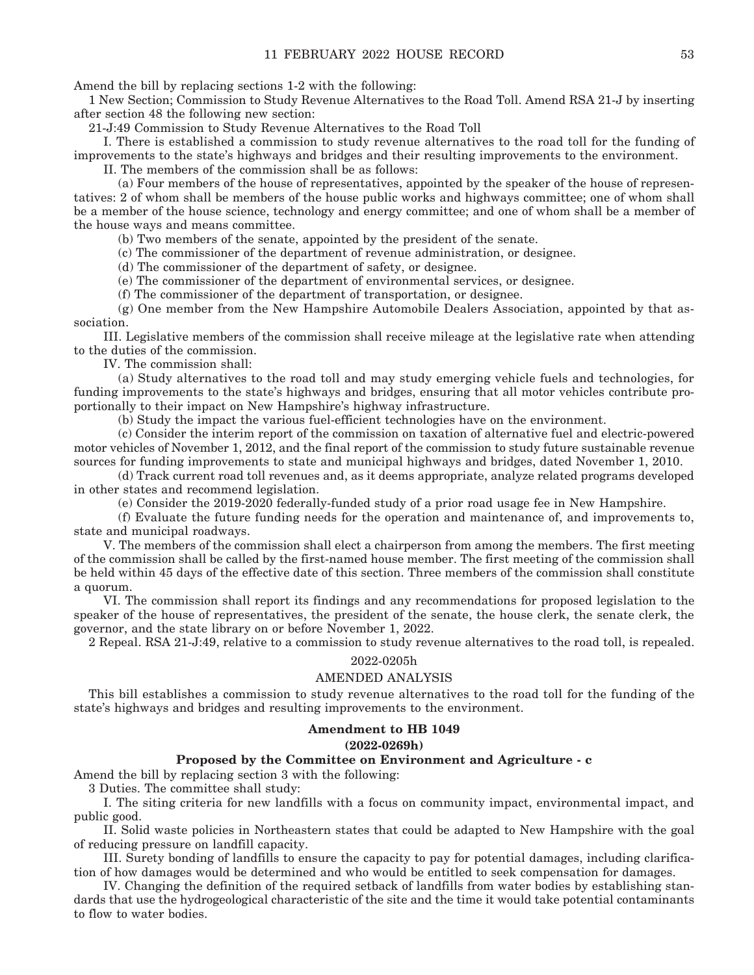Amend the bill by replacing sections 1-2 with the following:

1 New Section; Commission to Study Revenue Alternatives to the Road Toll. Amend RSA 21-J by inserting after section 48 the following new section:

21-J:49 Commission to Study Revenue Alternatives to the Road Toll

 I. There is established a commission to study revenue alternatives to the road toll for the funding of improvements to the state's highways and bridges and their resulting improvements to the environment.

II. The members of the commission shall be as follows:

 (a) Four members of the house of representatives, appointed by the speaker of the house of representatives: 2 of whom shall be members of the house public works and highways committee; one of whom shall be a member of the house science, technology and energy committee; and one of whom shall be a member of the house ways and means committee.

(b) Two members of the senate, appointed by the president of the senate.

(c) The commissioner of the department of revenue administration, or designee.

(d) The commissioner of the department of safety, or designee.

(e) The commissioner of the department of environmental services, or designee.

(f) The commissioner of the department of transportation, or designee.

 (g) One member from the New Hampshire Automobile Dealers Association, appointed by that association.

 III. Legislative members of the commission shall receive mileage at the legislative rate when attending to the duties of the commission.

IV. The commission shall:

 (a) Study alternatives to the road toll and may study emerging vehicle fuels and technologies, for funding improvements to the state's highways and bridges, ensuring that all motor vehicles contribute proportionally to their impact on New Hampshire's highway infrastructure.

(b) Study the impact the various fuel-efficient technologies have on the environment.

 (c) Consider the interim report of the commission on taxation of alternative fuel and electric-powered motor vehicles of November 1, 2012, and the final report of the commission to study future sustainable revenue sources for funding improvements to state and municipal highways and bridges, dated November 1, 2010.

 (d) Track current road toll revenues and, as it deems appropriate, analyze related programs developed in other states and recommend legislation.

(e) Consider the 2019-2020 federally-funded study of a prior road usage fee in New Hampshire.

 (f) Evaluate the future funding needs for the operation and maintenance of, and improvements to, state and municipal roadways.

 V. The members of the commission shall elect a chairperson from among the members. The first meeting of the commission shall be called by the first-named house member. The first meeting of the commission shall be held within 45 days of the effective date of this section. Three members of the commission shall constitute a quorum.

 VI. The commission shall report its findings and any recommendations for proposed legislation to the speaker of the house of representatives, the president of the senate, the house clerk, the senate clerk, the governor, and the state library on or before November 1, 2022.

2 Repeal. RSA 21-J:49, relative to a commission to study revenue alternatives to the road toll, is repealed.

#### 2022-0205h

#### AMENDED ANALYSIS

This bill establishes a commission to study revenue alternatives to the road toll for the funding of the state's highways and bridges and resulting improvements to the environment.

## **Amendment to HB 1049**

### **(2022-0269h)**

### **Proposed by the Committee on Environment and Agriculture - c**

Amend the bill by replacing section 3 with the following:

3 Duties. The committee shall study:

 I. The siting criteria for new landfills with a focus on community impact, environmental impact, and public good.

 II. Solid waste policies in Northeastern states that could be adapted to New Hampshire with the goal of reducing pressure on landfill capacity.

 III. Surety bonding of landfills to ensure the capacity to pay for potential damages, including clarification of how damages would be determined and who would be entitled to seek compensation for damages.

 IV. Changing the definition of the required setback of landfills from water bodies by establishing standards that use the hydrogeological characteristic of the site and the time it would take potential contaminants to flow to water bodies.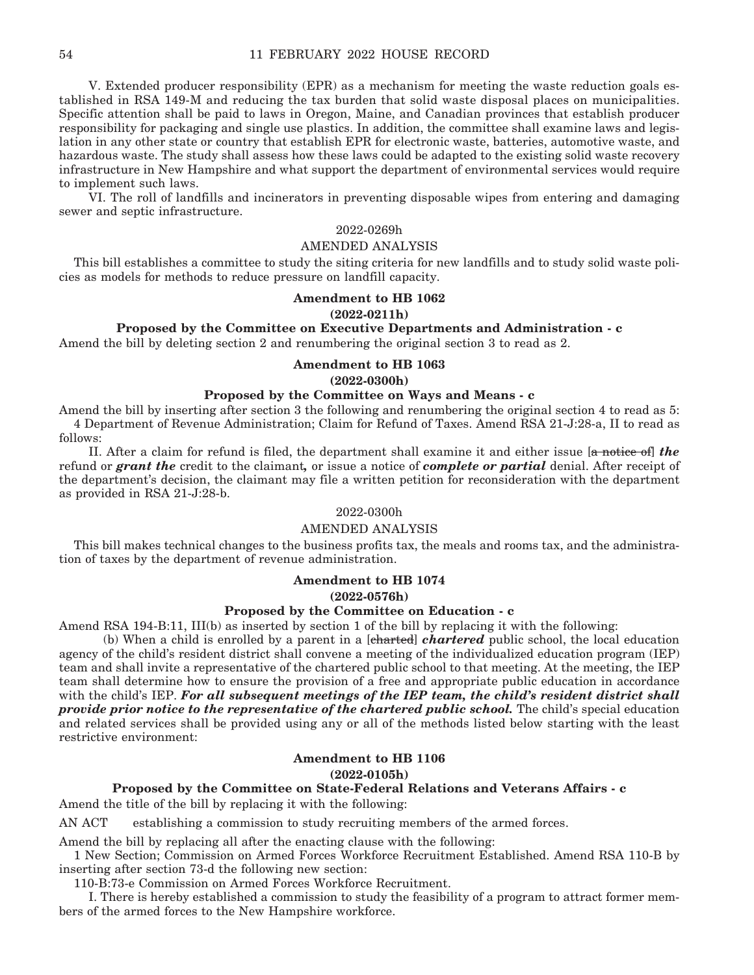V. Extended producer responsibility (EPR) as a mechanism for meeting the waste reduction goals established in RSA 149-M and reducing the tax burden that solid waste disposal places on municipalities. Specific attention shall be paid to laws in Oregon, Maine, and Canadian provinces that establish producer responsibility for packaging and single use plastics. In addition, the committee shall examine laws and legislation in any other state or country that establish EPR for electronic waste, batteries, automotive waste, and hazardous waste. The study shall assess how these laws could be adapted to the existing solid waste recovery infrastructure in New Hampshire and what support the department of environmental services would require to implement such laws.

 VI. The roll of landfills and incinerators in preventing disposable wipes from entering and damaging sewer and septic infrastructure.

# 2022-0269h

### AMENDED ANALYSIS

This bill establishes a committee to study the siting criteria for new landfills and to study solid waste policies as models for methods to reduce pressure on landfill capacity.

#### **Amendment to HB 1062**

#### **(2022-0211h)**

## **Proposed by the Committee on Executive Departments and Administration - c**

Amend the bill by deleting section 2 and renumbering the original section 3 to read as 2.

## **Amendment to HB 1063 (2022-0300h)**

### **Proposed by the Committee on Ways and Means - c**

Amend the bill by inserting after section 3 the following and renumbering the original section 4 to read as 5: 4 Department of Revenue Administration; Claim for Refund of Taxes. Amend RSA 21-J:28-a, II to read as follows:

 II. After a claim for refund is filed, the department shall examine it and either issue [a notice of] *the*  refund or *grant the* credit to the claimant*,* or issue a notice of *complete or partial* denial. After receipt of the department's decision, the claimant may file a written petition for reconsideration with the department as provided in RSA 21-J:28-b.

### 2022-0300h

## AMENDED ANALYSIS

This bill makes technical changes to the business profits tax, the meals and rooms tax, and the administration of taxes by the department of revenue administration.

#### **Amendment to HB 1074**

**(2022-0576h)**

# **Proposed by the Committee on Education - c**

Amend RSA 194-B:11, III(b) as inserted by section 1 of the bill by replacing it with the following:

 (b) When a child is enrolled by a parent in a [charted] *chartered* public school, the local education agency of the child's resident district shall convene a meeting of the individualized education program (IEP) team and shall invite a representative of the chartered public school to that meeting. At the meeting, the IEP team shall determine how to ensure the provision of a free and appropriate public education in accordance with the child's IEP. *For all subsequent meetings of the IEP team, the child's resident district shall provide prior notice to the representative of the chartered public school.* The child's special education and related services shall be provided using any or all of the methods listed below starting with the least restrictive environment:

# **Amendment to HB 1106**

#### **(2022-0105h)**

## **Proposed by the Committee on State-Federal Relations and Veterans Affairs - c**

Amend the title of the bill by replacing it with the following:

AN ACT establishing a commission to study recruiting members of the armed forces.

Amend the bill by replacing all after the enacting clause with the following:

1 New Section; Commission on Armed Forces Workforce Recruitment Established. Amend RSA 110-B by inserting after section 73-d the following new section:

110-B:73-e Commission on Armed Forces Workforce Recruitment.

 I. There is hereby established a commission to study the feasibility of a program to attract former members of the armed forces to the New Hampshire workforce.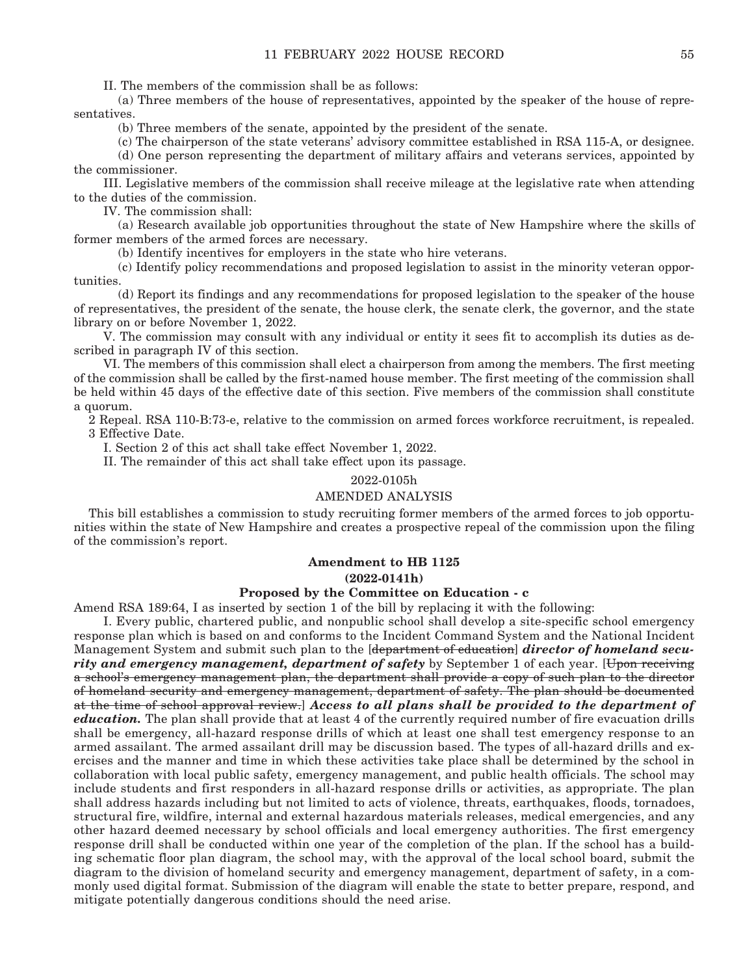II. The members of the commission shall be as follows:

 (a) Three members of the house of representatives, appointed by the speaker of the house of representatives.

(b) Three members of the senate, appointed by the president of the senate.

(c) The chairperson of the state veterans' advisory committee established in RSA 115-A, or designee.

 (d) One person representing the department of military affairs and veterans services, appointed by the commissioner.

 III. Legislative members of the commission shall receive mileage at the legislative rate when attending to the duties of the commission.

IV. The commission shall:

 (a) Research available job opportunities throughout the state of New Hampshire where the skills of former members of the armed forces are necessary.

(b) Identify incentives for employers in the state who hire veterans.

 (c) Identify policy recommendations and proposed legislation to assist in the minority veteran opportunities.

 (d) Report its findings and any recommendations for proposed legislation to the speaker of the house of representatives, the president of the senate, the house clerk, the senate clerk, the governor, and the state library on or before November 1, 2022.

 V. The commission may consult with any individual or entity it sees fit to accomplish its duties as described in paragraph IV of this section.

 VI. The members of this commission shall elect a chairperson from among the members. The first meeting of the commission shall be called by the first-named house member. The first meeting of the commission shall be held within 45 days of the effective date of this section. Five members of the commission shall constitute a quorum.

2 Repeal. RSA 110-B:73-e, relative to the commission on armed forces workforce recruitment, is repealed. 3 Effective Date.

I. Section 2 of this act shall take effect November 1, 2022.

II. The remainder of this act shall take effect upon its passage.

2022-0105h

#### AMENDED ANALYSIS

This bill establishes a commission to study recruiting former members of the armed forces to job opportunities within the state of New Hampshire and creates a prospective repeal of the commission upon the filing of the commission's report.

### **Amendment to HB 1125**

**(2022-0141h)**

## **Proposed by the Committee on Education - c**

Amend RSA 189:64, I as inserted by section 1 of the bill by replacing it with the following:

 I. Every public, chartered public, and nonpublic school shall develop a site-specific school emergency response plan which is based on and conforms to the Incident Command System and the National Incident Management System and submit such plan to the [department of education] *director of homeland secu*rity and emergency management, department of safety by September 1 of each year. [Upon receiving a school's emergency management plan, the department shall provide a copy of such plan to the director of homeland security and emergency management, department of safety. The plan should be documented at the time of school approval review.] *Access to all plans shall be provided to the department of education.* The plan shall provide that at least 4 of the currently required number of fire evacuation drills shall be emergency, all-hazard response drills of which at least one shall test emergency response to an armed assailant. The armed assailant drill may be discussion based. The types of all-hazard drills and exercises and the manner and time in which these activities take place shall be determined by the school in collaboration with local public safety, emergency management, and public health officials. The school may include students and first responders in all-hazard response drills or activities, as appropriate. The plan shall address hazards including but not limited to acts of violence, threats, earthquakes, floods, tornadoes, structural fire, wildfire, internal and external hazardous materials releases, medical emergencies, and any other hazard deemed necessary by school officials and local emergency authorities. The first emergency response drill shall be conducted within one year of the completion of the plan. If the school has a building schematic floor plan diagram, the school may, with the approval of the local school board, submit the diagram to the division of homeland security and emergency management, department of safety, in a commonly used digital format. Submission of the diagram will enable the state to better prepare, respond, and mitigate potentially dangerous conditions should the need arise.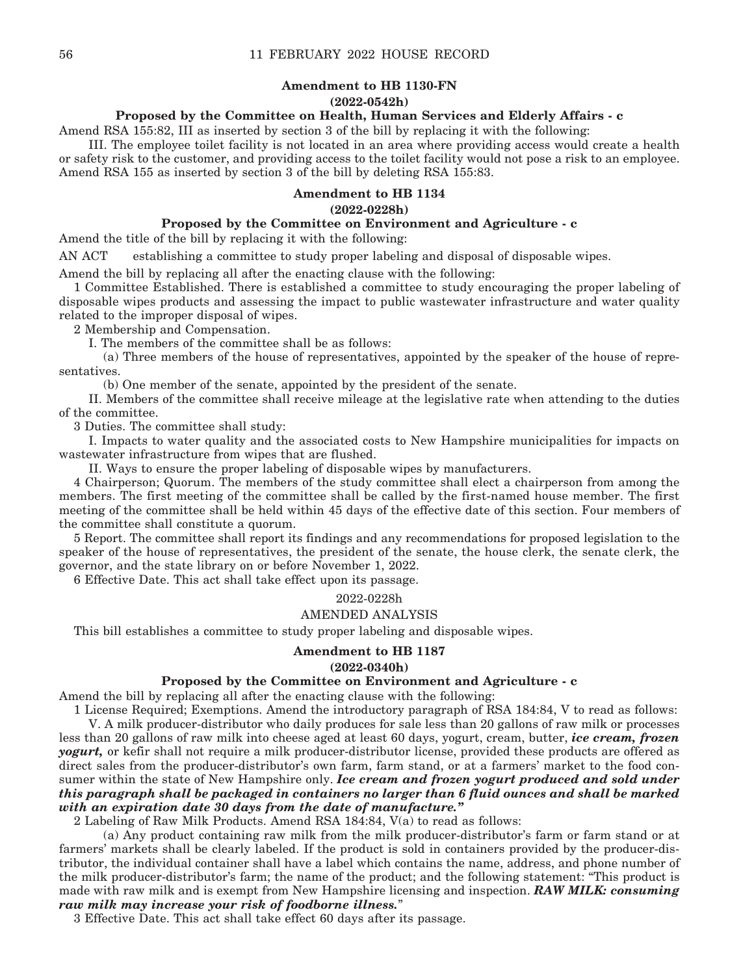# **Amendment to HB 1130-FN (2022-0542h)**

## **Proposed by the Committee on Health, Human Services and Elderly Affairs - c**

Amend RSA 155:82, III as inserted by section 3 of the bill by replacing it with the following:

 III. The employee toilet facility is not located in an area where providing access would create a health or safety risk to the customer, and providing access to the toilet facility would not pose a risk to an employee. Amend RSA 155 as inserted by section 3 of the bill by deleting RSA 155:83.

### **Amendment to HB 1134**

## **(2022-0228h)**

# **Proposed by the Committee on Environment and Agriculture - c**

Amend the title of the bill by replacing it with the following:

AN ACT establishing a committee to study proper labeling and disposal of disposable wipes.

Amend the bill by replacing all after the enacting clause with the following:

1 Committee Established. There is established a committee to study encouraging the proper labeling of disposable wipes products and assessing the impact to public wastewater infrastructure and water quality related to the improper disposal of wipes.

2 Membership and Compensation.

I. The members of the committee shall be as follows:

 (a) Three members of the house of representatives, appointed by the speaker of the house of representatives.

(b) One member of the senate, appointed by the president of the senate.

 II. Members of the committee shall receive mileage at the legislative rate when attending to the duties of the committee.

3 Duties. The committee shall study:

 I. Impacts to water quality and the associated costs to New Hampshire municipalities for impacts on wastewater infrastructure from wipes that are flushed.

II. Ways to ensure the proper labeling of disposable wipes by manufacturers.

4 Chairperson; Quorum. The members of the study committee shall elect a chairperson from among the members. The first meeting of the committee shall be called by the first-named house member. The first meeting of the committee shall be held within 45 days of the effective date of this section. Four members of the committee shall constitute a quorum.

5 Report. The committee shall report its findings and any recommendations for proposed legislation to the speaker of the house of representatives, the president of the senate, the house clerk, the senate clerk, the governor, and the state library on or before November 1, 2022.

6 Effective Date. This act shall take effect upon its passage.

#### 2022-0228h

## AMENDED ANALYSIS

This bill establishes a committee to study proper labeling and disposable wipes.

## **Amendment to HB 1187 (2022-0340h)**

#### **Proposed by the Committee on Environment and Agriculture - c**

Amend the bill by replacing all after the enacting clause with the following:

1 License Required; Exemptions. Amend the introductory paragraph of RSA 184:84, V to read as follows:

 V. A milk producer-distributor who daily produces for sale less than 20 gallons of raw milk or processes less than 20 gallons of raw milk into cheese aged at least 60 days, yogurt, cream, butter, *ice cream, frozen yogurt,* or kefir shall not require a milk producer-distributor license, provided these products are offered as direct sales from the producer-distributor's own farm, farm stand, or at a farmers' market to the food consumer within the state of New Hampshire only. *Ice cream and frozen yogurt produced and sold under this paragraph shall be packaged in containers no larger than 6 fluid ounces and shall be marked with an expiration date 30 days from the date of manufacture."*

2 Labeling of Raw Milk Products. Amend RSA 184:84, V(a) to read as follows:

 (a) Any product containing raw milk from the milk producer-distributor's farm or farm stand or at farmers' markets shall be clearly labeled. If the product is sold in containers provided by the producer-distributor, the individual container shall have a label which contains the name, address, and phone number of the milk producer-distributor's farm; the name of the product; and the following statement: "This product is made with raw milk and is exempt from New Hampshire licensing and inspection. *RAW MILK: consuming raw milk may increase your risk of foodborne illness.*"

3 Effective Date. This act shall take effect 60 days after its passage.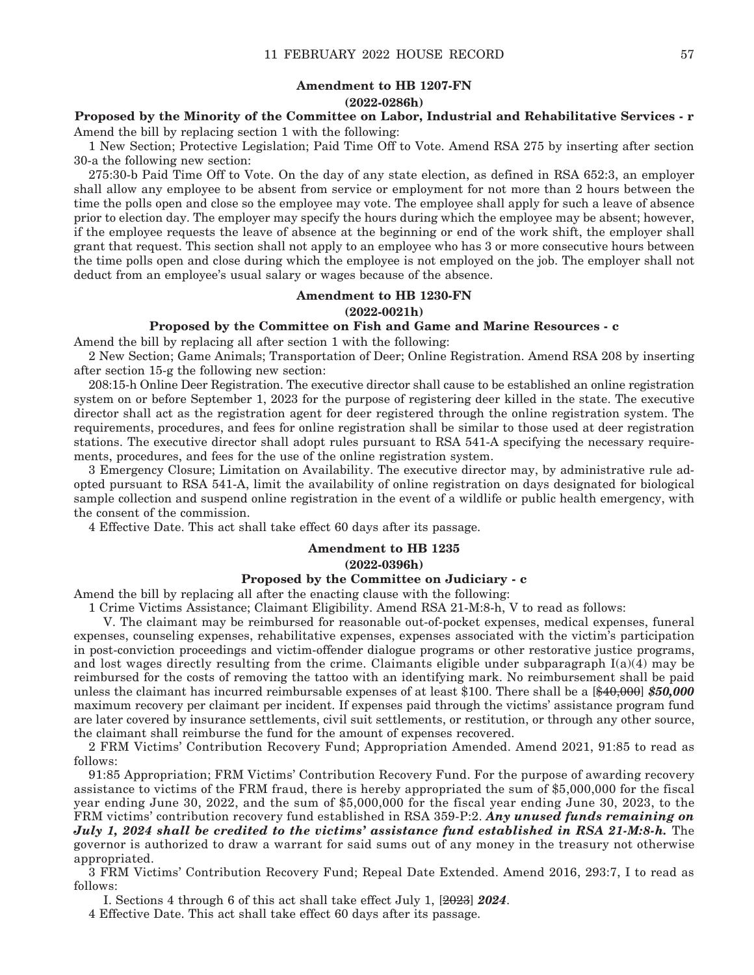# **Amendment to HB 1207-FN (2022-0286h)**

**Proposed by the Minority of the Committee on Labor, Industrial and Rehabilitative Services - r** Amend the bill by replacing section 1 with the following:

1 New Section; Protective Legislation; Paid Time Off to Vote. Amend RSA 275 by inserting after section 30-a the following new section:

275:30-b Paid Time Off to Vote. On the day of any state election, as defined in RSA 652:3, an employer shall allow any employee to be absent from service or employment for not more than 2 hours between the time the polls open and close so the employee may vote. The employee shall apply for such a leave of absence prior to election day. The employer may specify the hours during which the employee may be absent; however, if the employee requests the leave of absence at the beginning or end of the work shift, the employer shall grant that request. This section shall not apply to an employee who has 3 or more consecutive hours between the time polls open and close during which the employee is not employed on the job. The employer shall not deduct from an employee's usual salary or wages because of the absence.

#### **Amendment to HB 1230-FN**

#### **(2022-0021h)**

# **Proposed by the Committee on Fish and Game and Marine Resources - c**

Amend the bill by replacing all after section 1 with the following:

2 New Section; Game Animals; Transportation of Deer; Online Registration. Amend RSA 208 by inserting after section 15-g the following new section:

208:15-h Online Deer Registration. The executive director shall cause to be established an online registration system on or before September 1, 2023 for the purpose of registering deer killed in the state. The executive director shall act as the registration agent for deer registered through the online registration system. The requirements, procedures, and fees for online registration shall be similar to those used at deer registration stations. The executive director shall adopt rules pursuant to RSA 541-A specifying the necessary requirements, procedures, and fees for the use of the online registration system.

3 Emergency Closure; Limitation on Availability. The executive director may, by administrative rule adopted pursuant to RSA 541-A, limit the availability of online registration on days designated for biological sample collection and suspend online registration in the event of a wildlife or public health emergency, with the consent of the commission.

4 Effective Date. This act shall take effect 60 days after its passage.

## **Amendment to HB 1235 (2022-0396h)**

#### **Proposed by the Committee on Judiciary - c**

Amend the bill by replacing all after the enacting clause with the following:

1 Crime Victims Assistance; Claimant Eligibility. Amend RSA 21-M:8-h, V to read as follows:

 V. The claimant may be reimbursed for reasonable out-of-pocket expenses, medical expenses, funeral expenses, counseling expenses, rehabilitative expenses, expenses associated with the victim's participation in post-conviction proceedings and victim-offender dialogue programs or other restorative justice programs, and lost wages directly resulting from the crime. Claimants eligible under subparagraph  $I(a)(4)$  may be reimbursed for the costs of removing the tattoo with an identifying mark. No reimbursement shall be paid unless the claimant has incurred reimbursable expenses of at least \$100. There shall be a [\$40,000] *\$50,000*  maximum recovery per claimant per incident. If expenses paid through the victims' assistance program fund are later covered by insurance settlements, civil suit settlements, or restitution, or through any other source, the claimant shall reimburse the fund for the amount of expenses recovered.

2 FRM Victims' Contribution Recovery Fund; Appropriation Amended. Amend 2021, 91:85 to read as follows:

91:85 Appropriation; FRM Victims' Contribution Recovery Fund. For the purpose of awarding recovery assistance to victims of the FRM fraud, there is hereby appropriated the sum of \$5,000,000 for the fiscal year ending June 30, 2022, and the sum of \$5,000,000 for the fiscal year ending June 30, 2023, to the FRM victims' contribution recovery fund established in RSA 359-P:2. *Any unused funds remaining on July 1, 2024 shall be credited to the victims' assistance fund established in RSA 21-M:8-h.* The governor is authorized to draw a warrant for said sums out of any money in the treasury not otherwise appropriated.

3 FRM Victims' Contribution Recovery Fund; Repeal Date Extended. Amend 2016, 293:7, I to read as follows:

I. Sections 4 through 6 of this act shall take effect July 1, [2023] *2024*.

4 Effective Date. This act shall take effect 60 days after its passage.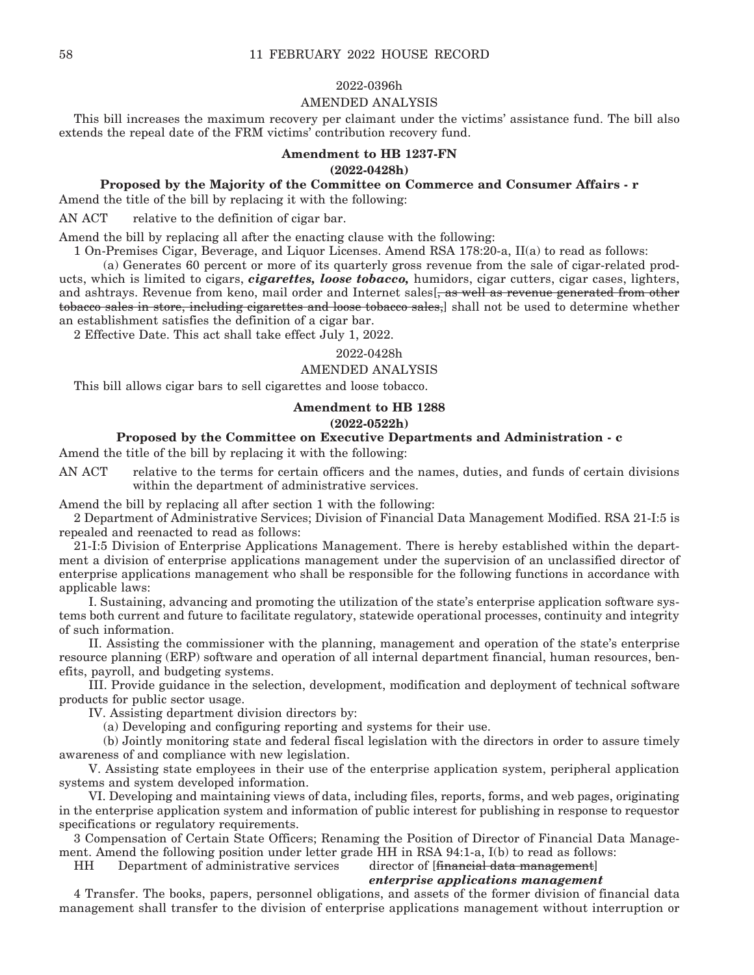#### 2022-0396h

### AMENDED ANALYSIS

This bill increases the maximum recovery per claimant under the victims' assistance fund. The bill also extends the repeal date of the FRM victims' contribution recovery fund.

## **Amendment to HB 1237-FN**

#### **(2022-0428h)**

# **Proposed by the Majority of the Committee on Commerce and Consumer Affairs - r**

Amend the title of the bill by replacing it with the following:

AN ACT relative to the definition of cigar bar.

Amend the bill by replacing all after the enacting clause with the following:

1 On-Premises Cigar, Beverage, and Liquor Licenses. Amend RSA 178:20-a, II(a) to read as follows:

 (a) Generates 60 percent or more of its quarterly gross revenue from the sale of cigar-related products, which is limited to cigars, *cigarettes, loose tobacco,* humidors, cigar cutters, cigar cases, lighters, and ashtrays. Revenue from keno, mail order and Internet sales<sup>[, as well as revenue generated from other</sup> tobacco sales in store, including cigarettes and loose tobacco sales,] shall not be used to determine whether an establishment satisfies the definition of a cigar bar.

2 Effective Date. This act shall take effect July 1, 2022.

#### 2022-0428h

#### AMENDED ANALYSIS

This bill allows cigar bars to sell cigarettes and loose tobacco.

#### **Amendment to HB 1288**

#### **(2022-0522h)**

# **Proposed by the Committee on Executive Departments and Administration - c**

Amend the title of the bill by replacing it with the following:

AN ACT relative to the terms for certain officers and the names, duties, and funds of certain divisions within the department of administrative services.

Amend the bill by replacing all after section 1 with the following:

2 Department of Administrative Services; Division of Financial Data Management Modified. RSA 21-I:5 is repealed and reenacted to read as follows:

21-I:5 Division of Enterprise Applications Management. There is hereby established within the department a division of enterprise applications management under the supervision of an unclassified director of enterprise applications management who shall be responsible for the following functions in accordance with applicable laws:

 I. Sustaining, advancing and promoting the utilization of the state's enterprise application software systems both current and future to facilitate regulatory, statewide operational processes, continuity and integrity of such information.

 II. Assisting the commissioner with the planning, management and operation of the state's enterprise resource planning (ERP) software and operation of all internal department financial, human resources, benefits, payroll, and budgeting systems.

 III. Provide guidance in the selection, development, modification and deployment of technical software products for public sector usage.

IV. Assisting department division directors by:

(a) Developing and configuring reporting and systems for their use.

 (b) Jointly monitoring state and federal fiscal legislation with the directors in order to assure timely awareness of and compliance with new legislation.

 V. Assisting state employees in their use of the enterprise application system, peripheral application systems and system developed information.

 VI. Developing and maintaining views of data, including files, reports, forms, and web pages, originating in the enterprise application system and information of public interest for publishing in response to requestor specifications or regulatory requirements.

3 Compensation of Certain State Officers; Renaming the Position of Director of Financial Data Management. Amend the following position under letter grade HH in RSA 94:1-a, I(b) to read as follows:

HH Department of administrative services director of [financial data management]

#### *enterprise applications management*

4 Transfer. The books, papers, personnel obligations, and assets of the former division of financial data management shall transfer to the division of enterprise applications management without interruption or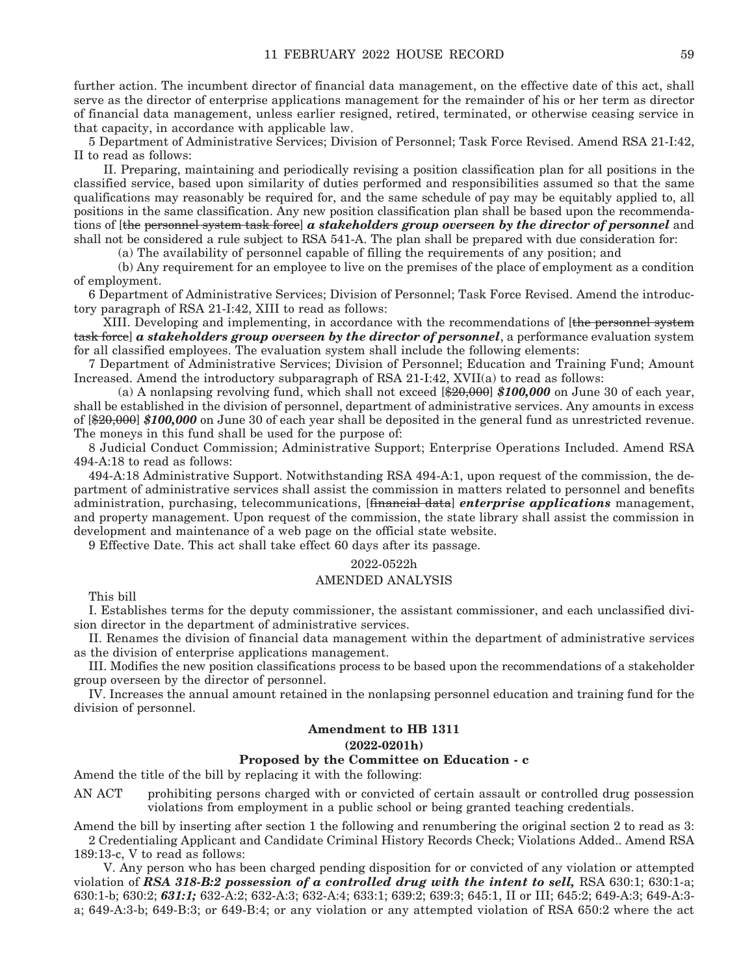further action. The incumbent director of financial data management, on the effective date of this act, shall serve as the director of enterprise applications management for the remainder of his or her term as director of financial data management, unless earlier resigned, retired, terminated, or otherwise ceasing service in that capacity, in accordance with applicable law.

5 Department of Administrative Services; Division of Personnel; Task Force Revised. Amend RSA 21-I:42, II to read as follows:

 II. Preparing, maintaining and periodically revising a position classification plan for all positions in the classified service, based upon similarity of duties performed and responsibilities assumed so that the same qualifications may reasonably be required for, and the same schedule of pay may be equitably applied to, all positions in the same classification. Any new position classification plan shall be based upon the recommendations of [the personnel system task force] *a stakeholders group overseen by the director of personnel* and shall not be considered a rule subject to RSA 541-A. The plan shall be prepared with due consideration for:

(a) The availability of personnel capable of filling the requirements of any position; and

 (b) Any requirement for an employee to live on the premises of the place of employment as a condition of employment.

6 Department of Administrative Services; Division of Personnel; Task Force Revised. Amend the introductory paragraph of RSA 21-I:42, XIII to read as follows:

XIII. Developing and implementing, in accordance with the recommendations of [the personnel system task force] *a stakeholders group overseen by the director of personnel*, a performance evaluation system for all classified employees. The evaluation system shall include the following elements:

7 Department of Administrative Services; Division of Personnel; Education and Training Fund; Amount Increased. Amend the introductory subparagraph of RSA 21-I:42, XVII(a) to read as follows:

 (a) A nonlapsing revolving fund, which shall not exceed [\$20,000] *\$100,000* on June 30 of each year, shall be established in the division of personnel, department of administrative services. Any amounts in excess of [\$20,000] *\$100,000* on June 30 of each year shall be deposited in the general fund as unrestricted revenue. The moneys in this fund shall be used for the purpose of:

8 Judicial Conduct Commission; Administrative Support; Enterprise Operations Included. Amend RSA 494-A:18 to read as follows:

494-A:18 Administrative Support. Notwithstanding RSA 494-A:1, upon request of the commission, the department of administrative services shall assist the commission in matters related to personnel and benefits administration, purchasing, telecommunications, [financial data] *enterprise applications* management, and property management. Upon request of the commission, the state library shall assist the commission in development and maintenance of a web page on the official state website.

9 Effective Date. This act shall take effect 60 days after its passage.

#### 2022-0522h

#### AMENDED ANALYSIS

This bill

I. Establishes terms for the deputy commissioner, the assistant commissioner, and each unclassified division director in the department of administrative services.

II. Renames the division of financial data management within the department of administrative services as the division of enterprise applications management.

III. Modifies the new position classifications process to be based upon the recommendations of a stakeholder group overseen by the director of personnel.

IV. Increases the annual amount retained in the nonlapsing personnel education and training fund for the division of personnel.

# **Amendment to HB 1311**

**(2022-0201h)**

## **Proposed by the Committee on Education - c**

Amend the title of the bill by replacing it with the following:

AN ACT prohibiting persons charged with or convicted of certain assault or controlled drug possession violations from employment in a public school or being granted teaching credentials.

Amend the bill by inserting after section 1 the following and renumbering the original section 2 to read as 3: 2 Credentialing Applicant and Candidate Criminal History Records Check; Violations Added.. Amend RSA 189:13-c, V to read as follows:

 V. Any person who has been charged pending disposition for or convicted of any violation or attempted violation of *RSA 318-B:2 possession of a controlled drug with the intent to sell,* RSA 630:1; 630:1-a; 630:1-b; 630:2; *631:1;* 632-A:2; 632-A:3; 632-A:4; 633:1; 639:2; 639:3; 645:1, II or III; 645:2; 649-A:3; 649-A:3 a; 649-A:3-b; 649-B:3; or 649-B:4; or any violation or any attempted violation of RSA 650:2 where the act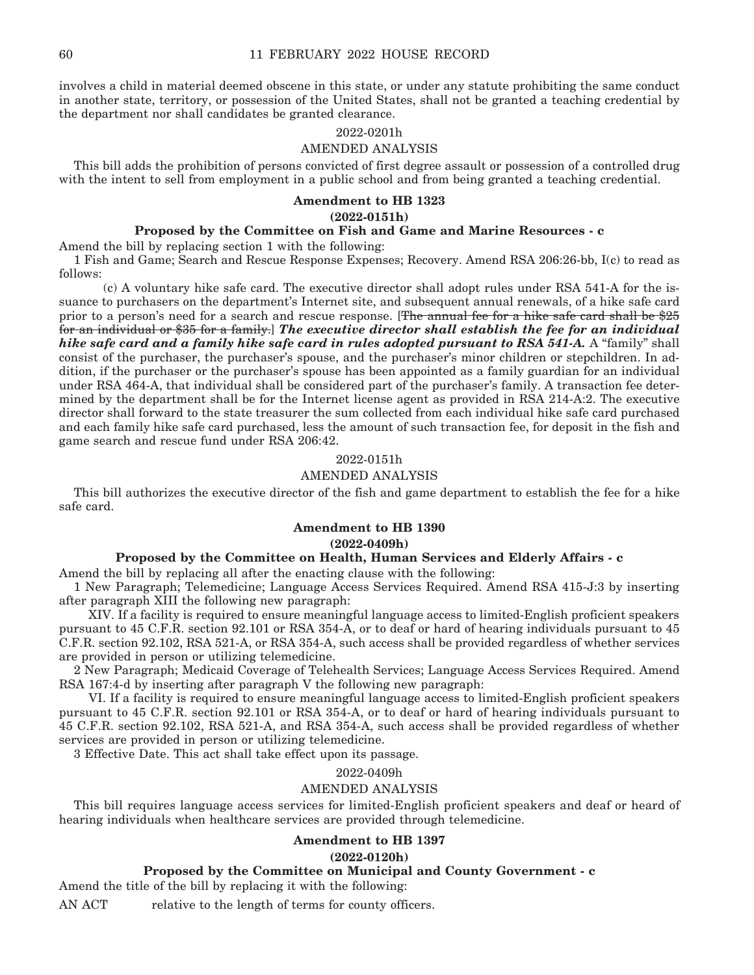involves a child in material deemed obscene in this state, or under any statute prohibiting the same conduct in another state, territory, or possession of the United States, shall not be granted a teaching credential by the department nor shall candidates be granted clearance.

#### 2022-0201h

## AMENDED ANALYSIS

This bill adds the prohibition of persons convicted of first degree assault or possession of a controlled drug with the intent to sell from employment in a public school and from being granted a teaching credential.

# **Amendment to HB 1323**

**(2022-0151h)**

# **Proposed by the Committee on Fish and Game and Marine Resources - c**

Amend the bill by replacing section 1 with the following:

1 Fish and Game; Search and Rescue Response Expenses; Recovery. Amend RSA 206:26-bb, I(c) to read as follows:

 (c) A voluntary hike safe card. The executive director shall adopt rules under RSA 541-A for the issuance to purchasers on the department's Internet site, and subsequent annual renewals, of a hike safe card prior to a person's need for a search and rescue response. [The annual fee for a hike safe card shall be \$25 for an individual or \$35 for a family.] *The executive director shall establish the fee for an individual hike safe card and a family hike safe card in rules adopted pursuant to RSA 541-A.* A "family" shall consist of the purchaser, the purchaser's spouse, and the purchaser's minor children or stepchildren. In addition, if the purchaser or the purchaser's spouse has been appointed as a family guardian for an individual under RSA 464-A, that individual shall be considered part of the purchaser's family. A transaction fee determined by the department shall be for the Internet license agent as provided in RSA 214-A:2. The executive director shall forward to the state treasurer the sum collected from each individual hike safe card purchased and each family hike safe card purchased, less the amount of such transaction fee, for deposit in the fish and game search and rescue fund under RSA 206:42.

## 2022-0151h

# AMENDED ANALYSIS

This bill authorizes the executive director of the fish and game department to establish the fee for a hike safe card.

# **Amendment to HB 1390**

**(2022-0409h)**

### **Proposed by the Committee on Health, Human Services and Elderly Affairs - c**

Amend the bill by replacing all after the enacting clause with the following:

1 New Paragraph; Telemedicine; Language Access Services Required. Amend RSA 415-J:3 by inserting after paragraph XIII the following new paragraph:

 XIV. If a facility is required to ensure meaningful language access to limited-English proficient speakers pursuant to 45 C.F.R. section 92.101 or RSA 354-A, or to deaf or hard of hearing individuals pursuant to 45 C.F.R. section 92.102, RSA 521-A, or RSA 354-A, such access shall be provided regardless of whether services are provided in person or utilizing telemedicine.

2 New Paragraph; Medicaid Coverage of Telehealth Services; Language Access Services Required. Amend RSA 167:4-d by inserting after paragraph V the following new paragraph:

 VI. If a facility is required to ensure meaningful language access to limited-English proficient speakers pursuant to 45 C.F.R. section 92.101 or RSA 354-A, or to deaf or hard of hearing individuals pursuant to 45 C.F.R. section 92.102, RSA 521-A, and RSA 354-A, such access shall be provided regardless of whether services are provided in person or utilizing telemedicine.

3 Effective Date. This act shall take effect upon its passage.

2022-0409h

#### AMENDED ANALYSIS

This bill requires language access services for limited-English proficient speakers and deaf or heard of hearing individuals when healthcare services are provided through telemedicine.

## **Amendment to HB 1397**

## **(2022-0120h)**

# **Proposed by the Committee on Municipal and County Government - c**

Amend the title of the bill by replacing it with the following:

AN ACT relative to the length of terms for county officers.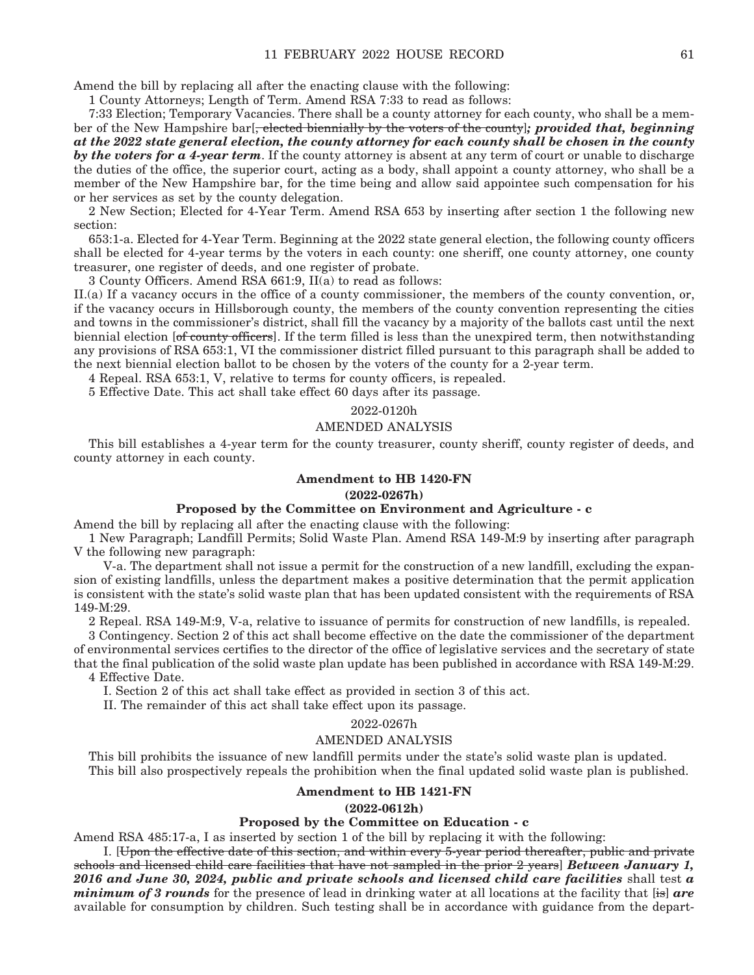Amend the bill by replacing all after the enacting clause with the following:

1 County Attorneys; Length of Term. Amend RSA 7:33 to read as follows:

7:33 Election; Temporary Vacancies. There shall be a county attorney for each county, who shall be a member of the New Hampshire bar[, elected biennially by the voters of the county]*; provided that, beginning at the 2022 state general election, the county attorney for each county shall be chosen in the county by the voters for a 4-year term*. If the county attorney is absent at any term of court or unable to discharge the duties of the office, the superior court, acting as a body, shall appoint a county attorney, who shall be a member of the New Hampshire bar, for the time being and allow said appointee such compensation for his or her services as set by the county delegation.

2 New Section; Elected for 4-Year Term. Amend RSA 653 by inserting after section 1 the following new section:

653:1-a. Elected for 4-Year Term. Beginning at the 2022 state general election, the following county officers shall be elected for 4-year terms by the voters in each county: one sheriff, one county attorney, one county treasurer, one register of deeds, and one register of probate.

3 County Officers. Amend RSA 661:9, II(a) to read as follows:

II.(a) If a vacancy occurs in the office of a county commissioner, the members of the county convention, or, if the vacancy occurs in Hillsborough county, the members of the county convention representing the cities and towns in the commissioner's district, shall fill the vacancy by a majority of the ballots cast until the next biennial election [of county officers]. If the term filled is less than the unexpired term, then notwithstanding any provisions of RSA 653:1, VI the commissioner district filled pursuant to this paragraph shall be added to the next biennial election ballot to be chosen by the voters of the county for a 2-year term.

4 Repeal. RSA 653:1, V, relative to terms for county officers, is repealed.

5 Effective Date. This act shall take effect 60 days after its passage.

#### 2022-0120h

## AMENDED ANALYSIS

This bill establishes a 4-year term for the county treasurer, county sheriff, county register of deeds, and county attorney in each county.

#### **Amendment to HB 1420-FN**

#### **(2022-0267h)**

#### **Proposed by the Committee on Environment and Agriculture - c**

Amend the bill by replacing all after the enacting clause with the following:

1 New Paragraph; Landfill Permits; Solid Waste Plan. Amend RSA 149-M:9 by inserting after paragraph V the following new paragraph:

 V-a. The department shall not issue a permit for the construction of a new landfill, excluding the expansion of existing landfills, unless the department makes a positive determination that the permit application is consistent with the state's solid waste plan that has been updated consistent with the requirements of RSA 149-M:29.

2 Repeal. RSA 149-M:9, V-a, relative to issuance of permits for construction of new landfills, is repealed.

3 Contingency. Section 2 of this act shall become effective on the date the commissioner of the department of environmental services certifies to the director of the office of legislative services and the secretary of state that the final publication of the solid waste plan update has been published in accordance with RSA 149-M:29. 4 Effective Date.

I. Section 2 of this act shall take effect as provided in section 3 of this act.

II. The remainder of this act shall take effect upon its passage.

#### 2022-0267h

#### AMENDED ANALYSIS

This bill prohibits the issuance of new landfill permits under the state's solid waste plan is updated. This bill also prospectively repeals the prohibition when the final updated solid waste plan is published.

## **Amendment to HB 1421-FN**

#### **(2022-0612h)**

## **Proposed by the Committee on Education - c**

Amend RSA 485:17-a, I as inserted by section 1 of the bill by replacing it with the following:

 I. [Upon the effective date of this section, and within every 5-year period thereafter, public and private schools and licensed child care facilities that have not sampled in the prior 2 years] *Between January 1, 2016 and June 30, 2024, public and private schools and licensed child care facilities* shall test *a minimum of 3 rounds* for the presence of lead in drinking water at all locations at the facility that [is] *are*  available for consumption by children. Such testing shall be in accordance with guidance from the depart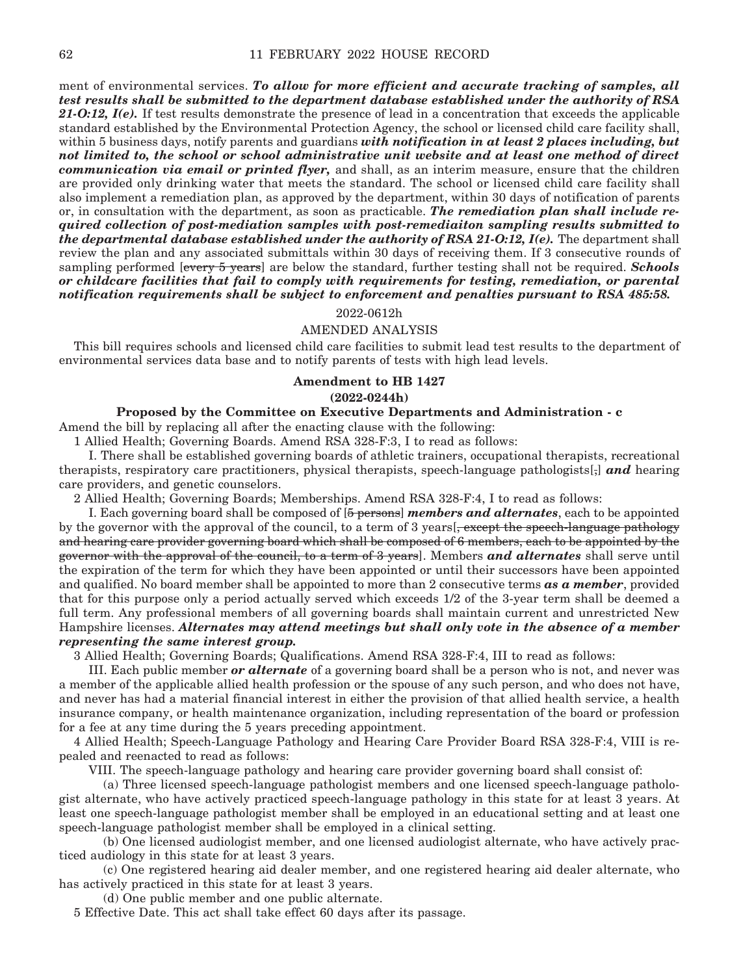ment of environmental services. *To allow for more efficient and accurate tracking of samples, all test results shall be submitted to the department database established under the authority of RSA*  21-O:12,  $I(e)$ . If test results demonstrate the presence of lead in a concentration that exceeds the applicable standard established by the Environmental Protection Agency, the school or licensed child care facility shall, within 5 business days, notify parents and guardians *with notification in at least 2 places including, but not limited to, the school or school administrative unit website and at least one method of direct communication via email or printed flyer,* and shall, as an interim measure, ensure that the children are provided only drinking water that meets the standard. The school or licensed child care facility shall also implement a remediation plan, as approved by the department, within 30 days of notification of parents or, in consultation with the department, as soon as practicable. *The remediation plan shall include required collection of post-mediation samples with post-remediaiton sampling results submitted to the departmental database established under the authority of RSA 21-O:12, I(e).* The department shall review the plan and any associated submittals within 30 days of receiving them. If 3 consecutive rounds of sampling performed [every 5 years] are below the standard, further testing shall not be required. *Schools or childcare facilities that fail to comply with requirements for testing, remediation, or parental notification requirements shall be subject to enforcement and penalties pursuant to RSA 485:58.*

### 2022-0612h

#### AMENDED ANALYSIS

This bill requires schools and licensed child care facilities to submit lead test results to the department of environmental services data base and to notify parents of tests with high lead levels.

#### **Amendment to HB 1427**

#### **(2022-0244h)**

## **Proposed by the Committee on Executive Departments and Administration - c**

Amend the bill by replacing all after the enacting clause with the following:

1 Allied Health; Governing Boards. Amend RSA 328-F:3, I to read as follows:

 I. There shall be established governing boards of athletic trainers, occupational therapists, recreational therapists, respiratory care practitioners, physical therapists, speech-language pathologists[,] *and* hearing care providers, and genetic counselors.

2 Allied Health; Governing Boards; Memberships. Amend RSA 328-F:4, I to read as follows:

 I. Each governing board shall be composed of [5 persons] *members and alternates*, each to be appointed by the governor with the approval of the council, to a term of 3 years [, except the speech-language pathology and hearing care provider governing board which shall be composed of 6 members, each to be appointed by the governor with the approval of the council, to a term of 3 years]. Members *and alternates* shall serve until the expiration of the term for which they have been appointed or until their successors have been appointed and qualified. No board member shall be appointed to more than 2 consecutive terms *as a member*, provided that for this purpose only a period actually served which exceeds 1/2 of the 3-year term shall be deemed a full term. Any professional members of all governing boards shall maintain current and unrestricted New Hampshire licenses. *Alternates may attend meetings but shall only vote in the absence of a member representing the same interest group.*

3 Allied Health; Governing Boards; Qualifications. Amend RSA 328-F:4, III to read as follows:

 III. Each public member *or alternate* of a governing board shall be a person who is not, and never was a member of the applicable allied health profession or the spouse of any such person, and who does not have, and never has had a material financial interest in either the provision of that allied health service, a health insurance company, or health maintenance organization, including representation of the board or profession for a fee at any time during the 5 years preceding appointment.

4 Allied Health; Speech-Language Pathology and Hearing Care Provider Board RSA 328-F:4, VIII is repealed and reenacted to read as follows:

VIII. The speech-language pathology and hearing care provider governing board shall consist of:

 (a) Three licensed speech-language pathologist members and one licensed speech-language pathologist alternate, who have actively practiced speech-language pathology in this state for at least 3 years. At least one speech-language pathologist member shall be employed in an educational setting and at least one speech-language pathologist member shall be employed in a clinical setting.

 (b) One licensed audiologist member, and one licensed audiologist alternate, who have actively practiced audiology in this state for at least 3 years.

 (c) One registered hearing aid dealer member, and one registered hearing aid dealer alternate, who has actively practiced in this state for at least 3 years.

(d) One public member and one public alternate.

5 Effective Date. This act shall take effect 60 days after its passage.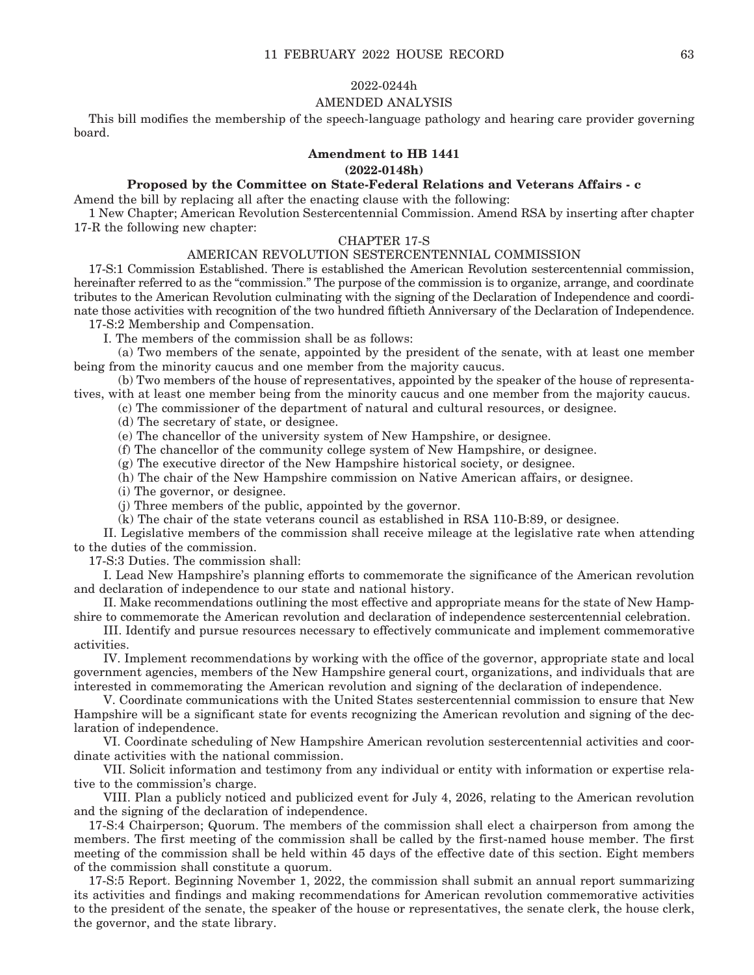#### 2022-0244h

# AMENDED ANALYSIS

This bill modifies the membership of the speech-language pathology and hearing care provider governing board.

# **Amendment to HB 1441**

**(2022-0148h)**

#### **Proposed by the Committee on State-Federal Relations and Veterans Affairs - c**

Amend the bill by replacing all after the enacting clause with the following:

1 New Chapter; American Revolution Sestercentennial Commission. Amend RSA by inserting after chapter 17-R the following new chapter:

# CHAPTER 17-S

### AMERICAN REVOLUTION SESTERCENTENNIAL COMMISSION

17-S:1 Commission Established. There is established the American Revolution sestercentennial commission, hereinafter referred to as the "commission." The purpose of the commission is to organize, arrange, and coordinate tributes to the American Revolution culminating with the signing of the Declaration of Independence and coordinate those activities with recognition of the two hundred fiftieth Anniversary of the Declaration of Independence.

17-S:2 Membership and Compensation.

I. The members of the commission shall be as follows:

 (a) Two members of the senate, appointed by the president of the senate, with at least one member being from the minority caucus and one member from the majority caucus.

 (b) Two members of the house of representatives, appointed by the speaker of the house of representatives, with at least one member being from the minority caucus and one member from the majority caucus.

(c) The commissioner of the department of natural and cultural resources, or designee.

(d) The secretary of state, or designee.

(e) The chancellor of the university system of New Hampshire, or designee.

(f) The chancellor of the community college system of New Hampshire, or designee.

(g) The executive director of the New Hampshire historical society, or designee.

(h) The chair of the New Hampshire commission on Native American affairs, or designee.

(i) The governor, or designee.

(j) Three members of the public, appointed by the governor.

(k) The chair of the state veterans council as established in RSA 110-B:89, or designee.

 II. Legislative members of the commission shall receive mileage at the legislative rate when attending to the duties of the commission.

17-S:3 Duties. The commission shall:

 I. Lead New Hampshire's planning efforts to commemorate the significance of the American revolution and declaration of independence to our state and national history.

 II. Make recommendations outlining the most effective and appropriate means for the state of New Hampshire to commemorate the American revolution and declaration of independence sestercentennial celebration.

 III. Identify and pursue resources necessary to effectively communicate and implement commemorative activities.

 IV. Implement recommendations by working with the office of the governor, appropriate state and local government agencies, members of the New Hampshire general court, organizations, and individuals that are interested in commemorating the American revolution and signing of the declaration of independence.

 V. Coordinate communications with the United States sestercentennial commission to ensure that New Hampshire will be a significant state for events recognizing the American revolution and signing of the declaration of independence.

 VI. Coordinate scheduling of New Hampshire American revolution sestercentennial activities and coordinate activities with the national commission.

 VII. Solicit information and testimony from any individual or entity with information or expertise relative to the commission's charge.

 VIII. Plan a publicly noticed and publicized event for July 4, 2026, relating to the American revolution and the signing of the declaration of independence.

17-S:4 Chairperson; Quorum. The members of the commission shall elect a chairperson from among the members. The first meeting of the commission shall be called by the first-named house member. The first meeting of the commission shall be held within 45 days of the effective date of this section. Eight members of the commission shall constitute a quorum.

17-S:5 Report. Beginning November 1, 2022, the commission shall submit an annual report summarizing its activities and findings and making recommendations for American revolution commemorative activities to the president of the senate, the speaker of the house or representatives, the senate clerk, the house clerk, the governor, and the state library.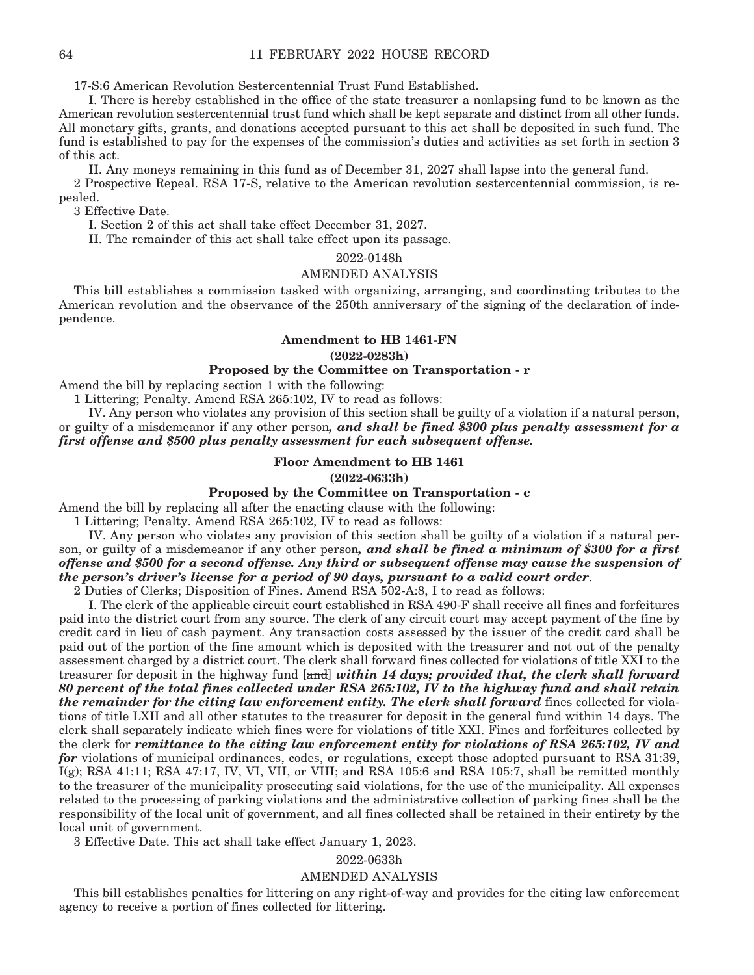17-S:6 American Revolution Sestercentennial Trust Fund Established.

 I. There is hereby established in the office of the state treasurer a nonlapsing fund to be known as the American revolution sestercentennial trust fund which shall be kept separate and distinct from all other funds. All monetary gifts, grants, and donations accepted pursuant to this act shall be deposited in such fund. The fund is established to pay for the expenses of the commission's duties and activities as set forth in section 3 of this act.

 II. Any moneys remaining in this fund as of December 31, 2027 shall lapse into the general fund. 2 Prospective Repeal. RSA 17-S, relative to the American revolution sestercentennial commission, is repealed.

3 Effective Date.

I. Section 2 of this act shall take effect December 31, 2027.

II. The remainder of this act shall take effect upon its passage.

2022-0148h

#### AMENDED ANALYSIS

This bill establishes a commission tasked with organizing, arranging, and coordinating tributes to the American revolution and the observance of the 250th anniversary of the signing of the declaration of independence.

### **Amendment to HB 1461-FN**

# **(2022-0283h)**

# **Proposed by the Committee on Transportation - r**

Amend the bill by replacing section 1 with the following:

1 Littering; Penalty. Amend RSA 265:102, IV to read as follows:

 IV. Any person who violates any provision of this section shall be guilty of a violation if a natural person, or guilty of a misdemeanor if any other person*, and shall be fined \$300 plus penalty assessment for a first offense and \$500 plus penalty assessment for each subsequent offense.*

#### **Floor Amendment to HB 1461**

#### **(2022-0633h)**

## **Proposed by the Committee on Transportation - c**

Amend the bill by replacing all after the enacting clause with the following:

1 Littering; Penalty. Amend RSA 265:102, IV to read as follows:

 IV. Any person who violates any provision of this section shall be guilty of a violation if a natural person, or guilty of a misdemeanor if any other person*, and shall be fined a minimum of \$300 for a first offense and \$500 for a second offense. Any third or subsequent offense may cause the suspension of the person's driver's license for a period of 90 days, pursuant to a valid court order*.

2 Duties of Clerks; Disposition of Fines. Amend RSA 502-A:8, I to read as follows:

 I. The clerk of the applicable circuit court established in RSA 490-F shall receive all fines and forfeitures paid into the district court from any source. The clerk of any circuit court may accept payment of the fine by credit card in lieu of cash payment. Any transaction costs assessed by the issuer of the credit card shall be paid out of the portion of the fine amount which is deposited with the treasurer and not out of the penalty assessment charged by a district court. The clerk shall forward fines collected for violations of title XXI to the treasurer for deposit in the highway fund [and] *within 14 days; provided that, the clerk shall forward 80 percent of the total fines collected under RSA 265:102, IV to the highway fund and shall retain the remainder for the citing law enforcement entity. The clerk shall forward fines collected for viola*tions of title LXII and all other statutes to the treasurer for deposit in the general fund within 14 days. The clerk shall separately indicate which fines were for violations of title XXI. Fines and forfeitures collected by the clerk for *remittance to the citing law enforcement entity for violations of RSA 265:102, IV and for* violations of municipal ordinances, codes, or regulations, except those adopted pursuant to RSA 31:39, I(g); RSA 41:11; RSA 47:17, IV, VI, VII, or VIII; and RSA 105:6 and RSA 105:7, shall be remitted monthly to the treasurer of the municipality prosecuting said violations, for the use of the municipality. All expenses related to the processing of parking violations and the administrative collection of parking fines shall be the responsibility of the local unit of government, and all fines collected shall be retained in their entirety by the local unit of government.

3 Effective Date. This act shall take effect January 1, 2023.

# 2022-0633h

#### AMENDED ANALYSIS

This bill establishes penalties for littering on any right-of-way and provides for the citing law enforcement agency to receive a portion of fines collected for littering.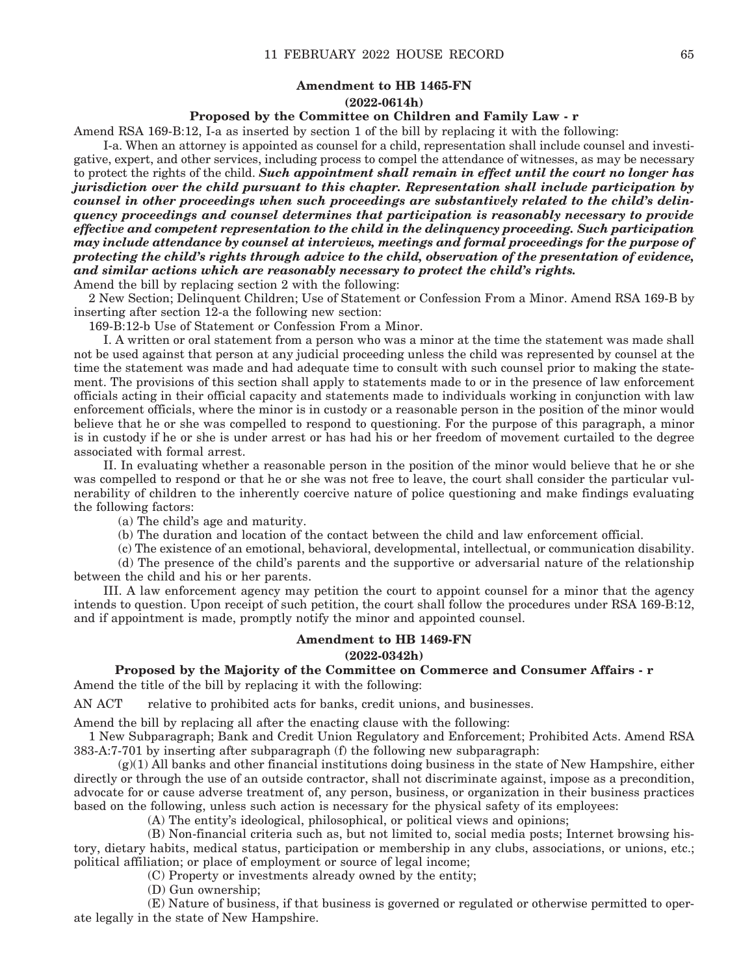# **Amendment to HB 1465-FN (2022-0614h)**

#### **Proposed by the Committee on Children and Family Law - r**

Amend RSA 169-B:12, I-a as inserted by section 1 of the bill by replacing it with the following:

 I-a. When an attorney is appointed as counsel for a child, representation shall include counsel and investigative, expert, and other services, including process to compel the attendance of witnesses, as may be necessary to protect the rights of the child. *Such appointment shall remain in effect until the court no longer has jurisdiction over the child pursuant to this chapter. Representation shall include participation by counsel in other proceedings when such proceedings are substantively related to the child's delinquency proceedings and counsel determines that participation is reasonably necessary to provide effective and competent representation to the child in the delinquency proceeding. Such participation may include attendance by counsel at interviews, meetings and formal proceedings for the purpose of protecting the child's rights through advice to the child, observation of the presentation of evidence, and similar actions which are reasonably necessary to protect the child's rights.* Amend the bill by replacing section 2 with the following:

2 New Section; Delinquent Children; Use of Statement or Confession From a Minor. Amend RSA 169-B by inserting after section 12-a the following new section:

169-B:12-b Use of Statement or Confession From a Minor.

 I. A written or oral statement from a person who was a minor at the time the statement was made shall not be used against that person at any judicial proceeding unless the child was represented by counsel at the time the statement was made and had adequate time to consult with such counsel prior to making the statement. The provisions of this section shall apply to statements made to or in the presence of law enforcement officials acting in their official capacity and statements made to individuals working in conjunction with law enforcement officials, where the minor is in custody or a reasonable person in the position of the minor would believe that he or she was compelled to respond to questioning. For the purpose of this paragraph, a minor is in custody if he or she is under arrest or has had his or her freedom of movement curtailed to the degree associated with formal arrest.

 II. In evaluating whether a reasonable person in the position of the minor would believe that he or she was compelled to respond or that he or she was not free to leave, the court shall consider the particular vulnerability of children to the inherently coercive nature of police questioning and make findings evaluating the following factors:

(a) The child's age and maturity.

(b) The duration and location of the contact between the child and law enforcement official.

 (c) The existence of an emotional, behavioral, developmental, intellectual, or communication disability. (d) The presence of the child's parents and the supportive or adversarial nature of the relationship

between the child and his or her parents.

 III. A law enforcement agency may petition the court to appoint counsel for a minor that the agency intends to question. Upon receipt of such petition, the court shall follow the procedures under RSA 169-B:12, and if appointment is made, promptly notify the minor and appointed counsel.

#### **Amendment to HB 1469-FN**

**(2022-0342h)**

**Proposed by the Majority of the Committee on Commerce and Consumer Affairs - r** Amend the title of the bill by replacing it with the following:

AN ACT relative to prohibited acts for banks, credit unions, and businesses.

Amend the bill by replacing all after the enacting clause with the following:

1 New Subparagraph; Bank and Credit Union Regulatory and Enforcement; Prohibited Acts. Amend RSA 383-A:7-701 by inserting after subparagraph (f) the following new subparagraph:

 $(g)(1)$  All banks and other financial institutions doing business in the state of New Hampshire, either directly or through the use of an outside contractor, shall not discriminate against, impose as a precondition, advocate for or cause adverse treatment of, any person, business, or organization in their business practices based on the following, unless such action is necessary for the physical safety of its employees:

(A) The entity's ideological, philosophical, or political views and opinions;

 (B) Non-financial criteria such as, but not limited to, social media posts; Internet browsing history, dietary habits, medical status, participation or membership in any clubs, associations, or unions, etc.; political affiliation; or place of employment or source of legal income;

(C) Property or investments already owned by the entity;

(D) Gun ownership;

 (E) Nature of business, if that business is governed or regulated or otherwise permitted to operate legally in the state of New Hampshire.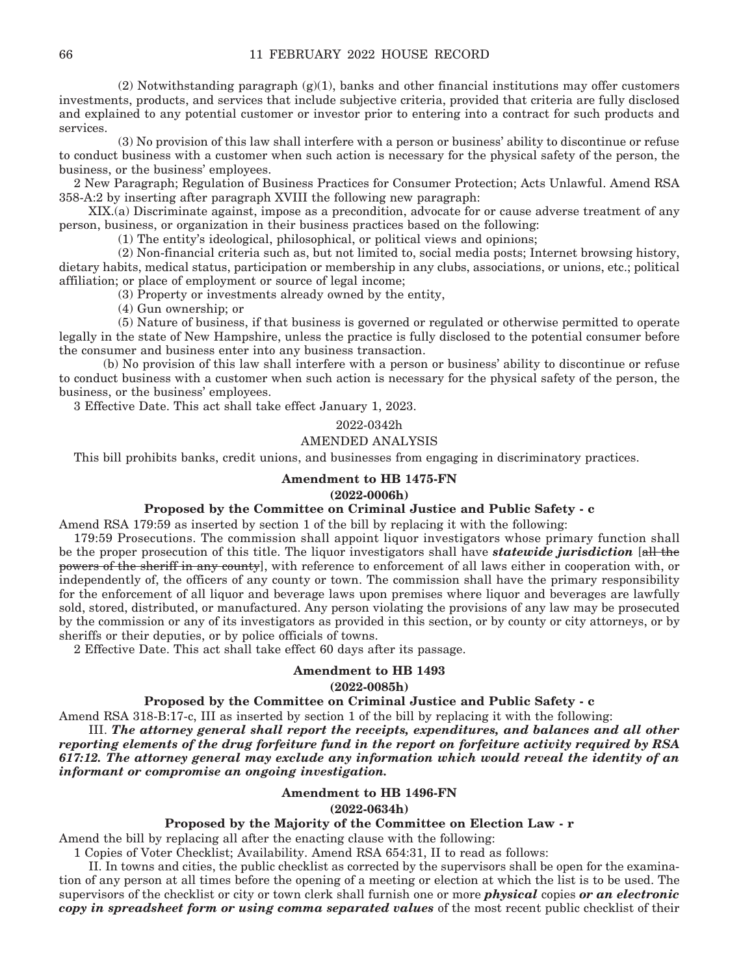$(2)$  Notwithstanding paragraph  $(g)(1)$ , banks and other financial institutions may offer customers investments, products, and services that include subjective criteria, provided that criteria are fully disclosed and explained to any potential customer or investor prior to entering into a contract for such products and services.

 (3) No provision of this law shall interfere with a person or business' ability to discontinue or refuse to conduct business with a customer when such action is necessary for the physical safety of the person, the business, or the business' employees.

2 New Paragraph; Regulation of Business Practices for Consumer Protection; Acts Unlawful. Amend RSA 358-A:2 by inserting after paragraph XVIII the following new paragraph:

 XIX.(a) Discriminate against, impose as a precondition, advocate for or cause adverse treatment of any person, business, or organization in their business practices based on the following:

(1) The entity's ideological, philosophical, or political views and opinions;

 (2) Non-financial criteria such as, but not limited to, social media posts; Internet browsing history, dietary habits, medical status, participation or membership in any clubs, associations, or unions, etc.; political affiliation; or place of employment or source of legal income;

(3) Property or investments already owned by the entity,

(4) Gun ownership; or

 (5) Nature of business, if that business is governed or regulated or otherwise permitted to operate legally in the state of New Hampshire, unless the practice is fully disclosed to the potential consumer before the consumer and business enter into any business transaction.

 (b) No provision of this law shall interfere with a person or business' ability to discontinue or refuse to conduct business with a customer when such action is necessary for the physical safety of the person, the business, or the business' employees.

3 Effective Date. This act shall take effect January 1, 2023.

#### 2022-0342h

#### AMENDED ANALYSIS

This bill prohibits banks, credit unions, and businesses from engaging in discriminatory practices.

#### **Amendment to HB 1475-FN**

#### **(2022-0006h)**

## **Proposed by the Committee on Criminal Justice and Public Safety - c**

Amend RSA 179:59 as inserted by section 1 of the bill by replacing it with the following:

179:59 Prosecutions. The commission shall appoint liquor investigators whose primary function shall be the proper prosecution of this title. The liquor investigators shall have *statewide jurisdiction* [all the powers of the sheriff in any county, with reference to enforcement of all laws either in cooperation with, or independently of, the officers of any county or town. The commission shall have the primary responsibility for the enforcement of all liquor and beverage laws upon premises where liquor and beverages are lawfully sold, stored, distributed, or manufactured. Any person violating the provisions of any law may be prosecuted by the commission or any of its investigators as provided in this section, or by county or city attorneys, or by sheriffs or their deputies, or by police officials of towns.

2 Effective Date. This act shall take effect 60 days after its passage.

# **Amendment to HB 1493**

**(2022-0085h)**

### **Proposed by the Committee on Criminal Justice and Public Safety - c**

Amend RSA 318-B:17-c, III as inserted by section 1 of the bill by replacing it with the following:

 III. *The attorney general shall report the receipts, expenditures, and balances and all other reporting elements of the drug forfeiture fund in the report on forfeiture activity required by RSA 617:12. The attorney general may exclude any information which would reveal the identity of an informant or compromise an ongoing investigation.* 

# **Amendment to HB 1496-FN**

**(2022-0634h)**

## **Proposed by the Majority of the Committee on Election Law - r**

Amend the bill by replacing all after the enacting clause with the following:

1 Copies of Voter Checklist; Availability. Amend RSA 654:31, II to read as follows:

 II. In towns and cities, the public checklist as corrected by the supervisors shall be open for the examination of any person at all times before the opening of a meeting or election at which the list is to be used. The supervisors of the checklist or city or town clerk shall furnish one or more *physical* copies *or an electronic copy in spreadsheet form or using comma separated values* of the most recent public checklist of their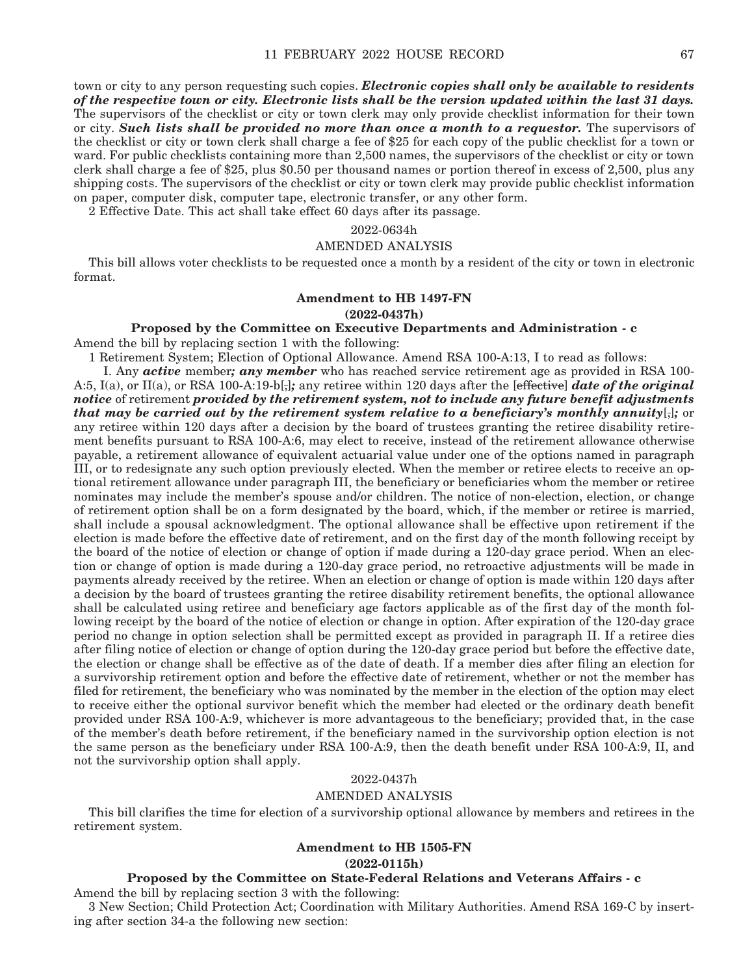town or city to any person requesting such copies. *Electronic copies shall only be available to residents of the respective town or city. Electronic lists shall be the version updated within the last 31 days.*  The supervisors of the checklist or city or town clerk may only provide checklist information for their town or city. *Such lists shall be provided no more than once a month to a requestor.* The supervisors of the checklist or city or town clerk shall charge a fee of \$25 for each copy of the public checklist for a town or ward. For public checklists containing more than 2,500 names, the supervisors of the checklist or city or town clerk shall charge a fee of \$25, plus \$0.50 per thousand names or portion thereof in excess of 2,500, plus any shipping costs. The supervisors of the checklist or city or town clerk may provide public checklist information on paper, computer disk, computer tape, electronic transfer, or any other form.

2 Effective Date. This act shall take effect 60 days after its passage.

# 2022-0634h

## AMENDED ANALYSIS

This bill allows voter checklists to be requested once a month by a resident of the city or town in electronic format.

# **Amendment to HB 1497-FN**

#### **(2022-0437h)**

# **Proposed by the Committee on Executive Departments and Administration - c**

Amend the bill by replacing section 1 with the following:

1 Retirement System; Election of Optional Allowance. Amend RSA 100-A:13, I to read as follows:

 I. Any *active* member*; any member* who has reached service retirement age as provided in RSA 100- A:5, I(a), or II(a), or RSA 100-A:19-b[,]*;* any retiree within 120 days after the [effective] *date of the original notice* of retirement *provided by the retirement system, not to include any future benefit adjustments that may be carried out by the retirement system relative to a beneficiary's monthly annuity*[,]*;* or any retiree within 120 days after a decision by the board of trustees granting the retiree disability retirement benefits pursuant to RSA 100-A:6, may elect to receive, instead of the retirement allowance otherwise payable, a retirement allowance of equivalent actuarial value under one of the options named in paragraph III, or to redesignate any such option previously elected. When the member or retiree elects to receive an optional retirement allowance under paragraph III, the beneficiary or beneficiaries whom the member or retiree nominates may include the member's spouse and/or children. The notice of non-election, election, or change of retirement option shall be on a form designated by the board, which, if the member or retiree is married, shall include a spousal acknowledgment. The optional allowance shall be effective upon retirement if the election is made before the effective date of retirement, and on the first day of the month following receipt by the board of the notice of election or change of option if made during a 120-day grace period. When an election or change of option is made during a 120-day grace period, no retroactive adjustments will be made in payments already received by the retiree. When an election or change of option is made within 120 days after a decision by the board of trustees granting the retiree disability retirement benefits, the optional allowance shall be calculated using retiree and beneficiary age factors applicable as of the first day of the month following receipt by the board of the notice of election or change in option. After expiration of the 120-day grace period no change in option selection shall be permitted except as provided in paragraph II. If a retiree dies after filing notice of election or change of option during the 120-day grace period but before the effective date, the election or change shall be effective as of the date of death. If a member dies after filing an election for a survivorship retirement option and before the effective date of retirement, whether or not the member has filed for retirement, the beneficiary who was nominated by the member in the election of the option may elect to receive either the optional survivor benefit which the member had elected or the ordinary death benefit provided under RSA 100-A:9, whichever is more advantageous to the beneficiary; provided that, in the case of the member's death before retirement, if the beneficiary named in the survivorship option election is not the same person as the beneficiary under RSA 100-A:9, then the death benefit under RSA 100-A:9, II, and not the survivorship option shall apply.

## 2022-0437h

## AMENDED ANALYSIS

This bill clarifies the time for election of a survivorship optional allowance by members and retirees in the retirement system.

### **Amendment to HB 1505-FN**

#### **(2022-0115h)**

### **Proposed by the Committee on State-Federal Relations and Veterans Affairs - c**

Amend the bill by replacing section 3 with the following:

3 New Section; Child Protection Act; Coordination with Military Authorities. Amend RSA 169-C by inserting after section 34-a the following new section: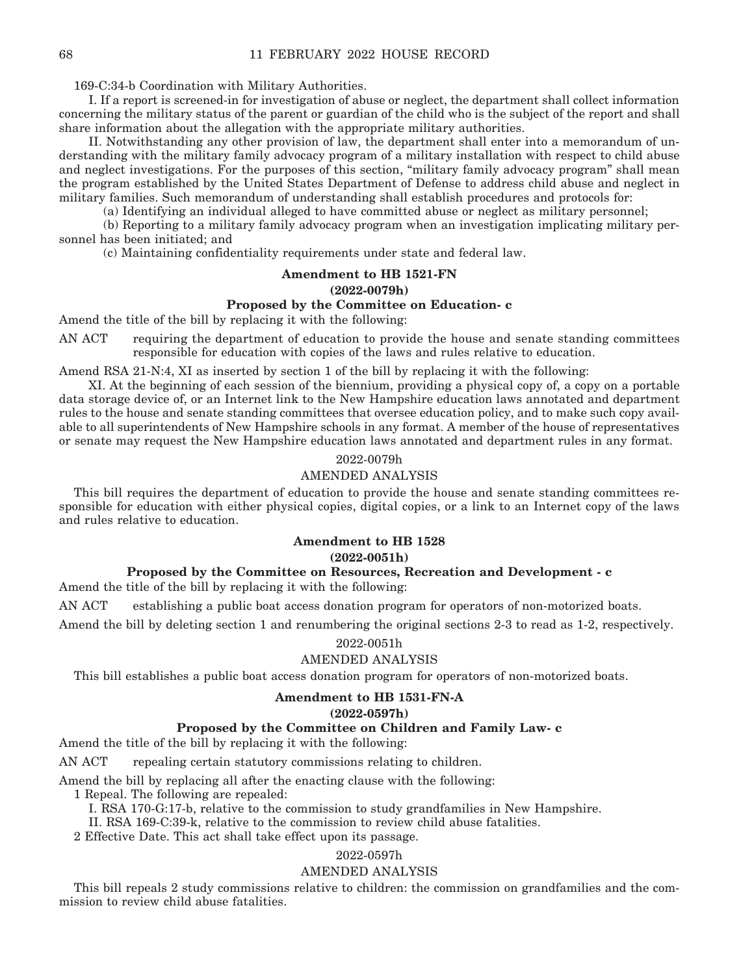169-C:34-b Coordination with Military Authorities.

 I. If a report is screened-in for investigation of abuse or neglect, the department shall collect information concerning the military status of the parent or guardian of the child who is the subject of the report and shall share information about the allegation with the appropriate military authorities.

 II. Notwithstanding any other provision of law, the department shall enter into a memorandum of understanding with the military family advocacy program of a military installation with respect to child abuse and neglect investigations. For the purposes of this section, "military family advocacy program" shall mean the program established by the United States Department of Defense to address child abuse and neglect in military families. Such memorandum of understanding shall establish procedures and protocols for:

(a) Identifying an individual alleged to have committed abuse or neglect as military personnel;

 (b) Reporting to a military family advocacy program when an investigation implicating military personnel has been initiated; and

(c) Maintaining confidentiality requirements under state and federal law.

#### **Amendment to HB 1521-FN (2022-0079h)**

# **Proposed by the Committee on Education- c**

Amend the title of the bill by replacing it with the following:

AN ACT requiring the department of education to provide the house and senate standing committees responsible for education with copies of the laws and rules relative to education.

Amend RSA 21-N:4, XI as inserted by section 1 of the bill by replacing it with the following:

 XI. At the beginning of each session of the biennium, providing a physical copy of, a copy on a portable data storage device of, or an Internet link to the New Hampshire education laws annotated and department rules to the house and senate standing committees that oversee education policy, and to make such copy available to all superintendents of New Hampshire schools in any format. A member of the house of representatives or senate may request the New Hampshire education laws annotated and department rules in any format.

## 2022-0079h

# AMENDED ANALYSIS

This bill requires the department of education to provide the house and senate standing committees responsible for education with either physical copies, digital copies, or a link to an Internet copy of the laws and rules relative to education.

# **Amendment to HB 1528**

#### **(2022-0051h)**

# **Proposed by the Committee on Resources, Recreation and Development - c**

Amend the title of the bill by replacing it with the following:

AN ACT establishing a public boat access donation program for operators of non-motorized boats.

Amend the bill by deleting section 1 and renumbering the original sections 2-3 to read as 1-2, respectively.

#### 2022-0051h

## AMENDED ANALYSIS

This bill establishes a public boat access donation program for operators of non-motorized boats.

# **Amendment to HB 1531-FN-A**

#### **(2022-0597h)**

#### **Proposed by the Committee on Children and Family Law- c**

Amend the title of the bill by replacing it with the following:

AN ACT repealing certain statutory commissions relating to children.

Amend the bill by replacing all after the enacting clause with the following:

1 Repeal. The following are repealed:

I. RSA 170-G:17-b, relative to the commission to study grandfamilies in New Hampshire.

II. RSA 169-C:39-k, relative to the commission to review child abuse fatalities.

2 Effective Date. This act shall take effect upon its passage.

# 2022-0597h

#### AMENDED ANALYSIS

This bill repeals 2 study commissions relative to children: the commission on grandfamilies and the commission to review child abuse fatalities.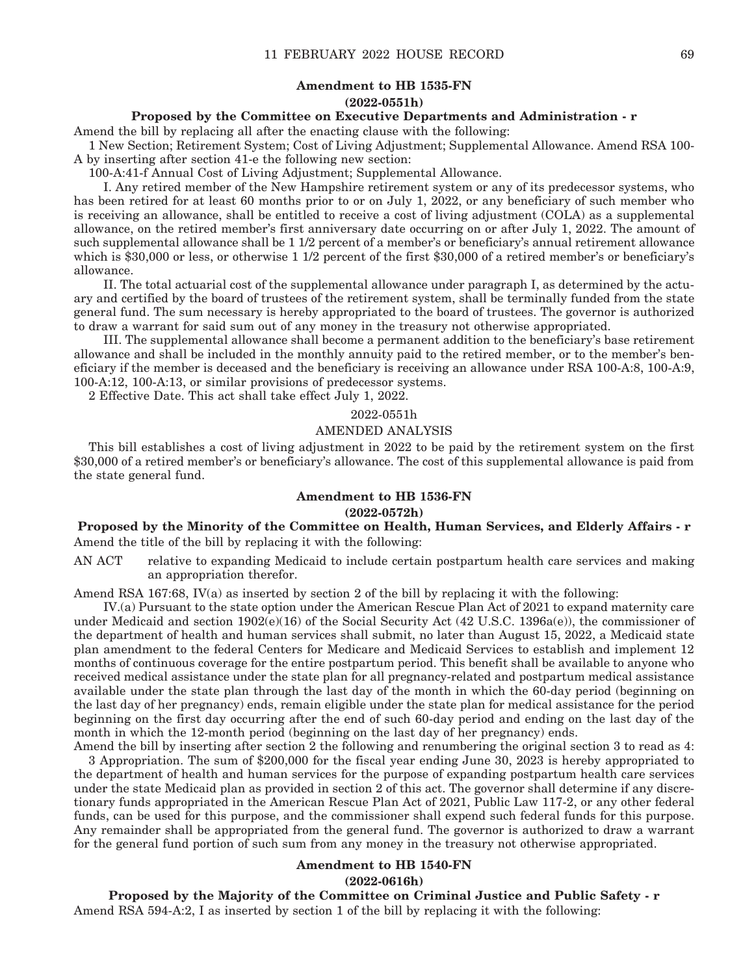# **Amendment to HB 1535-FN (2022-0551h)**

#### **Proposed by the Committee on Executive Departments and Administration - r**

Amend the bill by replacing all after the enacting clause with the following:

1 New Section; Retirement System; Cost of Living Adjustment; Supplemental Allowance. Amend RSA 100- A by inserting after section 41-e the following new section:

100-A:41-f Annual Cost of Living Adjustment; Supplemental Allowance.

 I. Any retired member of the New Hampshire retirement system or any of its predecessor systems, who has been retired for at least 60 months prior to or on July 1, 2022, or any beneficiary of such member who is receiving an allowance, shall be entitled to receive a cost of living adjustment (COLA) as a supplemental allowance, on the retired member's first anniversary date occurring on or after July 1, 2022. The amount of such supplemental allowance shall be 1 1/2 percent of a member's or beneficiary's annual retirement allowance which is \$30,000 or less, or otherwise 1 1/2 percent of the first \$30,000 of a retired member's or beneficiary's allowance.

 II. The total actuarial cost of the supplemental allowance under paragraph I, as determined by the actuary and certified by the board of trustees of the retirement system, shall be terminally funded from the state general fund. The sum necessary is hereby appropriated to the board of trustees. The governor is authorized to draw a warrant for said sum out of any money in the treasury not otherwise appropriated.

 III. The supplemental allowance shall become a permanent addition to the beneficiary's base retirement allowance and shall be included in the monthly annuity paid to the retired member, or to the member's beneficiary if the member is deceased and the beneficiary is receiving an allowance under RSA 100-A:8, 100-A:9, 100-A:12, 100-A:13, or similar provisions of predecessor systems.

2 Effective Date. This act shall take effect July 1, 2022.

#### 2022-0551h

#### AMENDED ANALYSIS

This bill establishes a cost of living adjustment in 2022 to be paid by the retirement system on the first \$30,000 of a retired member's or beneficiary's allowance. The cost of this supplemental allowance is paid from the state general fund.

# **Amendment to HB 1536-FN**

### **(2022-0572h)**

# **Proposed by the Minority of the Committee on Health, Human Services, and Elderly Affairs - r** Amend the title of the bill by replacing it with the following:

AN ACT relative to expanding Medicaid to include certain postpartum health care services and making an appropriation therefor.

Amend RSA 167:68, IV(a) as inserted by section 2 of the bill by replacing it with the following:

 IV.(a) Pursuant to the state option under the American Rescue Plan Act of 2021 to expand maternity care under Medicaid and section 1902(e)(16) of the Social Security Act (42 U.S.C. 1396a(e)), the commissioner of the department of health and human services shall submit, no later than August 15, 2022, a Medicaid state plan amendment to the federal Centers for Medicare and Medicaid Services to establish and implement 12 months of continuous coverage for the entire postpartum period. This benefit shall be available to anyone who received medical assistance under the state plan for all pregnancy-related and postpartum medical assistance available under the state plan through the last day of the month in which the 60-day period (beginning on the last day of her pregnancy) ends, remain eligible under the state plan for medical assistance for the period beginning on the first day occurring after the end of such 60-day period and ending on the last day of the month in which the 12-month period (beginning on the last day of her pregnancy) ends.

Amend the bill by inserting after section 2 the following and renumbering the original section 3 to read as 4: 3 Appropriation. The sum of \$200,000 for the fiscal year ending June 30, 2023 is hereby appropriated to the department of health and human services for the purpose of expanding postpartum health care services under the state Medicaid plan as provided in section 2 of this act. The governor shall determine if any discretionary funds appropriated in the American Rescue Plan Act of 2021, Public Law 117-2, or any other federal funds, can be used for this purpose, and the commissioner shall expend such federal funds for this purpose. Any remainder shall be appropriated from the general fund. The governor is authorized to draw a warrant for the general fund portion of such sum from any money in the treasury not otherwise appropriated.

## **Amendment to HB 1540-FN**

**(2022-0616h)**

**Proposed by the Majority of the Committee on Criminal Justice and Public Safety - r** Amend RSA 594-A:2, I as inserted by section 1 of the bill by replacing it with the following: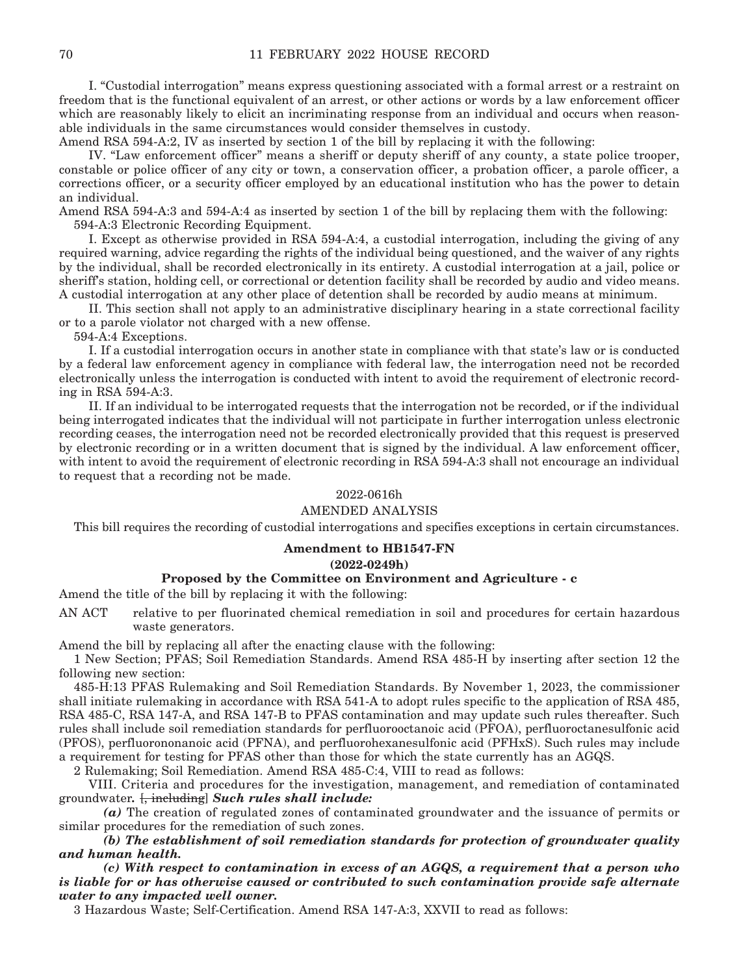I. "Custodial interrogation" means express questioning associated with a formal arrest or a restraint on freedom that is the functional equivalent of an arrest, or other actions or words by a law enforcement officer which are reasonably likely to elicit an incriminating response from an individual and occurs when reasonable individuals in the same circumstances would consider themselves in custody.

Amend RSA 594-A:2, IV as inserted by section 1 of the bill by replacing it with the following:

 IV. "Law enforcement officer" means a sheriff or deputy sheriff of any county, a state police trooper, constable or police officer of any city or town, a conservation officer, a probation officer, a parole officer, a corrections officer, or a security officer employed by an educational institution who has the power to detain an individual.

Amend RSA 594-A:3 and 594-A:4 as inserted by section 1 of the bill by replacing them with the following: 594-A:3 Electronic Recording Equipment.

 I. Except as otherwise provided in RSA 594-A:4, a custodial interrogation, including the giving of any required warning, advice regarding the rights of the individual being questioned, and the waiver of any rights by the individual, shall be recorded electronically in its entirety. A custodial interrogation at a jail, police or sheriff's station, holding cell, or correctional or detention facility shall be recorded by audio and video means. A custodial interrogation at any other place of detention shall be recorded by audio means at minimum.

 II. This section shall not apply to an administrative disciplinary hearing in a state correctional facility or to a parole violator not charged with a new offense.

594-A:4 Exceptions.

 I. If a custodial interrogation occurs in another state in compliance with that state's law or is conducted by a federal law enforcement agency in compliance with federal law, the interrogation need not be recorded electronically unless the interrogation is conducted with intent to avoid the requirement of electronic recording in RSA 594-A:3.

 II. If an individual to be interrogated requests that the interrogation not be recorded, or if the individual being interrogated indicates that the individual will not participate in further interrogation unless electronic recording ceases, the interrogation need not be recorded electronically provided that this request is preserved by electronic recording or in a written document that is signed by the individual. A law enforcement officer, with intent to avoid the requirement of electronic recording in RSA 594-A:3 shall not encourage an individual to request that a recording not be made.

# 2022-0616h

# AMENDED ANALYSIS

This bill requires the recording of custodial interrogations and specifies exceptions in certain circumstances.

# **Amendment to HB1547-FN**

**(2022-0249h)**

### **Proposed by the Committee on Environment and Agriculture - c**

Amend the title of the bill by replacing it with the following:

AN ACT relative to per fluorinated chemical remediation in soil and procedures for certain hazardous waste generators.

Amend the bill by replacing all after the enacting clause with the following:

1 New Section; PFAS; Soil Remediation Standards. Amend RSA 485-H by inserting after section 12 the following new section:

485-H:13 PFAS Rulemaking and Soil Remediation Standards. By November 1, 2023, the commissioner shall initiate rulemaking in accordance with RSA 541-A to adopt rules specific to the application of RSA 485, RSA 485-C, RSA 147-A, and RSA 147-B to PFAS contamination and may update such rules thereafter. Such rules shall include soil remediation standards for perfluorooctanoic acid (PFOA), perfluoroctanesulfonic acid (PFOS), perfluorononanoic acid (PFNA), and perfluorohexanesulfonic acid (PFHxS). Such rules may include a requirement for testing for PFAS other than those for which the state currently has an AGQS.

2 Rulemaking; Soil Remediation. Amend RSA 485-C:4, VIII to read as follows:

 VIII. Criteria and procedures for the investigation, management, and remediation of contaminated groundwater*.* [, including] *Such rules shall include:*

 *(a)* The creation of regulated zones of contaminated groundwater and the issuance of permits or similar procedures for the remediation of such zones.

 *(b) The establishment of soil remediation standards for protection of groundwater quality and human health.*

 *(c) With respect to contamination in excess of an AGQS, a requirement that a person who is liable for or has otherwise caused or contributed to such contamination provide safe alternate water to any impacted well owner.*

3 Hazardous Waste; Self-Certification. Amend RSA 147-A:3, XXVII to read as follows: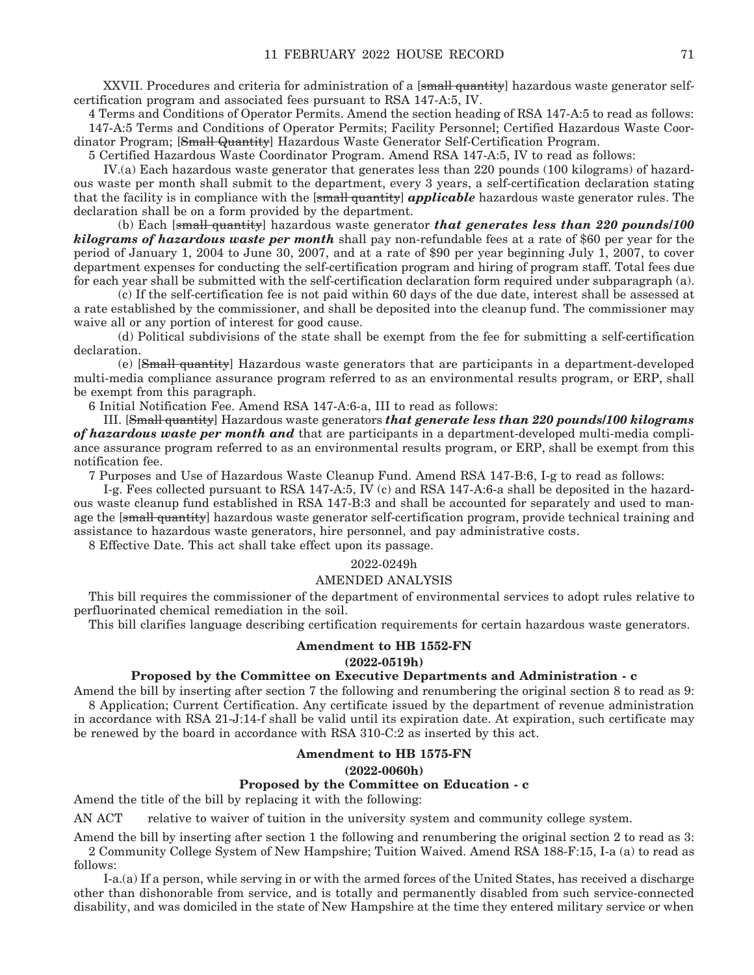XXVII. Procedures and criteria for administration of a [small quantity] hazardous waste generator selfcertification program and associated fees pursuant to RSA 147-A:5, IV.

4 Terms and Conditions of Operator Permits. Amend the section heading of RSA 147-A:5 to read as follows: 147-A:5 Terms and Conditions of Operator Permits; Facility Personnel; Certified Hazardous Waste Coordinator Program; [Small Quantity] Hazardous Waste Generator Self-Certification Program.

5 Certified Hazardous Waste Coordinator Program. Amend RSA 147-A:5, IV to read as follows:

 IV.(a) Each hazardous waste generator that generates less than 220 pounds (100 kilograms) of hazardous waste per month shall submit to the department, every 3 years, a self-certification declaration stating that the facility is in compliance with the [small quantity] *applicable* hazardous waste generator rules. The declaration shall be on a form provided by the department.

 (b) Each [small quantity] hazardous waste generator *that generates less than 220 pounds/100 kilograms of hazardous waste per month* shall pay non-refundable fees at a rate of \$60 per year for the period of January 1, 2004 to June 30, 2007, and at a rate of \$90 per year beginning July 1, 2007, to cover department expenses for conducting the self-certification program and hiring of program staff. Total fees due for each year shall be submitted with the self-certification declaration form required under subparagraph (a).

 (c) If the self-certification fee is not paid within 60 days of the due date, interest shall be assessed at a rate established by the commissioner, and shall be deposited into the cleanup fund. The commissioner may waive all or any portion of interest for good cause.

 (d) Political subdivisions of the state shall be exempt from the fee for submitting a self-certification declaration.

 (e) [Small quantity] Hazardous waste generators that are participants in a department-developed multi-media compliance assurance program referred to as an environmental results program, or ERP, shall be exempt from this paragraph.

6 Initial Notification Fee. Amend RSA 147-A:6-a, III to read as follows:

 III. [Small quantity] Hazardous waste generators *that generate less than 220 pounds/100 kilograms of hazardous waste per month and* that are participants in a department-developed multi-media compliance assurance program referred to as an environmental results program, or ERP, shall be exempt from this notification fee.

7 Purposes and Use of Hazardous Waste Cleanup Fund. Amend RSA 147-B:6, I-g to read as follows:

 I-g. Fees collected pursuant to RSA 147-A:5, IV (c) and RSA 147-A:6-a shall be deposited in the hazardous waste cleanup fund established in RSA 147-B:3 and shall be accounted for separately and used to manage the [small quantity] hazardous waste generator self-certification program, provide technical training and assistance to hazardous waste generators, hire personnel, and pay administrative costs.

8 Effective Date. This act shall take effect upon its passage.

#### 2022-0249h

#### AMENDED ANALYSIS

This bill requires the commissioner of the department of environmental services to adopt rules relative to perfluorinated chemical remediation in the soil.

This bill clarifies language describing certification requirements for certain hazardous waste generators.

#### **Amendment to HB 1552-FN**

#### **(2022-0519h)**

# **Proposed by the Committee on Executive Departments and Administration - c**

Amend the bill by inserting after section 7 the following and renumbering the original section 8 to read as 9: 8 Application; Current Certification. Any certificate issued by the department of revenue administration in accordance with RSA 21-J:14-f shall be valid until its expiration date. At expiration, such certificate may be renewed by the board in accordance with RSA 310-C:2 as inserted by this act.

#### **Amendment to HB 1575-FN (2022-0060h)**

#### **Proposed by the Committee on Education - c**

Amend the title of the bill by replacing it with the following:

AN ACT relative to waiver of tuition in the university system and community college system.

Amend the bill by inserting after section 1 the following and renumbering the original section 2 to read as 3: 2 Community College System of New Hampshire; Tuition Waived. Amend RSA 188-F:15, I-a (a) to read as follows:

 I-a.(a) If a person, while serving in or with the armed forces of the United States, has received a discharge other than dishonorable from service, and is totally and permanently disabled from such service-connected disability, and was domiciled in the state of New Hampshire at the time they entered military service or when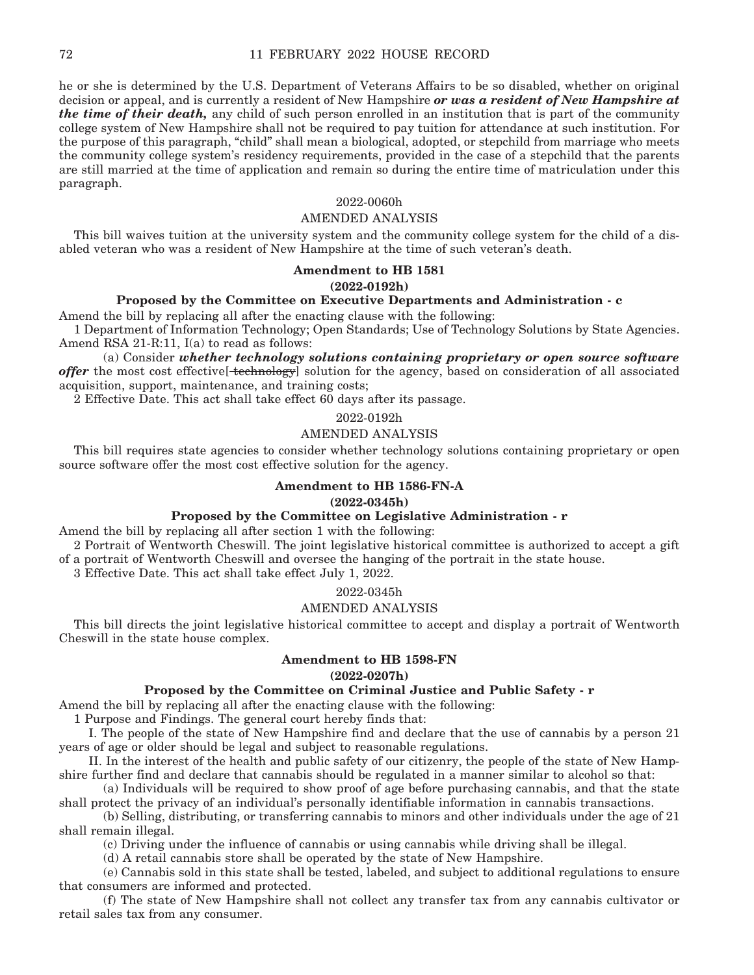he or she is determined by the U.S. Department of Veterans Affairs to be so disabled, whether on original decision or appeal, and is currently a resident of New Hampshire *or was a resident of New Hampshire at the time of their death,* any child of such person enrolled in an institution that is part of the community college system of New Hampshire shall not be required to pay tuition for attendance at such institution. For the purpose of this paragraph, "child" shall mean a biological, adopted, or stepchild from marriage who meets the community college system's residency requirements, provided in the case of a stepchild that the parents are still married at the time of application and remain so during the entire time of matriculation under this paragraph.

#### 2022-0060h

#### AMENDED ANALYSIS

This bill waives tuition at the university system and the community college system for the child of a disabled veteran who was a resident of New Hampshire at the time of such veteran's death.

# **Amendment to HB 1581**

#### **(2022-0192h)**

# **Proposed by the Committee on Executive Departments and Administration - c**

Amend the bill by replacing all after the enacting clause with the following:

1 Department of Information Technology; Open Standards; Use of Technology Solutions by State Agencies. Amend RSA 21-R:11, I(a) to read as follows:

 (a) Consider *whether technology solutions containing proprietary or open source software*  offer the most cost effective<sup>[technology]</sup> solution for the agency, based on consideration of all associated acquisition, support, maintenance, and training costs;

2 Effective Date. This act shall take effect 60 days after its passage.

#### 2022-0192h

#### AMENDED ANALYSIS

This bill requires state agencies to consider whether technology solutions containing proprietary or open source software offer the most cost effective solution for the agency.

## **Amendment to HB 1586-FN-A**

#### **(2022-0345h)**

### **Proposed by the Committee on Legislative Administration - r**

Amend the bill by replacing all after section 1 with the following:

2 Portrait of Wentworth Cheswill. The joint legislative historical committee is authorized to accept a gift of a portrait of Wentworth Cheswill and oversee the hanging of the portrait in the state house.

3 Effective Date. This act shall take effect July 1, 2022.

## 2022-0345h

### AMENDED ANALYSIS

This bill directs the joint legislative historical committee to accept and display a portrait of Wentworth Cheswill in the state house complex.

#### **Amendment to HB 1598-FN**

## **(2022-0207h)**

# **Proposed by the Committee on Criminal Justice and Public Safety - r**

Amend the bill by replacing all after the enacting clause with the following:

1 Purpose and Findings. The general court hereby finds that:

 I. The people of the state of New Hampshire find and declare that the use of cannabis by a person 21 years of age or older should be legal and subject to reasonable regulations.

 II. In the interest of the health and public safety of our citizenry, the people of the state of New Hampshire further find and declare that cannabis should be regulated in a manner similar to alcohol so that:

 (a) Individuals will be required to show proof of age before purchasing cannabis, and that the state shall protect the privacy of an individual's personally identifiable information in cannabis transactions.

 (b) Selling, distributing, or transferring cannabis to minors and other individuals under the age of 21 shall remain illegal.

(c) Driving under the influence of cannabis or using cannabis while driving shall be illegal.

(d) A retail cannabis store shall be operated by the state of New Hampshire.

 (e) Cannabis sold in this state shall be tested, labeled, and subject to additional regulations to ensure that consumers are informed and protected.

 (f) The state of New Hampshire shall not collect any transfer tax from any cannabis cultivator or retail sales tax from any consumer.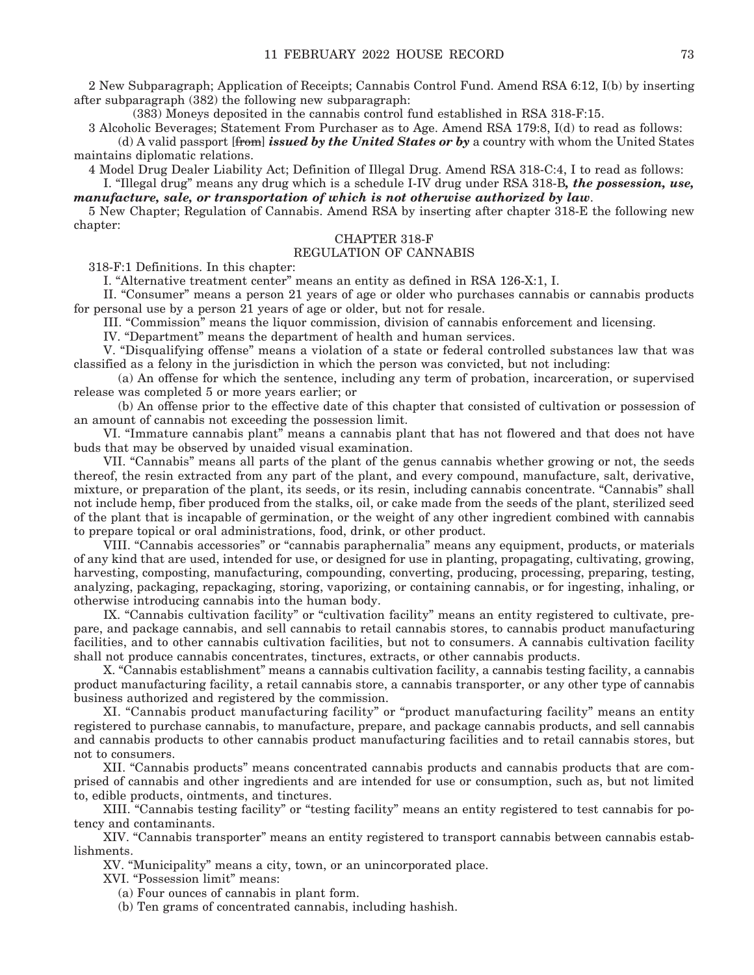2 New Subparagraph; Application of Receipts; Cannabis Control Fund. Amend RSA 6:12, I(b) by inserting after subparagraph (382) the following new subparagraph:

(383) Moneys deposited in the cannabis control fund established in RSA 318-F:15.

3 Alcoholic Beverages; Statement From Purchaser as to Age. Amend RSA 179:8, I(d) to read as follows: (d) A valid passport [from] *issued by the United States or by* a country with whom the United States

maintains diplomatic relations.

4 Model Drug Dealer Liability Act; Definition of Illegal Drug. Amend RSA 318-C:4, I to read as follows:

 I. "Illegal drug" means any drug which is a schedule I-IV drug under RSA 318-B*, the possession, use, manufacture, sale, or transportation of which is not otherwise authorized by law*.

5 New Chapter; Regulation of Cannabis. Amend RSA by inserting after chapter 318-E the following new chapter:

# CHAPTER 318-F

## REGULATION OF CANNABIS

318-F:1 Definitions. In this chapter:

I. "Alternative treatment center" means an entity as defined in RSA 126-X:1, I.

 II. "Consumer" means a person 21 years of age or older who purchases cannabis or cannabis products for personal use by a person 21 years of age or older, but not for resale.

III. "Commission" means the liquor commission, division of cannabis enforcement and licensing.

IV. "Department" means the department of health and human services.

 V. "Disqualifying offense" means a violation of a state or federal controlled substances law that was classified as a felony in the jurisdiction in which the person was convicted, but not including:

 (a) An offense for which the sentence, including any term of probation, incarceration, or supervised release was completed 5 or more years earlier; or

 (b) An offense prior to the effective date of this chapter that consisted of cultivation or possession of an amount of cannabis not exceeding the possession limit.

 VI. "Immature cannabis plant" means a cannabis plant that has not flowered and that does not have buds that may be observed by unaided visual examination.

 VII. "Cannabis" means all parts of the plant of the genus cannabis whether growing or not, the seeds thereof, the resin extracted from any part of the plant, and every compound, manufacture, salt, derivative, mixture, or preparation of the plant, its seeds, or its resin, including cannabis concentrate. "Cannabis" shall not include hemp, fiber produced from the stalks, oil, or cake made from the seeds of the plant, sterilized seed of the plant that is incapable of germination, or the weight of any other ingredient combined with cannabis to prepare topical or oral administrations, food, drink, or other product.

 VIII. "Cannabis accessories" or "cannabis paraphernalia" means any equipment, products, or materials of any kind that are used, intended for use, or designed for use in planting, propagating, cultivating, growing, harvesting, composting, manufacturing, compounding, converting, producing, processing, preparing, testing, analyzing, packaging, repackaging, storing, vaporizing, or containing cannabis, or for ingesting, inhaling, or otherwise introducing cannabis into the human body.

 IX. "Cannabis cultivation facility" or "cultivation facility" means an entity registered to cultivate, prepare, and package cannabis, and sell cannabis to retail cannabis stores, to cannabis product manufacturing facilities, and to other cannabis cultivation facilities, but not to consumers. A cannabis cultivation facility shall not produce cannabis concentrates, tinctures, extracts, or other cannabis products.

 X. "Cannabis establishment" means a cannabis cultivation facility, a cannabis testing facility, a cannabis product manufacturing facility, a retail cannabis store, a cannabis transporter, or any other type of cannabis business authorized and registered by the commission.

 XI. "Cannabis product manufacturing facility" or "product manufacturing facility" means an entity registered to purchase cannabis, to manufacture, prepare, and package cannabis products, and sell cannabis and cannabis products to other cannabis product manufacturing facilities and to retail cannabis stores, but not to consumers.

 XII. "Cannabis products" means concentrated cannabis products and cannabis products that are comprised of cannabis and other ingredients and are intended for use or consumption, such as, but not limited to, edible products, ointments, and tinctures.

 XIII. "Cannabis testing facility" or "testing facility" means an entity registered to test cannabis for potency and contaminants.

 XIV. "Cannabis transporter" means an entity registered to transport cannabis between cannabis establishments.

XV. "Municipality" means a city, town, or an unincorporated place.

XVI. "Possession limit" means:

(a) Four ounces of cannabis in plant form.

(b) Ten grams of concentrated cannabis, including hashish.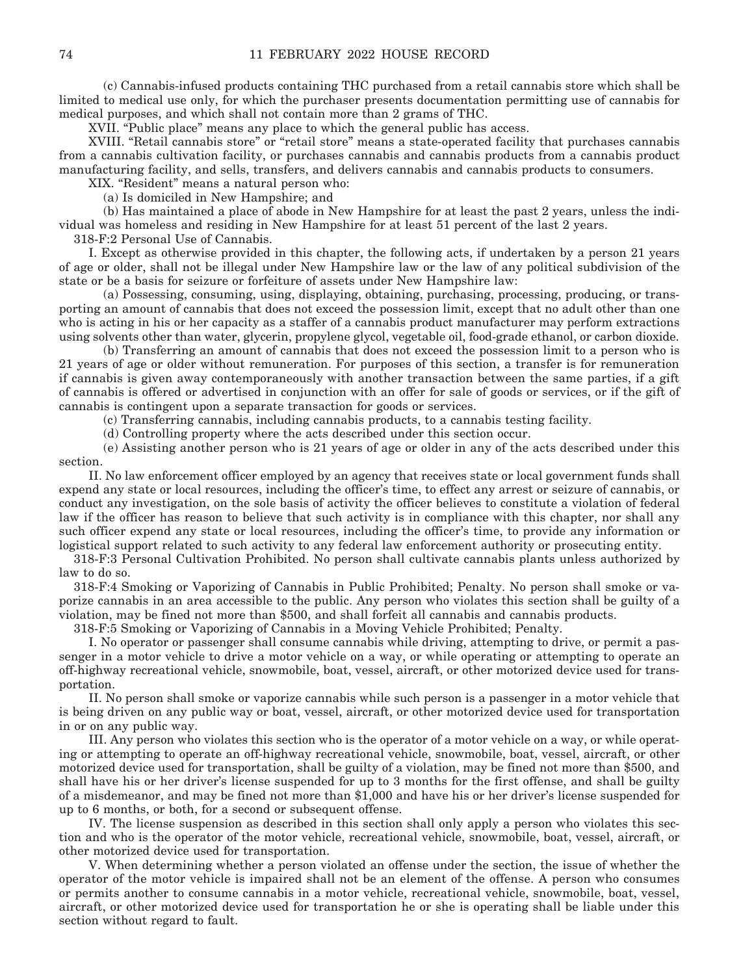(c) Cannabis-infused products containing THC purchased from a retail cannabis store which shall be limited to medical use only, for which the purchaser presents documentation permitting use of cannabis for medical purposes, and which shall not contain more than 2 grams of THC.

XVII. "Public place" means any place to which the general public has access.

 XVIII. "Retail cannabis store" or "retail store" means a state-operated facility that purchases cannabis from a cannabis cultivation facility, or purchases cannabis and cannabis products from a cannabis product manufacturing facility, and sells, transfers, and delivers cannabis and cannabis products to consumers.

XIX. "Resident" means a natural person who:

(a) Is domiciled in New Hampshire; and

 (b) Has maintained a place of abode in New Hampshire for at least the past 2 years, unless the individual was homeless and residing in New Hampshire for at least 51 percent of the last 2 years.

318-F:2 Personal Use of Cannabis.

 I. Except as otherwise provided in this chapter, the following acts, if undertaken by a person 21 years of age or older, shall not be illegal under New Hampshire law or the law of any political subdivision of the state or be a basis for seizure or forfeiture of assets under New Hampshire law:

 (a) Possessing, consuming, using, displaying, obtaining, purchasing, processing, producing, or transporting an amount of cannabis that does not exceed the possession limit, except that no adult other than one who is acting in his or her capacity as a staffer of a cannabis product manufacturer may perform extractions using solvents other than water, glycerin, propylene glycol, vegetable oil, food-grade ethanol, or carbon dioxide.

 (b) Transferring an amount of cannabis that does not exceed the possession limit to a person who is 21 years of age or older without remuneration. For purposes of this section, a transfer is for remuneration if cannabis is given away contemporaneously with another transaction between the same parties, if a gift of cannabis is offered or advertised in conjunction with an offer for sale of goods or services, or if the gift of cannabis is contingent upon a separate transaction for goods or services.

(c) Transferring cannabis, including cannabis products, to a cannabis testing facility.

(d) Controlling property where the acts described under this section occur.

 (e) Assisting another person who is 21 years of age or older in any of the acts described under this section.

 II. No law enforcement officer employed by an agency that receives state or local government funds shall expend any state or local resources, including the officer's time, to effect any arrest or seizure of cannabis, or conduct any investigation, on the sole basis of activity the officer believes to constitute a violation of federal law if the officer has reason to believe that such activity is in compliance with this chapter, nor shall any such officer expend any state or local resources, including the officer's time, to provide any information or logistical support related to such activity to any federal law enforcement authority or prosecuting entity.

318-F:3 Personal Cultivation Prohibited. No person shall cultivate cannabis plants unless authorized by law to do so.

318-F:4 Smoking or Vaporizing of Cannabis in Public Prohibited; Penalty. No person shall smoke or vaporize cannabis in an area accessible to the public. Any person who violates this section shall be guilty of a violation, may be fined not more than \$500, and shall forfeit all cannabis and cannabis products.

318-F:5 Smoking or Vaporizing of Cannabis in a Moving Vehicle Prohibited; Penalty.

 I. No operator or passenger shall consume cannabis while driving, attempting to drive, or permit a passenger in a motor vehicle to drive a motor vehicle on a way, or while operating or attempting to operate an off-highway recreational vehicle, snowmobile, boat, vessel, aircraft, or other motorized device used for transportation.

 II. No person shall smoke or vaporize cannabis while such person is a passenger in a motor vehicle that is being driven on any public way or boat, vessel, aircraft, or other motorized device used for transportation in or on any public way.

 III. Any person who violates this section who is the operator of a motor vehicle on a way, or while operating or attempting to operate an off-highway recreational vehicle, snowmobile, boat, vessel, aircraft, or other motorized device used for transportation, shall be guilty of a violation, may be fined not more than \$500, and shall have his or her driver's license suspended for up to 3 months for the first offense, and shall be guilty of a misdemeanor, and may be fined not more than \$1,000 and have his or her driver's license suspended for up to 6 months, or both, for a second or subsequent offense.

 IV. The license suspension as described in this section shall only apply a person who violates this section and who is the operator of the motor vehicle, recreational vehicle, snowmobile, boat, vessel, aircraft, or other motorized device used for transportation.

 V. When determining whether a person violated an offense under the section, the issue of whether the operator of the motor vehicle is impaired shall not be an element of the offense. A person who consumes or permits another to consume cannabis in a motor vehicle, recreational vehicle, snowmobile, boat, vessel, aircraft, or other motorized device used for transportation he or she is operating shall be liable under this section without regard to fault.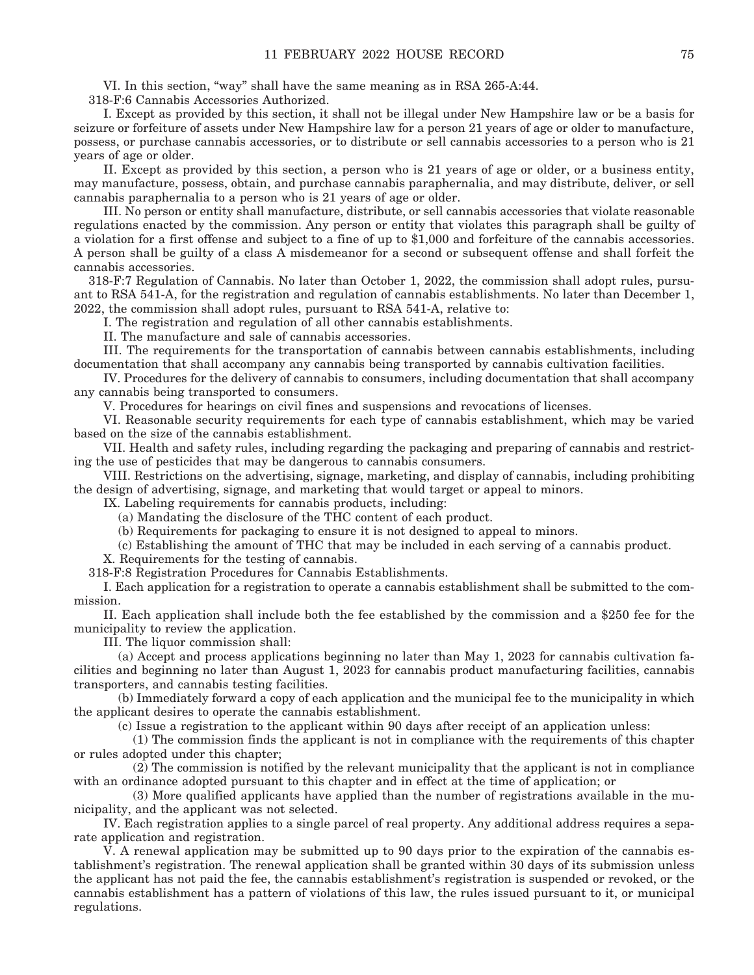VI. In this section, "way" shall have the same meaning as in RSA 265-A:44.

318-F:6 Cannabis Accessories Authorized.

 I. Except as provided by this section, it shall not be illegal under New Hampshire law or be a basis for seizure or forfeiture of assets under New Hampshire law for a person 21 years of age or older to manufacture, possess, or purchase cannabis accessories, or to distribute or sell cannabis accessories to a person who is 21 years of age or older.

 II. Except as provided by this section, a person who is 21 years of age or older, or a business entity, may manufacture, possess, obtain, and purchase cannabis paraphernalia, and may distribute, deliver, or sell cannabis paraphernalia to a person who is 21 years of age or older.

 III. No person or entity shall manufacture, distribute, or sell cannabis accessories that violate reasonable regulations enacted by the commission. Any person or entity that violates this paragraph shall be guilty of a violation for a first offense and subject to a fine of up to \$1,000 and forfeiture of the cannabis accessories. A person shall be guilty of a class A misdemeanor for a second or subsequent offense and shall forfeit the cannabis accessories.

318-F:7 Regulation of Cannabis. No later than October 1, 2022, the commission shall adopt rules, pursuant to RSA 541-A, for the registration and regulation of cannabis establishments. No later than December 1, 2022, the commission shall adopt rules, pursuant to RSA 541-A, relative to:

I. The registration and regulation of all other cannabis establishments.

II. The manufacture and sale of cannabis accessories.

 III. The requirements for the transportation of cannabis between cannabis establishments, including documentation that shall accompany any cannabis being transported by cannabis cultivation facilities.

 IV. Procedures for the delivery of cannabis to consumers, including documentation that shall accompany any cannabis being transported to consumers.

V. Procedures for hearings on civil fines and suspensions and revocations of licenses.

 VI. Reasonable security requirements for each type of cannabis establishment, which may be varied based on the size of the cannabis establishment.

 VII. Health and safety rules, including regarding the packaging and preparing of cannabis and restricting the use of pesticides that may be dangerous to cannabis consumers.

 VIII. Restrictions on the advertising, signage, marketing, and display of cannabis, including prohibiting the design of advertising, signage, and marketing that would target or appeal to minors.

IX. Labeling requirements for cannabis products, including:

(a) Mandating the disclosure of the THC content of each product.

(b) Requirements for packaging to ensure it is not designed to appeal to minors.

(c) Establishing the amount of THC that may be included in each serving of a cannabis product.

X. Requirements for the testing of cannabis.

318-F:8 Registration Procedures for Cannabis Establishments.

 I. Each application for a registration to operate a cannabis establishment shall be submitted to the commission.

 II. Each application shall include both the fee established by the commission and a \$250 fee for the municipality to review the application.

III. The liquor commission shall:

 (a) Accept and process applications beginning no later than May 1, 2023 for cannabis cultivation facilities and beginning no later than August 1, 2023 for cannabis product manufacturing facilities, cannabis transporters, and cannabis testing facilities.

 (b) Immediately forward a copy of each application and the municipal fee to the municipality in which the applicant desires to operate the cannabis establishment.

(c) Issue a registration to the applicant within 90 days after receipt of an application unless:

 (1) The commission finds the applicant is not in compliance with the requirements of this chapter or rules adopted under this chapter;

 (2) The commission is notified by the relevant municipality that the applicant is not in compliance with an ordinance adopted pursuant to this chapter and in effect at the time of application; or

 (3) More qualified applicants have applied than the number of registrations available in the municipality, and the applicant was not selected.

 IV. Each registration applies to a single parcel of real property. Any additional address requires a separate application and registration.

 V. A renewal application may be submitted up to 90 days prior to the expiration of the cannabis establishment's registration. The renewal application shall be granted within 30 days of its submission unless the applicant has not paid the fee, the cannabis establishment's registration is suspended or revoked, or the cannabis establishment has a pattern of violations of this law, the rules issued pursuant to it, or municipal regulations.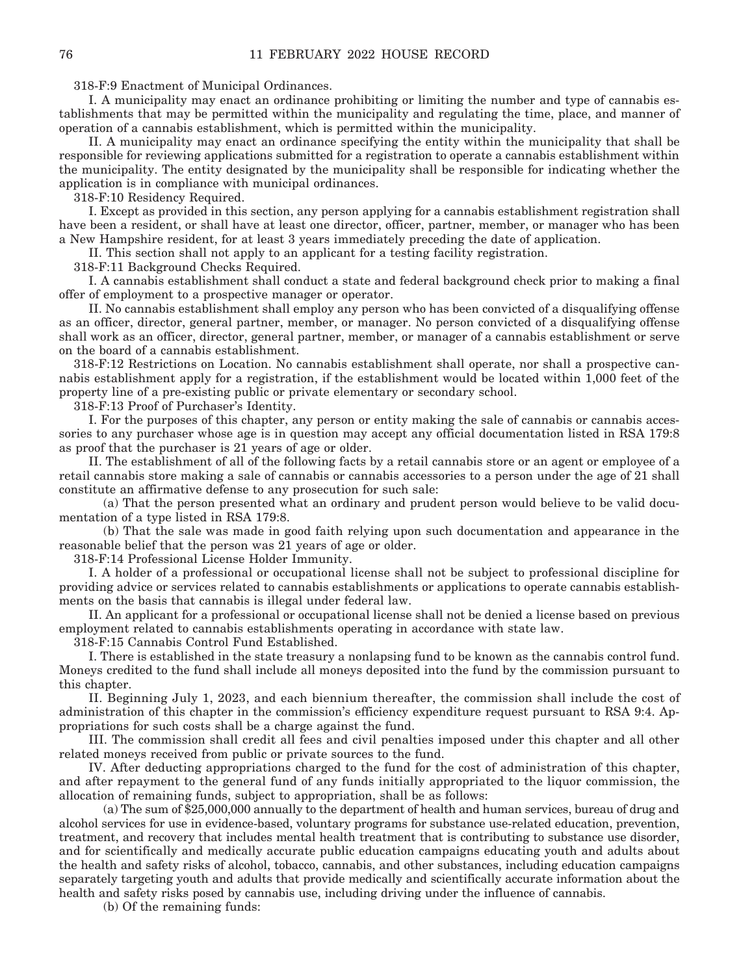318-F:9 Enactment of Municipal Ordinances.

 I. A municipality may enact an ordinance prohibiting or limiting the number and type of cannabis establishments that may be permitted within the municipality and regulating the time, place, and manner of operation of a cannabis establishment, which is permitted within the municipality.

 II. A municipality may enact an ordinance specifying the entity within the municipality that shall be responsible for reviewing applications submitted for a registration to operate a cannabis establishment within the municipality. The entity designated by the municipality shall be responsible for indicating whether the application is in compliance with municipal ordinances.

318-F:10 Residency Required.

 I. Except as provided in this section, any person applying for a cannabis establishment registration shall have been a resident, or shall have at least one director, officer, partner, member, or manager who has been a New Hampshire resident, for at least 3 years immediately preceding the date of application.

II. This section shall not apply to an applicant for a testing facility registration.

318-F:11 Background Checks Required.

 I. A cannabis establishment shall conduct a state and federal background check prior to making a final offer of employment to a prospective manager or operator.

 II. No cannabis establishment shall employ any person who has been convicted of a disqualifying offense as an officer, director, general partner, member, or manager. No person convicted of a disqualifying offense shall work as an officer, director, general partner, member, or manager of a cannabis establishment or serve on the board of a cannabis establishment.

318-F:12 Restrictions on Location. No cannabis establishment shall operate, nor shall a prospective cannabis establishment apply for a registration, if the establishment would be located within 1,000 feet of the property line of a pre-existing public or private elementary or secondary school.

318-F:13 Proof of Purchaser's Identity.

 I. For the purposes of this chapter, any person or entity making the sale of cannabis or cannabis accessories to any purchaser whose age is in question may accept any official documentation listed in RSA 179:8 as proof that the purchaser is 21 years of age or older.

 II. The establishment of all of the following facts by a retail cannabis store or an agent or employee of a retail cannabis store making a sale of cannabis or cannabis accessories to a person under the age of 21 shall constitute an affirmative defense to any prosecution for such sale:

 (a) That the person presented what an ordinary and prudent person would believe to be valid documentation of a type listed in RSA 179:8.

 (b) That the sale was made in good faith relying upon such documentation and appearance in the reasonable belief that the person was 21 years of age or older.

318-F:14 Professional License Holder Immunity.

 I. A holder of a professional or occupational license shall not be subject to professional discipline for providing advice or services related to cannabis establishments or applications to operate cannabis establishments on the basis that cannabis is illegal under federal law.

 II. An applicant for a professional or occupational license shall not be denied a license based on previous employment related to cannabis establishments operating in accordance with state law.

318-F:15 Cannabis Control Fund Established.

 I. There is established in the state treasury a nonlapsing fund to be known as the cannabis control fund. Moneys credited to the fund shall include all moneys deposited into the fund by the commission pursuant to this chapter.

 II. Beginning July 1, 2023, and each biennium thereafter, the commission shall include the cost of administration of this chapter in the commission's efficiency expenditure request pursuant to RSA 9:4. Appropriations for such costs shall be a charge against the fund.

 III. The commission shall credit all fees and civil penalties imposed under this chapter and all other related moneys received from public or private sources to the fund.

 IV. After deducting appropriations charged to the fund for the cost of administration of this chapter, and after repayment to the general fund of any funds initially appropriated to the liquor commission, the allocation of remaining funds, subject to appropriation, shall be as follows:

 (a) The sum of \$25,000,000 annually to the department of health and human services, bureau of drug and alcohol services for use in evidence-based, voluntary programs for substance use-related education, prevention, treatment, and recovery that includes mental health treatment that is contributing to substance use disorder, and for scientifically and medically accurate public education campaigns educating youth and adults about the health and safety risks of alcohol, tobacco, cannabis, and other substances, including education campaigns separately targeting youth and adults that provide medically and scientifically accurate information about the health and safety risks posed by cannabis use, including driving under the influence of cannabis.

(b) Of the remaining funds: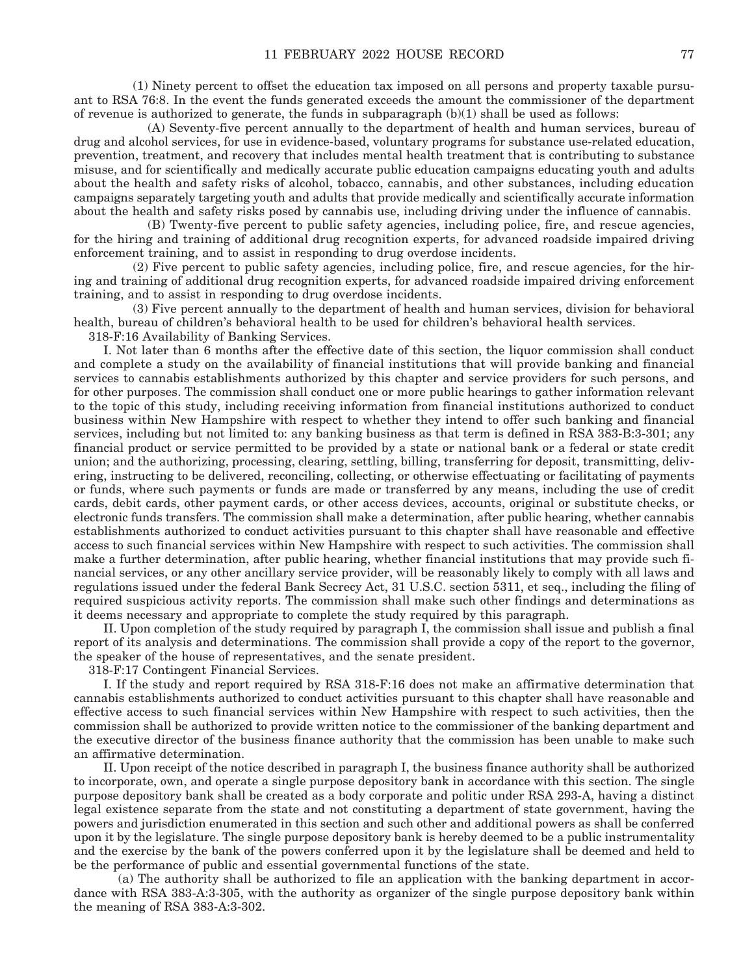(1) Ninety percent to offset the education tax imposed on all persons and property taxable pursuant to RSA 76:8. In the event the funds generated exceeds the amount the commissioner of the department of revenue is authorized to generate, the funds in subparagraph  $(b)(1)$  shall be used as follows:

 (A) Seventy-five percent annually to the department of health and human services, bureau of drug and alcohol services, for use in evidence-based, voluntary programs for substance use-related education, prevention, treatment, and recovery that includes mental health treatment that is contributing to substance misuse, and for scientifically and medically accurate public education campaigns educating youth and adults about the health and safety risks of alcohol, tobacco, cannabis, and other substances, including education campaigns separately targeting youth and adults that provide medically and scientifically accurate information about the health and safety risks posed by cannabis use, including driving under the influence of cannabis.

 (B) Twenty-five percent to public safety agencies, including police, fire, and rescue agencies, for the hiring and training of additional drug recognition experts, for advanced roadside impaired driving enforcement training, and to assist in responding to drug overdose incidents.

 (2) Five percent to public safety agencies, including police, fire, and rescue agencies, for the hiring and training of additional drug recognition experts, for advanced roadside impaired driving enforcement training, and to assist in responding to drug overdose incidents.

 (3) Five percent annually to the department of health and human services, division for behavioral health, bureau of children's behavioral health to be used for children's behavioral health services. 318-F:16 Availability of Banking Services.

 I. Not later than 6 months after the effective date of this section, the liquor commission shall conduct and complete a study on the availability of financial institutions that will provide banking and financial services to cannabis establishments authorized by this chapter and service providers for such persons, and for other purposes. The commission shall conduct one or more public hearings to gather information relevant to the topic of this study, including receiving information from financial institutions authorized to conduct business within New Hampshire with respect to whether they intend to offer such banking and financial services, including but not limited to: any banking business as that term is defined in RSA 383-B:3-301; any financial product or service permitted to be provided by a state or national bank or a federal or state credit union; and the authorizing, processing, clearing, settling, billing, transferring for deposit, transmitting, delivering, instructing to be delivered, reconciling, collecting, or otherwise effectuating or facilitating of payments or funds, where such payments or funds are made or transferred by any means, including the use of credit cards, debit cards, other payment cards, or other access devices, accounts, original or substitute checks, or electronic funds transfers. The commission shall make a determination, after public hearing, whether cannabis establishments authorized to conduct activities pursuant to this chapter shall have reasonable and effective access to such financial services within New Hampshire with respect to such activities. The commission shall make a further determination, after public hearing, whether financial institutions that may provide such financial services, or any other ancillary service provider, will be reasonably likely to comply with all laws and regulations issued under the federal Bank Secrecy Act, 31 U.S.C. section 5311, et seq., including the filing of required suspicious activity reports. The commission shall make such other findings and determinations as it deems necessary and appropriate to complete the study required by this paragraph.

 II. Upon completion of the study required by paragraph I, the commission shall issue and publish a final report of its analysis and determinations. The commission shall provide a copy of the report to the governor, the speaker of the house of representatives, and the senate president.

318-F:17 Contingent Financial Services.

 I. If the study and report required by RSA 318-F:16 does not make an affirmative determination that cannabis establishments authorized to conduct activities pursuant to this chapter shall have reasonable and effective access to such financial services within New Hampshire with respect to such activities, then the commission shall be authorized to provide written notice to the commissioner of the banking department and the executive director of the business finance authority that the commission has been unable to make such an affirmative determination.

 II. Upon receipt of the notice described in paragraph I, the business finance authority shall be authorized to incorporate, own, and operate a single purpose depository bank in accordance with this section. The single purpose depository bank shall be created as a body corporate and politic under RSA 293-A, having a distinct legal existence separate from the state and not constituting a department of state government, having the powers and jurisdiction enumerated in this section and such other and additional powers as shall be conferred upon it by the legislature. The single purpose depository bank is hereby deemed to be a public instrumentality and the exercise by the bank of the powers conferred upon it by the legislature shall be deemed and held to be the performance of public and essential governmental functions of the state.

 (a) The authority shall be authorized to file an application with the banking department in accordance with RSA 383-A:3-305, with the authority as organizer of the single purpose depository bank within the meaning of RSA 383-A:3-302.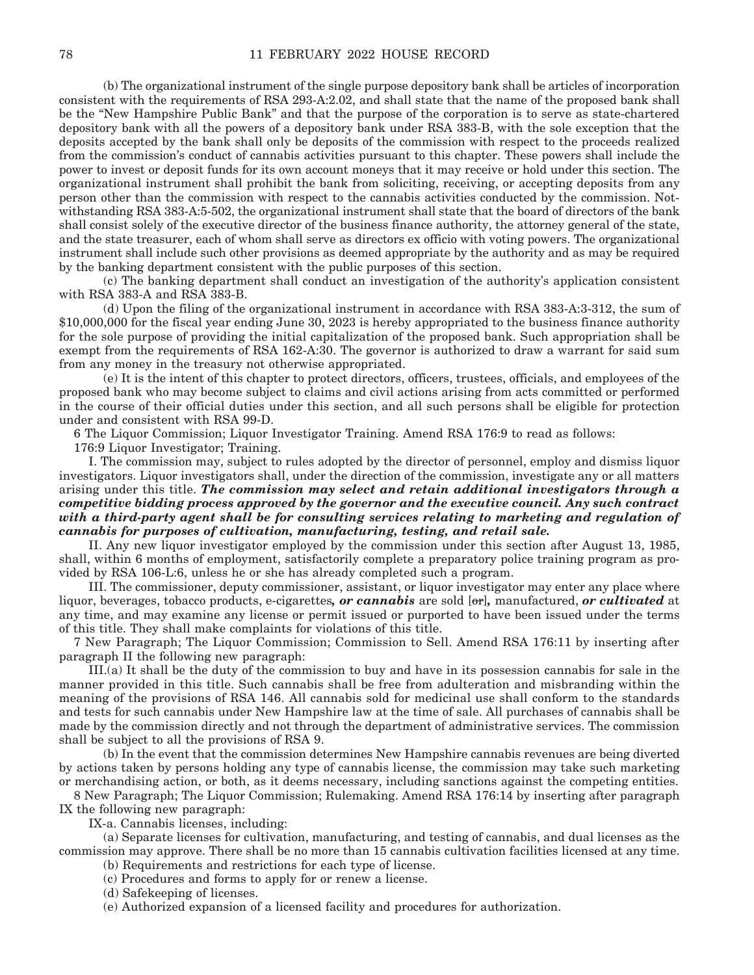(b) The organizational instrument of the single purpose depository bank shall be articles of incorporation consistent with the requirements of RSA 293-A:2.02, and shall state that the name of the proposed bank shall be the "New Hampshire Public Bank" and that the purpose of the corporation is to serve as state-chartered depository bank with all the powers of a depository bank under RSA 383-B, with the sole exception that the deposits accepted by the bank shall only be deposits of the commission with respect to the proceeds realized from the commission's conduct of cannabis activities pursuant to this chapter. These powers shall include the power to invest or deposit funds for its own account moneys that it may receive or hold under this section. The organizational instrument shall prohibit the bank from soliciting, receiving, or accepting deposits from any person other than the commission with respect to the cannabis activities conducted by the commission. Notwithstanding RSA 383-A:5-502, the organizational instrument shall state that the board of directors of the bank shall consist solely of the executive director of the business finance authority, the attorney general of the state, and the state treasurer, each of whom shall serve as directors ex officio with voting powers. The organizational instrument shall include such other provisions as deemed appropriate by the authority and as may be required by the banking department consistent with the public purposes of this section.

 (c) The banking department shall conduct an investigation of the authority's application consistent with RSA 383-A and RSA 383-B.

 (d) Upon the filing of the organizational instrument in accordance with RSA 383-A:3-312, the sum of \$10,000,000 for the fiscal year ending June 30, 2023 is hereby appropriated to the business finance authority for the sole purpose of providing the initial capitalization of the proposed bank. Such appropriation shall be exempt from the requirements of RSA 162-A:30. The governor is authorized to draw a warrant for said sum from any money in the treasury not otherwise appropriated.

 (e) It is the intent of this chapter to protect directors, officers, trustees, officials, and employees of the proposed bank who may become subject to claims and civil actions arising from acts committed or performed in the course of their official duties under this section, and all such persons shall be eligible for protection under and consistent with RSA 99-D.

6 The Liquor Commission; Liquor Investigator Training. Amend RSA 176:9 to read as follows:

176:9 Liquor Investigator; Training.

 I. The commission may, subject to rules adopted by the director of personnel, employ and dismiss liquor investigators. Liquor investigators shall, under the direction of the commission, investigate any or all matters arising under this title. *The commission may select and retain additional investigators through a competitive bidding process approved by the governor and the executive council. Any such contract with a third-party agent shall be for consulting services relating to marketing and regulation of cannabis for purposes of cultivation, manufacturing, testing, and retail sale.* 

 II. Any new liquor investigator employed by the commission under this section after August 13, 1985, shall, within 6 months of employment, satisfactorily complete a preparatory police training program as provided by RSA 106-L:6, unless he or she has already completed such a program.

 III. The commissioner, deputy commissioner, assistant, or liquor investigator may enter any place where liquor, beverages, tobacco products, e-cigarettes*, or cannabis* are sold [or]*,* manufactured, *or cultivated* at any time, and may examine any license or permit issued or purported to have been issued under the terms of this title. They shall make complaints for violations of this title.

7 New Paragraph; The Liquor Commission; Commission to Sell. Amend RSA 176:11 by inserting after paragraph II the following new paragraph:

 III.(a) It shall be the duty of the commission to buy and have in its possession cannabis for sale in the manner provided in this title. Such cannabis shall be free from adulteration and misbranding within the meaning of the provisions of RSA 146. All cannabis sold for medicinal use shall conform to the standards and tests for such cannabis under New Hampshire law at the time of sale. All purchases of cannabis shall be made by the commission directly and not through the department of administrative services. The commission shall be subject to all the provisions of RSA 9.

 (b) In the event that the commission determines New Hampshire cannabis revenues are being diverted by actions taken by persons holding any type of cannabis license, the commission may take such marketing or merchandising action, or both, as it deems necessary, including sanctions against the competing entities.

8 New Paragraph; The Liquor Commission; Rulemaking. Amend RSA 176:14 by inserting after paragraph IX the following new paragraph:

IX-a. Cannabis licenses, including:

 (a) Separate licenses for cultivation, manufacturing, and testing of cannabis, and dual licenses as the commission may approve. There shall be no more than 15 cannabis cultivation facilities licensed at any time. (b) Requirements and restrictions for each type of license.

(c) Procedures and forms to apply for or renew a license.

(d) Safekeeping of licenses.

(e) Authorized expansion of a licensed facility and procedures for authorization.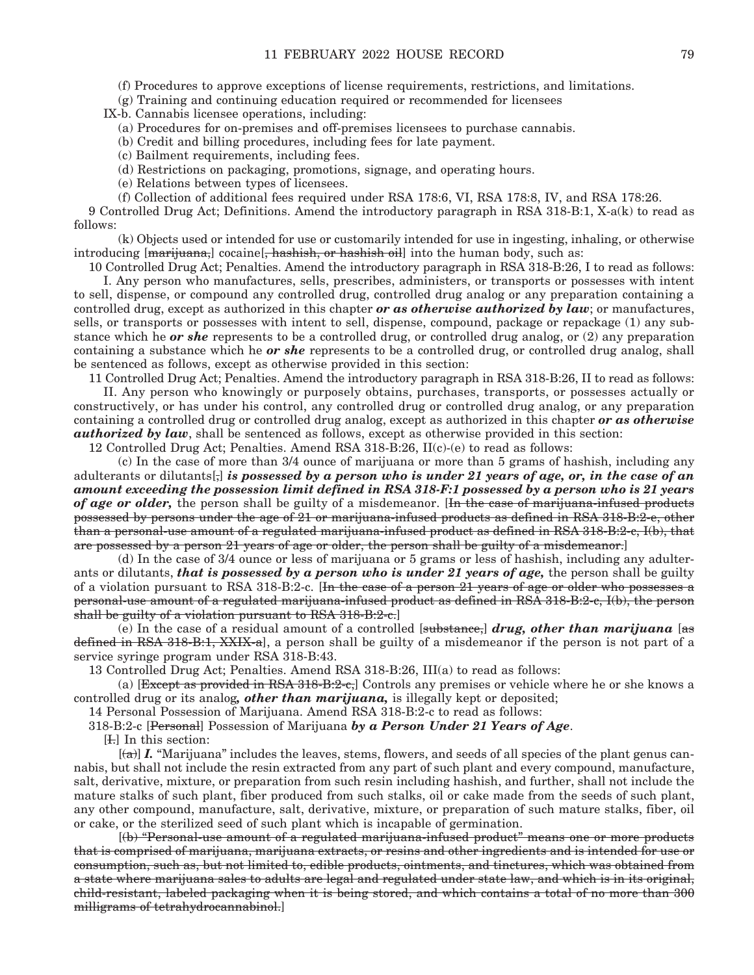(f) Procedures to approve exceptions of license requirements, restrictions, and limitations.

(g) Training and continuing education required or recommended for licensees

IX-b. Cannabis licensee operations, including:

(a) Procedures for on-premises and off-premises licensees to purchase cannabis.

(b) Credit and billing procedures, including fees for late payment.

(c) Bailment requirements, including fees.

(d) Restrictions on packaging, promotions, signage, and operating hours.

(e) Relations between types of licensees.

(f) Collection of additional fees required under RSA 178:6, VI, RSA 178:8, IV, and RSA 178:26.

9 Controlled Drug Act; Definitions. Amend the introductory paragraph in RSA 318-B:1, X-a(k) to read as follows:

 (k) Objects used or intended for use or customarily intended for use in ingesting, inhaling, or otherwise introducing [marijuana,] cocaine [, hashish, or hashish oil] into the human body, such as:

10 Controlled Drug Act; Penalties. Amend the introductory paragraph in RSA 318-B:26, I to read as follows:

 I. Any person who manufactures, sells, prescribes, administers, or transports or possesses with intent to sell, dispense, or compound any controlled drug, controlled drug analog or any preparation containing a controlled drug, except as authorized in this chapter *or as otherwise authorized by law*; or manufactures, sells, or transports or possesses with intent to sell, dispense, compound, package or repackage (1) any substance which he *or she* represents to be a controlled drug, or controlled drug analog, or (2) any preparation containing a substance which he *or she* represents to be a controlled drug, or controlled drug analog, shall be sentenced as follows, except as otherwise provided in this section:

11 Controlled Drug Act; Penalties. Amend the introductory paragraph in RSA 318-B:26, II to read as follows:

 II. Any person who knowingly or purposely obtains, purchases, transports, or possesses actually or constructively, or has under his control, any controlled drug or controlled drug analog, or any preparation containing a controlled drug or controlled drug analog, except as authorized in this chapter *or as otherwise authorized by law*, shall be sentenced as follows, except as otherwise provided in this section:

12 Controlled Drug Act; Penalties. Amend RSA 318-B:26, II(c)-(e) to read as follows:

 (c) In the case of more than 3/4 ounce of marijuana or more than 5 grams of hashish, including any adulterants or dilutants[,] *is possessed by a person who is under 21 years of age, or, in the case of an amount exceeding the possession limit defined in RSA 318-F:1 possessed by a person who is 21 years of age or older,* the person shall be guilty of a misdemeanor. [In the case of marijuana-infused products possessed by persons under the age of 21 or marijuana-infused products as defined in RSA 318-B:2-e, other than a personal-use amount of a regulated marijuana-infused product as defined in RSA 318-B:2-c, I(b), that are possessed by a person 21 years of age or older, the person shall be guilty of a misdemeanor.]

 (d) In the case of 3/4 ounce or less of marijuana or 5 grams or less of hashish, including any adulterants or dilutants, *that is possessed by a person who is under 21 years of age*, the person shall be guilty of a violation pursuant to RSA 318-B:2-c. [In the case of a person  $21$  years of age or older who possesses a personal-use amount of a regulated marijuana-infused product as defined in RSA 318-B:2-c, I(b), the person shall be guilty of a violation pursuant to RSA 318-B:2-c.]

 (e) In the case of a residual amount of a controlled [substance,] *drug, other than marijuana* [as defined in RSA 318-B:1, XXIX-a), a person shall be guilty of a misdemeanor if the person is not part of a service syringe program under RSA 318-B:43.

13 Controlled Drug Act; Penalties. Amend RSA 318-B:26, III(a) to read as follows:

(a)  $[Except as provided in RSA 318-B:2-e]$  Controls any premises or vehicle where he or she knows a controlled drug or its analog*, other than marijuana,* is illegally kept or deposited;

14 Personal Possession of Marijuana. Amend RSA 318-B:2-c to read as follows:

318-B:2-c [Personal] Possession of Marijuana *by a Person Under 21 Years of Age*.

[I.] In this section:

 $[(a)]$  *I.* "Marijuana" includes the leaves, stems, flowers, and seeds of all species of the plant genus cannabis, but shall not include the resin extracted from any part of such plant and every compound, manufacture, salt, derivative, mixture, or preparation from such resin including hashish, and further, shall not include the mature stalks of such plant, fiber produced from such stalks, oil or cake made from the seeds of such plant, any other compound, manufacture, salt, derivative, mixture, or preparation of such mature stalks, fiber, oil or cake, or the sterilized seed of such plant which is incapable of germination.

 $[(b)$  "Personal-use amount of a regulated marijuana-infused product" means one or more products that is comprised of marijuana, marijuana extracts, or resins and other ingredients and is intended for use or consumption, such as, but not limited to, edible products, ointments, and tinctures, which was obtained from a state where marijuana sales to adults are legal and regulated under state law, and which is in its original, child-resistant, labeled packaging when it is being stored, and which contains a total of no more than 300 milligrams of tetrahydrocannabinol.]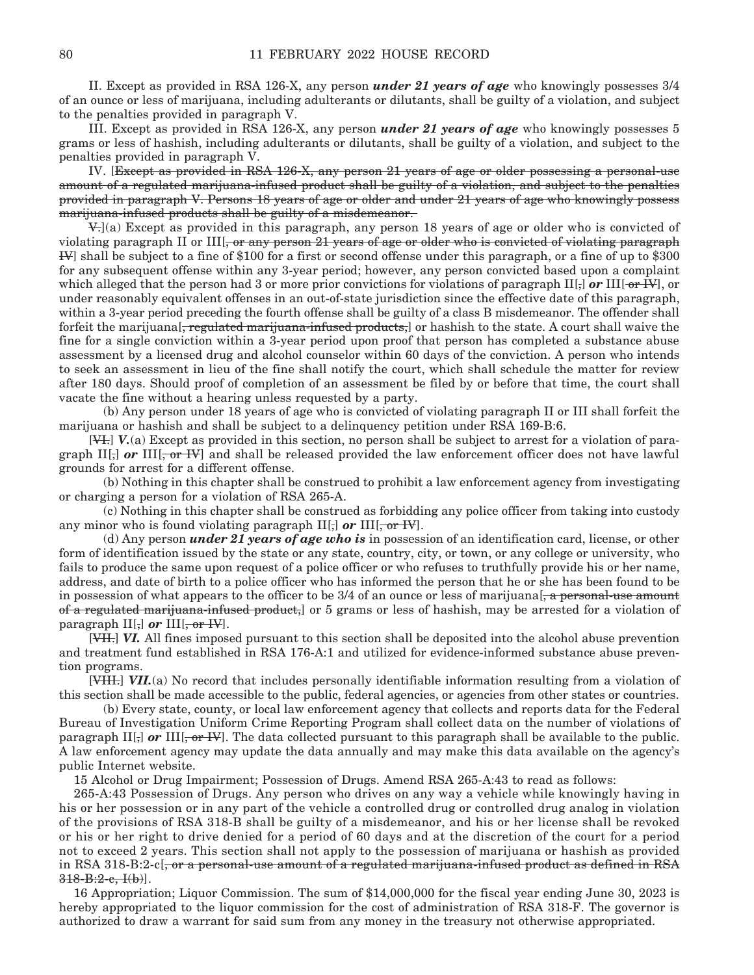II. Except as provided in RSA 126-X, any person *under 21 years of age* who knowingly possesses 3/4 of an ounce or less of marijuana, including adulterants or dilutants, shall be guilty of a violation, and subject to the penalties provided in paragraph V.

 III. Except as provided in RSA 126-X, any person *under 21 years of age* who knowingly possesses 5 grams or less of hashish, including adulterants or dilutants, shall be guilty of a violation, and subject to the penalties provided in paragraph V.

 IV. [Except as provided in RSA 126-X, any person 21 years of age or older possessing a personal-use amount of a regulated marijuana-infused product shall be guilty of a violation, and subject to the penalties provided in paragraph V. Persons 18 years of age or older and under 21 years of age who knowingly possess marijuana-infused products shall be guilty of a misdemeanor.

 V.](a) Except as provided in this paragraph, any person 18 years of age or older who is convicted of violating paragraph II or  $III$ , or any person 21 years of age or older who is convicted of violating paragraph IV] shall be subject to a fine of \$100 for a first or second offense under this paragraph, or a fine of up to \$300 for any subsequent offense within any 3-year period; however, any person convicted based upon a complaint which alleged that the person had 3 or more prior convictions for violations of paragraph II[;] *or* III[ $\text{-}$ **or** IV], or under reasonably equivalent offenses in an out-of-state jurisdiction since the effective date of this paragraph, within a 3-year period preceding the fourth offense shall be guilty of a class B misdemeanor. The offender shall forfeit the marijuana<sup>[</sup>, regulated marijuana-infused products,] or hashish to the state. A court shall waive the fine for a single conviction within a 3-year period upon proof that person has completed a substance abuse assessment by a licensed drug and alcohol counselor within 60 days of the conviction. A person who intends to seek an assessment in lieu of the fine shall notify the court, which shall schedule the matter for review after 180 days. Should proof of completion of an assessment be filed by or before that time, the court shall vacate the fine without a hearing unless requested by a party.

 (b) Any person under 18 years of age who is convicted of violating paragraph II or III shall forfeit the marijuana or hashish and shall be subject to a delinquency petition under RSA 169-B:6.

 [VI.] *V.*(a) Except as provided in this section, no person shall be subject to arrest for a violation of paragraph II[<sub>7</sub>] *or* III[<sub>7</sub> or IV<sup>[1</sup>] and shall be released provided the law enforcement officer does not have lawful grounds for arrest for a different offense.

 (b) Nothing in this chapter shall be construed to prohibit a law enforcement agency from investigating or charging a person for a violation of RSA 265-A.

 (c) Nothing in this chapter shall be construed as forbidding any police officer from taking into custody any minor who is found violating paragraph  $II_{\sigma}$  or  $III_{\sigma}$  or  $IV_{\sigma}$ .

 (d) Any person *under 21 years of age who is* in possession of an identification card, license, or other form of identification issued by the state or any state, country, city, or town, or any college or university, who fails to produce the same upon request of a police officer or who refuses to truthfully provide his or her name, address, and date of birth to a police officer who has informed the person that he or she has been found to be in possession of what appears to the officer to be  $3/4$  of an ounce or less of marijuana [ $\frac{1}{6}$  a personal-use amount of a regulated marijuana-infused product,] or 5 grams or less of hashish, may be arrested for a violation of paragraph  $II$ [;] *or*  $III$ [,  $-$ or  $HV$ ].

[VII.] VI. All fines imposed pursuant to this section shall be deposited into the alcohol abuse prevention and treatment fund established in RSA 176-A:1 and utilized for evidence-informed substance abuse prevention programs.

 [VIII.] *VII.*(a) No record that includes personally identifiable information resulting from a violation of this section shall be made accessible to the public, federal agencies, or agencies from other states or countries.

 (b) Every state, county, or local law enforcement agency that collects and reports data for the Federal Bureau of Investigation Uniform Crime Reporting Program shall collect data on the number of violations of paragraph II $\left[\cdot\right]$  or III $\left[\cdot\right]$ , or IV. The data collected pursuant to this paragraph shall be available to the public. A law enforcement agency may update the data annually and may make this data available on the agency's public Internet website.

15 Alcohol or Drug Impairment; Possession of Drugs. Amend RSA 265-A:43 to read as follows:

265-A:43 Possession of Drugs. Any person who drives on any way a vehicle while knowingly having in his or her possession or in any part of the vehicle a controlled drug or controlled drug analog in violation of the provisions of RSA 318-B shall be guilty of a misdemeanor, and his or her license shall be revoked or his or her right to drive denied for a period of 60 days and at the discretion of the court for a period not to exceed 2 years. This section shall not apply to the possession of marijuana or hashish as provided in RSA 318-B:2-c[, or a personal-use amount of a regulated marijuana-infused product as defined in RSA  $318 - B:2-c, I(b)$ ].

16 Appropriation; Liquor Commission. The sum of \$14,000,000 for the fiscal year ending June 30, 2023 is hereby appropriated to the liquor commission for the cost of administration of RSA 318-F. The governor is authorized to draw a warrant for said sum from any money in the treasury not otherwise appropriated.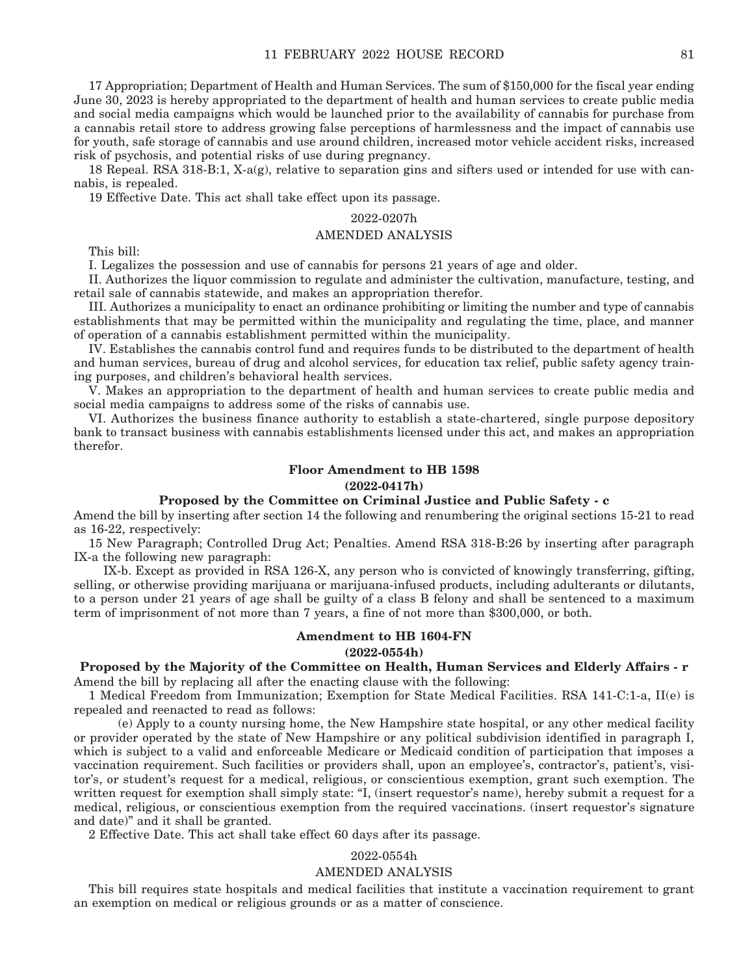17 Appropriation; Department of Health and Human Services. The sum of \$150,000 for the fiscal year ending June 30, 2023 is hereby appropriated to the department of health and human services to create public media and social media campaigns which would be launched prior to the availability of cannabis for purchase from a cannabis retail store to address growing false perceptions of harmlessness and the impact of cannabis use for youth, safe storage of cannabis and use around children, increased motor vehicle accident risks, increased risk of psychosis, and potential risks of use during pregnancy.

18 Repeal. RSA 318-B:1, X-a(g), relative to separation gins and sifters used or intended for use with cannabis, is repealed.

19 Effective Date. This act shall take effect upon its passage.

### 2022-0207h

#### AMENDED ANALYSIS

This bill:

I. Legalizes the possession and use of cannabis for persons 21 years of age and older.

II. Authorizes the liquor commission to regulate and administer the cultivation, manufacture, testing, and retail sale of cannabis statewide, and makes an appropriation therefor.

III. Authorizes a municipality to enact an ordinance prohibiting or limiting the number and type of cannabis establishments that may be permitted within the municipality and regulating the time, place, and manner of operation of a cannabis establishment permitted within the municipality.

IV. Establishes the cannabis control fund and requires funds to be distributed to the department of health and human services, bureau of drug and alcohol services, for education tax relief, public safety agency training purposes, and children's behavioral health services.

V. Makes an appropriation to the department of health and human services to create public media and social media campaigns to address some of the risks of cannabis use.

VI. Authorizes the business finance authority to establish a state-chartered, single purpose depository bank to transact business with cannabis establishments licensed under this act, and makes an appropriation therefor.

### **Floor Amendment to HB 1598 (2022-0417h)**

#### **Proposed by the Committee on Criminal Justice and Public Safety - c**

Amend the bill by inserting after section 14 the following and renumbering the original sections 15-21 to read as 16-22, respectively:

15 New Paragraph; Controlled Drug Act; Penalties. Amend RSA 318-B:26 by inserting after paragraph IX-a the following new paragraph:

 IX-b. Except as provided in RSA 126-X, any person who is convicted of knowingly transferring, gifting, selling, or otherwise providing marijuana or marijuana-infused products, including adulterants or dilutants, to a person under 21 years of age shall be guilty of a class B felony and shall be sentenced to a maximum term of imprisonment of not more than 7 years, a fine of not more than \$300,000, or both.

### **Amendment to HB 1604-FN**

**(2022-0554h)**

**Proposed by the Majority of the Committee on Health, Human Services and Elderly Affairs - r** Amend the bill by replacing all after the enacting clause with the following:

1 Medical Freedom from Immunization; Exemption for State Medical Facilities. RSA 141-C:1-a, II(e) is repealed and reenacted to read as follows:

 (e) Apply to a county nursing home, the New Hampshire state hospital, or any other medical facility or provider operated by the state of New Hampshire or any political subdivision identified in paragraph I, which is subject to a valid and enforceable Medicare or Medicaid condition of participation that imposes a vaccination requirement. Such facilities or providers shall, upon an employee's, contractor's, patient's, visitor's, or student's request for a medical, religious, or conscientious exemption, grant such exemption. The written request for exemption shall simply state: "I, (insert requestor's name), hereby submit a request for a medical, religious, or conscientious exemption from the required vaccinations. (insert requestor's signature and date)" and it shall be granted.

2 Effective Date. This act shall take effect 60 days after its passage.

### 2022-0554h

### AMENDED ANALYSIS

This bill requires state hospitals and medical facilities that institute a vaccination requirement to grant an exemption on medical or religious grounds or as a matter of conscience.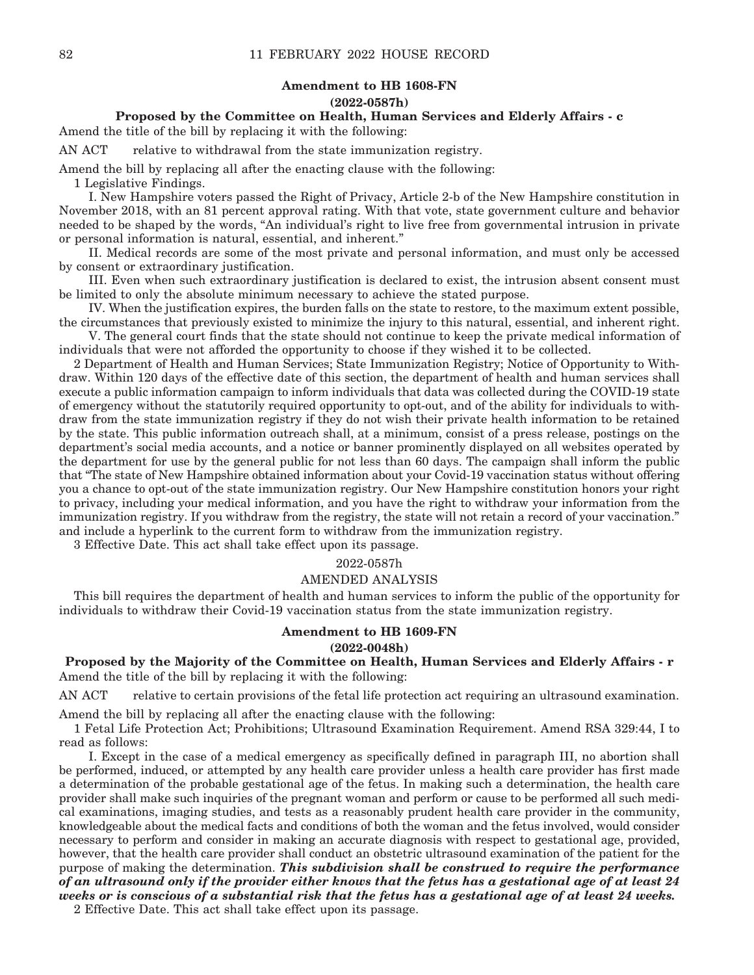## **Amendment to HB 1608-FN (2022-0587h)**

# **Proposed by the Committee on Health, Human Services and Elderly Affairs - c**

Amend the title of the bill by replacing it with the following:

AN ACT relative to withdrawal from the state immunization registry.

Amend the bill by replacing all after the enacting clause with the following:

1 Legislative Findings.

 I. New Hampshire voters passed the Right of Privacy, Article 2-b of the New Hampshire constitution in November 2018, with an 81 percent approval rating. With that vote, state government culture and behavior needed to be shaped by the words, "An individual's right to live free from governmental intrusion in private or personal information is natural, essential, and inherent."

 II. Medical records are some of the most private and personal information, and must only be accessed by consent or extraordinary justification.

 III. Even when such extraordinary justification is declared to exist, the intrusion absent consent must be limited to only the absolute minimum necessary to achieve the stated purpose.

 IV. When the justification expires, the burden falls on the state to restore, to the maximum extent possible, the circumstances that previously existed to minimize the injury to this natural, essential, and inherent right.

 V. The general court finds that the state should not continue to keep the private medical information of individuals that were not afforded the opportunity to choose if they wished it to be collected.

2 Department of Health and Human Services; State Immunization Registry; Notice of Opportunity to Withdraw. Within 120 days of the effective date of this section, the department of health and human services shall execute a public information campaign to inform individuals that data was collected during the COVID-19 state of emergency without the statutorily required opportunity to opt-out, and of the ability for individuals to withdraw from the state immunization registry if they do not wish their private health information to be retained by the state. This public information outreach shall, at a minimum, consist of a press release, postings on the department's social media accounts, and a notice or banner prominently displayed on all websites operated by the department for use by the general public for not less than 60 days. The campaign shall inform the public that "The state of New Hampshire obtained information about your Covid-19 vaccination status without offering you a chance to opt-out of the state immunization registry. Our New Hampshire constitution honors your right to privacy, including your medical information, and you have the right to withdraw your information from the immunization registry. If you withdraw from the registry, the state will not retain a record of your vaccination." and include a hyperlink to the current form to withdraw from the immunization registry.

3 Effective Date. This act shall take effect upon its passage.

#### 2022-0587h

#### AMENDED ANALYSIS

This bill requires the department of health and human services to inform the public of the opportunity for individuals to withdraw their Covid-19 vaccination status from the state immunization registry.

# **Amendment to HB 1609-FN**

**(2022-0048h)**

**Proposed by the Majority of the Committee on Health, Human Services and Elderly Affairs - r** Amend the title of the bill by replacing it with the following:

AN ACT relative to certain provisions of the fetal life protection act requiring an ultrasound examination.

Amend the bill by replacing all after the enacting clause with the following:

1 Fetal Life Protection Act; Prohibitions; Ultrasound Examination Requirement. Amend RSA 329:44, I to read as follows:

 I. Except in the case of a medical emergency as specifically defined in paragraph III, no abortion shall be performed, induced, or attempted by any health care provider unless a health care provider has first made a determination of the probable gestational age of the fetus. In making such a determination, the health care provider shall make such inquiries of the pregnant woman and perform or cause to be performed all such medical examinations, imaging studies, and tests as a reasonably prudent health care provider in the community, knowledgeable about the medical facts and conditions of both the woman and the fetus involved, would consider necessary to perform and consider in making an accurate diagnosis with respect to gestational age, provided, however, that the health care provider shall conduct an obstetric ultrasound examination of the patient for the purpose of making the determination. *This subdivision shall be construed to require the performance of an ultrasound only if the provider either knows that the fetus has a gestational age of at least 24 weeks or is conscious of a substantial risk that the fetus has a gestational age of at least 24 weeks.*

2 Effective Date. This act shall take effect upon its passage.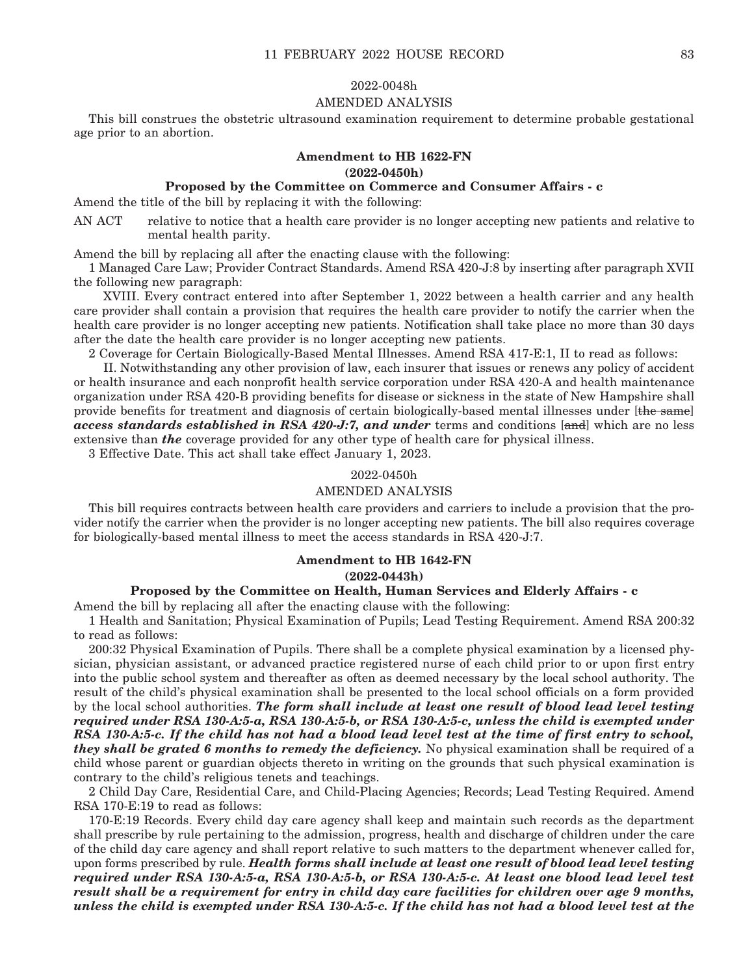#### 2022-0048h

## AMENDED ANALYSIS

This bill construes the obstetric ultrasound examination requirement to determine probable gestational age prior to an abortion.

### **Amendment to HB 1622-FN**

#### **(2022-0450h)**

### **Proposed by the Committee on Commerce and Consumer Affairs - c**

Amend the title of the bill by replacing it with the following:

AN ACT relative to notice that a health care provider is no longer accepting new patients and relative to mental health parity.

Amend the bill by replacing all after the enacting clause with the following:

1 Managed Care Law; Provider Contract Standards. Amend RSA 420-J:8 by inserting after paragraph XVII the following new paragraph:

 XVIII. Every contract entered into after September 1, 2022 between a health carrier and any health care provider shall contain a provision that requires the health care provider to notify the carrier when the health care provider is no longer accepting new patients. Notification shall take place no more than 30 days after the date the health care provider is no longer accepting new patients.

2 Coverage for Certain Biologically-Based Mental Illnesses. Amend RSA 417-E:1, II to read as follows:

 II. Notwithstanding any other provision of law, each insurer that issues or renews any policy of accident or health insurance and each nonprofit health service corporation under RSA 420-A and health maintenance organization under RSA 420-B providing benefits for disease or sickness in the state of New Hampshire shall provide benefits for treatment and diagnosis of certain biologically-based mental illnesses under [the same] *access standards established in RSA 420-J:7, and under* terms and conditions [and] which are no less extensive than *the* coverage provided for any other type of health care for physical illness.

3 Effective Date. This act shall take effect January 1, 2023.

### 2022-0450h

#### AMENDED ANALYSIS

This bill requires contracts between health care providers and carriers to include a provision that the provider notify the carrier when the provider is no longer accepting new patients. The bill also requires coverage for biologically-based mental illness to meet the access standards in RSA 420-J:7.

#### **Amendment to HB 1642-FN**

### **(2022-0443h)**

### **Proposed by the Committee on Health, Human Services and Elderly Affairs - c**

Amend the bill by replacing all after the enacting clause with the following:

1 Health and Sanitation; Physical Examination of Pupils; Lead Testing Requirement. Amend RSA 200:32 to read as follows:

200:32 Physical Examination of Pupils. There shall be a complete physical examination by a licensed physician, physician assistant, or advanced practice registered nurse of each child prior to or upon first entry into the public school system and thereafter as often as deemed necessary by the local school authority. The result of the child's physical examination shall be presented to the local school officials on a form provided by the local school authorities. *The form shall include at least one result of blood lead level testing required under RSA 130-A:5-a, RSA 130-A:5-b, or RSA 130-A:5-c, unless the child is exempted under RSA 130-A:5-c. If the child has not had a blood lead level test at the time of first entry to school, they shall be grated 6 months to remedy the deficiency.* No physical examination shall be required of a child whose parent or guardian objects thereto in writing on the grounds that such physical examination is contrary to the child's religious tenets and teachings.

2 Child Day Care, Residential Care, and Child-Placing Agencies; Records; Lead Testing Required. Amend RSA 170-E:19 to read as follows:

170-E:19 Records. Every child day care agency shall keep and maintain such records as the department shall prescribe by rule pertaining to the admission, progress, health and discharge of children under the care of the child day care agency and shall report relative to such matters to the department whenever called for, upon forms prescribed by rule. *Health forms shall include at least one result of blood lead level testing required under RSA 130-A:5-a, RSA 130-A:5-b, or RSA 130-A:5-c. At least one blood lead level test result shall be a requirement for entry in child day care facilities for children over age 9 months, unless the child is exempted under RSA 130-A:5-c. If the child has not had a blood level test at the*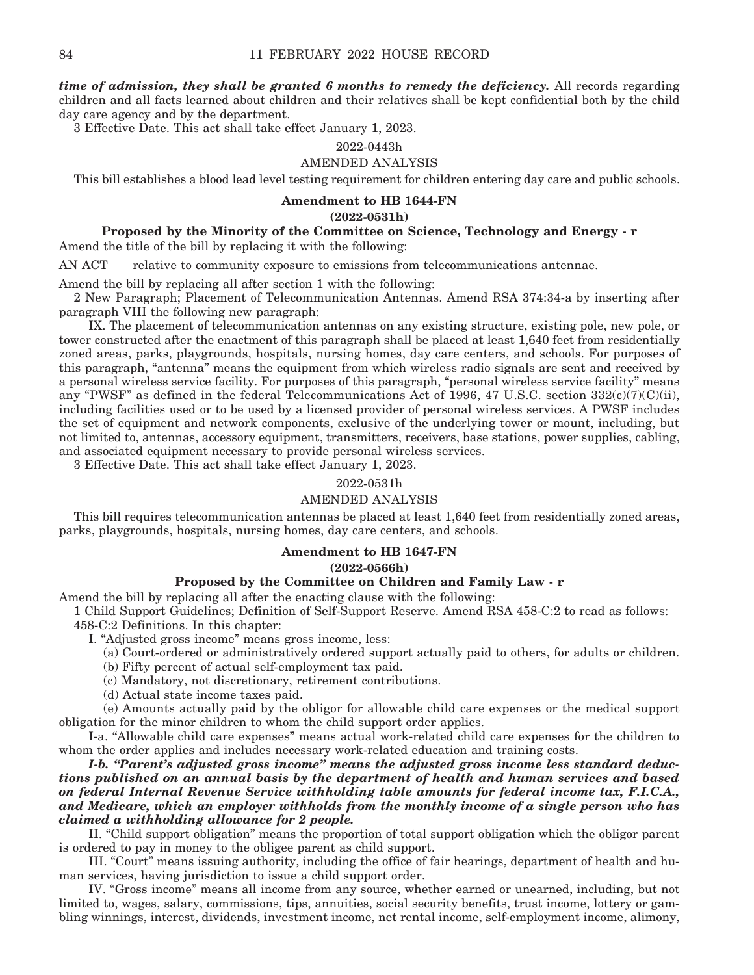*time of admission, they shall be granted 6 months to remedy the deficiency.* All records regarding children and all facts learned about children and their relatives shall be kept confidential both by the child day care agency and by the department.

3 Effective Date. This act shall take effect January 1, 2023.

#### 2022-0443h

## AMENDED ANALYSIS

This bill establishes a blood lead level testing requirement for children entering day care and public schools.

## **Amendment to HB 1644-FN**

**(2022-0531h)**

## **Proposed by the Minority of the Committee on Science, Technology and Energy - r**

Amend the title of the bill by replacing it with the following:

AN ACT relative to community exposure to emissions from telecommunications antennae.

Amend the bill by replacing all after section 1 with the following:

2 New Paragraph; Placement of Telecommunication Antennas. Amend RSA 374:34-a by inserting after paragraph VIII the following new paragraph:

 IX. The placement of telecommunication antennas on any existing structure, existing pole, new pole, or tower constructed after the enactment of this paragraph shall be placed at least 1,640 feet from residentially zoned areas, parks, playgrounds, hospitals, nursing homes, day care centers, and schools. For purposes of this paragraph, "antenna" means the equipment from which wireless radio signals are sent and received by a personal wireless service facility. For purposes of this paragraph, "personal wireless service facility" means any "PWSF" as defined in the federal Telecommunications Act of 1996, 47 U.S.C. section  $332(c)(7)(C)(ii)$ , including facilities used or to be used by a licensed provider of personal wireless services. A PWSF includes the set of equipment and network components, exclusive of the underlying tower or mount, including, but not limited to, antennas, accessory equipment, transmitters, receivers, base stations, power supplies, cabling, and associated equipment necessary to provide personal wireless services.

3 Effective Date. This act shall take effect January 1, 2023.

#### 2022-0531h

### AMENDED ANALYSIS

This bill requires telecommunication antennas be placed at least 1,640 feet from residentially zoned areas, parks, playgrounds, hospitals, nursing homes, day care centers, and schools.

#### **Amendment to HB 1647-FN**

#### **(2022-0566h)**

### **Proposed by the Committee on Children and Family Law - r**

Amend the bill by replacing all after the enacting clause with the following:

1 Child Support Guidelines; Definition of Self-Support Reserve. Amend RSA 458-C:2 to read as follows: 458-C:2 Definitions. In this chapter:

I. "Adjusted gross income" means gross income, less:

- (a) Court-ordered or administratively ordered support actually paid to others, for adults or children.
- (b) Fifty percent of actual self-employment tax paid.
- (c) Mandatory, not discretionary, retirement contributions.
- (d) Actual state income taxes paid.

 (e) Amounts actually paid by the obligor for allowable child care expenses or the medical support obligation for the minor children to whom the child support order applies.

 I-a. "Allowable child care expenses" means actual work-related child care expenses for the children to whom the order applies and includes necessary work-related education and training costs.

 *I-b. "Parent's adjusted gross income" means the adjusted gross income less standard deductions published on an annual basis by the department of health and human services and based on federal Internal Revenue Service withholding table amounts for federal income tax, F.I.C.A., and Medicare, which an employer withholds from the monthly income of a single person who has claimed a withholding allowance for 2 people.* 

 II. "Child support obligation" means the proportion of total support obligation which the obligor parent is ordered to pay in money to the obligee parent as child support.

 III. "Court" means issuing authority, including the office of fair hearings, department of health and human services, having jurisdiction to issue a child support order.

 IV. "Gross income" means all income from any source, whether earned or unearned, including, but not limited to, wages, salary, commissions, tips, annuities, social security benefits, trust income, lottery or gambling winnings, interest, dividends, investment income, net rental income, self-employment income, alimony,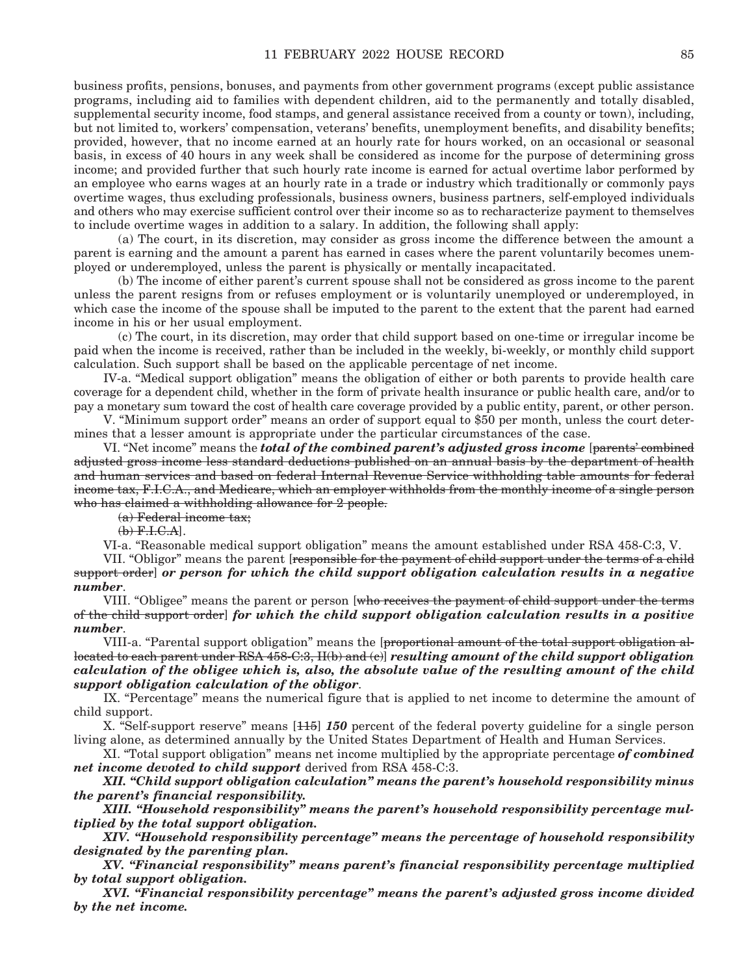business profits, pensions, bonuses, and payments from other government programs (except public assistance programs, including aid to families with dependent children, aid to the permanently and totally disabled, supplemental security income, food stamps, and general assistance received from a county or town), including, but not limited to, workers' compensation, veterans' benefits, unemployment benefits, and disability benefits; provided, however, that no income earned at an hourly rate for hours worked, on an occasional or seasonal basis, in excess of 40 hours in any week shall be considered as income for the purpose of determining gross income; and provided further that such hourly rate income is earned for actual overtime labor performed by an employee who earns wages at an hourly rate in a trade or industry which traditionally or commonly pays overtime wages, thus excluding professionals, business owners, business partners, self-employed individuals and others who may exercise sufficient control over their income so as to recharacterize payment to themselves to include overtime wages in addition to a salary. In addition, the following shall apply:

 (a) The court, in its discretion, may consider as gross income the difference between the amount a parent is earning and the amount a parent has earned in cases where the parent voluntarily becomes unemployed or underemployed, unless the parent is physically or mentally incapacitated.

 (b) The income of either parent's current spouse shall not be considered as gross income to the parent unless the parent resigns from or refuses employment or is voluntarily unemployed or underemployed, in which case the income of the spouse shall be imputed to the parent to the extent that the parent had earned income in his or her usual employment.

 (c) The court, in its discretion, may order that child support based on one-time or irregular income be paid when the income is received, rather than be included in the weekly, bi-weekly, or monthly child support calculation. Such support shall be based on the applicable percentage of net income.

 IV-a. "Medical support obligation" means the obligation of either or both parents to provide health care coverage for a dependent child, whether in the form of private health insurance or public health care, and/or to pay a monetary sum toward the cost of health care coverage provided by a public entity, parent, or other person.

 V. "Minimum support order" means an order of support equal to \$50 per month, unless the court determines that a lesser amount is appropriate under the particular circumstances of the case.

VI. "Net income" means the *total of the combined parent's adjusted gross income* [parents' combined adjusted gross income less standard deductions published on an annual basis by the department of health and human services and based on federal Internal Revenue Service withholding table amounts for federal income tax, F.I.C.A., and Medicare, which an employer withholds from the monthly income of a single person who has claimed a withholding allowance for 2 people.

(a) Federal income tax;

 $(b)$   $F.H.C.A$ ].

VI-a. "Reasonable medical support obligation" means the amount established under RSA 458-C:3, V.

VII. "Obligor" means the parent [responsible for the payment of child support under the terms of a child support order] *or person for which the child support obligation calculation results in a negative number*.

 VIII. "Obligee" means the parent or person [who receives the payment of child support under the terms of the child support order] *for which the child support obligation calculation results in a positive number*.

VIII-a. "Parental support obligation" means the [proportional amount of the total support obligation allocated to each parent under RSA 458-C:3, II(b) and (c)] *resulting amount of the child support obligation calculation of the obligee which is, also, the absolute value of the resulting amount of the child support obligation calculation of the obligor*.

 IX. "Percentage" means the numerical figure that is applied to net income to determine the amount of child support.

 X. "Self-support reserve" means [115] *150* percent of the federal poverty guideline for a single person living alone, as determined annually by the United States Department of Health and Human Services.

 XI. "Total support obligation" means net income multiplied by the appropriate percentage *of combined net income devoted to child support* derived from RSA 458-C:3.

 *XII. "Child support obligation calculation" means the parent's household responsibility minus the parent's financial responsibility.*

 *XIII. "Household responsibility" means the parent's household responsibility percentage multiplied by the total support obligation.*

 *XIV. "Household responsibility percentage" means the percentage of household responsibility designated by the parenting plan.* 

 *XV. "Financial responsibility" means parent's financial responsibility percentage multiplied by total support obligation.* 

 *XVI. "Financial responsibility percentage" means the parent's adjusted gross income divided by the net income.*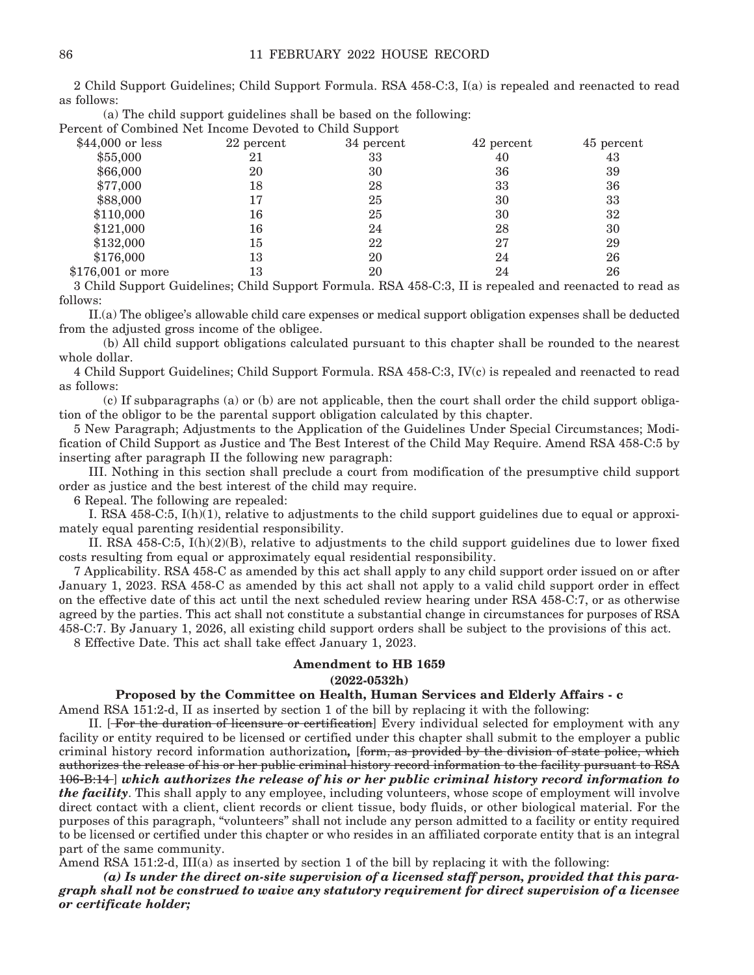2 Child Support Guidelines; Child Support Formula. RSA 458-C:3, I(a) is repealed and reenacted to read as follows:

| (a) The child support guidelines shall be based on the following: |
|-------------------------------------------------------------------|
| Percent of Combined Net Income Devoted to Child Support           |

|                   |            | . .        |            |            |
|-------------------|------------|------------|------------|------------|
| $$44,000$ or less | 22 percent | 34 percent | 42 percent | 45 percent |
| \$55,000          | 21         | 33         | 40         | 43         |
| \$66,000          | 20         | 30         | 36         | 39         |
| \$77,000          | 18         | 28         | 33         | 36         |
| \$88,000          | 17         | 25         | 30         | 33         |
| \$110,000         | 16         | 25         | 30         | 32         |
| \$121,000         | 16         | 24         | 28         | 30         |
| \$132,000         | 15         | 22         | 27         | 29         |
| \$176,000         | 13         | 20         | 24         | 26         |
| \$176,001 or more | 13         | 20         | 24         | 26         |
|                   |            |            |            |            |

3 Child Support Guidelines; Child Support Formula. RSA 458-C:3, II is repealed and reenacted to read as follows:

 II.(a) The obligee's allowable child care expenses or medical support obligation expenses shall be deducted from the adjusted gross income of the obligee.

 (b) All child support obligations calculated pursuant to this chapter shall be rounded to the nearest whole dollar.

4 Child Support Guidelines; Child Support Formula. RSA 458-C:3, IV(c) is repealed and reenacted to read as follows:

 (c) If subparagraphs (a) or (b) are not applicable, then the court shall order the child support obligation of the obligor to be the parental support obligation calculated by this chapter.

5 New Paragraph; Adjustments to the Application of the Guidelines Under Special Circumstances; Modification of Child Support as Justice and The Best Interest of the Child May Require. Amend RSA 458-C:5 by inserting after paragraph II the following new paragraph:

 III. Nothing in this section shall preclude a court from modification of the presumptive child support order as justice and the best interest of the child may require.

6 Repeal. The following are repealed:

 I. RSA 458-C:5, I(h)(1), relative to adjustments to the child support guidelines due to equal or approximately equal parenting residential responsibility.

 II. RSA 458-C:5, I(h)(2)(B), relative to adjustments to the child support guidelines due to lower fixed costs resulting from equal or approximately equal residential responsibility.

7 Applicability. RSA 458-C as amended by this act shall apply to any child support order issued on or after January 1, 2023. RSA 458-C as amended by this act shall not apply to a valid child support order in effect on the effective date of this act until the next scheduled review hearing under RSA 458-C:7, or as otherwise agreed by the parties. This act shall not constitute a substantial change in circumstances for purposes of RSA 458-C:7. By January 1, 2026, all existing child support orders shall be subject to the provisions of this act.

8 Effective Date. This act shall take effect January 1, 2023.

### **Amendment to HB 1659**

## **(2022-0532h)**

### **Proposed by the Committee on Health, Human Services and Elderly Affairs - c**

Amend RSA 151:2-d, II as inserted by section 1 of the bill by replacing it with the following:

 II. [ For the duration of licensure or certification] Every individual selected for employment with any facility or entity required to be licensed or certified under this chapter shall submit to the employer a public criminal history record information authorization*,* [form, as provided by the division of state police, which authorizes the release of his or her public criminal history record information to the facility pursuant to RSA 106-B:14 ] *which authorizes the release of his or her public criminal history record information to the facility*. This shall apply to any employee, including volunteers, whose scope of employment will involve direct contact with a client, client records or client tissue, body fluids, or other biological material. For the purposes of this paragraph, "volunteers" shall not include any person admitted to a facility or entity required to be licensed or certified under this chapter or who resides in an affiliated corporate entity that is an integral part of the same community.

Amend RSA 151:2-d, III(a) as inserted by section 1 of the bill by replacing it with the following:

 *(a) Is under the direct on-site supervision of a licensed staff person, provided that this paragraph shall not be construed to waive any statutory requirement for direct supervision of a licensee or certificate holder;*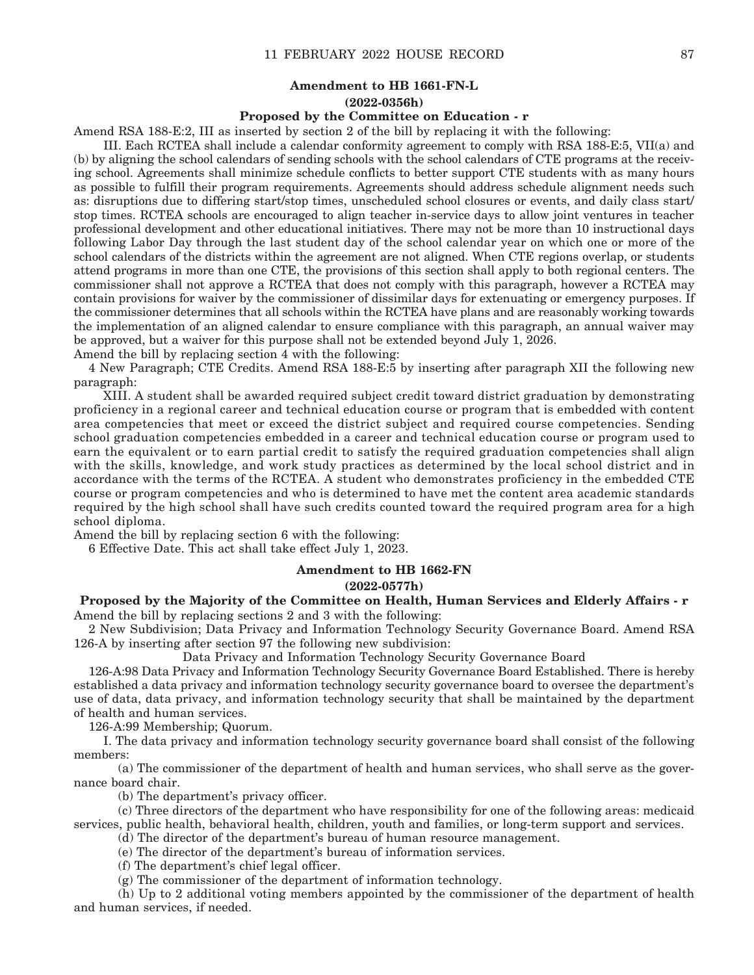## **Amendment to HB 1661-FN-L (2022-0356h)**

#### **Proposed by the Committee on Education - r**

Amend RSA 188-E:2, III as inserted by section 2 of the bill by replacing it with the following:

 III. Each RCTEA shall include a calendar conformity agreement to comply with RSA 188-E:5, VII(a) and (b) by aligning the school calendars of sending schools with the school calendars of CTE programs at the receiving school. Agreements shall minimize schedule conflicts to better support CTE students with as many hours as possible to fulfill their program requirements. Agreements should address schedule alignment needs such as: disruptions due to differing start/stop times, unscheduled school closures or events, and daily class start/ stop times. RCTEA schools are encouraged to align teacher in-service days to allow joint ventures in teacher professional development and other educational initiatives. There may not be more than 10 instructional days following Labor Day through the last student day of the school calendar year on which one or more of the school calendars of the districts within the agreement are not aligned. When CTE regions overlap, or students attend programs in more than one CTE, the provisions of this section shall apply to both regional centers. The commissioner shall not approve a RCTEA that does not comply with this paragraph, however a RCTEA may contain provisions for waiver by the commissioner of dissimilar days for extenuating or emergency purposes. If the commissioner determines that all schools within the RCTEA have plans and are reasonably working towards the implementation of an aligned calendar to ensure compliance with this paragraph, an annual waiver may be approved, but a waiver for this purpose shall not be extended beyond July 1, 2026.

Amend the bill by replacing section 4 with the following:

4 New Paragraph; CTE Credits. Amend RSA 188-E:5 by inserting after paragraph XII the following new paragraph:

 XIII. A student shall be awarded required subject credit toward district graduation by demonstrating proficiency in a regional career and technical education course or program that is embedded with content area competencies that meet or exceed the district subject and required course competencies. Sending school graduation competencies embedded in a career and technical education course or program used to earn the equivalent or to earn partial credit to satisfy the required graduation competencies shall align with the skills, knowledge, and work study practices as determined by the local school district and in accordance with the terms of the RCTEA. A student who demonstrates proficiency in the embedded CTE course or program competencies and who is determined to have met the content area academic standards required by the high school shall have such credits counted toward the required program area for a high school diploma.

Amend the bill by replacing section 6 with the following:

6 Effective Date. This act shall take effect July 1, 2023.

### **Amendment to HB 1662-FN**

#### **(2022-0577h)**

### **Proposed by the Majority of the Committee on Health, Human Services and Elderly Affairs - r** Amend the bill by replacing sections 2 and 3 with the following:

2 New Subdivision; Data Privacy and Information Technology Security Governance Board. Amend RSA 126-A by inserting after section 97 the following new subdivision:

Data Privacy and Information Technology Security Governance Board

126-A:98 Data Privacy and Information Technology Security Governance Board Established. There is hereby established a data privacy and information technology security governance board to oversee the department's use of data, data privacy, and information technology security that shall be maintained by the department of health and human services.

126-A:99 Membership; Quorum.

 I. The data privacy and information technology security governance board shall consist of the following members:

 (a) The commissioner of the department of health and human services, who shall serve as the governance board chair.

(b) The department's privacy officer.

 (c) Three directors of the department who have responsibility for one of the following areas: medicaid services, public health, behavioral health, children, youth and families, or long-term support and services.

(d) The director of the department's bureau of human resource management.

(e) The director of the department's bureau of information services.

(f) The department's chief legal officer.

(g) The commissioner of the department of information technology.

 (h) Up to 2 additional voting members appointed by the commissioner of the department of health and human services, if needed.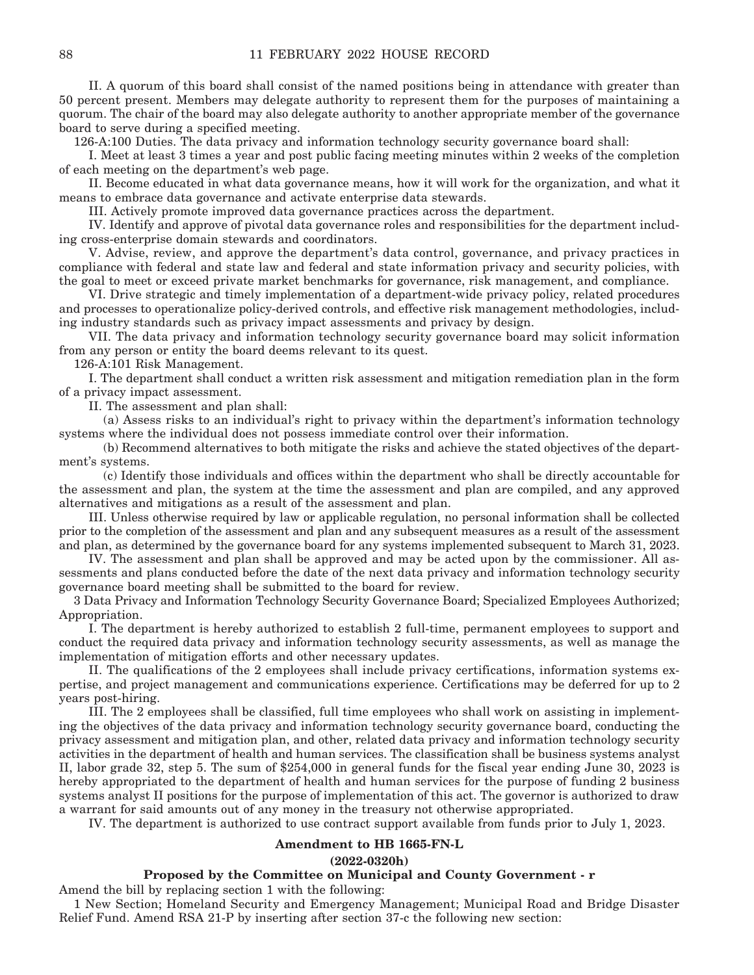II. A quorum of this board shall consist of the named positions being in attendance with greater than 50 percent present. Members may delegate authority to represent them for the purposes of maintaining a quorum. The chair of the board may also delegate authority to another appropriate member of the governance board to serve during a specified meeting.

126-A:100 Duties. The data privacy and information technology security governance board shall:

 I. Meet at least 3 times a year and post public facing meeting minutes within 2 weeks of the completion of each meeting on the department's web page.

 II. Become educated in what data governance means, how it will work for the organization, and what it means to embrace data governance and activate enterprise data stewards.

III. Actively promote improved data governance practices across the department.

 IV. Identify and approve of pivotal data governance roles and responsibilities for the department including cross-enterprise domain stewards and coordinators.

 V. Advise, review, and approve the department's data control, governance, and privacy practices in compliance with federal and state law and federal and state information privacy and security policies, with the goal to meet or exceed private market benchmarks for governance, risk management, and compliance.

 VI. Drive strategic and timely implementation of a department-wide privacy policy, related procedures and processes to operationalize policy-derived controls, and effective risk management methodologies, including industry standards such as privacy impact assessments and privacy by design.

 VII. The data privacy and information technology security governance board may solicit information from any person or entity the board deems relevant to its quest.

126-A:101 Risk Management.

 I. The department shall conduct a written risk assessment and mitigation remediation plan in the form of a privacy impact assessment.

II. The assessment and plan shall:

 (a) Assess risks to an individual's right to privacy within the department's information technology systems where the individual does not possess immediate control over their information.

 (b) Recommend alternatives to both mitigate the risks and achieve the stated objectives of the department's systems.

 (c) Identify those individuals and offices within the department who shall be directly accountable for the assessment and plan, the system at the time the assessment and plan are compiled, and any approved alternatives and mitigations as a result of the assessment and plan.

 III. Unless otherwise required by law or applicable regulation, no personal information shall be collected prior to the completion of the assessment and plan and any subsequent measures as a result of the assessment and plan, as determined by the governance board for any systems implemented subsequent to March 31, 2023.

 IV. The assessment and plan shall be approved and may be acted upon by the commissioner. All assessments and plans conducted before the date of the next data privacy and information technology security governance board meeting shall be submitted to the board for review.

3 Data Privacy and Information Technology Security Governance Board; Specialized Employees Authorized; Appropriation.

 I. The department is hereby authorized to establish 2 full-time, permanent employees to support and conduct the required data privacy and information technology security assessments, as well as manage the implementation of mitigation efforts and other necessary updates.

 II. The qualifications of the 2 employees shall include privacy certifications, information systems expertise, and project management and communications experience. Certifications may be deferred for up to 2 years post-hiring.

 III. The 2 employees shall be classified, full time employees who shall work on assisting in implementing the objectives of the data privacy and information technology security governance board, conducting the privacy assessment and mitigation plan, and other, related data privacy and information technology security activities in the department of health and human services. The classification shall be business systems analyst II, labor grade 32, step 5. The sum of \$254,000 in general funds for the fiscal year ending June 30, 2023 is hereby appropriated to the department of health and human services for the purpose of funding 2 business systems analyst II positions for the purpose of implementation of this act. The governor is authorized to draw a warrant for said amounts out of any money in the treasury not otherwise appropriated.

IV. The department is authorized to use contract support available from funds prior to July 1, 2023.

#### **Amendment to HB 1665-FN-L**

#### **(2022-0320h)**

#### **Proposed by the Committee on Municipal and County Government - r**

Amend the bill by replacing section 1 with the following:

1 New Section; Homeland Security and Emergency Management; Municipal Road and Bridge Disaster Relief Fund. Amend RSA 21-P by inserting after section 37-c the following new section: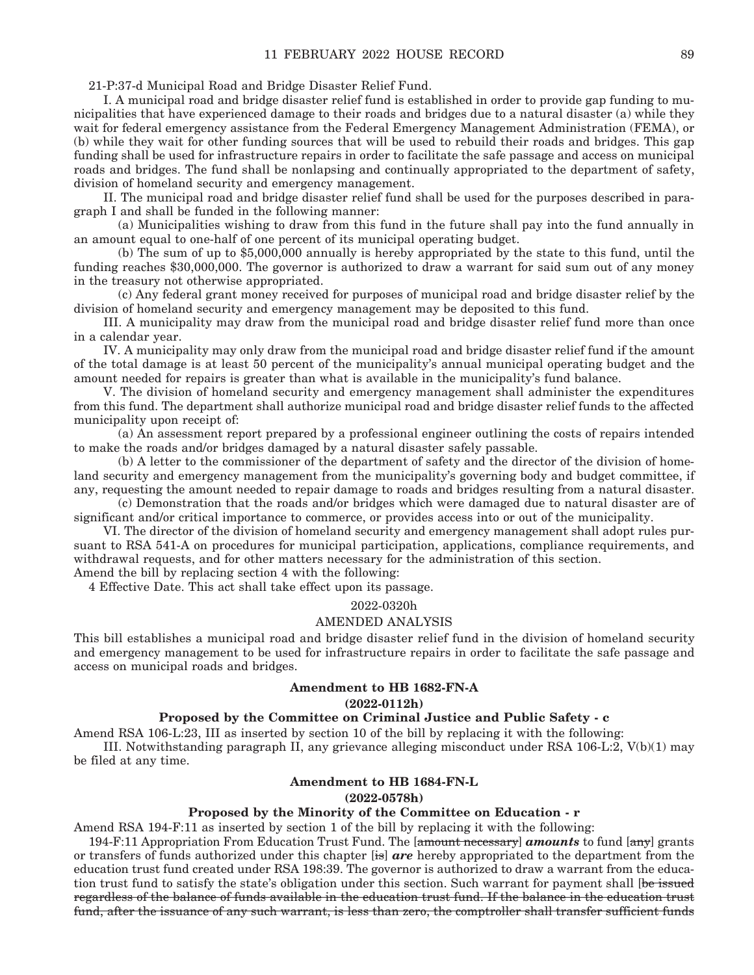21-P:37-d Municipal Road and Bridge Disaster Relief Fund.

 I. A municipal road and bridge disaster relief fund is established in order to provide gap funding to municipalities that have experienced damage to their roads and bridges due to a natural disaster (a) while they wait for federal emergency assistance from the Federal Emergency Management Administration (FEMA), or (b) while they wait for other funding sources that will be used to rebuild their roads and bridges. This gap funding shall be used for infrastructure repairs in order to facilitate the safe passage and access on municipal roads and bridges. The fund shall be nonlapsing and continually appropriated to the department of safety, division of homeland security and emergency management.

 II. The municipal road and bridge disaster relief fund shall be used for the purposes described in paragraph I and shall be funded in the following manner:

 (a) Municipalities wishing to draw from this fund in the future shall pay into the fund annually in an amount equal to one-half of one percent of its municipal operating budget.

 (b) The sum of up to \$5,000,000 annually is hereby appropriated by the state to this fund, until the funding reaches \$30,000,000. The governor is authorized to draw a warrant for said sum out of any money in the treasury not otherwise appropriated.

 (c) Any federal grant money received for purposes of municipal road and bridge disaster relief by the division of homeland security and emergency management may be deposited to this fund.

 III. A municipality may draw from the municipal road and bridge disaster relief fund more than once in a calendar year.

 IV. A municipality may only draw from the municipal road and bridge disaster relief fund if the amount of the total damage is at least 50 percent of the municipality's annual municipal operating budget and the amount needed for repairs is greater than what is available in the municipality's fund balance.

 V. The division of homeland security and emergency management shall administer the expenditures from this fund. The department shall authorize municipal road and bridge disaster relief funds to the affected municipality upon receipt of:

 (a) An assessment report prepared by a professional engineer outlining the costs of repairs intended to make the roads and/or bridges damaged by a natural disaster safely passable.

 (b) A letter to the commissioner of the department of safety and the director of the division of homeland security and emergency management from the municipality's governing body and budget committee, if any, requesting the amount needed to repair damage to roads and bridges resulting from a natural disaster.

 (c) Demonstration that the roads and/or bridges which were damaged due to natural disaster are of significant and/or critical importance to commerce, or provides access into or out of the municipality.

 VI. The director of the division of homeland security and emergency management shall adopt rules pursuant to RSA 541-A on procedures for municipal participation, applications, compliance requirements, and withdrawal requests, and for other matters necessary for the administration of this section. Amend the bill by replacing section 4 with the following:

4 Effective Date. This act shall take effect upon its passage.

## 2022-0320h

#### AMENDED ANALYSIS

This bill establishes a municipal road and bridge disaster relief fund in the division of homeland security and emergency management to be used for infrastructure repairs in order to facilitate the safe passage and access on municipal roads and bridges.

### **Amendment to HB 1682-FN-A**

### **(2022-0112h)**

## **Proposed by the Committee on Criminal Justice and Public Safety - c**

Amend RSA 106-L:23, III as inserted by section 10 of the bill by replacing it with the following:

 III. Notwithstanding paragraph II, any grievance alleging misconduct under RSA 106-L:2, V(b)(1) may be filed at any time.

#### **Amendment to HB 1684-FN-L**

#### **(2022-0578h)**

### **Proposed by the Minority of the Committee on Education - r**

Amend RSA 194-F:11 as inserted by section 1 of the bill by replacing it with the following:

194-F:11 Appropriation From Education Trust Fund. The [amount necessary] *amounts* to fund [any] grants or transfers of funds authorized under this chapter [is] *are* hereby appropriated to the department from the education trust fund created under RSA 198:39. The governor is authorized to draw a warrant from the education trust fund to satisfy the state's obligation under this section. Such warrant for payment shall [be issued regardless of the balance of funds available in the education trust fund. If the balance in the education trust fund, after the issuance of any such warrant, is less than zero, the comptroller shall transfer sufficient funds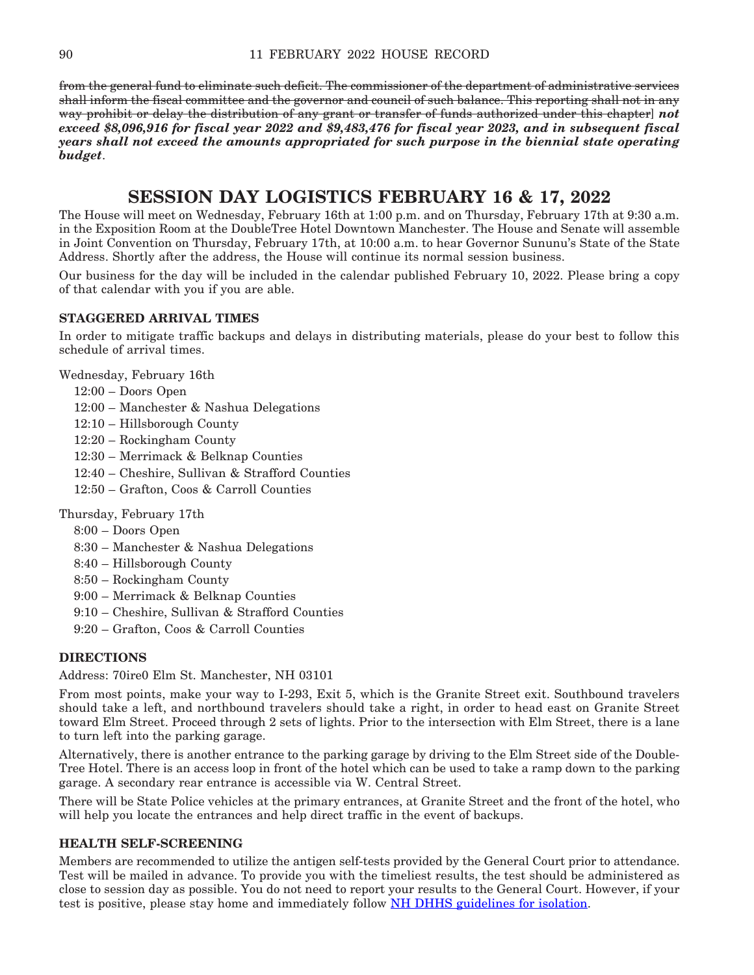from the general fund to eliminate such deficit. The commissioner of the department of administrative services shall inform the fiscal committee and the governor and council of such balance. This reporting shall not in any way prohibit or delay the distribution of any grant or transfer of funds authorized under this chapter] *not exceed \$8,096,916 for fiscal year 2022 and \$9,483,476 for fiscal year 2023, and in subsequent fiscal years shall not exceed the amounts appropriated for such purpose in the biennial state operating budget*.

# **SESSION DAY LOGISTICS FEBRUARY 16 & 17, 2022**

The House will meet on Wednesday, February 16th at 1:00 p.m. and on Thursday, February 17th at 9:30 a.m. in the Exposition Room at the DoubleTree Hotel Downtown Manchester. The House and Senate will assemble in Joint Convention on Thursday, February 17th, at 10:00 a.m. to hear Governor Sununu's State of the State Address. Shortly after the address, the House will continue its normal session business.

Our business for the day will be included in the calendar published February 10, 2022. Please bring a copy of that calendar with you if you are able.

## **STAGGERED ARRIVAL TIMES**

In order to mitigate traffic backups and delays in distributing materials, please do your best to follow this schedule of arrival times.

Wednesday, February 16th

- 12:00 Doors Open
- 12:00 Manchester & Nashua Delegations
- 12:10 Hillsborough County
- 12:20 Rockingham County
- 12:30 Merrimack & Belknap Counties
- 12:40 Cheshire, Sullivan & Strafford Counties
- 12:50 Grafton, Coos & Carroll Counties

Thursday, February 17th

- 8:00 Doors Open
- 8:30 Manchester & Nashua Delegations
- 8:40 Hillsborough County
- 8:50 Rockingham County
- 9:00 Merrimack & Belknap Counties
- 9:10 Cheshire, Sullivan & Strafford Counties
- 9:20 Grafton, Coos & Carroll Counties

## **DIRECTIONS**

Address: 70ire0 Elm St. Manchester, NH 03101

From most points, make your way to I-293, Exit 5, which is the Granite Street exit. Southbound travelers should take a left, and northbound travelers should take a right, in order to head east on Granite Street toward Elm Street. Proceed through 2 sets of lights. Prior to the intersection with Elm Street, there is a lane to turn left into the parking garage.

Alternatively, there is another entrance to the parking garage by driving to the Elm Street side of the Double-Tree Hotel. There is an access loop in front of the hotel which can be used to take a ramp down to the parking garage. A secondary rear entrance is accessible via W. Central Street.

There will be State Police vehicles at the primary entrances, at Granite Street and the front of the hotel, who will help you locate the entrances and help direct traffic in the event of backups.

## **HEALTH SELF-SCREENING**

Members are recommended to utilize the antigen self-tests provided by the General Court prior to attendance. Test will be mailed in advance. To provide you with the timeliest results, the test should be administered as close to session day as possible. You do not need to report your results to the General Court. However, if your test is positive, please stay home and immediately follow [NH DHHS guidelines for isolation](https://www.covid19.nh.gov/sites/g/files/ehbemt481/files/inline-documents/sonh/isolation-and-quarantine-recommendations_0.pdf).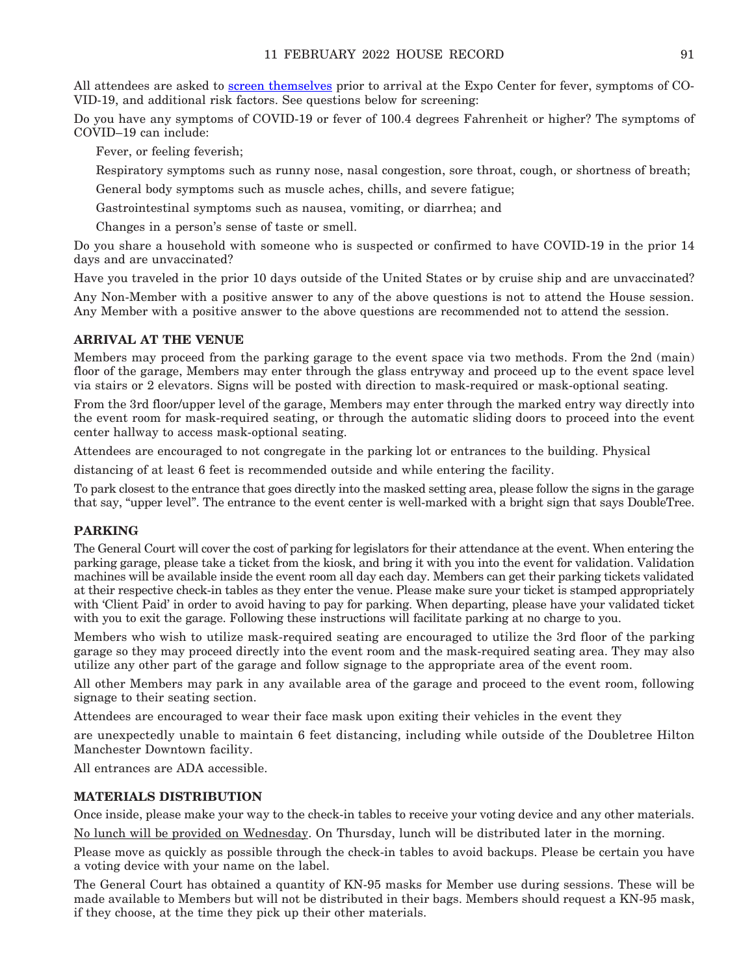All attendees are asked to [screen themselves](https://www.cdc.gov/coronavirus/2019-ncov/symptoms-testing/symptoms.html) prior to arrival at the Expo Center for fever, symptoms of CO-VID-19, and additional risk factors. See questions below for screening:

Do you have any symptoms of COVID-19 or fever of 100.4 degrees Fahrenheit or higher? The symptoms of COVID–19 can include:

Fever, or feeling feverish;

Respiratory symptoms such as runny nose, nasal congestion, sore throat, cough, or shortness of breath;

General body symptoms such as muscle aches, chills, and severe fatigue;

Gastrointestinal symptoms such as nausea, vomiting, or diarrhea; and

Changes in a person's sense of taste or smell.

Do you share a household with someone who is suspected or confirmed to have COVID-19 in the prior 14 days and are unvaccinated?

Have you traveled in the prior 10 days outside of the United States or by cruise ship and are unvaccinated?

Any Non-Member with a positive answer to any of the above questions is not to attend the House session. Any Member with a positive answer to the above questions are recommended not to attend the session.

### **ARRIVAL AT THE VENUE**

Members may proceed from the parking garage to the event space via two methods. From the 2nd (main) floor of the garage, Members may enter through the glass entryway and proceed up to the event space level via stairs or 2 elevators. Signs will be posted with direction to mask-required or mask-optional seating.

From the 3rd floor/upper level of the garage, Members may enter through the marked entry way directly into the event room for mask-required seating, or through the automatic sliding doors to proceed into the event center hallway to access mask-optional seating.

Attendees are encouraged to not congregate in the parking lot or entrances to the building. Physical

distancing of at least 6 feet is recommended outside and while entering the facility.

To park closest to the entrance that goes directly into the masked setting area, please follow the signs in the garage that say, "upper level". The entrance to the event center is well-marked with a bright sign that says DoubleTree.

## **PARKING**

The General Court will cover the cost of parking for legislators for their attendance at the event. When entering the parking garage, please take a ticket from the kiosk, and bring it with you into the event for validation. Validation machines will be available inside the event room all day each day. Members can get their parking tickets validated at their respective check-in tables as they enter the venue. Please make sure your ticket is stamped appropriately with 'Client Paid' in order to avoid having to pay for parking. When departing, please have your validated ticket with you to exit the garage. Following these instructions will facilitate parking at no charge to you.

Members who wish to utilize mask-required seating are encouraged to utilize the 3rd floor of the parking garage so they may proceed directly into the event room and the mask-required seating area. They may also utilize any other part of the garage and follow signage to the appropriate area of the event room.

All other Members may park in any available area of the garage and proceed to the event room, following signage to their seating section.

Attendees are encouraged to wear their face mask upon exiting their vehicles in the event they

are unexpectedly unable to maintain 6 feet distancing, including while outside of the Doubletree Hilton Manchester Downtown facility.

All entrances are ADA accessible.

## **MATERIALS DISTRIBUTION**

Once inside, please make your way to the check-in tables to receive your voting device and any other materials.

No lunch will be provided on Wednesday. On Thursday, lunch will be distributed later in the morning.

Please move as quickly as possible through the check-in tables to avoid backups. Please be certain you have a voting device with your name on the label.

The General Court has obtained a quantity of KN-95 masks for Member use during sessions. These will be made available to Members but will not be distributed in their bags. Members should request a KN-95 mask, if they choose, at the time they pick up their other materials.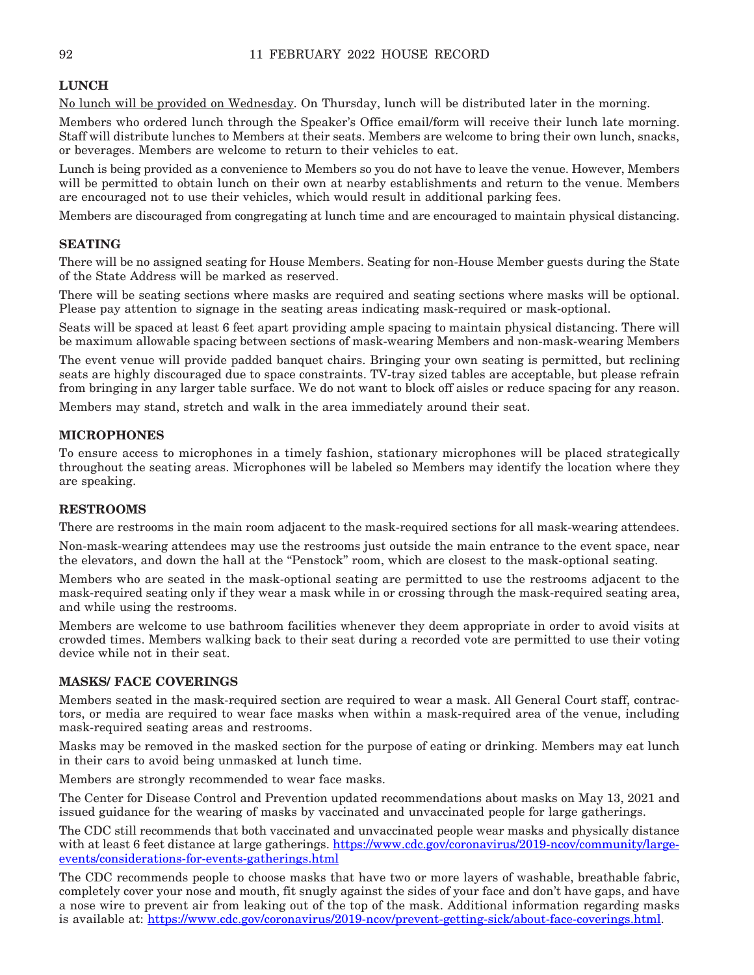## **LUNCH**

No lunch will be provided on Wednesday. On Thursday, lunch will be distributed later in the morning.

Members who ordered lunch through the Speaker's Office email/form will receive their lunch late morning. Staff will distribute lunches to Members at their seats. Members are welcome to bring their own lunch, snacks, or beverages. Members are welcome to return to their vehicles to eat.

Lunch is being provided as a convenience to Members so you do not have to leave the venue. However, Members will be permitted to obtain lunch on their own at nearby establishments and return to the venue. Members are encouraged not to use their vehicles, which would result in additional parking fees.

Members are discouraged from congregating at lunch time and are encouraged to maintain physical distancing.

## **SEATING**

There will be no assigned seating for House Members. Seating for non-House Member guests during the State of the State Address will be marked as reserved.

There will be seating sections where masks are required and seating sections where masks will be optional. Please pay attention to signage in the seating areas indicating mask-required or mask-optional.

Seats will be spaced at least 6 feet apart providing ample spacing to maintain physical distancing. There will be maximum allowable spacing between sections of mask-wearing Members and non-mask-wearing Members

The event venue will provide padded banquet chairs. Bringing your own seating is permitted, but reclining seats are highly discouraged due to space constraints. TV-tray sized tables are acceptable, but please refrain from bringing in any larger table surface. We do not want to block off aisles or reduce spacing for any reason.

Members may stand, stretch and walk in the area immediately around their seat.

## **MICROPHONES**

To ensure access to microphones in a timely fashion, stationary microphones will be placed strategically throughout the seating areas. Microphones will be labeled so Members may identify the location where they are speaking.

## **RESTROOMS**

There are restrooms in the main room adjacent to the mask-required sections for all mask-wearing attendees.

Non-mask-wearing attendees may use the restrooms just outside the main entrance to the event space, near the elevators, and down the hall at the "Penstock" room, which are closest to the mask-optional seating.

Members who are seated in the mask-optional seating are permitted to use the restrooms adjacent to the mask-required seating only if they wear a mask while in or crossing through the mask-required seating area, and while using the restrooms.

Members are welcome to use bathroom facilities whenever they deem appropriate in order to avoid visits at crowded times. Members walking back to their seat during a recorded vote are permitted to use their voting device while not in their seat.

## **MASKS/ FACE COVERINGS**

Members seated in the mask-required section are required to wear a mask. All General Court staff, contractors, or media are required to wear face masks when within a mask-required area of the venue, including mask-required seating areas and restrooms.

Masks may be removed in the masked section for the purpose of eating or drinking. Members may eat lunch in their cars to avoid being unmasked at lunch time.

Members are strongly recommended to wear face masks.

The Center for Disease Control and Prevention updated recommendations about masks on May 13, 2021 and issued guidance for the wearing of masks by vaccinated and unvaccinated people for large gatherings.

The CDC still recommends that both vaccinated and unvaccinated people wear masks and physically distance with at least 6 feet distance at large gatherings. [https://www.cdc.gov/coronavirus/2019-ncov/community/large](https://www.cdc.gov/coronavirus/2019-ncov/community/large-events/considerations-for-events-gatherings.html)[events/considerations-for-events-gatherings.html](https://www.cdc.gov/coronavirus/2019-ncov/community/large-events/considerations-for-events-gatherings.html)

The CDC recommends people to choose masks that have two or more layers of washable, breathable fabric, completely cover your nose and mouth, fit snugly against the sides of your face and don't have gaps, and have a nose wire to prevent air from leaking out of the top of the mask. Additional information regarding masks is available at: [https://www.cdc.gov/coronavirus/2019-ncov/prevent-getting-sick/about-face-coverings.html.](https://www.cdc.gov/coronavirus/2019-ncov/prevent-getting-sick/about-face-coverings.html)